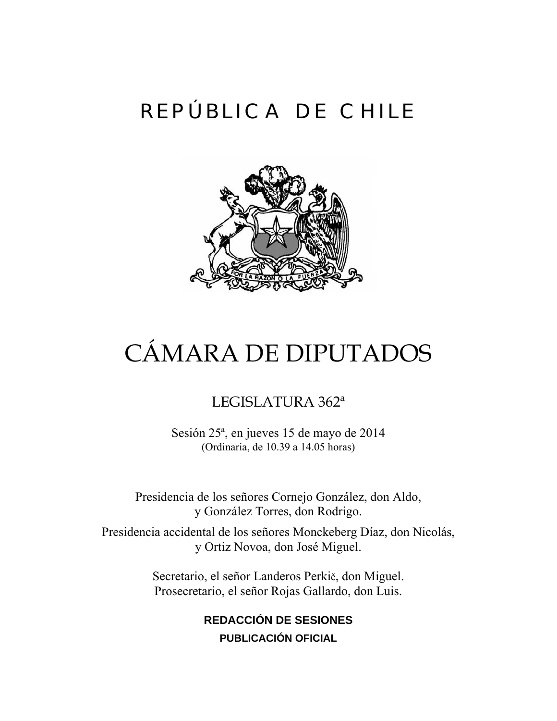## REPÚBLICA DE CHILE



# CÁMARA DE DIPUTADOS

## LEGISLATURA 362ª

Sesión 25ª, en jueves 15 de mayo de 2014 (Ordinaria, de 10.39 a 14.05 horas)

Presidencia de los señores Cornejo González, don Aldo, y González Torres, don Rodrigo.

Presidencia accidental de los señores Monckeberg Díaz, don Nicolás, y Ortiz Novoa, don José Miguel.

> Secretario, el señor Landeros Perkič, don Miguel. Prosecretario, el señor Rojas Gallardo, don Luis.

> > **REDACCIÓN DE SESIONES PUBLICACIÓN OFICIAL**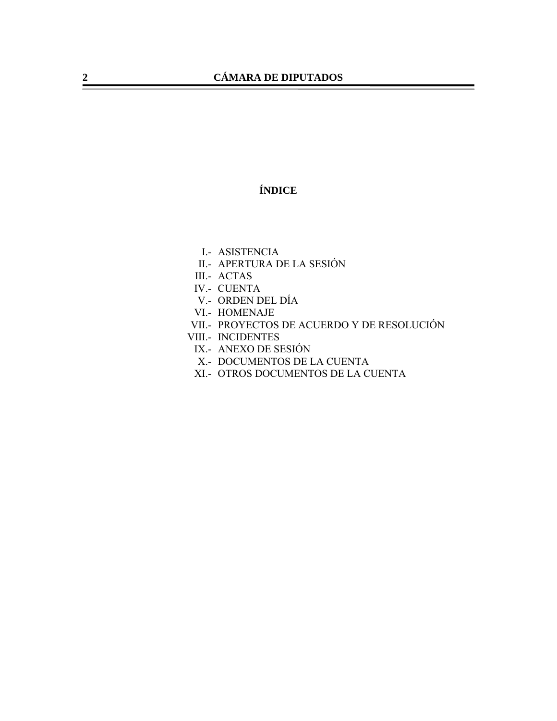### **ÍNDICE**

- I.- ASISTENCIA
- II.- APERTURA DE LA SESIÓN
- III.- ACTAS
- IV.- CUENTA
- V.- ORDEN DEL DÍA
- VI.- HOMENAJE
- VII.- PROYECTOS DE ACUERDO Y DE RESOLUCIÓN
- VIII.- INCIDENTES
- IX.- ANEXO DE SESIÓN
- X.- DOCUMENTOS DE LA CUENTA
- XI.- OTROS DOCUMENTOS DE LA CUENTA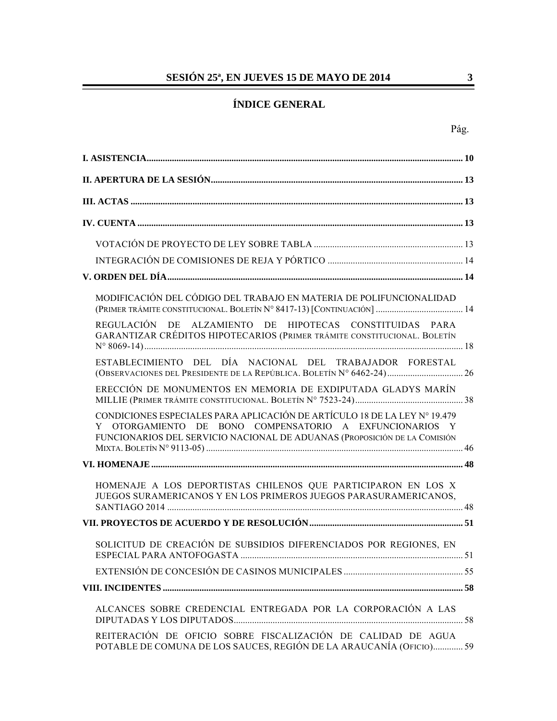## **ÍNDICE GENERAL**

| MODIFICACIÓN DEL CÓDIGO DEL TRABAJO EN MATERIA DE POLIFUNCIONALIDAD<br>(PRIMER TRÁMITE CONSTITUCIONAL. BOLETÍN Nº 8417-13) [CONTINUACIÓN]  14<br>REGULACIÓN DE ALZAMIENTO DE HIPOTECAS CONSTITUIDAS PARA          |  |
|-------------------------------------------------------------------------------------------------------------------------------------------------------------------------------------------------------------------|--|
| GARANTIZAR CRÉDITOS HIPOTECARIOS (PRIMER TRÁMITE CONSTITUCIONAL. BOLETÍN                                                                                                                                          |  |
| ESTABLECIMIENTO DEL DÍA NACIONAL DEL TRABAJADOR FORESTAL<br>(OBSERVACIONES DEL PRESIDENTE DE LA REPÚBLICA. BOLETÍN Nº 6462-24) 26                                                                                 |  |
| ERECCIÓN DE MONUMENTOS EN MEMORIA DE EXDIPUTADA GLADYS MARÍN                                                                                                                                                      |  |
| CONDICIONES ESPECIALES PARA APLICACIÓN DE ARTÍCULO 18 DE LA LEY Nº 19.479<br>Y OTORGAMIENTO DE BONO COMPENSATORIO A EXFUNCIONARIOS Y<br>FUNCIONARIOS DEL SERVICIO NACIONAL DE ADUANAS (PROPOSICIÓN DE LA COMISIÓN |  |
|                                                                                                                                                                                                                   |  |
| HOMENAJE A LOS DEPORTISTAS CHILENOS QUE PARTICIPARON EN LOS X<br>JUEGOS SURAMERICANOS Y EN LOS PRIMEROS JUEGOS PARASURAMERICANOS,                                                                                 |  |
|                                                                                                                                                                                                                   |  |
| SOLICITUD DE CREACIÓN DE SUBSIDIOS DIFERENCIADOS POR REGIONES, EN                                                                                                                                                 |  |
|                                                                                                                                                                                                                   |  |
|                                                                                                                                                                                                                   |  |
| ALCANCES SOBRE CREDENCIAL ENTREGADA POR LA CORPORACIÓN A LAS                                                                                                                                                      |  |
| REITERACIÓN DE OFICIO SOBRE FISCALIZACIÓN DE CALIDAD DE AGUA<br>POTABLE DE COMUNA DE LOS SAUCES, REGIÓN DE LA ARAUCANÍA (OFICIO) 59                                                                               |  |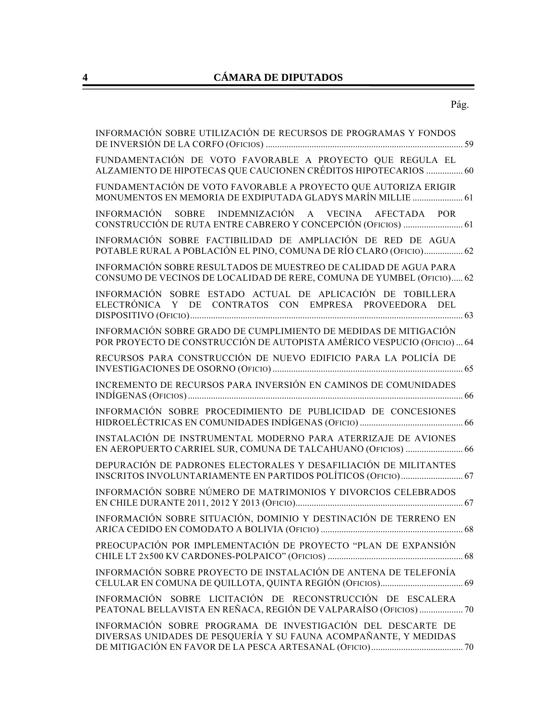| INFORMACIÓN SOBRE UTILIZACIÓN DE RECURSOS DE PROGRAMAS Y FONDOS                                                                             |
|---------------------------------------------------------------------------------------------------------------------------------------------|
| FUNDAMENTACIÓN DE VOTO FAVORABLE A PROYECTO QUE REGULA EL<br>ALZAMIENTO DE HIPOTECAS QUE CAUCIONEN CRÉDITOS HIPOTECARIOS  60                |
| FUNDAMENTACIÓN DE VOTO FAVORABLE A PROYECTO QUE AUTORIZA ERIGIR<br>MONUMENTOS EN MEMORIA DE EXDIPUTADA GLADYS MARÍN MILLIE  61              |
| INFORMACIÓN SOBRE INDEMNIZACIÓN A VECINA AFECTADA POR<br>CONSTRUCCIÓN DE RUTA ENTRE CABRERO Y CONCEPCIÓN (OFICIOS)  61                      |
| INFORMACIÓN SOBRE FACTIBILIDAD DE AMPLIACIÓN DE RED DE AGUA<br>POTABLE RURAL A POBLACIÓN EL PINO, COMUNA DE RÍO CLARO (OFICIO) 62           |
| INFORMACIÓN SOBRE RESULTADOS DE MUESTREO DE CALIDAD DE AGUA PARA<br>CONSUMO DE VECINOS DE LOCALIDAD DE RERE, COMUNA DE YUMBEL (OFICIO) 62   |
| INFORMACIÓN SOBRE ESTADO ACTUAL DE APLICACIÓN DE TOBILLERA<br>ELECTRÓNICA Y DE CONTRATOS CON EMPRESA PROVEEDORA DEL                         |
| INFORMACIÓN SOBRE GRADO DE CUMPLIMIENTO DE MEDIDAS DE MITIGACIÓN<br>POR PROYECTO DE CONSTRUCCIÓN DE AUTOPISTA AMÉRICO VESPUCIO (OFICIO)  64 |
| RECURSOS PARA CONSTRUCCIÓN DE NUEVO EDIFICIO PARA LA POLICÍA DE                                                                             |
| INCREMENTO DE RECURSOS PARA INVERSIÓN EN CAMINOS DE COMUNIDADES                                                                             |
| INFORMACIÓN SOBRE PROCEDIMIENTO DE PUBLICIDAD DE CONCESIONES                                                                                |
| INSTALACIÓN DE INSTRUMENTAL MODERNO PARA ATERRIZAJE DE AVIONES<br>EN AEROPUERTO CARRIEL SUR, COMUNA DE TALCAHUANO (OFICIOS)  66             |
| DEPURACIÓN DE PADRONES ELECTORALES Y DESAFILIACIÓN DE MILITANTES                                                                            |
| INFORMACIÓN SOBRE NÚMERO DE MATRIMONIOS Y DIVORCIOS CELEBRADOS                                                                              |
| INFORMACIÓN SOBRE SITUACIÓN, DOMINIO Y DESTINACIÓN DE TERRENO EN                                                                            |
| PREOCUPACIÓN POR IMPLEMENTACIÓN DE PROYECTO "PLAN DE EXPANSIÓN                                                                              |
| INFORMACIÓN SOBRE PROYECTO DE INSTALACIÓN DE ANTENA DE TELEFONÍA                                                                            |
| INFORMACIÓN SOBRE LICITACIÓN DE RECONSTRUCCIÓN DE ESCALERA                                                                                  |
| INFORMACIÓN SOBRE PROGRAMA DE INVESTIGACIÓN DEL DESCARTE DE<br>DIVERSAS UNIDADES DE PESQUERÍA Y SU FAUNA ACOMPAÑANTE, Y MEDIDAS             |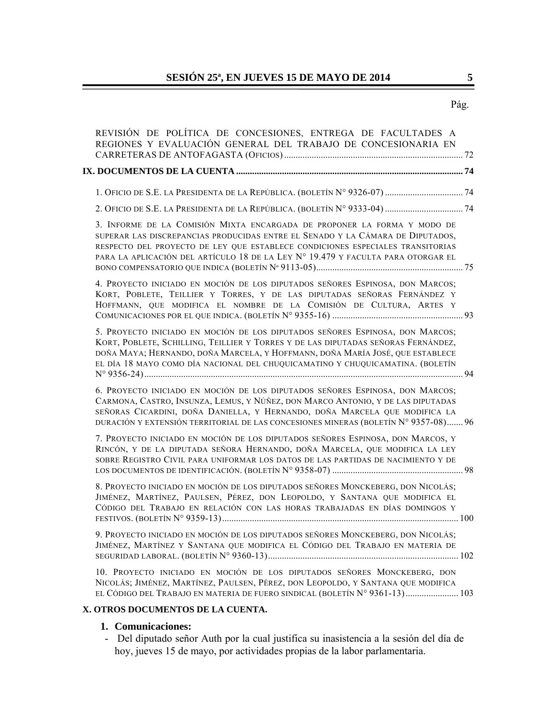#### Pág.

| REVISIÓN DE POLÍTICA DE CONCESIONES, ENTREGA DE FACULTADES A<br>REGIONES Y EVALUACIÓN GENERAL DEL TRABAJO DE CONCESIONARIA EN                                                                                                                                                                                                         |  |
|---------------------------------------------------------------------------------------------------------------------------------------------------------------------------------------------------------------------------------------------------------------------------------------------------------------------------------------|--|
|                                                                                                                                                                                                                                                                                                                                       |  |
|                                                                                                                                                                                                                                                                                                                                       |  |
|                                                                                                                                                                                                                                                                                                                                       |  |
| 3. INFORME DE LA COMISIÓN MIXTA ENCARGADA DE PROPONER LA FORMA Y MODO DE<br>SUPERAR LAS DISCREPANCIAS PRODUCIDAS ENTRE EL SENADO Y LA CÁMARA DE DIPUTADOS,<br>RESPECTO DEL PROYECTO DE LEY QUE ESTABLECE CONDICIONES ESPECIALES TRANSITORIAS<br>PARA LA APLICACIÓN DEL ARTÍCULO 18 DE LA LEY Nº 19.479 Y FACULTA PARA OTORGAR EL      |  |
| 4. PROYECTO INICIADO EN MOCIÓN DE LOS DIPUTADOS SEÑORES ESPINOSA, DON MARCOS;<br>KORT, POBLETE, TEILLIER Y TORRES, Y DE LAS DIPUTADAS SEÑORAS FERNÁNDEZ Y<br>HOFFMANN, QUE MODIFICA EL NOMBRE DE LA COMISIÓN DE CULTURA, ARTES Y                                                                                                      |  |
| 5. PROYECTO INICIADO EN MOCIÓN DE LOS DIPUTADOS SEÑORES ESPINOSA, DON MARCOS;<br>KORT, POBLETE, SCHILLING, TEILLIER Y TORRES Y DE LAS DIPUTADAS SEÑORAS FERNÁNDEZ,<br>DOÑA MAYA; HERNANDO, DOÑA MARCELA, Y HOFFMANN, DOÑA MARÍA JOSÉ, QUE ESTABLECE<br>EL DÍA 18 MAYO COMO DÍA NACIONAL DEL CHUQUICAMATINO Y CHUQUICAMATINA. (BOLETÍN |  |
| 6. PROYECTO INICIADO EN MOCIÓN DE LOS DIPUTADOS SEÑORES ESPINOSA, DON MARCOS;<br>CARMONA, CASTRO, INSUNZA, LEMUS, Y NÚÑEZ, DON MARCO ANTONIO, Y DE LAS DIPUTADAS<br>SEÑORAS CICARDINI, DOÑA DANIELLA, Y HERNANDO, DOÑA MARCELA QUE MODIFICA LA<br>DURACIÓN Y EXTENSIÓN TERRITORIAL DE LAS CONCESIONES MINERAS (BOLETÍN Nº 9357-08) 96 |  |
| 7. PROYECTO INICIADO EN MOCIÓN DE LOS DIPUTADOS SEÑORES ESPINOSA, DON MARCOS, Y<br>RINCÓN, Y DE LA DIPUTADA SEÑORA HERNANDO, DOÑA MARCELA, QUE MODIFICA LA LEY<br>SOBRE REGISTRO CIVIL PARA UNIFORMAR LOS DATOS DE LAS PARTIDAS DE NACIMIENTO Y DE                                                                                    |  |
| 8. PROYECTO INICIADO EN MOCIÓN DE LOS DIPUTADOS SEÑORES MONCKEBERG, DON NICOLÁS;<br>JIMÉNEZ, MARTÍNEZ, PAULSEN, PÉREZ, DON LEOPOLDO, Y SANTANA QUE MODIFICA EL<br>CÓDIGO DEL TRABAJO EN RELACIÓN CON LAS HORAS TRABAJADAS EN DÍAS DOMINGOS Y                                                                                          |  |
| 9. PROYECTO INICIADO EN MOCIÓN DE LOS DIPUTADOS SEÑORES MONCKEBERG, DON NICOLÁS;<br>JIMÉNEZ, MARTÍNEZ Y SANTANA QUE MODIFICA EL CÓDIGO DEL TRABAJO EN MATERIA DE                                                                                                                                                                      |  |
| 10. PROYECTO INICIADO EN MOCIÓN DE LOS DIPUTADOS SEÑORES MONCKEBERG, DON<br>NICOLÁS; JIMÉNEZ, MARTÍNEZ, PAULSEN, PÉREZ, DON LEOPOLDO, Y SANTANA QUE MODIFICA<br>EL CÓDIGO DEL TRABAJO EN MATERIA DE FUERO SINDICAL (BOLETÍN Nº 9361-13) 103                                                                                           |  |
| X. OTROS DOCUMENTOS DE LA CUENTA.                                                                                                                                                                                                                                                                                                     |  |
| 1. Comunicaciones:                                                                                                                                                                                                                                                                                                                    |  |

 - Del diputado señor Auth por la cual justifica su inasistencia a la sesión del día de hoy, jueves 15 de mayo, por actividades propias de la labor parlamentaria.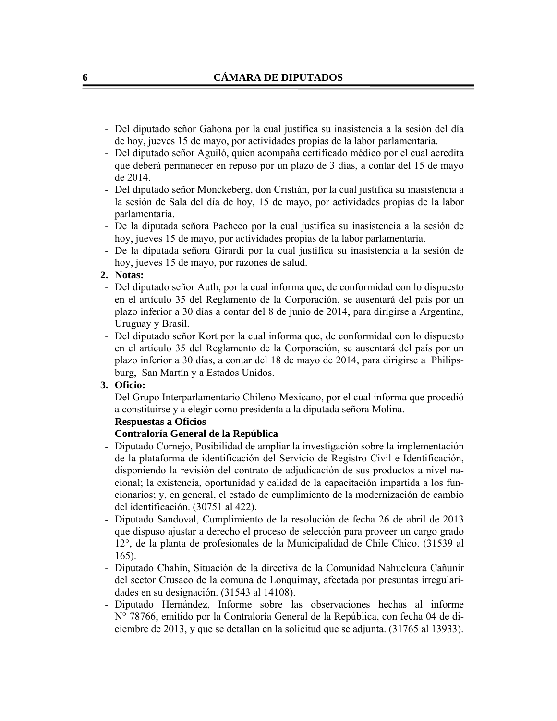- Del diputado señor Gahona por la cual justifica su inasistencia a la sesión del día de hoy, jueves 15 de mayo, por actividades propias de la labor parlamentaria.
- Del diputado señor Aguiló, quien acompaña certificado médico por el cual acredita que deberá permanecer en reposo por un plazo de 3 días, a contar del 15 de mayo de 2014.
- Del diputado señor Monckeberg, don Cristián, por la cual justifica su inasistencia a la sesión de Sala del día de hoy, 15 de mayo, por actividades propias de la labor parlamentaria.
- De la diputada señora Pacheco por la cual justifica su inasistencia a la sesión de hoy, jueves 15 de mayo, por actividades propias de la labor parlamentaria.
- De la diputada señora Girardi por la cual justifica su inasistencia a la sesión de hoy, jueves 15 de mayo, por razones de salud.

#### **2. Notas:**

- Del diputado señor Auth, por la cual informa que, de conformidad con lo dispuesto en el artículo 35 del Reglamento de la Corporación, se ausentará del país por un plazo inferior a 30 días a contar del 8 de junio de 2014, para dirigirse a Argentina, Uruguay y Brasil.
- Del diputado señor Kort por la cual informa que, de conformidad con lo dispuesto en el artículo 35 del Reglamento de la Corporación, se ausentará del país por un plazo inferior a 30 días, a contar del 18 de mayo de 2014, para dirigirse a Philipsburg, San Martín y a Estados Unidos.

#### **3. Oficio:**

 - Del Grupo Interparlamentario Chileno-Mexicano, por el cual informa que procedió a constituirse y a elegir como presidenta a la diputada señora Molina.

#### **Respuestas a Oficios**

#### **Contraloría General de la República**

- Diputado Cornejo, Posibilidad de ampliar la investigación sobre la implementación de la plataforma de identificación del Servicio de Registro Civil e Identificación, disponiendo la revisión del contrato de adjudicación de sus productos a nivel nacional; la existencia, oportunidad y calidad de la capacitación impartida a los funcionarios; y, en general, el estado de cumplimiento de la modernización de cambio del identificación. (30751 al 422).
- Diputado Sandoval, Cumplimiento de la resolución de fecha 26 de abril de 2013 que dispuso ajustar a derecho el proceso de selección para proveer un cargo grado 12°, de la planta de profesionales de la Municipalidad de Chile Chico. (31539 al 165).
- Diputado Chahin, Situación de la directiva de la Comunidad Nahuelcura Cañunir del sector Crusaco de la comuna de Lonquimay, afectada por presuntas irregularidades en su designación. (31543 al 14108).
- Diputado Hernández, Informe sobre las observaciones hechas al informe N° 78766, emitido por la Contraloría General de la República, con fecha 04 de diciembre de 2013, y que se detallan en la solicitud que se adjunta. (31765 al 13933).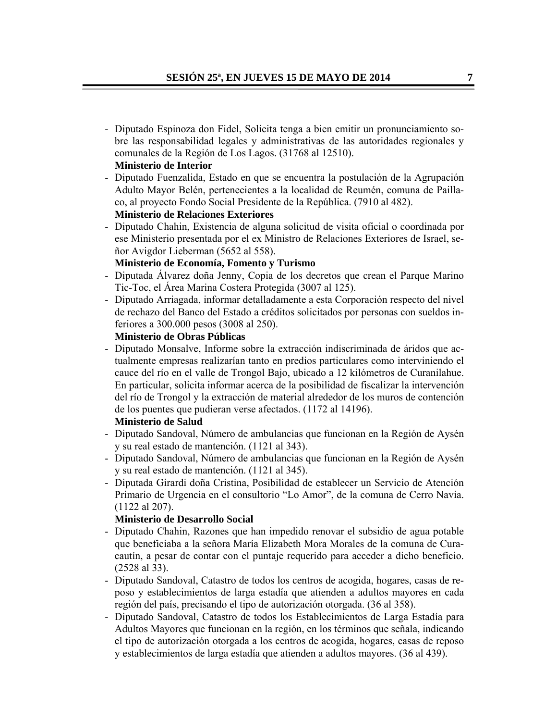- Diputado Espinoza don Fidel, Solicita tenga a bien emitir un pronunciamiento sobre las responsabilidad legales y administrativas de las autoridades regionales y comunales de la Región de Los Lagos. (31768 al 12510).

#### **Ministerio de Interior**

 - Diputado Fuenzalida, Estado en que se encuentra la postulación de la Agrupación Adulto Mayor Belén, pertenecientes a la localidad de Reumén, comuna de Paillaco, al proyecto Fondo Social Presidente de la República. (7910 al 482).

#### **Ministerio de Relaciones Exteriores**

 - Diputado Chahin, Existencia de alguna solicitud de visita oficial o coordinada por ese Ministerio presentada por el ex Ministro de Relaciones Exteriores de Israel, señor Avigdor Lieberman (5652 al 558).

#### **Ministerio de Economía, Fomento y Turismo**

- Diputada Álvarez doña Jenny, Copia de los decretos que crean el Parque Marino Tic-Toc, el Área Marina Costera Protegida (3007 al 125).
- Diputado Arriagada, informar detalladamente a esta Corporación respecto del nivel de rechazo del Banco del Estado a créditos solicitados por personas con sueldos inferiores a 300.000 pesos (3008 al 250).

#### **Ministerio de Obras Públicas**

 - Diputado Monsalve, Informe sobre la extracción indiscriminada de áridos que actualmente empresas realizarían tanto en predios particulares como interviniendo el cauce del río en el valle de Trongol Bajo, ubicado a 12 kilómetros de Curanilahue. En particular, solicita informar acerca de la posibilidad de fiscalizar la intervención del río de Trongol y la extracción de material alrededor de los muros de contención de los puentes que pudieran verse afectados. (1172 al 14196).

#### **Ministerio de Salud**

- Diputado Sandoval, Número de ambulancias que funcionan en la Región de Aysén y su real estado de mantención. (1121 al 343).
- Diputado Sandoval, Número de ambulancias que funcionan en la Región de Aysén y su real estado de mantención. (1121 al 345).
- Diputada Girardi doña Cristina, Posibilidad de establecer un Servicio de Atención Primario de Urgencia en el consultorio "Lo Amor", de la comuna de Cerro Navia. (1122 al 207).

#### **Ministerio de Desarrollo Social**

- Diputado Chahin, Razones que han impedido renovar el subsidio de agua potable que beneficiaba a la señora María Elizabeth Mora Morales de la comuna de Curacautín, a pesar de contar con el puntaje requerido para acceder a dicho beneficio. (2528 al 33).
- Diputado Sandoval, Catastro de todos los centros de acogida, hogares, casas de reposo y establecimientos de larga estadía que atienden a adultos mayores en cada región del país, precisando el tipo de autorización otorgada. (36 al 358).
- Diputado Sandoval, Catastro de todos los Establecimientos de Larga Estadía para Adultos Mayores que funcionan en la región, en los términos que señala, indicando el tipo de autorización otorgada a los centros de acogida, hogares, casas de reposo y establecimientos de larga estadía que atienden a adultos mayores. (36 al 439).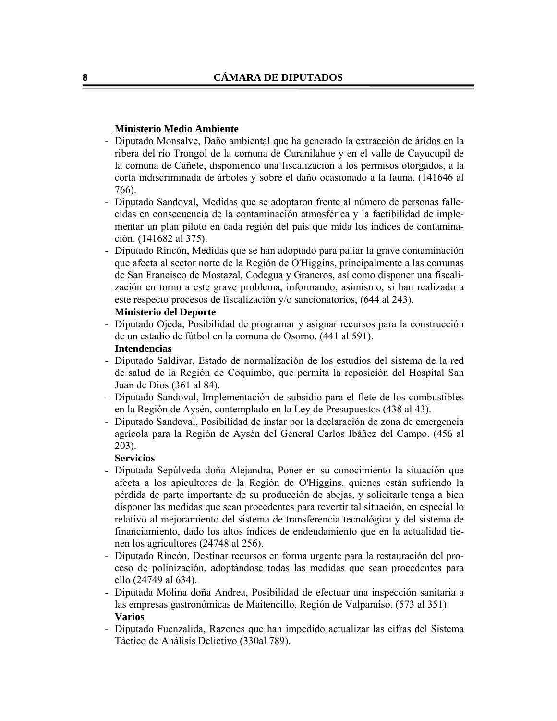#### **Ministerio Medio Ambiente**

- Diputado Monsalve, Daño ambiental que ha generado la extracción de áridos en la ribera del río Trongol de la comuna de Curanilahue y en el valle de Cayucupil de la comuna de Cañete, disponiendo una fiscalización a los permisos otorgados, a la corta indiscriminada de árboles y sobre el daño ocasionado a la fauna. (141646 al 766).
- Diputado Sandoval, Medidas que se adoptaron frente al número de personas fallecidas en consecuencia de la contaminación atmosférica y la factibilidad de implementar un plan piloto en cada región del país que mida los índices de contaminación. (141682 al 375).
- Diputado Rincón, Medidas que se han adoptado para paliar la grave contaminación que afecta al sector norte de la Región de O'Higgins, principalmente a las comunas de San Francisco de Mostazal, Codegua y Graneros, así como disponer una fiscalización en torno a este grave problema, informando, asimismo, si han realizado a este respecto procesos de fiscalización y/o sancionatorios, (644 al 243).

#### **Ministerio del Deporte**

 - Diputado Ojeda, Posibilidad de programar y asignar recursos para la construcción de un estadio de fútbol en la comuna de Osorno. (441 al 591).

#### **Intendencias**

- Diputado Saldívar, Estado de normalización de los estudios del sistema de la red de salud de la Región de Coquimbo, que permita la reposición del Hospital San Juan de Dios (361 al 84).
- Diputado Sandoval, Implementación de subsidio para el flete de los combustibles en la Región de Aysén, contemplado en la Ley de Presupuestos (438 al 43).
- Diputado Sandoval, Posibilidad de instar por la declaración de zona de emergencia agrícola para la Región de Aysén del General Carlos Ibáñez del Campo. (456 al 203).

#### **Servicios**

- Diputada Sepúlveda doña Alejandra, Poner en su conocimiento la situación que afecta a los apicultores de la Región de O'Higgins, quienes están sufriendo la pérdida de parte importante de su producción de abejas, y solicitarle tenga a bien disponer las medidas que sean procedentes para revertir tal situación, en especial lo relativo al mejoramiento del sistema de transferencia tecnológica y del sistema de financiamiento, dado los altos índices de endeudamiento que en la actualidad tienen los agricultores (24748 al 256).
- Diputado Rincón, Destinar recursos en forma urgente para la restauración del proceso de polinización, adoptándose todas las medidas que sean procedentes para ello (24749 al 634).
- Diputada Molina doña Andrea, Posibilidad de efectuar una inspección sanitaria a las empresas gastronómicas de Maitencillo, Región de Valparaíso. (573 al 351). **Varios**
- Diputado Fuenzalida, Razones que han impedido actualizar las cifras del Sistema Táctico de Análisis Delictivo (330al 789).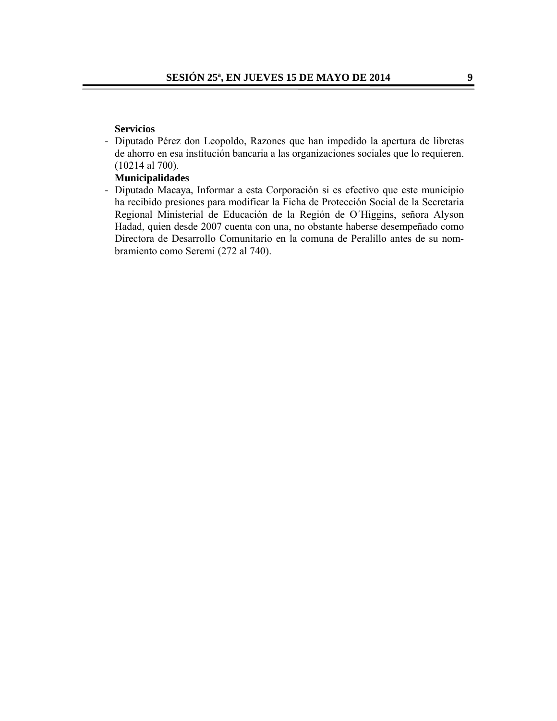#### **Servicios**

 - Diputado Pérez don Leopoldo, Razones que han impedido la apertura de libretas de ahorro en esa institución bancaria a las organizaciones sociales que lo requieren. (10214 al 700).

#### **Municipalidades**

 - Diputado Macaya, Informar a esta Corporación si es efectivo que este municipio ha recibido presiones para modificar la Ficha de Protección Social de la Secretaria Regional Ministerial de Educación de la Región de O´Higgins, señora Alyson Hadad, quien desde 2007 cuenta con una, no obstante haberse desempeñado como Directora de Desarrollo Comunitario en la comuna de Peralillo antes de su nombramiento como Seremi (272 al 740).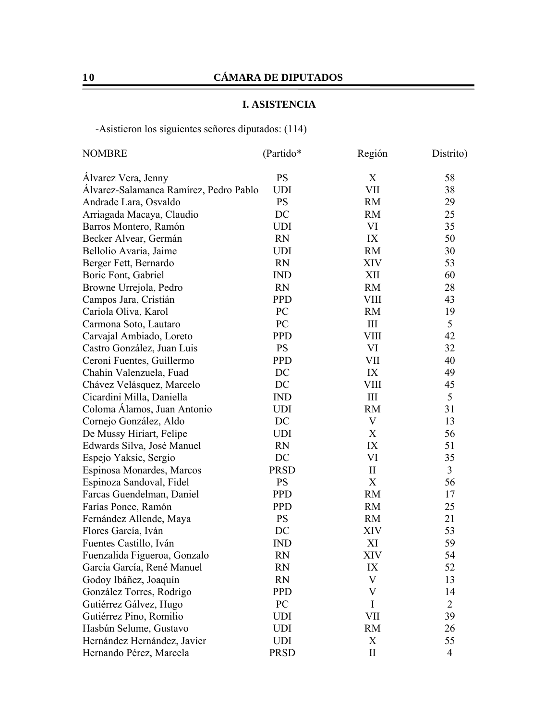## **I. ASISTENCIA**

-Asistieron los siguientes señores diputados: (114)

| <b>NOMBRE</b>                          | (Partido*   | Región       | Distrito)      |
|----------------------------------------|-------------|--------------|----------------|
| Álvarez Vera, Jenny                    | <b>PS</b>   | X            | 58             |
| Álvarez-Salamanca Ramírez, Pedro Pablo | <b>UDI</b>  | VII          | 38             |
| Andrade Lara, Osvaldo                  | <b>PS</b>   | <b>RM</b>    | 29             |
| Arriagada Macaya, Claudio              | DC          | <b>RM</b>    | 25             |
| Barros Montero, Ramón                  | <b>UDI</b>  | VI           | 35             |
| Becker Alvear, Germán                  | <b>RN</b>   | IX           | 50             |
| Bellolio Avaria, Jaime                 | <b>UDI</b>  | <b>RM</b>    | 30             |
| Berger Fett, Bernardo                  | <b>RN</b>   | <b>XIV</b>   | 53             |
| Boric Font, Gabriel                    | <b>IND</b>  | XII          | 60             |
| Browne Urrejola, Pedro                 | <b>RN</b>   | <b>RM</b>    | 28             |
| Campos Jara, Cristián                  | <b>PPD</b>  | <b>VIII</b>  | 43             |
| Cariola Oliva, Karol                   | PC          | <b>RM</b>    | 19             |
| Carmona Soto, Lautaro                  | PC          | III          | 5              |
| Carvajal Ambiado, Loreto               | <b>PPD</b>  | <b>VIII</b>  | 42             |
| Castro González, Juan Luis             | <b>PS</b>   | VI           | 32             |
| Ceroni Fuentes, Guillermo              | <b>PPD</b>  | VII          | 40             |
| Chahin Valenzuela, Fuad                | DC          | IX           | 49             |
| Chávez Velásquez, Marcelo              | DC          | <b>VIII</b>  | 45             |
| Cicardini Milla, Daniella              | <b>IND</b>  | III          | 5              |
| Coloma Álamos, Juan Antonio            | <b>UDI</b>  | <b>RM</b>    | 31             |
| Cornejo González, Aldo                 | DC          | $\mathbf V$  | 13             |
| De Mussy Hiriart, Felipe               | <b>UDI</b>  | X            | 56             |
| Edwards Silva, José Manuel             | <b>RN</b>   | IX           | 51             |
| Espejo Yaksic, Sergio                  | DC          | VI           | 35             |
| Espinosa Monardes, Marcos              | <b>PRSD</b> | $\mathbf{I}$ | $\overline{3}$ |
| Espinoza Sandoval, Fidel               | <b>PS</b>   | X            | 56             |
| Farcas Guendelman, Daniel              | <b>PPD</b>  | <b>RM</b>    | 17             |
| Farías Ponce, Ramón                    | <b>PPD</b>  | <b>RM</b>    | 25             |
| Fernández Allende, Maya                | <b>PS</b>   | <b>RM</b>    | 21             |
| Flores García, Iván                    | DC          | <b>XIV</b>   | 53             |
| Fuentes Castillo, Iván                 | <b>IND</b>  | XI           | 59             |
| Fuenzalida Figueroa, Gonzalo           | <b>RN</b>   | XIV          | 54             |
| García García, René Manuel             | <b>RN</b>   | IX           | 52             |
| Godoy Ibáñez, Joaquín                  | <b>RN</b>   | V            | 13             |
| González Torres, Rodrigo               | <b>PPD</b>  | V            | 14             |
| Gutiérrez Gálvez, Hugo                 | PC          | I            | $\overline{2}$ |
| Gutiérrez Pino, Romilio                | <b>UDI</b>  | VII          | 39             |
| Hasbún Selume, Gustavo                 | <b>UDI</b>  | <b>RM</b>    | 26             |
| Hernández Hernández, Javier            | <b>UDI</b>  | X            | 55             |
| Hernando Pérez, Marcela                | <b>PRSD</b> | $\rm II$     | $\overline{4}$ |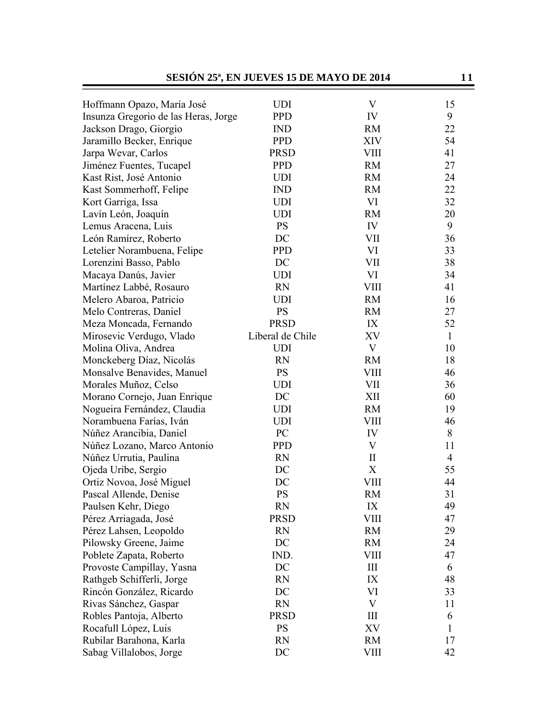| SESIÓN 25 <sup>a</sup> , EN JUEVES 15 DE MAYO DE 2014 |                  |              | 11             |
|-------------------------------------------------------|------------------|--------------|----------------|
| Hoffmann Opazo, María José                            | <b>UDI</b>       | V            | 15             |
| Insunza Gregorio de las Heras, Jorge                  | <b>PPD</b>       | IV           | 9              |
| Jackson Drago, Giorgio                                | <b>IND</b>       | <b>RM</b>    | 22             |
| Jaramillo Becker, Enrique                             | <b>PPD</b>       | <b>XIV</b>   | 54             |
| Jarpa Wevar, Carlos                                   | <b>PRSD</b>      | VIII         | 41             |
| Jiménez Fuentes, Tucapel                              | <b>PPD</b>       | <b>RM</b>    | 27             |
| Kast Rist, José Antonio                               | <b>UDI</b>       | <b>RM</b>    | 24             |
| Kast Sommerhoff, Felipe                               | <b>IND</b>       | <b>RM</b>    | 22             |
| Kort Garriga, Issa                                    | <b>UDI</b>       | VI           | 32             |
| Lavín León, Joaquín                                   | <b>UDI</b>       | <b>RM</b>    | 20             |
| Lemus Aracena, Luis                                   | <b>PS</b>        | IV           | 9              |
| León Ramírez, Roberto                                 | DC               | VII          | 36             |
| Letelier Norambuena, Felipe                           | <b>PPD</b>       | VI           | 33             |
| Lorenzini Basso, Pablo                                | DC               | VII          | 38             |
| Macaya Danús, Javier                                  | <b>UDI</b>       | VI           | 34             |
| Martínez Labbé, Rosauro                               | <b>RN</b>        | VIII         | 41             |
| Melero Abaroa, Patricio                               | <b>UDI</b>       | <b>RM</b>    | 16             |
| Melo Contreras, Daniel                                | <b>PS</b>        | <b>RM</b>    | 27             |
| Meza Moncada, Fernando                                | <b>PRSD</b>      | IX           | 52             |
| Mirosevic Verdugo, Vlado                              | Liberal de Chile | XV           | $\mathbf{1}$   |
| Molina Oliva, Andrea                                  | <b>UDI</b>       | $\mathbf V$  | 10             |
| Monckeberg Díaz, Nicolás                              | <b>RN</b>        | <b>RM</b>    | 18             |
| Monsalve Benavides, Manuel                            | <b>PS</b>        | VIII         | 46             |
| Morales Muñoz, Celso                                  | <b>UDI</b>       | VII          | 36             |
| Morano Cornejo, Juan Enrique                          | DC               | XII          | 60             |
| Nogueira Fernández, Claudia                           | <b>UDI</b>       | <b>RM</b>    | 19             |
| Norambuena Farías, Iván                               | <b>UDI</b>       | VIII         | 46             |
| Núñez Arancibia, Daniel                               | PC               | IV           | 8              |
| Núñez Lozano, Marco Antonio                           | <b>PPD</b>       | V            | 11             |
| Núñez Urrutia, Paulina                                | <b>RN</b>        | $\mathbf{I}$ | $\overline{4}$ |
| Ojeda Uribe, Sergio                                   | DC               | X            | 55             |
| Ortiz Novoa, José Miguel                              | DC               | VIII         | 44             |
| Pascal Allende, Denise                                | <b>PS</b>        | <b>RM</b>    | 31             |
| Paulsen Kehr, Diego                                   | <b>RN</b>        | IX           | 49             |
| Pérez Arriagada, José                                 | <b>PRSD</b>      | <b>VIII</b>  | 47             |
| Pérez Lahsen, Leopoldo                                | <b>RN</b>        | <b>RM</b>    | 29             |
| Pilowsky Greene, Jaime                                | DC               | <b>RM</b>    | 24             |
| Poblete Zapata, Roberto                               | IND.             | VIII         | 47             |
| Provoste Campillay, Yasna                             | DC               | Ш            | 6              |
| Rathgeb Schifferli, Jorge                             | <b>RN</b>        | IX           | 48             |
| Rincón González, Ricardo                              | DC               | VI           | 33             |
| Rivas Sánchez, Gaspar                                 | <b>RN</b>        | V            | 11             |
| Robles Pantoja, Alberto                               | <b>PRSD</b>      | Ш            | 6              |
| Rocafull López, Luis                                  | <b>PS</b>        | XV           | $\mathbf{1}$   |
| Rubilar Barahona, Karla                               | <b>RN</b>        | <b>RM</b>    | 17             |
| Sabag Villalobos, Jorge                               | DC               | VIII         | 42             |
|                                                       |                  |              |                |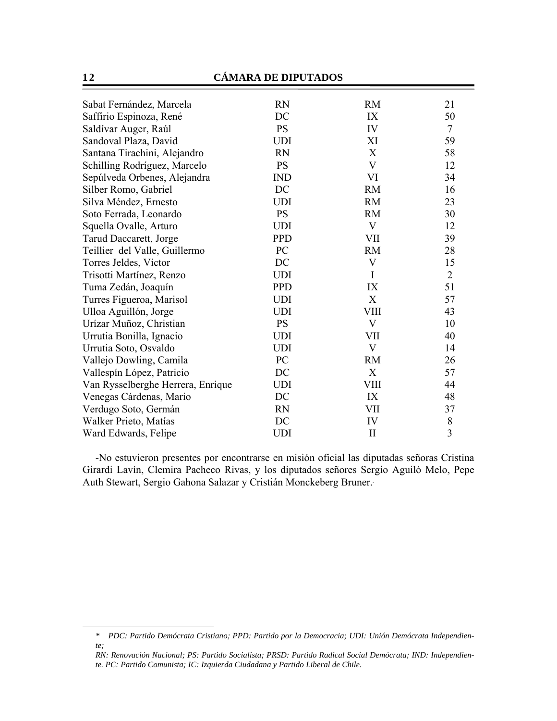| Sabat Fernández, Marcela          | <b>RN</b>  | <b>RM</b>    | 21                       |
|-----------------------------------|------------|--------------|--------------------------|
| Saffirio Espinoza, René           | DC         | IX           | 50                       |
| Saldívar Auger, Raúl              | <b>PS</b>  | IV           | $\overline{\mathcal{L}}$ |
| Sandoval Plaza, David             | <b>UDI</b> | XI           | 59                       |
| Santana Tirachini, Alejandro      | <b>RN</b>  | X            | 58                       |
| Schilling Rodríguez, Marcelo      | <b>PS</b>  | $\mathbf{V}$ | 12                       |
| Sepúlveda Orbenes, Alejandra      | <b>IND</b> | VI           | 34                       |
| Silber Romo, Gabriel              | DC         | <b>RM</b>    | 16                       |
| Silva Méndez, Ernesto             | <b>UDI</b> | <b>RM</b>    | 23                       |
| Soto Ferrada, Leonardo            | <b>PS</b>  | <b>RM</b>    | 30                       |
| Squella Ovalle, Arturo            | <b>UDI</b> | V            | 12                       |
| Tarud Daccarett, Jorge            | <b>PPD</b> | VII          | 39                       |
| Teillier del Valle, Guillermo     | PC         | <b>RM</b>    | 28                       |
| Torres Jeldes, Víctor             | DC         | V            | 15                       |
| Trisotti Martínez, Renzo          | <b>UDI</b> | $\bf{I}$     | 2                        |
| Tuma Zedán, Joaquín               | <b>PPD</b> | IX           | 51                       |
| Turres Figueroa, Marisol          | <b>UDI</b> | X            | 57                       |
| Ulloa Aguillón, Jorge             | <b>UDI</b> | <b>VIII</b>  | 43                       |
| Urízar Muñoz, Christian           | <b>PS</b>  | V            | 10                       |
| Urrutia Bonilla, Ignacio          | <b>UDI</b> | VII          | 40                       |
| Urrutia Soto, Osvaldo             | <b>UDI</b> | $\mathbf{V}$ | 14                       |
| Vallejo Dowling, Camila           | PC         | <b>RM</b>    | 26                       |
| Vallespín López, Patricio         | DC         | X            | 57                       |
| Van Rysselberghe Herrera, Enrique | <b>UDI</b> | <b>VIII</b>  | 44                       |
| Venegas Cárdenas, Mario           | DC         | IX           | 48                       |
| Verdugo Soto, Germán              | <b>RN</b>  | VII          | 37                       |
| Walker Prieto, Matías             | DC         | IV           | $\,8\,$                  |
| Ward Edwards, Felipe              | <b>UDI</b> | $\mathbf{I}$ | $\overline{3}$           |

 -No estuvieron presentes por encontrarse en misión oficial las diputadas señoras Cristina Girardi Lavín, Clemira Pacheco Rivas, y los diputados señores Sergio Aguiló Melo, Pepe Auth Stewart, Sergio Gahona Salazar y Cristián Monckeberg Bruner.-

*<sup>\*</sup> PDC: Partido Demócrata Cristiano; PPD: Partido por la Democracia; UDI: Unión Demócrata Independiente;* 

*RN: Renovación Nacional; PS: Partido Socialista; PRSD: Partido Radical Social Demócrata; IND: Independiente. PC: Partido Comunista; IC: Izquierda Ciudadana y Partido Liberal de Chile.*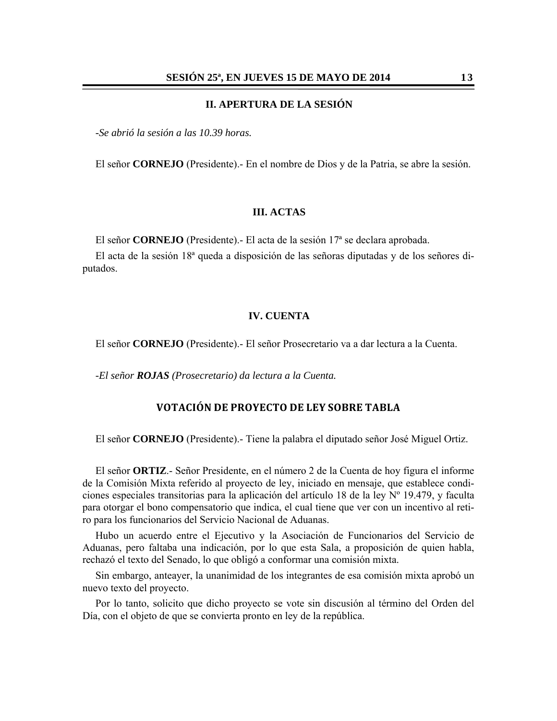#### **II. APERTURA DE LA SESIÓN**

*-Se abrió la sesión a las 10.39 horas.* 

El señor **CORNEJO** (Presidente).- En el nombre de Dios y de la Patria, se abre la sesión.

#### **III. ACTAS**

El señor **CORNEJO** (Presidente).- El acta de la sesión 17ª se declara aprobada.

El acta de la sesión 18ª queda a disposición de las señoras diputadas y de los señores diputados.

#### **IV. CUENTA**

El señor **CORNEJO** (Presidente).- El señor Prosecretario va a dar lectura a la Cuenta.

*-El señor ROJAS (Prosecretario) da lectura a la Cuenta.* 

#### **VOTACIÓN DE PROYECTO DE LEY SOBRE TABLA**

El señor **CORNEJO** (Presidente).- Tiene la palabra el diputado señor José Miguel Ortiz.

El señor **ORTIZ**.- Señor Presidente, en el número 2 de la Cuenta de hoy figura el informe de la Comisión Mixta referido al proyecto de ley, iniciado en mensaje, que establece condiciones especiales transitorias para la aplicación del artículo 18 de la ley Nº 19.479, y faculta para otorgar el bono compensatorio que indica, el cual tiene que ver con un incentivo al retiro para los funcionarios del Servicio Nacional de Aduanas.

Hubo un acuerdo entre el Ejecutivo y la Asociación de Funcionarios del Servicio de Aduanas, pero faltaba una indicación, por lo que esta Sala, a proposición de quien habla, rechazó el texto del Senado, lo que obligó a conformar una comisión mixta.

Sin embargo, anteayer, la unanimidad de los integrantes de esa comisión mixta aprobó un nuevo texto del proyecto.

Por lo tanto, solicito que dicho proyecto se vote sin discusión al término del Orden del Día, con el objeto de que se convierta pronto en ley de la república.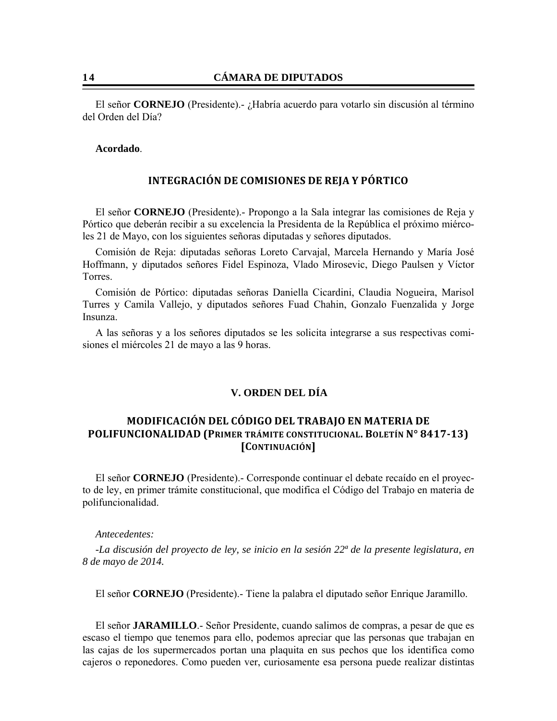El señor **CORNEJO** (Presidente).- ¿Habría acuerdo para votarlo sin discusión al término del Orden del Día?

**Acordado**.

#### **INTEGRACIÓN DE COMISIONES DE REJA Y PÓRTICO**

El señor **CORNEJO** (Presidente).- Propongo a la Sala integrar las comisiones de Reja y Pórtico que deberán recibir a su excelencia la Presidenta de la República el próximo miércoles 21 de Mayo, con los siguientes señoras diputadas y señores diputados.

Comisión de Reja: diputadas señoras Loreto Carvajal, Marcela Hernando y María José Hoffmann, y diputados señores Fidel Espinoza, Vlado Mirosevic, Diego Paulsen y Víctor Torres.

Comisión de Pórtico: diputadas señoras Daniella Cicardini, Claudia Nogueira, Marisol Turres y Camila Vallejo, y diputados señores Fuad Chahin, Gonzalo Fuenzalida y Jorge Insunza.

A las señoras y a los señores diputados se les solicita integrarse a sus respectivas comisiones el miércoles 21 de mayo a las 9 horas.

#### **V. ORDEN DEL DÍA**

#### **MODIFICACIÓN DEL CÓDIGO DEL TRABAJO EN MATERIA DE POLIFUNCIONALIDAD (PRIMER TRÁMITE CONSTITUCIONAL. BOLETÍN N° 8417‐13) [CONTINUACIÓN]**

El señor **CORNEJO** (Presidente).- Corresponde continuar el debate recaído en el proyecto de ley, en primer trámite constitucional, que modifica el Código del Trabajo en materia de polifuncionalidad.

#### *Antecedentes:*

*-La discusión del proyecto de ley, se inicio en la sesión 22ª de la presente legislatura, en 8 de mayo de 2014.* 

El señor **CORNEJO** (Presidente).- Tiene la palabra el diputado señor Enrique Jaramillo.

El señor **JARAMILLO**.- Señor Presidente, cuando salimos de compras, a pesar de que es escaso el tiempo que tenemos para ello, podemos apreciar que las personas que trabajan en las cajas de los supermercados portan una plaquita en sus pechos que los identifica como cajeros o reponedores. Como pueden ver, curiosamente esa persona puede realizar distintas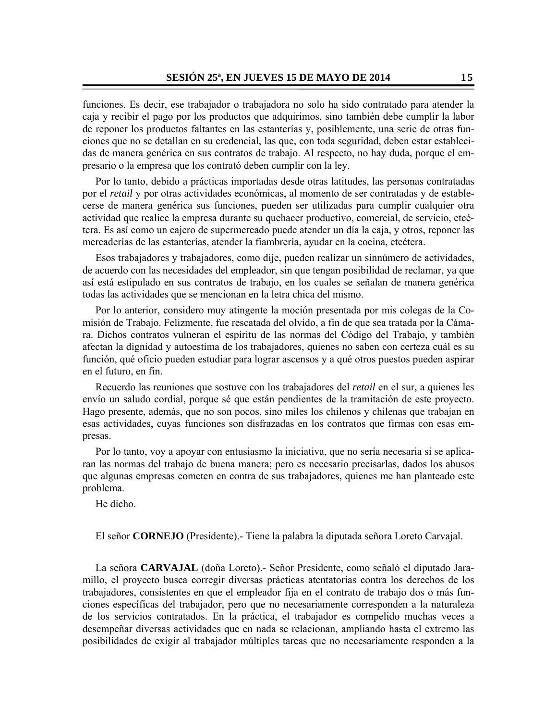funciones. Es decir, ese trabajador o trabajadora no solo ha sido contratado para atender la caja y recibir el pago por los productos que adquirimos, sino también debe cumplir la labor de reponer los productos faltantes en las estanterías y, posiblemente, una serie de otras funciones que no se detallan en su credencial, las que, con toda seguridad, deben estar establecidas de manera genérica en sus contratos de trabajo. Al respecto, no hay duda, porque el empresario o la empresa que los contrató deben cumplir con la ley.

Por lo tanto, debido a prácticas importadas desde otras latitudes, las personas contratadas por el *retail* y por otras actividades económicas, al momento de ser contratadas y de establecerse de manera genérica sus funciones, pueden ser utilizadas para cumplir cualquier otra actividad que realice la empresa durante su quehacer productivo, comercial, de servicio, etcétera. Es así como un cajero de supermercado puede atender un día la caja, y otros, reponer las mercaderías de las estanterías, atender la fiambrería, ayudar en la cocina, etcétera.

Esos trabajadores y trabajadores, como dije, pueden realizar un sinnúmero de actividades, de acuerdo con las necesidades del empleador, sin que tengan posibilidad de reclamar, ya que así está estipulado en sus contratos de trabajo, en los cuales se señalan de manera genérica todas las actividades que se mencionan en la letra chica del mismo.

Por lo anterior, considero muy atingente la moción presentada por mis colegas de la Comisión de Trabajo. Felizmente, fue rescatada del olvido, a fin de que sea tratada por la Cámara. Dichos contratos vulneran el espíritu de las normas del Código del Trabajo, y también afectan la dignidad y autoestima de los trabajadores, quienes no saben con certeza cuál es su función, qué oficio pueden estudiar para lograr ascensos y a qué otros puestos pueden aspirar en el futuro, en fin.

Recuerdo las reuniones que sostuve con los trabajadores del *retail* en el sur, a quienes les envío un saludo cordial, porque sé que están pendientes de la tramitación de este proyecto. Hago presente, además, que no son pocos, sino miles los chilenos y chilenas que trabajan en esas actividades, cuyas funciones son disfrazadas en los contratos que firmas con esas empresas.

Por lo tanto, voy a apoyar con entusiasmo la iniciativa, que no sería necesaria si se aplicaran las normas del trabajo de buena manera; pero es necesario precisarlas, dados los abusos que algunas empresas cometen en contra de sus trabajadores, quienes me han planteado este problema.

He dicho.

El señor **CORNEJO** (Presidente).- Tiene la palabra la diputada señora Loreto Carvajal.

La señora **CARVAJAL** (doña Loreto).- Señor Presidente, como señaló el diputado Jaramillo, el proyecto busca corregir diversas prácticas atentatorias contra los derechos de los trabajadores, consistentes en que el empleador fija en el contrato de trabajo dos o más funciones específicas del trabajador, pero que no necesariamente corresponden a la naturaleza de los servicios contratados. En la práctica, el trabajador es compelido muchas veces a desempeñar diversas actividades que en nada se relacionan, ampliando hasta el extremo las posibilidades de exigir al trabajador múltiples tareas que no necesariamente responden a la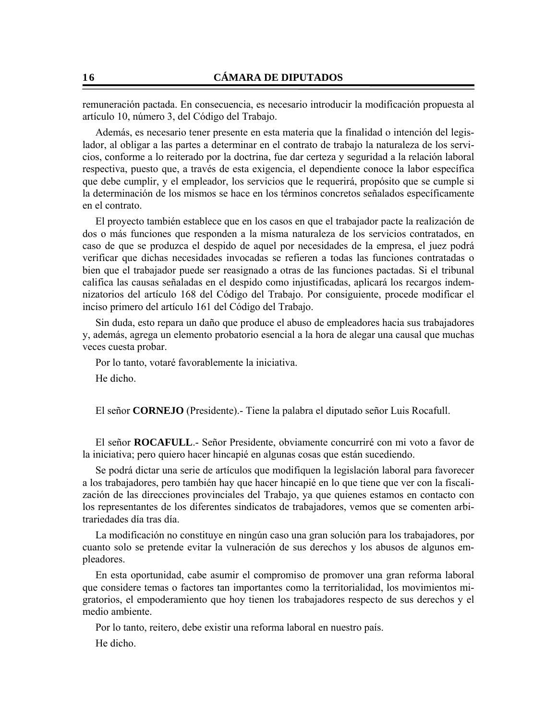remuneración pactada. En consecuencia, es necesario introducir la modificación propuesta al artículo 10, número 3, del Código del Trabajo.

Además, es necesario tener presente en esta materia que la finalidad o intención del legislador, al obligar a las partes a determinar en el contrato de trabajo la naturaleza de los servicios, conforme a lo reiterado por la doctrina, fue dar certeza y seguridad a la relación laboral respectiva, puesto que, a través de esta exigencia, el dependiente conoce la labor específica que debe cumplir, y el empleador, los servicios que le requerirá, propósito que se cumple si la determinación de los mismos se hace en los términos concretos señalados específicamente en el contrato.

El proyecto también establece que en los casos en que el trabajador pacte la realización de dos o más funciones que responden a la misma naturaleza de los servicios contratados, en caso de que se produzca el despido de aquel por necesidades de la empresa, el juez podrá verificar que dichas necesidades invocadas se refieren a todas las funciones contratadas o bien que el trabajador puede ser reasignado a otras de las funciones pactadas. Si el tribunal califica las causas señaladas en el despido como injustificadas, aplicará los recargos indemnizatorios del artículo 168 del Código del Trabajo. Por consiguiente, procede modificar el inciso primero del artículo 161 del Código del Trabajo.

Sin duda, esto repara un daño que produce el abuso de empleadores hacia sus trabajadores y, además, agrega un elemento probatorio esencial a la hora de alegar una causal que muchas veces cuesta probar.

Por lo tanto, votaré favorablemente la iniciativa.

He dicho.

El señor **CORNEJO** (Presidente).- Tiene la palabra el diputado señor Luis Rocafull.

El señor **ROCAFULL**.- Señor Presidente, obviamente concurriré con mi voto a favor de la iniciativa; pero quiero hacer hincapié en algunas cosas que están sucediendo.

Se podrá dictar una serie de artículos que modifiquen la legislación laboral para favorecer a los trabajadores, pero también hay que hacer hincapié en lo que tiene que ver con la fiscalización de las direcciones provinciales del Trabajo, ya que quienes estamos en contacto con los representantes de los diferentes sindicatos de trabajadores, vemos que se comenten arbitrariedades día tras día.

La modificación no constituye en ningún caso una gran solución para los trabajadores, por cuanto solo se pretende evitar la vulneración de sus derechos y los abusos de algunos empleadores.

En esta oportunidad, cabe asumir el compromiso de promover una gran reforma laboral que considere temas o factores tan importantes como la territorialidad, los movimientos migratorios, el empoderamiento que hoy tienen los trabajadores respecto de sus derechos y el medio ambiente.

Por lo tanto, reitero, debe existir una reforma laboral en nuestro país.

He dicho.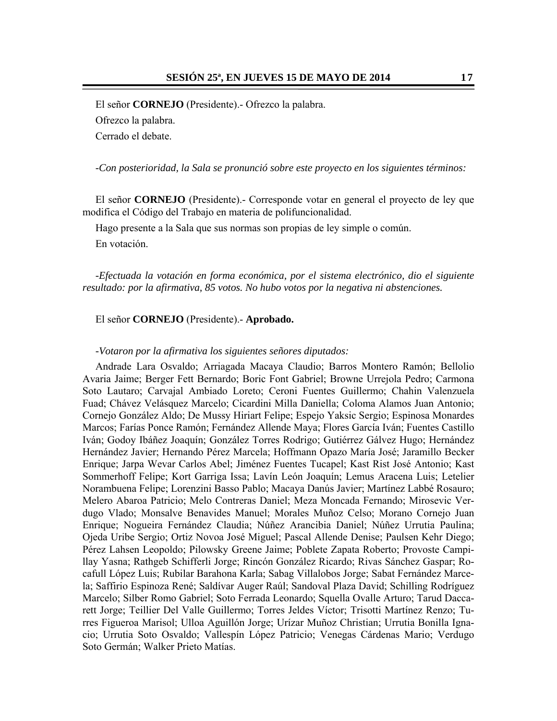El señor **CORNEJO** (Presidente).- Ofrezco la palabra. Ofrezco la palabra. Cerrado el debate.

*-Con posterioridad, la Sala se pronunció sobre este proyecto en los siguientes términos:* 

El señor **CORNEJO** (Presidente).- Corresponde votar en general el proyecto de ley que modifica el Código del Trabajo en materia de polifuncionalidad.

Hago presente a la Sala que sus normas son propias de ley simple o común. En votación.

*-Efectuada la votación en forma económica, por el sistema electrónico, dio el siguiente resultado: por la afirmativa, 85 votos. No hubo votos por la negativa ni abstenciones.* 

#### El señor **CORNEJO** (Presidente).- **Aprobado.**

#### *-Votaron por la afirmativa los siguientes señores diputados:*

Andrade Lara Osvaldo; Arriagada Macaya Claudio; Barros Montero Ramón; Bellolio Avaria Jaime; Berger Fett Bernardo; Boric Font Gabriel; Browne Urrejola Pedro; Carmona Soto Lautaro; Carvajal Ambiado Loreto; Ceroni Fuentes Guillermo; Chahin Valenzuela Fuad; Chávez Velásquez Marcelo; Cicardini Milla Daniella; Coloma Alamos Juan Antonio; Cornejo González Aldo; De Mussy Hiriart Felipe; Espejo Yaksic Sergio; Espinosa Monardes Marcos; Farías Ponce Ramón; Fernández Allende Maya; Flores García Iván; Fuentes Castillo Iván; Godoy Ibáñez Joaquín; González Torres Rodrigo; Gutiérrez Gálvez Hugo; Hernández Hernández Javier; Hernando Pérez Marcela; Hoffmann Opazo María José; Jaramillo Becker Enrique; Jarpa Wevar Carlos Abel; Jiménez Fuentes Tucapel; Kast Rist José Antonio; Kast Sommerhoff Felipe; Kort Garriga Issa; Lavín León Joaquín; Lemus Aracena Luis; Letelier Norambuena Felipe; Lorenzini Basso Pablo; Macaya Danús Javier; Martínez Labbé Rosauro; Melero Abaroa Patricio; Melo Contreras Daniel; Meza Moncada Fernando; Mirosevic Verdugo Vlado; Monsalve Benavides Manuel; Morales Muñoz Celso; Morano Cornejo Juan Enrique; Nogueira Fernández Claudia; Núñez Arancibia Daniel; Núñez Urrutia Paulina; Ojeda Uribe Sergio; Ortiz Novoa José Miguel; Pascal Allende Denise; Paulsen Kehr Diego; Pérez Lahsen Leopoldo; Pilowsky Greene Jaime; Poblete Zapata Roberto; Provoste Campillay Yasna; Rathgeb Schifferli Jorge; Rincón González Ricardo; Rivas Sánchez Gaspar; Rocafull López Luis; Rubilar Barahona Karla; Sabag Villalobos Jorge; Sabat Fernández Marcela; Saffirio Espinoza René; Saldívar Auger Raúl; Sandoval Plaza David; Schilling Rodríguez Marcelo; Silber Romo Gabriel; Soto Ferrada Leonardo; Squella Ovalle Arturo; Tarud Daccarett Jorge; Teillier Del Valle Guillermo; Torres Jeldes Víctor; Trisotti Martínez Renzo; Turres Figueroa Marisol; Ulloa Aguillón Jorge; Urízar Muñoz Christian; Urrutia Bonilla Ignacio; Urrutia Soto Osvaldo; Vallespín López Patricio; Venegas Cárdenas Mario; Verdugo Soto Germán; Walker Prieto Matías.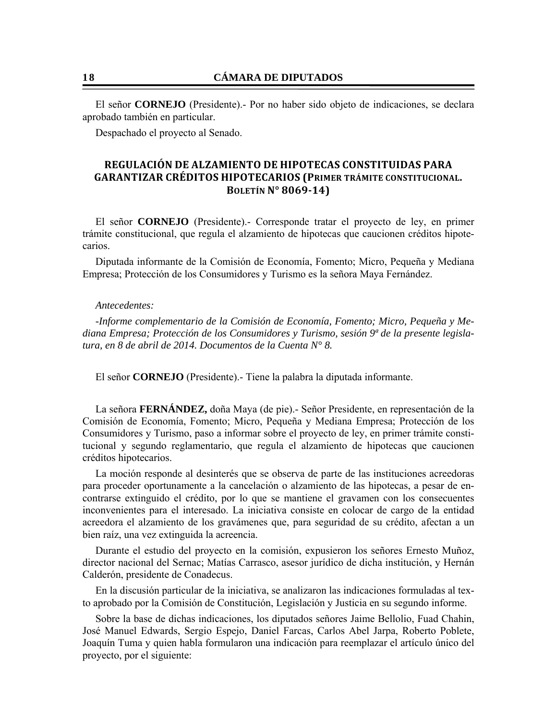El señor **CORNEJO** (Presidente).- Por no haber sido objeto de indicaciones, se declara aprobado también en particular.

Despachado el proyecto al Senado.

#### **REGULACIÓN DE ALZAMIENTO DE HIPOTECAS CONSTITUIDAS PARA GARANTIZAR CRÉDITOS HIPOTECARIOS (PRIMER TRÁMITE CONSTITUCIONAL. BOLETÍN N° 8069‐14)**

El señor **CORNEJO** (Presidente).- Corresponde tratar el proyecto de ley, en primer trámite constitucional, que regula el alzamiento de hipotecas que caucionen créditos hipotecarios.

Diputada informante de la Comisión de Economía, Fomento; Micro, Pequeña y Mediana Empresa; Protección de los Consumidores y Turismo es la señora Maya Fernández.

#### *Antecedentes:*

*-Informe complementario de la Comisión de Economía, Fomento; Micro, Pequeña y Mediana Empresa; Protección de los Consumidores y Turismo, sesión 9ª de la presente legislatura, en 8 de abril de 2014. Documentos de la Cuenta N° 8.* 

El señor **CORNEJO** (Presidente).- Tiene la palabra la diputada informante.

La señora **FERNÁNDEZ,** doña Maya (de pie).- Señor Presidente, en representación de la Comisión de Economía, Fomento; Micro, Pequeña y Mediana Empresa; Protección de los Consumidores y Turismo, paso a informar sobre el proyecto de ley, en primer trámite constitucional y segundo reglamentario, que regula el alzamiento de hipotecas que caucionen créditos hipotecarios.

La moción responde al desinterés que se observa de parte de las instituciones acreedoras para proceder oportunamente a la cancelación o alzamiento de las hipotecas, a pesar de encontrarse extinguido el crédito, por lo que se mantiene el gravamen con los consecuentes inconvenientes para el interesado. La iniciativa consiste en colocar de cargo de la entidad acreedora el alzamiento de los gravámenes que, para seguridad de su crédito, afectan a un bien raíz, una vez extinguida la acreencia.

Durante el estudio del proyecto en la comisión, expusieron los señores Ernesto Muñoz, director nacional del Sernac; Matías Carrasco, asesor jurídico de dicha institución, y Hernán Calderón, presidente de Conadecus.

En la discusión particular de la iniciativa, se analizaron las indicaciones formuladas al texto aprobado por la Comisión de Constitución, Legislación y Justicia en su segundo informe.

Sobre la base de dichas indicaciones, los diputados señores Jaime Bellolio, Fuad Chahin, José Manuel Edwards, Sergio Espejo, Daniel Farcas, Carlos Abel Jarpa, Roberto Poblete, Joaquín Tuma y quien habla formularon una indicación para reemplazar el artículo único del proyecto, por el siguiente: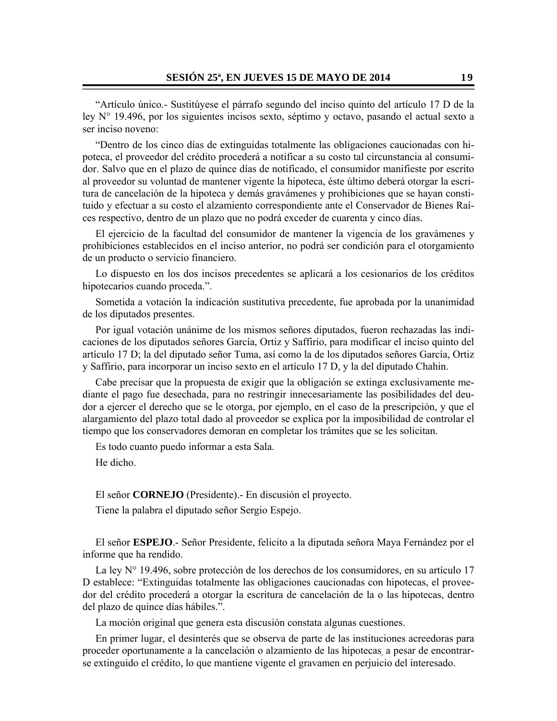"Artículo único.- Sustitúyese el párrafo segundo del inciso quinto del artículo 17 D de la ley N° 19.496, por los siguientes incisos sexto, séptimo y octavo, pasando el actual sexto a ser inciso noveno:

"Dentro de los cinco días de extinguidas totalmente las obligaciones caucionadas con hipoteca, el proveedor del crédito procederá a notificar a su costo tal circunstancia al consumidor. Salvo que en el plazo de quince días de notificado, el consumidor manifieste por escrito al proveedor su voluntad de mantener vigente la hipoteca, éste último deberá otorgar la escritura de cancelación de la hipoteca y demás gravámenes y prohibiciones que se hayan constituido y efectuar a su costo el alzamiento correspondiente ante el Conservador de Bienes Raíces respectivo, dentro de un plazo que no podrá exceder de cuarenta y cinco días.

El ejercicio de la facultad del consumidor de mantener la vigencia de los gravámenes y prohibiciones establecidos en el inciso anterior, no podrá ser condición para el otorgamiento de un producto o servicio financiero.

Lo dispuesto en los dos incisos precedentes se aplicará a los cesionarios de los créditos hipotecarios cuando proceda.".

Sometida a votación la indicación sustitutiva precedente, fue aprobada por la unanimidad de los diputados presentes.

Por igual votación unánime de los mismos señores diputados, fueron rechazadas las indicaciones de los diputados señores García, Ortiz y Saffirio, para modificar el inciso quinto del artículo 17 D; la del diputado señor Tuma, así como la de los diputados señores García, Ortiz y Saffirio, para incorporar un inciso sexto en el artículo 17 D, y la del diputado Chahin.

Cabe precisar que la propuesta de exigir que la obligación se extinga exclusivamente mediante el pago fue desechada, para no restringir innecesariamente las posibilidades del deudor a ejercer el derecho que se le otorga, por ejemplo, en el caso de la prescripción, y que el alargamiento del plazo total dado al proveedor se explica por la imposibilidad de controlar el tiempo que los conservadores demoran en completar los trámites que se les solicitan.

Es todo cuanto puedo informar a esta Sala.

He dicho.

El señor **CORNEJO** (Presidente).- En discusión el proyecto.

Tiene la palabra el diputado señor Sergio Espejo.

El señor **ESPEJO**.- Señor Presidente, felicito a la diputada señora Maya Fernández por el informe que ha rendido.

La ley N° 19.496, sobre protección de los derechos de los consumidores, en su artículo 17 D establece: "Extinguidas totalmente las obligaciones caucionadas con hipotecas, el proveedor del crédito procederá a otorgar la escritura de cancelación de la o las hipotecas, dentro del plazo de quince días hábiles.".

La moción original que genera esta discusión constata algunas cuestiones.

En primer lugar, el desinterés que se observa de parte de las instituciones acreedoras para proceder oportunamente a la cancelación o alzamiento de las hipotecas, a pesar de encontrarse extinguido el crédito, lo que mantiene vigente el gravamen en perjuicio del interesado.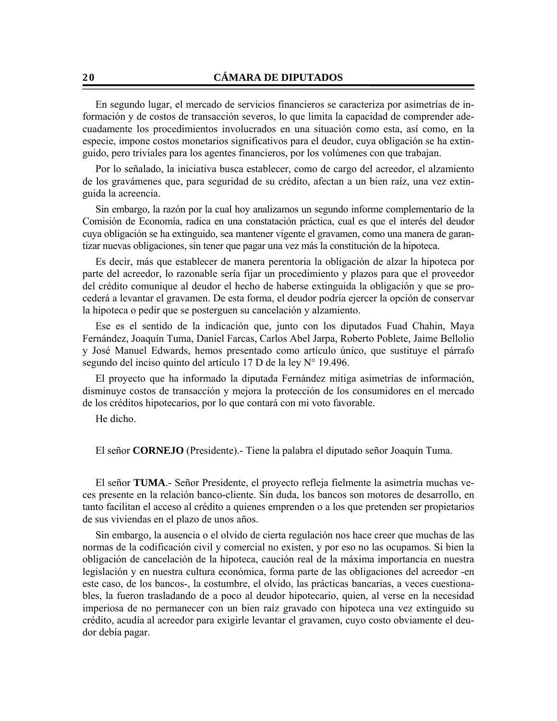En segundo lugar, el mercado de servicios financieros se caracteriza por asimetrías de información y de costos de transacción severos, lo que limita la capacidad de comprender adecuadamente los procedimientos involucrados en una situación como esta, así como, en la especie, impone costos monetarios significativos para el deudor, cuya obligación se ha extinguido, pero triviales para los agentes financieros, por los volúmenes con que trabajan.

Por lo señalado, la iniciativa busca establecer, como de cargo del acreedor, el alzamiento de los gravámenes que, para seguridad de su crédito, afectan a un bien raíz, una vez extinguida la acreencia.

Sin embargo, la razón por la cual hoy analizamos un segundo informe complementario de la Comisión de Economía, radica en una constatación práctica, cual es que el interés del deudor cuya obligación se ha extinguido, sea mantener vigente el gravamen, como una manera de garantizar nuevas obligaciones, sin tener que pagar una vez más la constitución de la hipoteca.

Es decir, más que establecer de manera perentoria la obligación de alzar la hipoteca por parte del acreedor, lo razonable sería fijar un procedimiento y plazos para que el proveedor del crédito comunique al deudor el hecho de haberse extinguida la obligación y que se procederá a levantar el gravamen. De esta forma, el deudor podría ejercer la opción de conservar la hipoteca o pedir que se posterguen su cancelación y alzamiento.

Ese es el sentido de la indicación que, junto con los diputados Fuad Chahin, Maya Fernández, Joaquín Tuma, Daniel Farcas, Carlos Abel Jarpa, Roberto Poblete, Jaime Bellolio y José Manuel Edwards, hemos presentado como artículo único, que sustituye el párrafo segundo del inciso quinto del artículo 17 D de la ley N° 19.496.

El proyecto que ha informado la diputada Fernández mitiga asimetrías de información, disminuye costos de transacción y mejora la protección de los consumidores en el mercado de los créditos hipotecarios, por lo que contará con mi voto favorable.

He dicho.

El señor **CORNEJO** (Presidente).- Tiene la palabra el diputado señor Joaquín Tuma.

El señor **TUMA**.- Señor Presidente, el proyecto refleja fielmente la asimetría muchas veces presente en la relación banco-cliente. Sin duda, los bancos son motores de desarrollo, en tanto facilitan el acceso al crédito a quienes emprenden o a los que pretenden ser propietarios de sus viviendas en el plazo de unos años.

Sin embargo, la ausencia o el olvido de cierta regulación nos hace creer que muchas de las normas de la codificación civil y comercial no existen, y por eso no las ocupamos. Si bien la obligación de cancelación de la hipoteca, caución real de la máxima importancia en nuestra legislación y en nuestra cultura económica, forma parte de las obligaciones del acreedor -en este caso, de los bancos-, la costumbre, el olvido, las prácticas bancarias, a veces cuestionables, la fueron trasladando de a poco al deudor hipotecario, quien, al verse en la necesidad imperiosa de no permanecer con un bien raíz gravado con hipoteca una vez extinguido su crédito, acudía al acreedor para exigirle levantar el gravamen, cuyo costo obviamente el deudor debía pagar.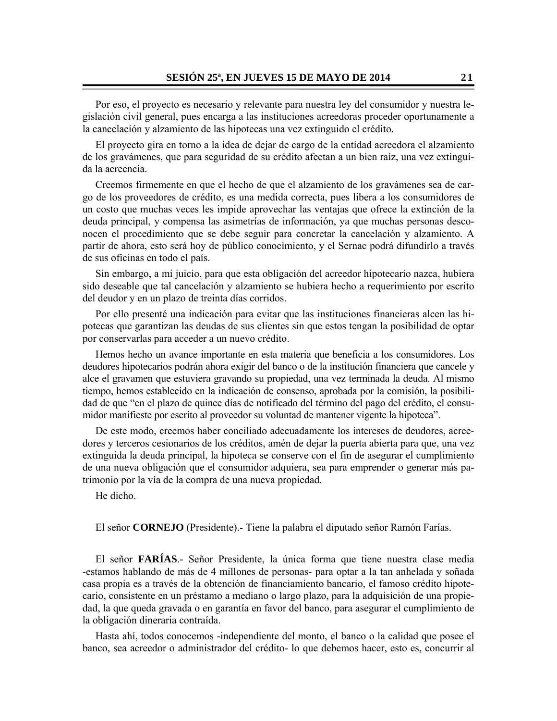Por eso, el proyecto es necesario y relevante para nuestra ley del consumidor y nuestra legislación civil general, pues encarga a las instituciones acreedoras proceder oportunamente a la cancelación y alzamiento de las hipotecas una vez extinguido el crédito.

El proyecto gira en torno a la idea de dejar de cargo de la entidad acreedora el alzamiento de los gravámenes, que para seguridad de su crédito afectan a un bien raíz, una vez extinguida la acreencia.

Creemos firmemente en que el hecho de que el alzamiento de los gravámenes sea de cargo de los proveedores de crédito, es una medida correcta, pues libera a los consumidores de un costo que muchas veces les impide aprovechar las ventajas que ofrece la extinción de la deuda principal, y compensa las asimetrías de información, ya que muchas personas desconocen el procedimiento que se debe seguir para concretar la cancelación y alzamiento. A partir de ahora, esto será hoy de público conocimiento, y el Sernac podrá difundirlo a través de sus oficinas en todo el país.

Sin embargo, a mi juicio, para que esta obligación del acreedor hipotecario nazca, hubiera sido deseable que tal cancelación y alzamiento se hubiera hecho a requerimiento por escrito del deudor y en un plazo de treinta días corridos.

Por ello presenté una indicación para evitar que las instituciones financieras alcen las hipotecas que garantizan las deudas de sus clientes sin que estos tengan la posibilidad de optar por conservarlas para acceder a un nuevo crédito.

Hemos hecho un avance importante en esta materia que beneficia a los consumidores. Los deudores hipotecarios podrán ahora exigir del banco o de la institución financiera que cancele y alce el gravamen que estuviera gravando su propiedad, una vez terminada la deuda. Al mismo tiempo, hemos establecido en la indicación de consenso, aprobada por la comisión, la posibilidad de que "en el plazo de quince días de notificado del término del pago del crédito, el consumidor manifieste por escrito al proveedor su voluntad de mantener vigente la hipoteca".

De este modo, creemos haber conciliado adecuadamente los intereses de deudores, acreedores y terceros cesionarios de los créditos, amén de dejar la puerta abierta para que, una vez extinguida la deuda principal, la hipoteca se conserve con el fin de asegurar el cumplimiento de una nueva obligación que el consumidor adquiera, sea para emprender o generar más patrimonio por la vía de la compra de una nueva propiedad.

He dicho.

El señor **CORNEJO** (Presidente).- Tiene la palabra el diputado señor Ramón Farías.

El señor **FARÍAS**.- Señor Presidente, la única forma que tiene nuestra clase media -estamos hablando de más de 4 millones de personas- para optar a la tan anhelada y soñada casa propia es a través de la obtención de financiamiento bancario, el famoso crédito hipotecario, consistente en un préstamo a mediano o largo plazo, para la adquisición de una propiedad, la que queda gravada o en garantía en favor del banco, para asegurar el cumplimiento de la obligación dineraria contraída.

Hasta ahí, todos conocemos -independiente del monto, el banco o la calidad que posee el banco, sea acreedor o administrador del crédito- lo que debemos hacer, esto es, concurrir al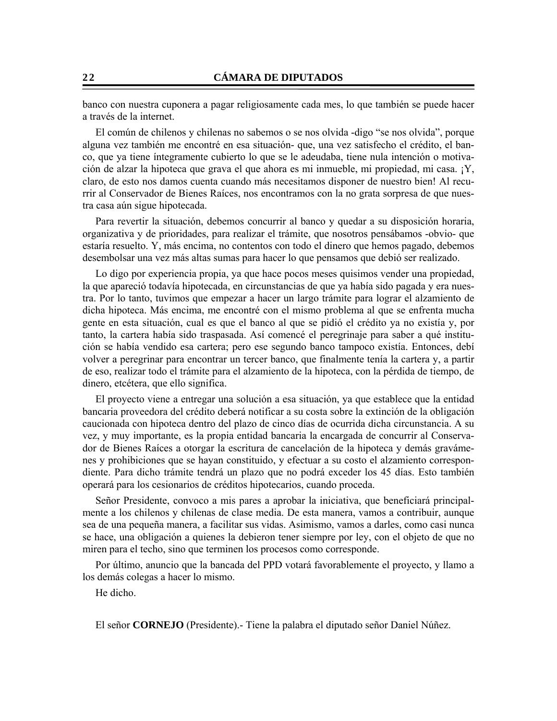banco con nuestra cuponera a pagar religiosamente cada mes, lo que también se puede hacer a través de la internet.

El común de chilenos y chilenas no sabemos o se nos olvida -digo "se nos olvida", porque alguna vez también me encontré en esa situación- que, una vez satisfecho el crédito, el banco, que ya tiene íntegramente cubierto lo que se le adeudaba, tiene nula intención o motivación de alzar la hipoteca que grava el que ahora es mi inmueble, mi propiedad, mi casa. ¡Y, claro, de esto nos damos cuenta cuando más necesitamos disponer de nuestro bien! Al recurrir al Conservador de Bienes Raíces, nos encontramos con la no grata sorpresa de que nuestra casa aún sigue hipotecada.

Para revertir la situación, debemos concurrir al banco y quedar a su disposición horaria, organizativa y de prioridades, para realizar el trámite, que nosotros pensábamos -obvio- que estaría resuelto. Y, más encima, no contentos con todo el dinero que hemos pagado, debemos desembolsar una vez más altas sumas para hacer lo que pensamos que debió ser realizado.

Lo digo por experiencia propia, ya que hace pocos meses quisimos vender una propiedad, la que apareció todavía hipotecada, en circunstancias de que ya había sido pagada y era nuestra. Por lo tanto, tuvimos que empezar a hacer un largo trámite para lograr el alzamiento de dicha hipoteca. Más encima, me encontré con el mismo problema al que se enfrenta mucha gente en esta situación, cual es que el banco al que se pidió el crédito ya no existía y, por tanto, la cartera había sido traspasada. Así comencé el peregrinaje para saber a qué institución se había vendido esa cartera; pero ese segundo banco tampoco existía. Entonces, debí volver a peregrinar para encontrar un tercer banco, que finalmente tenía la cartera y, a partir de eso, realizar todo el trámite para el alzamiento de la hipoteca, con la pérdida de tiempo, de dinero, etcétera, que ello significa.

El proyecto viene a entregar una solución a esa situación, ya que establece que la entidad bancaria proveedora del crédito deberá notificar a su costa sobre la extinción de la obligación caucionada con hipoteca dentro del plazo de cinco días de ocurrida dicha circunstancia. A su vez, y muy importante, es la propia entidad bancaria la encargada de concurrir al Conservador de Bienes Raíces a otorgar la escritura de cancelación de la hipoteca y demás gravámenes y prohibiciones que se hayan constituido, y efectuar a su costo el alzamiento correspondiente. Para dicho trámite tendrá un plazo que no podrá exceder los 45 días. Esto también operará para los cesionarios de créditos hipotecarios, cuando proceda.

Señor Presidente, convoco a mis pares a aprobar la iniciativa, que beneficiará principalmente a los chilenos y chilenas de clase media. De esta manera, vamos a contribuir, aunque sea de una pequeña manera, a facilitar sus vidas. Asimismo, vamos a darles, como casi nunca se hace, una obligación a quienes la debieron tener siempre por ley, con el objeto de que no miren para el techo, sino que terminen los procesos como corresponde.

Por último, anuncio que la bancada del PPD votará favorablemente el proyecto, y llamo a los demás colegas a hacer lo mismo.

He dicho.

El señor **CORNEJO** (Presidente).- Tiene la palabra el diputado señor Daniel Núñez.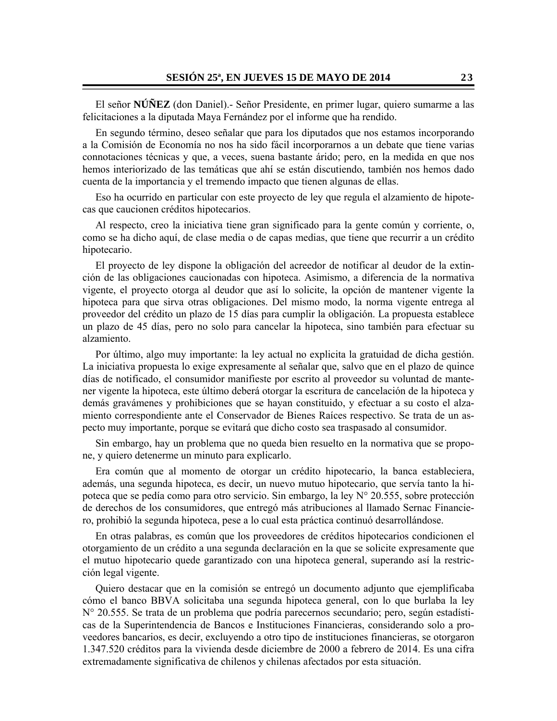El señor **NÚÑEZ** (don Daniel).- Señor Presidente, en primer lugar, quiero sumarme a las felicitaciones a la diputada Maya Fernández por el informe que ha rendido.

En segundo término, deseo señalar que para los diputados que nos estamos incorporando a la Comisión de Economía no nos ha sido fácil incorporarnos a un debate que tiene varias connotaciones técnicas y que, a veces, suena bastante árido; pero, en la medida en que nos hemos interiorizado de las temáticas que ahí se están discutiendo, también nos hemos dado cuenta de la importancia y el tremendo impacto que tienen algunas de ellas.

Eso ha ocurrido en particular con este proyecto de ley que regula el alzamiento de hipotecas que caucionen créditos hipotecarios.

Al respecto, creo la iniciativa tiene gran significado para la gente común y corriente, o, como se ha dicho aquí, de clase media o de capas medias, que tiene que recurrir a un crédito hipotecario.

El proyecto de ley dispone la obligación del acreedor de notificar al deudor de la extinción de las obligaciones caucionadas con hipoteca. Asimismo, a diferencia de la normativa vigente, el proyecto otorga al deudor que así lo solicite, la opción de mantener vigente la hipoteca para que sirva otras obligaciones. Del mismo modo, la norma vigente entrega al proveedor del crédito un plazo de 15 días para cumplir la obligación. La propuesta establece un plazo de 45 días, pero no solo para cancelar la hipoteca, sino también para efectuar su alzamiento.

Por último, algo muy importante: la ley actual no explicita la gratuidad de dicha gestión. La iniciativa propuesta lo exige expresamente al señalar que, salvo que en el plazo de quince días de notificado, el consumidor manifieste por escrito al proveedor su voluntad de mantener vigente la hipoteca, este último deberá otorgar la escritura de cancelación de la hipoteca y demás gravámenes y prohibiciones que se hayan constituido, y efectuar a su costo el alzamiento correspondiente ante el Conservador de Bienes Raíces respectivo. Se trata de un aspecto muy importante, porque se evitará que dicho costo sea traspasado al consumidor.

Sin embargo, hay un problema que no queda bien resuelto en la normativa que se propone, y quiero detenerme un minuto para explicarlo.

Era común que al momento de otorgar un crédito hipotecario, la banca estableciera, además, una segunda hipoteca, es decir, un nuevo mutuo hipotecario, que servía tanto la hipoteca que se pedía como para otro servicio. Sin embargo, la ley N° 20.555, sobre protección de derechos de los consumidores, que entregó más atribuciones al llamado Sernac Financiero, prohibió la segunda hipoteca, pese a lo cual esta práctica continuó desarrollándose.

En otras palabras, es común que los proveedores de créditos hipotecarios condicionen el otorgamiento de un crédito a una segunda declaración en la que se solicite expresamente que el mutuo hipotecario quede garantizado con una hipoteca general, superando así la restricción legal vigente.

Quiero destacar que en la comisión se entregó un documento adjunto que ejemplificaba cómo el banco BBVA solicitaba una segunda hipoteca general, con lo que burlaba la ley N° 20.555. Se trata de un problema que podría parecernos secundario; pero, según estadísticas de la Superintendencia de Bancos e Instituciones Financieras, considerando solo a proveedores bancarios, es decir, excluyendo a otro tipo de instituciones financieras, se otorgaron 1.347.520 créditos para la vivienda desde diciembre de 2000 a febrero de 2014. Es una cifra extremadamente significativa de chilenos y chilenas afectados por esta situación.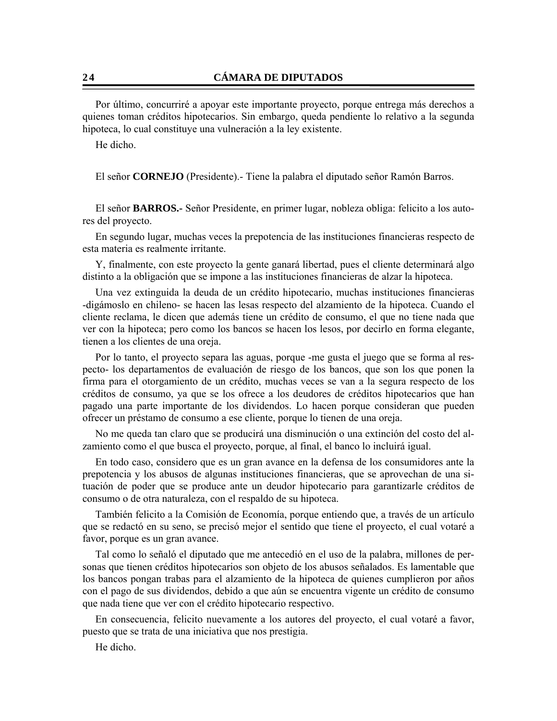Por último, concurriré a apoyar este importante proyecto, porque entrega más derechos a quienes toman créditos hipotecarios. Sin embargo, queda pendiente lo relativo a la segunda hipoteca, lo cual constituye una vulneración a la ley existente.

He dicho.

El señor **CORNEJO** (Presidente).- Tiene la palabra el diputado señor Ramón Barros.

El señor **BARROS.-** Señor Presidente, en primer lugar, nobleza obliga: felicito a los autores del proyecto.

En segundo lugar, muchas veces la prepotencia de las instituciones financieras respecto de esta materia es realmente irritante.

Y, finalmente, con este proyecto la gente ganará libertad, pues el cliente determinará algo distinto a la obligación que se impone a las instituciones financieras de alzar la hipoteca.

Una vez extinguida la deuda de un crédito hipotecario, muchas instituciones financieras -digámoslo en chileno- se hacen las lesas respecto del alzamiento de la hipoteca. Cuando el cliente reclama, le dicen que además tiene un crédito de consumo, el que no tiene nada que ver con la hipoteca; pero como los bancos se hacen los lesos, por decirlo en forma elegante, tienen a los clientes de una oreja.

Por lo tanto, el proyecto separa las aguas, porque -me gusta el juego que se forma al respecto- los departamentos de evaluación de riesgo de los bancos, que son los que ponen la firma para el otorgamiento de un crédito, muchas veces se van a la segura respecto de los créditos de consumo, ya que se los ofrece a los deudores de créditos hipotecarios que han pagado una parte importante de los dividendos. Lo hacen porque consideran que pueden ofrecer un préstamo de consumo a ese cliente, porque lo tienen de una oreja.

No me queda tan claro que se producirá una disminución o una extinción del costo del alzamiento como el que busca el proyecto, porque, al final, el banco lo incluirá igual.

En todo caso, considero que es un gran avance en la defensa de los consumidores ante la prepotencia y los abusos de algunas instituciones financieras, que se aprovechan de una situación de poder que se produce ante un deudor hipotecario para garantizarle créditos de consumo o de otra naturaleza, con el respaldo de su hipoteca.

También felicito a la Comisión de Economía, porque entiendo que, a través de un artículo que se redactó en su seno, se precisó mejor el sentido que tiene el proyecto, el cual votaré a favor, porque es un gran avance.

Tal como lo señaló el diputado que me antecedió en el uso de la palabra, millones de personas que tienen créditos hipotecarios son objeto de los abusos señalados. Es lamentable que los bancos pongan trabas para el alzamiento de la hipoteca de quienes cumplieron por años con el pago de sus dividendos, debido a que aún se encuentra vigente un crédito de consumo que nada tiene que ver con el crédito hipotecario respectivo.

En consecuencia, felicito nuevamente a los autores del proyecto, el cual votaré a favor, puesto que se trata de una iniciativa que nos prestigia.

He dicho.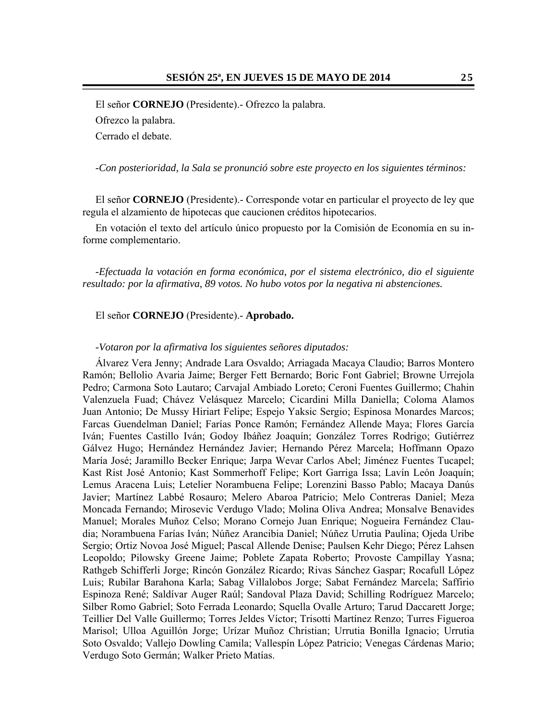El señor **CORNEJO** (Presidente).- Ofrezco la palabra. Ofrezco la palabra. Cerrado el debate.

*-Con posterioridad, la Sala se pronunció sobre este proyecto en los siguientes términos:* 

El señor **CORNEJO** (Presidente).- Corresponde votar en particular el proyecto de ley que regula el alzamiento de hipotecas que caucionen créditos hipotecarios.

En votación el texto del artículo único propuesto por la Comisión de Economía en su informe complementario.

*-Efectuada la votación en forma económica, por el sistema electrónico, dio el siguiente resultado: por la afirmativa, 89 votos. No hubo votos por la negativa ni abstenciones.* 

#### El señor **CORNEJO** (Presidente).- **Aprobado.**

#### *-Votaron por la afirmativa los siguientes señores diputados:*

Álvarez Vera Jenny; Andrade Lara Osvaldo; Arriagada Macaya Claudio; Barros Montero Ramón; Bellolio Avaria Jaime; Berger Fett Bernardo; Boric Font Gabriel; Browne Urrejola Pedro; Carmona Soto Lautaro; Carvajal Ambiado Loreto; Ceroni Fuentes Guillermo; Chahin Valenzuela Fuad; Chávez Velásquez Marcelo; Cicardini Milla Daniella; Coloma Alamos Juan Antonio; De Mussy Hiriart Felipe; Espejo Yaksic Sergio; Espinosa Monardes Marcos; Farcas Guendelman Daniel; Farías Ponce Ramón; Fernández Allende Maya; Flores García Iván; Fuentes Castillo Iván; Godoy Ibáñez Joaquín; González Torres Rodrigo; Gutiérrez Gálvez Hugo; Hernández Hernández Javier; Hernando Pérez Marcela; Hoffmann Opazo María José; Jaramillo Becker Enrique; Jarpa Wevar Carlos Abel; Jiménez Fuentes Tucapel; Kast Rist José Antonio; Kast Sommerhoff Felipe; Kort Garriga Issa; Lavín León Joaquín; Lemus Aracena Luis; Letelier Norambuena Felipe; Lorenzini Basso Pablo; Macaya Danús Javier; Martínez Labbé Rosauro; Melero Abaroa Patricio; Melo Contreras Daniel; Meza Moncada Fernando; Mirosevic Verdugo Vlado; Molina Oliva Andrea; Monsalve Benavides Manuel; Morales Muñoz Celso; Morano Cornejo Juan Enrique; Nogueira Fernández Claudia; Norambuena Farías Iván; Núñez Arancibia Daniel; Núñez Urrutia Paulina; Ojeda Uribe Sergio; Ortiz Novoa José Miguel; Pascal Allende Denise; Paulsen Kehr Diego; Pérez Lahsen Leopoldo; Pilowsky Greene Jaime; Poblete Zapata Roberto; Provoste Campillay Yasna; Rathgeb Schifferli Jorge; Rincón González Ricardo; Rivas Sánchez Gaspar; Rocafull López Luis; Rubilar Barahona Karla; Sabag Villalobos Jorge; Sabat Fernández Marcela; Saffirio Espinoza René; Saldívar Auger Raúl; Sandoval Plaza David; Schilling Rodríguez Marcelo; Silber Romo Gabriel; Soto Ferrada Leonardo; Squella Ovalle Arturo; Tarud Daccarett Jorge; Teillier Del Valle Guillermo; Torres Jeldes Víctor; Trisotti Martínez Renzo; Turres Figueroa Marisol; Ulloa Aguillón Jorge; Urízar Muñoz Christian; Urrutia Bonilla Ignacio; Urrutia Soto Osvaldo; Vallejo Dowling Camila; Vallespín López Patricio; Venegas Cárdenas Mario; Verdugo Soto Germán; Walker Prieto Matías.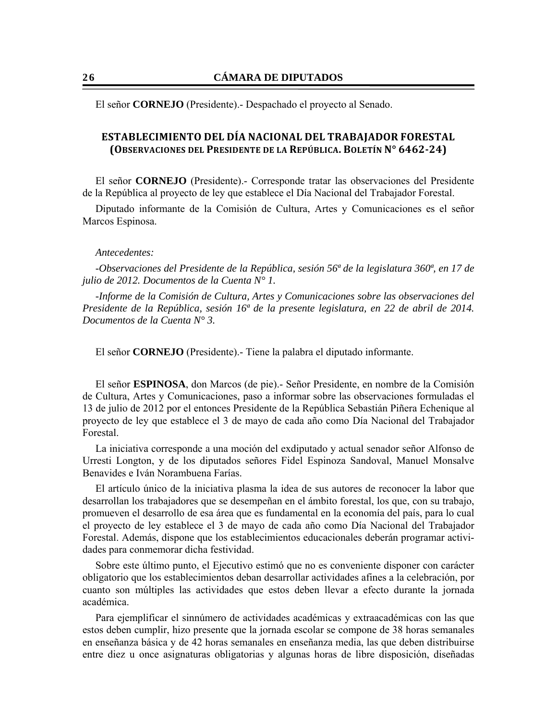El señor **CORNEJO** (Presidente).- Despachado el proyecto al Senado.

#### **ESTABLECIMIENTO DEL DÍA NACIONAL DEL TRABAJADOR FORESTAL (OBSERVACIONES DEL PRESIDENTE DE LA REPÚBLICA. BOLETÍN N° 6462‐24)**

El señor **CORNEJO** (Presidente).- Corresponde tratar las observaciones del Presidente de la República al proyecto de ley que establece el Día Nacional del Trabajador Forestal.

Diputado informante de la Comisión de Cultura, Artes y Comunicaciones es el señor Marcos Espinosa.

#### *Antecedentes:*

*-Observaciones del Presidente de la República, sesión 56ª de la legislatura 360ª, en 17 de julio de 2012. Documentos de la Cuenta N° 1.* 

*-Informe de la Comisión de Cultura, Artes y Comunicaciones sobre las observaciones del Presidente de la República, sesión 16ª de la presente legislatura, en 22 de abril de 2014. Documentos de la Cuenta N° 3.* 

El señor **CORNEJO** (Presidente).- Tiene la palabra el diputado informante.

El señor **ESPINOSA**, don Marcos (de pie).- Señor Presidente, en nombre de la Comisión de Cultura, Artes y Comunicaciones, paso a informar sobre las observaciones formuladas el 13 de julio de 2012 por el entonces Presidente de la República Sebastián Piñera Echenique al proyecto de ley que establece el 3 de mayo de cada año como Día Nacional del Trabajador Forestal.

La iniciativa corresponde a una moción del exdiputado y actual senador señor Alfonso de Urresti Longton, y de los diputados señores Fidel Espinoza Sandoval, Manuel Monsalve Benavides e Iván Norambuena Farías.

El artículo único de la iniciativa plasma la idea de sus autores de reconocer la labor que desarrollan los trabajadores que se desempeñan en el ámbito forestal, los que, con su trabajo, promueven el desarrollo de esa área que es fundamental en la economía del país, para lo cual el proyecto de ley establece el 3 de mayo de cada año como Día Nacional del Trabajador Forestal. Además, dispone que los establecimientos educacionales deberán programar actividades para conmemorar dicha festividad.

Sobre este último punto, el Ejecutivo estimó que no es conveniente disponer con carácter obligatorio que los establecimientos deban desarrollar actividades afines a la celebración, por cuanto son múltiples las actividades que estos deben llevar a efecto durante la jornada académica.

Para ejemplificar el sinnúmero de actividades académicas y extraacadémicas con las que estos deben cumplir, hizo presente que la jornada escolar se compone de 38 horas semanales en enseñanza básica y de 42 horas semanales en enseñanza media, las que deben distribuirse entre diez u once asignaturas obligatorias y algunas horas de libre disposición, diseñadas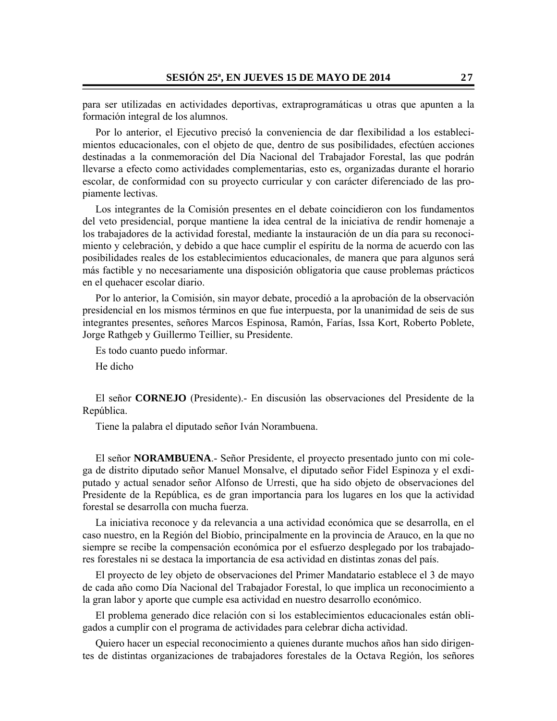para ser utilizadas en actividades deportivas, extraprogramáticas u otras que apunten a la formación integral de los alumnos.

Por lo anterior, el Ejecutivo precisó la conveniencia de dar flexibilidad a los establecimientos educacionales, con el objeto de que, dentro de sus posibilidades, efectúen acciones destinadas a la conmemoración del Día Nacional del Trabajador Forestal, las que podrán llevarse a efecto como actividades complementarias, esto es, organizadas durante el horario escolar, de conformidad con su proyecto curricular y con carácter diferenciado de las propiamente lectivas.

Los integrantes de la Comisión presentes en el debate coincidieron con los fundamentos del veto presidencial, porque mantiene la idea central de la iniciativa de rendir homenaje a los trabajadores de la actividad forestal, mediante la instauración de un día para su reconocimiento y celebración, y debido a que hace cumplir el espíritu de la norma de acuerdo con las posibilidades reales de los establecimientos educacionales, de manera que para algunos será más factible y no necesariamente una disposición obligatoria que cause problemas prácticos en el quehacer escolar diario.

Por lo anterior, la Comisión, sin mayor debate, procedió a la aprobación de la observación presidencial en los mismos términos en que fue interpuesta, por la unanimidad de seis de sus integrantes presentes, señores Marcos Espinosa, Ramón, Farías, Issa Kort, Roberto Poblete, Jorge Rathgeb y Guillermo Teillier, su Presidente.

Es todo cuanto puedo informar.

He dicho

El señor **CORNEJO** (Presidente).- En discusión las observaciones del Presidente de la República.

Tiene la palabra el diputado señor Iván Norambuena.

El señor **NORAMBUENA**.- Señor Presidente, el proyecto presentado junto con mi colega de distrito diputado señor Manuel Monsalve, el diputado señor Fidel Espinoza y el exdiputado y actual senador señor Alfonso de Urresti, que ha sido objeto de observaciones del Presidente de la República, es de gran importancia para los lugares en los que la actividad forestal se desarrolla con mucha fuerza.

La iniciativa reconoce y da relevancia a una actividad económica que se desarrolla, en el caso nuestro, en la Región del Biobío, principalmente en la provincia de Arauco, en la que no siempre se recibe la compensación económica por el esfuerzo desplegado por los trabajadores forestales ni se destaca la importancia de esa actividad en distintas zonas del país.

El proyecto de ley objeto de observaciones del Primer Mandatario establece el 3 de mayo de cada año como Día Nacional del Trabajador Forestal, lo que implica un reconocimiento a la gran labor y aporte que cumple esa actividad en nuestro desarrollo económico.

El problema generado dice relación con si los establecimientos educacionales están obligados a cumplir con el programa de actividades para celebrar dicha actividad.

Quiero hacer un especial reconocimiento a quienes durante muchos años han sido dirigentes de distintas organizaciones de trabajadores forestales de la Octava Región, los señores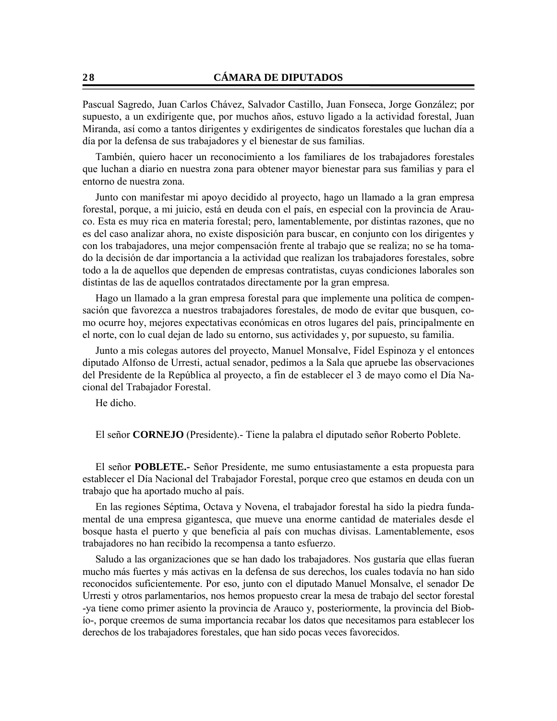Pascual Sagredo, Juan Carlos Chávez, Salvador Castillo, Juan Fonseca, Jorge González; por supuesto, a un exdirigente que, por muchos años, estuvo ligado a la actividad forestal, Juan Miranda, así como a tantos dirigentes y exdirigentes de sindicatos forestales que luchan día a día por la defensa de sus trabajadores y el bienestar de sus familias.

También, quiero hacer un reconocimiento a los familiares de los trabajadores forestales que luchan a diario en nuestra zona para obtener mayor bienestar para sus familias y para el entorno de nuestra zona.

Junto con manifestar mi apoyo decidido al proyecto, hago un llamado a la gran empresa forestal, porque, a mi juicio, está en deuda con el país, en especial con la provincia de Arauco. Esta es muy rica en materia forestal; pero, lamentablemente, por distintas razones, que no es del caso analizar ahora, no existe disposición para buscar, en conjunto con los dirigentes y con los trabajadores, una mejor compensación frente al trabajo que se realiza; no se ha tomado la decisión de dar importancia a la actividad que realizan los trabajadores forestales, sobre todo a la de aquellos que dependen de empresas contratistas, cuyas condiciones laborales son distintas de las de aquellos contratados directamente por la gran empresa.

Hago un llamado a la gran empresa forestal para que implemente una política de compensación que favorezca a nuestros trabajadores forestales, de modo de evitar que busquen, como ocurre hoy, mejores expectativas económicas en otros lugares del país, principalmente en el norte, con lo cual dejan de lado su entorno, sus actividades y, por supuesto, su familia.

Junto a mis colegas autores del proyecto, Manuel Monsalve, Fidel Espinoza y el entonces diputado Alfonso de Urresti, actual senador, pedimos a la Sala que apruebe las observaciones del Presidente de la República al proyecto, a fin de establecer el 3 de mayo como el Día Nacional del Trabajador Forestal.

He dicho.

El señor **CORNEJO** (Presidente).- Tiene la palabra el diputado señor Roberto Poblete.

El señor **POBLETE.-** Señor Presidente, me sumo entusiastamente a esta propuesta para establecer el Día Nacional del Trabajador Forestal, porque creo que estamos en deuda con un trabajo que ha aportado mucho al país.

En las regiones Séptima, Octava y Novena, el trabajador forestal ha sido la piedra fundamental de una empresa gigantesca, que mueve una enorme cantidad de materiales desde el bosque hasta el puerto y que beneficia al país con muchas divisas. Lamentablemente, esos trabajadores no han recibido la recompensa a tanto esfuerzo.

Saludo a las organizaciones que se han dado los trabajadores. Nos gustaría que ellas fueran mucho más fuertes y más activas en la defensa de sus derechos, los cuales todavía no han sido reconocidos suficientemente. Por eso, junto con el diputado Manuel Monsalve, el senador De Urresti y otros parlamentarios, nos hemos propuesto crear la mesa de trabajo del sector forestal -ya tiene como primer asiento la provincia de Arauco y, posteriormente, la provincia del Biobío-, porque creemos de suma importancia recabar los datos que necesitamos para establecer los derechos de los trabajadores forestales, que han sido pocas veces favorecidos.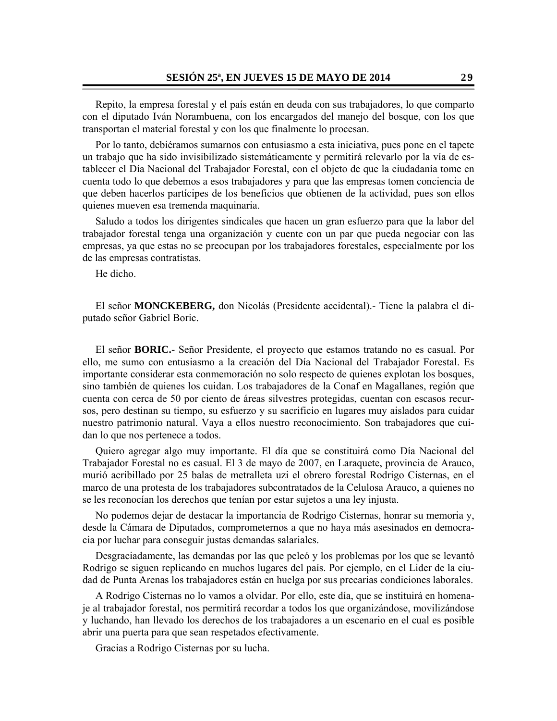Repito, la empresa forestal y el país están en deuda con sus trabajadores, lo que comparto con el diputado Iván Norambuena, con los encargados del manejo del bosque, con los que transportan el material forestal y con los que finalmente lo procesan.

Por lo tanto, debiéramos sumarnos con entusiasmo a esta iniciativa, pues pone en el tapete un trabajo que ha sido invisibilizado sistemáticamente y permitirá relevarlo por la vía de establecer el Día Nacional del Trabajador Forestal, con el objeto de que la ciudadanía tome en cuenta todo lo que debemos a esos trabajadores y para que las empresas tomen conciencia de que deben hacerlos partícipes de los beneficios que obtienen de la actividad, pues son ellos quienes mueven esa tremenda maquinaria.

Saludo a todos los dirigentes sindicales que hacen un gran esfuerzo para que la labor del trabajador forestal tenga una organización y cuente con un par que pueda negociar con las empresas, ya que estas no se preocupan por los trabajadores forestales, especialmente por los de las empresas contratistas.

He dicho.

El señor **MONCKEBERG,** don Nicolás (Presidente accidental).- Tiene la palabra el diputado señor Gabriel Boric.

El señor **BORIC.-** Señor Presidente, el proyecto que estamos tratando no es casual. Por ello, me sumo con entusiasmo a la creación del Día Nacional del Trabajador Forestal. Es importante considerar esta conmemoración no solo respecto de quienes explotan los bosques, sino también de quienes los cuidan. Los trabajadores de la Conaf en Magallanes, región que cuenta con cerca de 50 por ciento de áreas silvestres protegidas, cuentan con escasos recursos, pero destinan su tiempo, su esfuerzo y su sacrificio en lugares muy aislados para cuidar nuestro patrimonio natural. Vaya a ellos nuestro reconocimiento. Son trabajadores que cuidan lo que nos pertenece a todos.

Quiero agregar algo muy importante. El día que se constituirá como Día Nacional del Trabajador Forestal no es casual. El 3 de mayo de 2007, en Laraquete, provincia de Arauco, murió acribillado por 25 balas de metralleta uzi el obrero forestal Rodrigo Cisternas, en el marco de una protesta de los trabajadores subcontratados de la Celulosa Arauco, a quienes no se les reconocían los derechos que tenían por estar sujetos a una ley injusta.

No podemos dejar de destacar la importancia de Rodrigo Cisternas, honrar su memoria y, desde la Cámara de Diputados, comprometernos a que no haya más asesinados en democracia por luchar para conseguir justas demandas salariales.

Desgraciadamente, las demandas por las que peleó y los problemas por los que se levantó Rodrigo se siguen replicando en muchos lugares del país. Por ejemplo, en el Lider de la ciudad de Punta Arenas los trabajadores están en huelga por sus precarias condiciones laborales.

A Rodrigo Cisternas no lo vamos a olvidar. Por ello, este día, que se instituirá en homenaje al trabajador forestal, nos permitirá recordar a todos los que organizándose, movilizándose y luchando, han llevado los derechos de los trabajadores a un escenario en el cual es posible abrir una puerta para que sean respetados efectivamente.

Gracias a Rodrigo Cisternas por su lucha.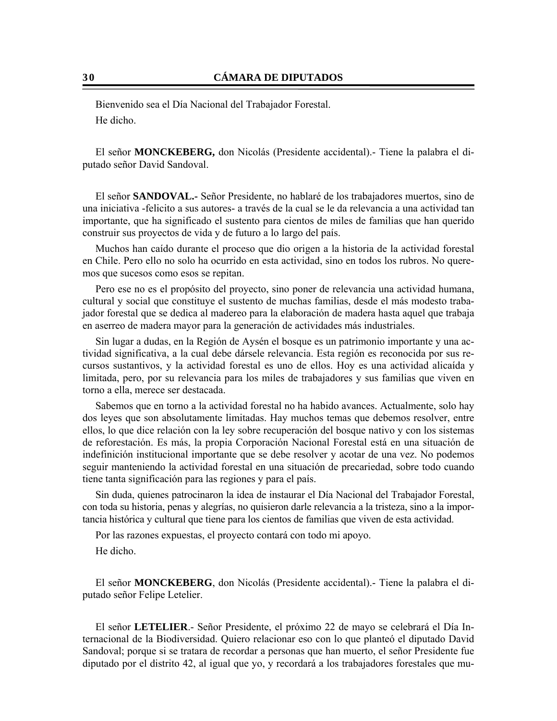Bienvenido sea el Día Nacional del Trabajador Forestal. He dicho.

El señor **MONCKEBERG,** don Nicolás (Presidente accidental).- Tiene la palabra el diputado señor David Sandoval.

El señor **SANDOVAL.-** Señor Presidente, no hablaré de los trabajadores muertos, sino de una iniciativa -felicito a sus autores- a través de la cual se le da relevancia a una actividad tan importante, que ha significado el sustento para cientos de miles de familias que han querido construir sus proyectos de vida y de futuro a lo largo del país.

Muchos han caído durante el proceso que dio origen a la historia de la actividad forestal en Chile. Pero ello no solo ha ocurrido en esta actividad, sino en todos los rubros. No queremos que sucesos como esos se repitan.

Pero ese no es el propósito del proyecto, sino poner de relevancia una actividad humana, cultural y social que constituye el sustento de muchas familias, desde el más modesto trabajador forestal que se dedica al madereo para la elaboración de madera hasta aquel que trabaja en aserreo de madera mayor para la generación de actividades más industriales.

Sin lugar a dudas, en la Región de Aysén el bosque es un patrimonio importante y una actividad significativa, a la cual debe dársele relevancia. Esta región es reconocida por sus recursos sustantivos, y la actividad forestal es uno de ellos. Hoy es una actividad alicaída y limitada, pero, por su relevancia para los miles de trabajadores y sus familias que viven en torno a ella, merece ser destacada.

Sabemos que en torno a la actividad forestal no ha habido avances. Actualmente, solo hay dos leyes que son absolutamente limitadas. Hay muchos temas que debemos resolver, entre ellos, lo que dice relación con la ley sobre recuperación del bosque nativo y con los sistemas de reforestación. Es más, la propia Corporación Nacional Forestal está en una situación de indefinición institucional importante que se debe resolver y acotar de una vez. No podemos seguir manteniendo la actividad forestal en una situación de precariedad, sobre todo cuando tiene tanta significación para las regiones y para el país.

Sin duda, quienes patrocinaron la idea de instaurar el Día Nacional del Trabajador Forestal, con toda su historia, penas y alegrías, no quisieron darle relevancia a la tristeza, sino a la importancia histórica y cultural que tiene para los cientos de familias que viven de esta actividad.

Por las razones expuestas, el proyecto contará con todo mi apoyo.

He dicho.

El señor **MONCKEBERG**, don Nicolás (Presidente accidental).- Tiene la palabra el diputado señor Felipe Letelier.

El señor **LETELIER**.- Señor Presidente, el próximo 22 de mayo se celebrará el Día Internacional de la Biodiversidad. Quiero relacionar eso con lo que planteó el diputado David Sandoval; porque si se tratara de recordar a personas que han muerto, el señor Presidente fue diputado por el distrito 42, al igual que yo, y recordará a los trabajadores forestales que mu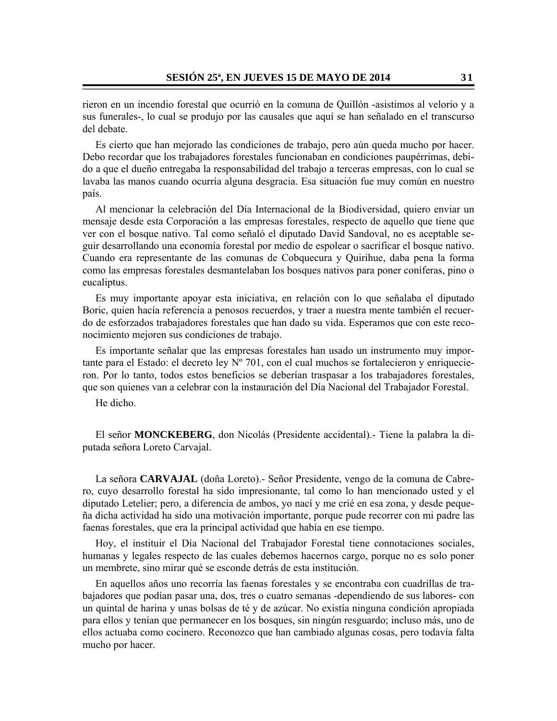rieron en un incendio forestal que ocurrió en la comuna de Quillón -asistimos al velorio y a sus funerales-, lo cual se produjo por las causales que aquí se han señalado en el transcurso del debate.

Es cierto que han mejorado las condiciones de trabajo, pero aún queda mucho por hacer. Debo recordar que los trabajadores forestales funcionaban en condiciones paupérrimas, debido a que el dueño entregaba la responsabilidad del trabajo a terceras empresas, con lo cual se lavaba las manos cuando ocurría alguna desgracia. Esa situación fue muy común en nuestro país.

Al mencionar la celebración del Día Internacional de la Biodiversidad, quiero enviar un mensaje desde esta Corporación a las empresas forestales, respecto de aquello que tiene que ver con el bosque nativo. Tal como señaló el diputado David Sandoval, no es aceptable seguir desarrollando una economía forestal por medio de espolear o sacrificar el bosque nativo. Cuando era representante de las comunas de Cobquecura y Quirihue, daba pena la forma como las empresas forestales desmantelaban los bosques nativos para poner coníferas, pino o eucaliptus.

Es muy importante apoyar esta iniciativa, en relación con lo que señalaba el diputado Boric, quien hacía referencia a penosos recuerdos, y traer a nuestra mente también el recuerdo de esforzados trabajadores forestales que han dado su vida. Esperamos que con este reconocimiento mejoren sus condiciones de trabajo.

Es importante señalar que las empresas forestales han usado un instrumento muy importante para el Estado: el decreto ley  $N^{\circ}$  701, con el cual muchos se fortalecieron y enriquecieron. Por lo tanto, todos estos beneficios se deberían traspasar a los trabajadores forestales, que son quienes van a celebrar con la instauración del Día Nacional del Trabajador Forestal.

He dicho.

El señor **MONCKEBERG**, don Nicolás (Presidente accidental).- Tiene la palabra la diputada señora Loreto Carvajal.

La señora **CARVAJAL** (doña Loreto).- Señor Presidente, vengo de la comuna de Cabrero, cuyo desarrollo forestal ha sido impresionante, tal como lo han mencionado usted y el diputado Letelier; pero, a diferencia de ambos, yo nací y me crié en esa zona, y desde pequeña dicha actividad ha sido una motivación importante, porque pude recorrer con mi padre las faenas forestales, que era la principal actividad que había en ese tiempo.

Hoy, el instituir el Día Nacional del Trabajador Forestal tiene connotaciones sociales, humanas y legales respecto de las cuales debemos hacernos cargo, porque no es solo poner un membrete, sino mirar qué se esconde detrás de esta institución.

En aquellos años uno recorría las faenas forestales y se encontraba con cuadrillas de trabajadores que podían pasar una, dos, tres o cuatro semanas -dependiendo de sus labores- con un quintal de harina y unas bolsas de té y de azúcar. No existía ninguna condición apropiada para ellos y tenían que permanecer en los bosques, sin ningún resguardo; incluso más, uno de ellos actuaba como cocinero. Reconozco que han cambiado algunas cosas, pero todavía falta mucho por hacer.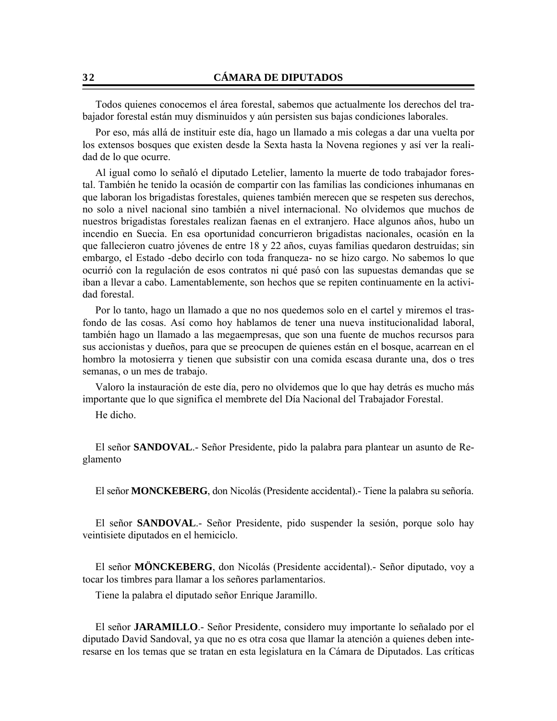Todos quienes conocemos el área forestal, sabemos que actualmente los derechos del trabajador forestal están muy disminuidos y aún persisten sus bajas condiciones laborales.

Por eso, más allá de instituir este día, hago un llamado a mis colegas a dar una vuelta por los extensos bosques que existen desde la Sexta hasta la Novena regiones y así ver la realidad de lo que ocurre.

Al igual como lo señaló el diputado Letelier, lamento la muerte de todo trabajador forestal. También he tenido la ocasión de compartir con las familias las condiciones inhumanas en que laboran los brigadistas forestales, quienes también merecen que se respeten sus derechos, no solo a nivel nacional sino también a nivel internacional. No olvidemos que muchos de nuestros brigadistas forestales realizan faenas en el extranjero. Hace algunos años, hubo un incendio en Suecia. En esa oportunidad concurrieron brigadistas nacionales, ocasión en la que fallecieron cuatro jóvenes de entre 18 y 22 años, cuyas familias quedaron destruidas; sin embargo, el Estado -debo decirlo con toda franqueza- no se hizo cargo. No sabemos lo que ocurrió con la regulación de esos contratos ni qué pasó con las supuestas demandas que se iban a llevar a cabo. Lamentablemente, son hechos que se repiten continuamente en la actividad forestal.

Por lo tanto, hago un llamado a que no nos quedemos solo en el cartel y miremos el trasfondo de las cosas. Así como hoy hablamos de tener una nueva institucionalidad laboral, también hago un llamado a las megaempresas, que son una fuente de muchos recursos para sus accionistas y dueños, para que se preocupen de quienes están en el bosque, acarrean en el hombro la motosierra y tienen que subsistir con una comida escasa durante una, dos o tres semanas, o un mes de trabajo.

Valoro la instauración de este día, pero no olvidemos que lo que hay detrás es mucho más importante que lo que significa el membrete del Día Nacional del Trabajador Forestal.

He dicho.

El señor **SANDOVAL**.- Señor Presidente, pido la palabra para plantear un asunto de Reglamento

El señor **MONCKEBERG**, don Nicolás (Presidente accidental).- Tiene la palabra su señoría.

El señor **SANDOVAL**.- Señor Presidente, pido suspender la sesión, porque solo hay veintisiete diputados en el hemiciclo.

El señor **MÖNCKEBERG**, don Nicolás (Presidente accidental).- Señor diputado, voy a tocar los timbres para llamar a los señores parlamentarios.

Tiene la palabra el diputado señor Enrique Jaramillo.

El señor **JARAMILLO**.- Señor Presidente, considero muy importante lo señalado por el diputado David Sandoval, ya que no es otra cosa que llamar la atención a quienes deben interesarse en los temas que se tratan en esta legislatura en la Cámara de Diputados. Las críticas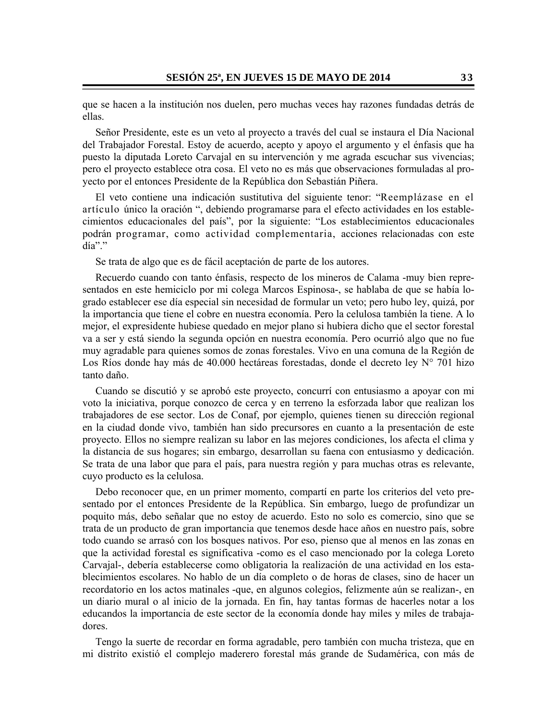que se hacen a la institución nos duelen, pero muchas veces hay razones fundadas detrás de ellas.

Señor Presidente, este es un veto al proyecto a través del cual se instaura el Día Nacional del Trabajador Forestal. Estoy de acuerdo, acepto y apoyo el argumento y el énfasis que ha puesto la diputada Loreto Carvajal en su intervención y me agrada escuchar sus vivencias; pero el proyecto establece otra cosa. El veto no es más que observaciones formuladas al proyecto por el entonces Presidente de la República don Sebastián Piñera.

El veto contiene una indicación sustitutiva del siguiente tenor: "Reemplázase en el artículo único la oración ", debiendo programarse para el efecto actividades en los establecimientos educacionales del país", por la siguiente: "Los establecimientos educacionales podrán programar, como actividad complementaria, acciones relacionadas con este día"."

Se trata de algo que es de fácil aceptación de parte de los autores.

Recuerdo cuando con tanto énfasis, respecto de los mineros de Calama -muy bien representados en este hemiciclo por mi colega Marcos Espinosa-, se hablaba de que se había logrado establecer ese día especial sin necesidad de formular un veto; pero hubo ley, quizá, por la importancia que tiene el cobre en nuestra economía. Pero la celulosa también la tiene. A lo mejor, el expresidente hubiese quedado en mejor plano si hubiera dicho que el sector forestal va a ser y está siendo la segunda opción en nuestra economía. Pero ocurrió algo que no fue muy agradable para quienes somos de zonas forestales. Vivo en una comuna de la Región de Los Ríos donde hay más de 40.000 hectáreas forestadas, donde el decreto ley  $N^{\circ}$  701 hizo tanto daño.

Cuando se discutió y se aprobó este proyecto, concurrí con entusiasmo a apoyar con mi voto la iniciativa, porque conozco de cerca y en terreno la esforzada labor que realizan los trabajadores de ese sector. Los de Conaf, por ejemplo, quienes tienen su dirección regional en la ciudad donde vivo, también han sido precursores en cuanto a la presentación de este proyecto. Ellos no siempre realizan su labor en las mejores condiciones, los afecta el clima y la distancia de sus hogares; sin embargo, desarrollan su faena con entusiasmo y dedicación. Se trata de una labor que para el país, para nuestra región y para muchas otras es relevante, cuyo producto es la celulosa.

Debo reconocer que, en un primer momento, compartí en parte los criterios del veto presentado por el entonces Presidente de la República. Sin embargo, luego de profundizar un poquito más, debo señalar que no estoy de acuerdo. Esto no solo es comercio, sino que se trata de un producto de gran importancia que tenemos desde hace años en nuestro país, sobre todo cuando se arrasó con los bosques nativos. Por eso, pienso que al menos en las zonas en que la actividad forestal es significativa -como es el caso mencionado por la colega Loreto Carvajal-, debería establecerse como obligatoria la realización de una actividad en los establecimientos escolares. No hablo de un día completo o de horas de clases, sino de hacer un recordatorio en los actos matinales -que, en algunos colegios, felizmente aún se realizan-, en un diario mural o al inicio de la jornada. En fin, hay tantas formas de hacerles notar a los educandos la importancia de este sector de la economía donde hay miles y miles de trabajadores.

Tengo la suerte de recordar en forma agradable, pero también con mucha tristeza, que en mi distrito existió el complejo maderero forestal más grande de Sudamérica, con más de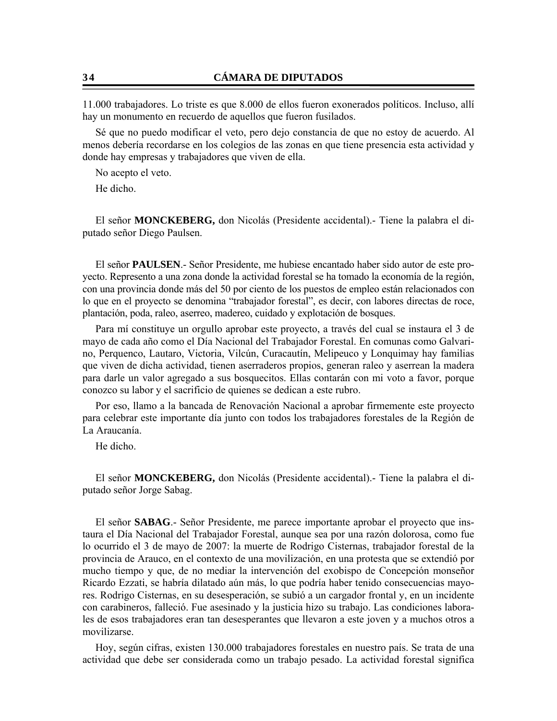11.000 trabajadores. Lo triste es que 8.000 de ellos fueron exonerados políticos. Incluso, allí hay un monumento en recuerdo de aquellos que fueron fusilados.

Sé que no puedo modificar el veto, pero dejo constancia de que no estoy de acuerdo. Al menos debería recordarse en los colegios de las zonas en que tiene presencia esta actividad y donde hay empresas y trabajadores que viven de ella.

No acepto el veto.

He dicho.

El señor **MONCKEBERG,** don Nicolás (Presidente accidental).- Tiene la palabra el diputado señor Diego Paulsen.

El señor **PAULSEN**.- Señor Presidente, me hubiese encantado haber sido autor de este proyecto. Represento a una zona donde la actividad forestal se ha tomado la economía de la región, con una provincia donde más del 50 por ciento de los puestos de empleo están relacionados con lo que en el proyecto se denomina "trabajador forestal", es decir, con labores directas de roce, plantación, poda, raleo, aserreo, madereo, cuidado y explotación de bosques.

Para mí constituye un orgullo aprobar este proyecto, a través del cual se instaura el 3 de mayo de cada año como el Día Nacional del Trabajador Forestal. En comunas como Galvarino, Perquenco, Lautaro, Victoria, Vilcún, Curacautín, Melipeuco y Lonquimay hay familias que viven de dicha actividad, tienen aserraderos propios, generan raleo y aserrean la madera para darle un valor agregado a sus bosquecitos. Ellas contarán con mi voto a favor, porque conozco su labor y el sacrificio de quienes se dedican a este rubro.

Por eso, llamo a la bancada de Renovación Nacional a aprobar firmemente este proyecto para celebrar este importante día junto con todos los trabajadores forestales de la Región de La Araucanía.

He dicho.

El señor **MONCKEBERG,** don Nicolás (Presidente accidental).- Tiene la palabra el diputado señor Jorge Sabag.

El señor **SABAG**.- Señor Presidente, me parece importante aprobar el proyecto que instaura el Día Nacional del Trabajador Forestal, aunque sea por una razón dolorosa, como fue lo ocurrido el 3 de mayo de 2007: la muerte de Rodrigo Cisternas, trabajador forestal de la provincia de Arauco, en el contexto de una movilización, en una protesta que se extendió por mucho tiempo y que, de no mediar la intervención del exobispo de Concepción monseñor Ricardo Ezzati, se habría dilatado aún más, lo que podría haber tenido consecuencias mayores. Rodrigo Cisternas, en su desesperación, se subió a un cargador frontal y, en un incidente con carabineros, falleció. Fue asesinado y la justicia hizo su trabajo. Las condiciones laborales de esos trabajadores eran tan desesperantes que llevaron a este joven y a muchos otros a movilizarse.

Hoy, según cifras, existen 130.000 trabajadores forestales en nuestro país. Se trata de una actividad que debe ser considerada como un trabajo pesado. La actividad forestal significa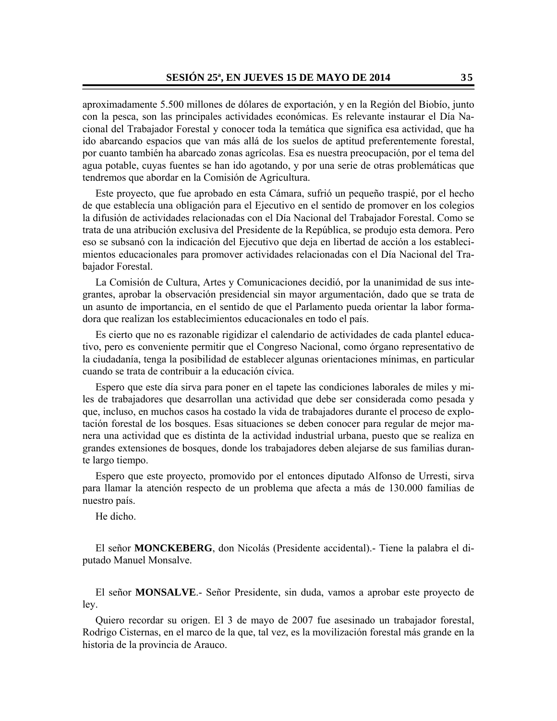aproximadamente 5.500 millones de dólares de exportación, y en la Región del Biobío, junto con la pesca, son las principales actividades económicas. Es relevante instaurar el Día Nacional del Trabajador Forestal y conocer toda la temática que significa esa actividad, que ha ido abarcando espacios que van más allá de los suelos de aptitud preferentemente forestal, por cuanto también ha abarcado zonas agrícolas. Esa es nuestra preocupación, por el tema del agua potable, cuyas fuentes se han ido agotando, y por una serie de otras problemáticas que tendremos que abordar en la Comisión de Agricultura.

Este proyecto, que fue aprobado en esta Cámara, sufrió un pequeño traspié, por el hecho de que establecía una obligación para el Ejecutivo en el sentido de promover en los colegios la difusión de actividades relacionadas con el Día Nacional del Trabajador Forestal. Como se trata de una atribución exclusiva del Presidente de la República, se produjo esta demora. Pero eso se subsanó con la indicación del Ejecutivo que deja en libertad de acción a los establecimientos educacionales para promover actividades relacionadas con el Día Nacional del Trabajador Forestal.

La Comisión de Cultura, Artes y Comunicaciones decidió, por la unanimidad de sus integrantes, aprobar la observación presidencial sin mayor argumentación, dado que se trata de un asunto de importancia, en el sentido de que el Parlamento pueda orientar la labor formadora que realizan los establecimientos educacionales en todo el país.

Es cierto que no es razonable rigidizar el calendario de actividades de cada plantel educativo, pero es conveniente permitir que el Congreso Nacional, como órgano representativo de la ciudadanía, tenga la posibilidad de establecer algunas orientaciones mínimas, en particular cuando se trata de contribuir a la educación cívica.

Espero que este día sirva para poner en el tapete las condiciones laborales de miles y miles de trabajadores que desarrollan una actividad que debe ser considerada como pesada y que, incluso, en muchos casos ha costado la vida de trabajadores durante el proceso de explotación forestal de los bosques. Esas situaciones se deben conocer para regular de mejor manera una actividad que es distinta de la actividad industrial urbana, puesto que se realiza en grandes extensiones de bosques, donde los trabajadores deben alejarse de sus familias durante largo tiempo.

Espero que este proyecto, promovido por el entonces diputado Alfonso de Urresti, sirva para llamar la atención respecto de un problema que afecta a más de 130.000 familias de nuestro país.

He dicho.

El señor **MONCKEBERG**, don Nicolás (Presidente accidental).- Tiene la palabra el diputado Manuel Monsalve.

El señor **MONSALVE**.- Señor Presidente, sin duda, vamos a aprobar este proyecto de ley.

Quiero recordar su origen. El 3 de mayo de 2007 fue asesinado un trabajador forestal, Rodrigo Cisternas, en el marco de la que, tal vez, es la movilización forestal más grande en la historia de la provincia de Arauco.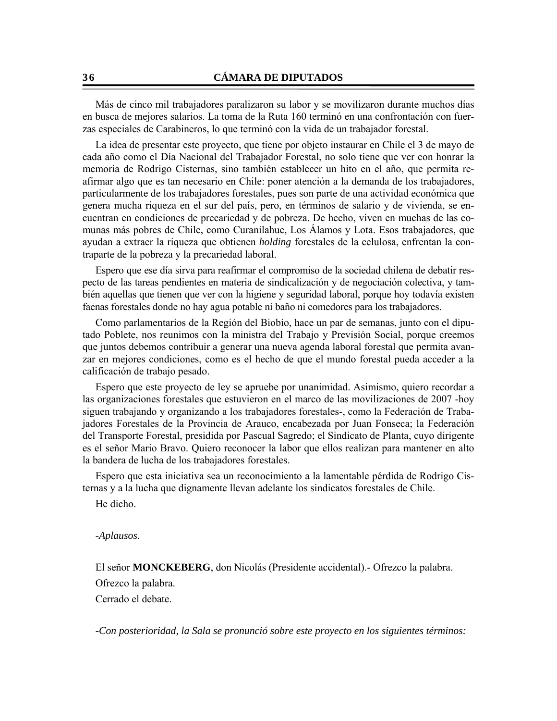Más de cinco mil trabajadores paralizaron su labor y se movilizaron durante muchos días en busca de mejores salarios. La toma de la Ruta 160 terminó en una confrontación con fuerzas especiales de Carabineros, lo que terminó con la vida de un trabajador forestal.

La idea de presentar este proyecto, que tiene por objeto instaurar en Chile el 3 de mayo de cada año como el Día Nacional del Trabajador Forestal, no solo tiene que ver con honrar la memoria de Rodrigo Cisternas, sino también establecer un hito en el año, que permita reafirmar algo que es tan necesario en Chile: poner atención a la demanda de los trabajadores, particularmente de los trabajadores forestales, pues son parte de una actividad económica que genera mucha riqueza en el sur del país, pero, en términos de salario y de vivienda, se encuentran en condiciones de precariedad y de pobreza. De hecho, viven en muchas de las comunas más pobres de Chile, como Curanilahue, Los Álamos y Lota. Esos trabajadores, que ayudan a extraer la riqueza que obtienen *holding* forestales de la celulosa, enfrentan la contraparte de la pobreza y la precariedad laboral.

Espero que ese día sirva para reafirmar el compromiso de la sociedad chilena de debatir respecto de las tareas pendientes en materia de sindicalización y de negociación colectiva, y también aquellas que tienen que ver con la higiene y seguridad laboral, porque hoy todavía existen faenas forestales donde no hay agua potable ni baño ni comedores para los trabajadores.

Como parlamentarios de la Región del Biobío, hace un par de semanas, junto con el diputado Poblete, nos reunimos con la ministra del Trabajo y Previsión Social, porque creemos que juntos debemos contribuir a generar una nueva agenda laboral forestal que permita avanzar en mejores condiciones, como es el hecho de que el mundo forestal pueda acceder a la calificación de trabajo pesado.

Espero que este proyecto de ley se apruebe por unanimidad. Asimismo, quiero recordar a las organizaciones forestales que estuvieron en el marco de las movilizaciones de 2007 -hoy siguen trabajando y organizando a los trabajadores forestales-, como la Federación de Trabajadores Forestales de la Provincia de Arauco, encabezada por Juan Fonseca; la Federación del Transporte Forestal, presidida por Pascual Sagredo; el Sindicato de Planta, cuyo dirigente es el señor Mario Bravo. Quiero reconocer la labor que ellos realizan para mantener en alto la bandera de lucha de los trabajadores forestales.

Espero que esta iniciativa sea un reconocimiento a la lamentable pérdida de Rodrigo Cisternas y a la lucha que dignamente llevan adelante los sindicatos forestales de Chile.

He dicho.

*-Aplausos.* 

El señor **MONCKEBERG**, don Nicolás (Presidente accidental).- Ofrezco la palabra.

Ofrezco la palabra.

Cerrado el debate.

*-Con posterioridad, la Sala se pronunció sobre este proyecto en los siguientes términos:*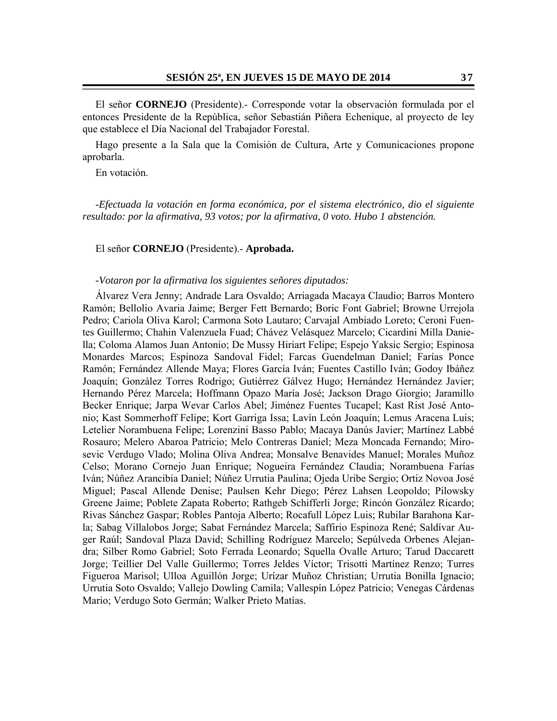El señor **CORNEJO** (Presidente).- Corresponde votar la observación formulada por el entonces Presidente de la República, señor Sebastián Piñera Echenique, al proyecto de ley que establece el Día Nacional del Trabajador Forestal.

Hago presente a la Sala que la Comisión de Cultura, Arte y Comunicaciones propone aprobarla.

En votación.

*-Efectuada la votación en forma económica, por el sistema electrónico, dio el siguiente resultado: por la afirmativa, 93 votos; por la afirmativa, 0 voto. Hubo 1 abstención.* 

#### El señor **CORNEJO** (Presidente).- **Aprobada.**

#### *-Votaron por la afirmativa los siguientes señores diputados:*

Álvarez Vera Jenny; Andrade Lara Osvaldo; Arriagada Macaya Claudio; Barros Montero Ramón; Bellolio Avaria Jaime; Berger Fett Bernardo; Boric Font Gabriel; Browne Urrejola Pedro; Cariola Oliva Karol; Carmona Soto Lautaro; Carvajal Ambiado Loreto; Ceroni Fuentes Guillermo; Chahin Valenzuela Fuad; Chávez Velásquez Marcelo; Cicardini Milla Daniella; Coloma Alamos Juan Antonio; De Mussy Hiriart Felipe; Espejo Yaksic Sergio; Espinosa Monardes Marcos; Espinoza Sandoval Fidel; Farcas Guendelman Daniel; Farías Ponce Ramón; Fernández Allende Maya; Flores García Iván; Fuentes Castillo Iván; Godoy Ibáñez Joaquín; González Torres Rodrigo; Gutiérrez Gálvez Hugo; Hernández Hernández Javier; Hernando Pérez Marcela; Hoffmann Opazo María José; Jackson Drago Giorgio; Jaramillo Becker Enrique; Jarpa Wevar Carlos Abel; Jiménez Fuentes Tucapel; Kast Rist José Antonio; Kast Sommerhoff Felipe; Kort Garriga Issa; Lavín León Joaquín; Lemus Aracena Luis; Letelier Norambuena Felipe; Lorenzini Basso Pablo; Macaya Danús Javier; Martínez Labbé Rosauro; Melero Abaroa Patricio; Melo Contreras Daniel; Meza Moncada Fernando; Mirosevic Verdugo Vlado; Molina Oliva Andrea; Monsalve Benavides Manuel; Morales Muñoz Celso; Morano Cornejo Juan Enrique; Nogueira Fernández Claudia; Norambuena Farías Iván; Núñez Arancibia Daniel; Núñez Urrutia Paulina; Ojeda Uribe Sergio; Ortiz Novoa José Miguel; Pascal Allende Denise; Paulsen Kehr Diego; Pérez Lahsen Leopoldo; Pilowsky Greene Jaime; Poblete Zapata Roberto; Rathgeb Schifferli Jorge; Rincón González Ricardo; Rivas Sánchez Gaspar; Robles Pantoja Alberto; Rocafull López Luis; Rubilar Barahona Karla; Sabag Villalobos Jorge; Sabat Fernández Marcela; Saffirio Espinoza René; Saldívar Auger Raúl; Sandoval Plaza David; Schilling Rodríguez Marcelo; Sepúlveda Orbenes Alejandra; Silber Romo Gabriel; Soto Ferrada Leonardo; Squella Ovalle Arturo; Tarud Daccarett Jorge; Teillier Del Valle Guillermo; Torres Jeldes Víctor; Trisotti Martínez Renzo; Turres Figueroa Marisol; Ulloa Aguillón Jorge; Urízar Muñoz Christian; Urrutia Bonilla Ignacio; Urrutia Soto Osvaldo; Vallejo Dowling Camila; Vallespín López Patricio; Venegas Cárdenas Mario; Verdugo Soto Germán; Walker Prieto Matías.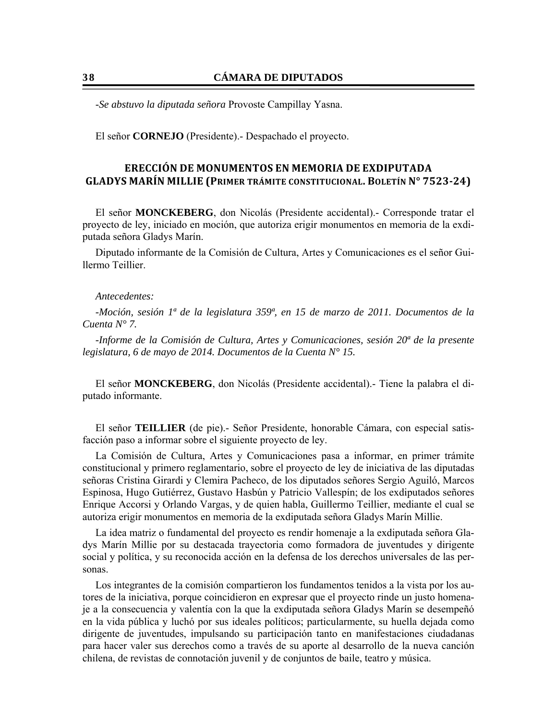*-Se abstuvo la diputada señora* Provoste Campillay Yasna.

El señor **CORNEJO** (Presidente).- Despachado el proyecto.

### **ERECCIÓN DE MONUMENTOS EN MEMORIA DE EXDIPUTADA GLADYS MARÍN MILLIE (PRIMER TRÁMITE CONSTITUCIONAL. BOLETÍN N° 7523‐24)**

El señor **MONCKEBERG**, don Nicolás (Presidente accidental).- Corresponde tratar el proyecto de ley, iniciado en moción, que autoriza erigir monumentos en memoria de la exdiputada señora Gladys Marín.

Diputado informante de la Comisión de Cultura, Artes y Comunicaciones es el señor Guillermo Teillier.

#### *Antecedentes:*

*-Moción, sesión 1ª de la legislatura 359ª, en 15 de marzo de 2011. Documentos de la Cuenta N° 7.* 

*-Informe de la Comisión de Cultura, Artes y Comunicaciones, sesión 20<sup>ª</sup> de la presente legislatura, 6 de mayo de 2014. Documentos de la Cuenta N° 15.* 

El señor **MONCKEBERG**, don Nicolás (Presidente accidental).- Tiene la palabra el diputado informante.

El señor **TEILLIER** (de pie).- Señor Presidente, honorable Cámara, con especial satisfacción paso a informar sobre el siguiente proyecto de ley.

La Comisión de Cultura, Artes y Comunicaciones pasa a informar, en primer trámite constitucional y primero reglamentario, sobre el proyecto de ley de iniciativa de las diputadas señoras Cristina Girardi y Clemira Pacheco, de los diputados señores Sergio Aguiló, Marcos Espinosa, Hugo Gutiérrez, Gustavo Hasbún y Patricio Vallespín; de los exdiputados señores Enrique Accorsi y Orlando Vargas, y de quien habla, Guillermo Teillier, mediante el cual se autoriza erigir monumentos en memoria de la exdiputada señora Gladys Marín Millie.

La idea matriz o fundamental del proyecto es rendir homenaje a la exdiputada señora Gladys Marín Millie por su destacada trayectoria como formadora de juventudes y dirigente social y política, y su reconocida acción en la defensa de los derechos universales de las personas.

Los integrantes de la comisión compartieron los fundamentos tenidos a la vista por los autores de la iniciativa, porque coincidieron en expresar que el proyecto rinde un justo homenaje a la consecuencia y valentía con la que la exdiputada señora Gladys Marín se desempeñó en la vida pública y luchó por sus ideales políticos; particularmente, su huella dejada como dirigente de juventudes, impulsando su participación tanto en manifestaciones ciudadanas para hacer valer sus derechos como a través de su aporte al desarrollo de la nueva canción chilena, de revistas de connotación juvenil y de conjuntos de baile, teatro y música.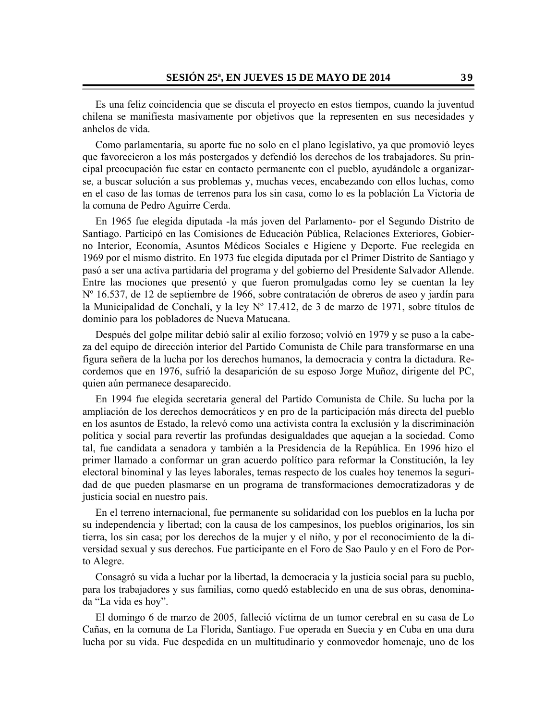Es una feliz coincidencia que se discuta el proyecto en estos tiempos, cuando la juventud chilena se manifiesta masivamente por objetivos que la representen en sus necesidades y anhelos de vida.

Como parlamentaria, su aporte fue no solo en el plano legislativo, ya que promovió leyes que favorecieron a los más postergados y defendió los derechos de los trabajadores. Su principal preocupación fue estar en contacto permanente con el pueblo, ayudándole a organizarse, a buscar solución a sus problemas y, muchas veces, encabezando con ellos luchas, como en el caso de las tomas de terrenos para los sin casa, como lo es la población La Victoria de la comuna de Pedro Aguirre Cerda.

En 1965 fue elegida diputada -la más joven del Parlamento- por el Segundo Distrito de Santiago. Participó en las Comisiones de Educación Pública, Relaciones Exteriores, Gobierno Interior, Economía, Asuntos Médicos Sociales e Higiene y Deporte. Fue reelegida en 1969 por el mismo distrito. En 1973 fue elegida diputada por el Primer Distrito de Santiago y pasó a ser una activa partidaria del programa y del gobierno del Presidente Salvador Allende. Entre las mociones que presentó y que fueron promulgadas como ley se cuentan la ley Nº 16.537, de 12 de septiembre de 1966, sobre contratación de obreros de aseo y jardín para la Municipalidad de Conchalí, y la ley Nº 17.412, de 3 de marzo de 1971, sobre títulos de dominio para los pobladores de Nueva Matucana.

Después del golpe militar debió salir al exilio forzoso; volvió en 1979 y se puso a la cabeza del equipo de dirección interior del Partido Comunista de Chile para transformarse en una figura señera de la lucha por los derechos humanos, la democracia y contra la dictadura. Recordemos que en 1976, sufrió la desaparición de su esposo Jorge Muñoz, dirigente del PC, quien aún permanece desaparecido.

En 1994 fue elegida secretaria general del Partido Comunista de Chile. Su lucha por la ampliación de los derechos democráticos y en pro de la participación más directa del pueblo en los asuntos de Estado, la relevó como una activista contra la exclusión y la discriminación política y social para revertir las profundas desigualdades que aquejan a la sociedad. Como tal, fue candidata a senadora y también a la Presidencia de la República. En 1996 hizo el primer llamado a conformar un gran acuerdo político para reformar la Constitución, la ley electoral binominal y las leyes laborales, temas respecto de los cuales hoy tenemos la seguridad de que pueden plasmarse en un programa de transformaciones democratizadoras y de justicia social en nuestro país.

En el terreno internacional, fue permanente su solidaridad con los pueblos en la lucha por su independencia y libertad; con la causa de los campesinos, los pueblos originarios, los sin tierra, los sin casa; por los derechos de la mujer y el niño, y por el reconocimiento de la diversidad sexual y sus derechos. Fue participante en el Foro de Sao Paulo y en el Foro de Porto Alegre.

Consagró su vida a luchar por la libertad, la democracia y la justicia social para su pueblo, para los trabajadores y sus familias, como quedó establecido en una de sus obras, denominada "La vida es hoy".

El domingo 6 de marzo de 2005, falleció víctima de un tumor cerebral en su casa de Lo Cañas, en la comuna de La Florida, Santiago. Fue operada en Suecia y en Cuba en una dura lucha por su vida. Fue despedida en un multitudinario y conmovedor homenaje, uno de los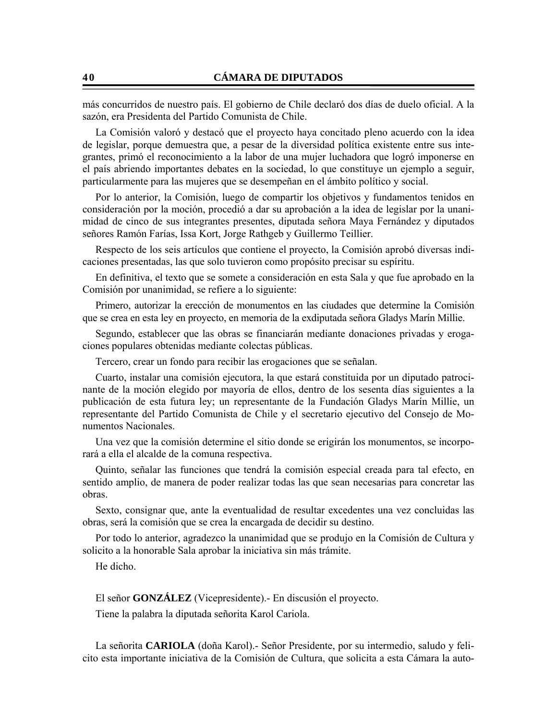más concurridos de nuestro país. El gobierno de Chile declaró dos días de duelo oficial. A la sazón, era Presidenta del Partido Comunista de Chile.

La Comisión valoró y destacó que el proyecto haya concitado pleno acuerdo con la idea de legislar, porque demuestra que, a pesar de la diversidad política existente entre sus integrantes, primó el reconocimiento a la labor de una mujer luchadora que logró imponerse en el país abriendo importantes debates en la sociedad, lo que constituye un ejemplo a seguir, particularmente para las mujeres que se desempeñan en el ámbito político y social.

Por lo anterior, la Comisión, luego de compartir los objetivos y fundamentos tenidos en consideración por la moción, procedió a dar su aprobación a la idea de legislar por la unanimidad de cinco de sus integrantes presentes, diputada señora Maya Fernández y diputados señores Ramón Farías, Issa Kort, Jorge Rathgeb y Guillermo Teillier.

Respecto de los seis artículos que contiene el proyecto, la Comisión aprobó diversas indicaciones presentadas, las que solo tuvieron como propósito precisar su espíritu.

En definitiva, el texto que se somete a consideración en esta Sala y que fue aprobado en la Comisión por unanimidad, se refiere a lo siguiente:

Primero, autorizar la erección de monumentos en las ciudades que determine la Comisión que se crea en esta ley en proyecto, en memoria de la exdiputada señora Gladys Marín Millie.

Segundo, establecer que las obras se financiarán mediante donaciones privadas y erogaciones populares obtenidas mediante colectas públicas.

Tercero, crear un fondo para recibir las erogaciones que se señalan.

Cuarto, instalar una comisión ejecutora, la que estará constituida por un diputado patrocinante de la moción elegido por mayoría de ellos, dentro de los sesenta días siguientes a la publicación de esta futura ley; un representante de la Fundación Gladys Marín Millie, un representante del Partido Comunista de Chile y el secretario ejecutivo del Consejo de Monumentos Nacionales.

Una vez que la comisión determine el sitio donde se erigirán los monumentos, se incorporará a ella el alcalde de la comuna respectiva.

Quinto, señalar las funciones que tendrá la comisión especial creada para tal efecto, en sentido amplio, de manera de poder realizar todas las que sean necesarias para concretar las obras.

Sexto, consignar que, ante la eventualidad de resultar excedentes una vez concluidas las obras, será la comisión que se crea la encargada de decidir su destino.

Por todo lo anterior, agradezco la unanimidad que se produjo en la Comisión de Cultura y solicito a la honorable Sala aprobar la iniciativa sin más trámite.

He dicho.

El señor **GONZÁLEZ** (Vicepresidente).- En discusión el proyecto.

Tiene la palabra la diputada señorita Karol Cariola.

La señorita **CARIOLA** (doña Karol).- Señor Presidente, por su intermedio, saludo y felicito esta importante iniciativa de la Comisión de Cultura, que solicita a esta Cámara la auto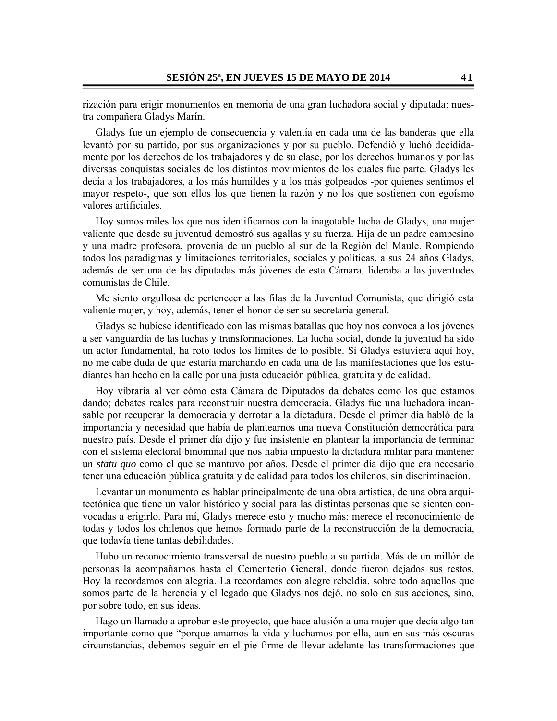rización para erigir monumentos en memoria de una gran luchadora social y diputada: nuestra compañera Gladys Marín.

Gladys fue un ejemplo de consecuencia y valentía en cada una de las banderas que ella levantó por su partido, por sus organizaciones y por su pueblo. Defendió y luchó decididamente por los derechos de los trabajadores y de su clase, por los derechos humanos y por las diversas conquistas sociales de los distintos movimientos de los cuales fue parte. Gladys les decía a los trabajadores, a los más humildes y a los más golpeados -por quienes sentimos el mayor respeto-, que son ellos los que tienen la razón y no los que sostienen con egoísmo valores artificiales.

Hoy somos miles los que nos identificamos con la inagotable lucha de Gladys, una mujer valiente que desde su juventud demostró sus agallas y su fuerza. Hija de un padre campesino y una madre profesora, provenía de un pueblo al sur de la Región del Maule. Rompiendo todos los paradigmas y limitaciones territoriales, sociales y políticas, a sus 24 años Gladys, además de ser una de las diputadas más jóvenes de esta Cámara, lideraba a las juventudes comunistas de Chile.

Me siento orgullosa de pertenecer a las filas de la Juventud Comunista, que dirigió esta valiente mujer, y hoy, además, tener el honor de ser su secretaria general.

Gladys se hubiese identificado con las mismas batallas que hoy nos convoca a los jóvenes a ser vanguardia de las luchas y transformaciones. La lucha social, donde la juventud ha sido un actor fundamental, ha roto todos los límites de lo posible. Si Gladys estuviera aquí hoy, no me cabe duda de que estaría marchando en cada una de las manifestaciones que los estudiantes han hecho en la calle por una justa educación pública, gratuita y de calidad.

Hoy vibraría al ver cómo esta Cámara de Diputados da debates como los que estamos dando; debates reales para reconstruir nuestra democracia. Gladys fue una luchadora incansable por recuperar la democracia y derrotar a la dictadura. Desde el primer día habló de la importancia y necesidad que había de plantearnos una nueva Constitución democrática para nuestro país. Desde el primer día dijo y fue insistente en plantear la importancia de terminar con el sistema electoral binominal que nos había impuesto la dictadura militar para mantener un *statu quo* como el que se mantuvo por años. Desde el primer día dijo que era necesario tener una educación pública gratuita y de calidad para todos los chilenos, sin discriminación.

Levantar un monumento es hablar principalmente de una obra artística, de una obra arquitectónica que tiene un valor histórico y social para las distintas personas que se sienten convocadas a erigirlo. Para mí, Gladys merece esto y mucho más: merece el reconocimiento de todas y todos los chilenos que hemos formado parte de la reconstrucción de la democracia, que todavía tiene tantas debilidades.

Hubo un reconocimiento transversal de nuestro pueblo a su partida. Más de un millón de personas la acompañamos hasta el Cementerio General, donde fueron dejados sus restos. Hoy la recordamos con alegría. La recordamos con alegre rebeldía, sobre todo aquellos que somos parte de la herencia y el legado que Gladys nos dejó, no solo en sus acciones, sino, por sobre todo, en sus ideas.

Hago un llamado a aprobar este proyecto, que hace alusión a una mujer que decía algo tan importante como que "porque amamos la vida y luchamos por ella, aun en sus más oscuras circunstancias, debemos seguir en el pie firme de llevar adelante las transformaciones que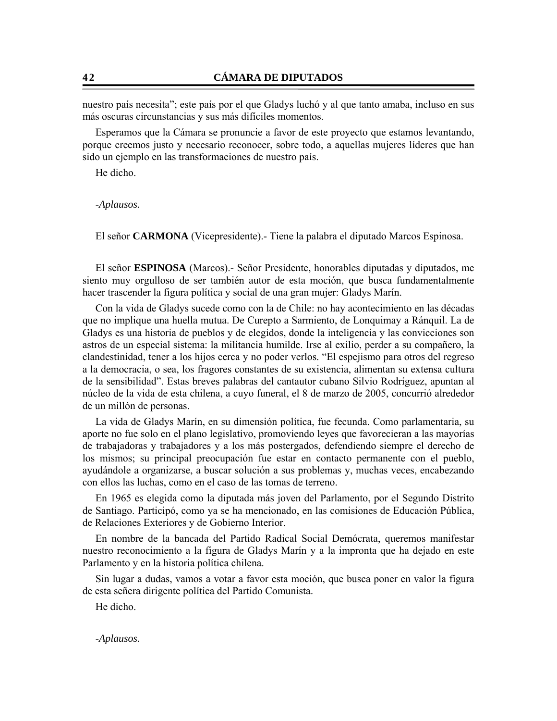nuestro país necesita"; este país por el que Gladys luchó y al que tanto amaba, incluso en sus más oscuras circunstancias y sus más difíciles momentos.

Esperamos que la Cámara se pronuncie a favor de este proyecto que estamos levantando, porque creemos justo y necesario reconocer, sobre todo, a aquellas mujeres líderes que han sido un ejemplo en las transformaciones de nuestro país.

He dicho.

*-Aplausos.* 

El señor **CARMONA** (Vicepresidente).- Tiene la palabra el diputado Marcos Espinosa.

El señor **ESPINOSA** (Marcos).- Señor Presidente, honorables diputadas y diputados, me siento muy orgulloso de ser también autor de esta moción, que busca fundamentalmente hacer trascender la figura política y social de una gran mujer: Gladys Marín.

Con la vida de Gladys sucede como con la de Chile: no hay acontecimiento en las décadas que no implique una huella mutua. De Curepto a Sarmiento, de Lonquimay a Ránquil. La de Gladys es una historia de pueblos y de elegidos, donde la inteligencia y las convicciones son astros de un especial sistema: la militancia humilde. Irse al exilio, perder a su compañero, la clandestinidad, tener a los hijos cerca y no poder verlos. "El espejismo para otros del regreso a la democracia, o sea, los fragores constantes de su existencia, alimentan su extensa cultura de la sensibilidad". Estas breves palabras del cantautor cubano Silvio Rodríguez, apuntan al núcleo de la vida de esta chilena, a cuyo funeral, el 8 de marzo de 2005, concurrió alrededor de un millón de personas.

La vida de Gladys Marín, en su dimensión política, fue fecunda. Como parlamentaria, su aporte no fue solo en el plano legislativo, promoviendo leyes que favorecieran a las mayorías de trabajadoras y trabajadores y a los más postergados, defendiendo siempre el derecho de los mismos; su principal preocupación fue estar en contacto permanente con el pueblo, ayudándole a organizarse, a buscar solución a sus problemas y, muchas veces, encabezando con ellos las luchas, como en el caso de las tomas de terreno.

En 1965 es elegida como la diputada más joven del Parlamento, por el Segundo Distrito de Santiago. Participó, como ya se ha mencionado, en las comisiones de Educación Pública, de Relaciones Exteriores y de Gobierno Interior.

En nombre de la bancada del Partido Radical Social Demócrata, queremos manifestar nuestro reconocimiento a la figura de Gladys Marín y a la impronta que ha dejado en este Parlamento y en la historia política chilena.

Sin lugar a dudas, vamos a votar a favor esta moción, que busca poner en valor la figura de esta señera dirigente política del Partido Comunista.

He dicho.

*-Aplausos.*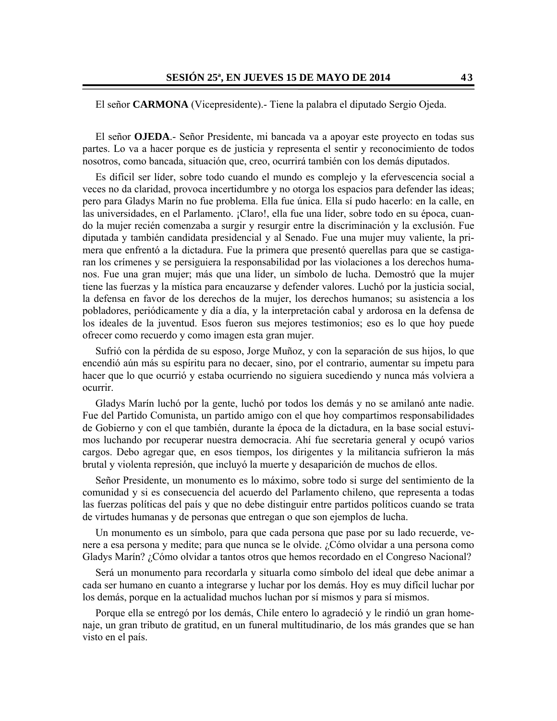#### El señor **CARMONA** (Vicepresidente).- Tiene la palabra el diputado Sergio Ojeda.

El señor **OJEDA**.- Señor Presidente, mi bancada va a apoyar este proyecto en todas sus partes. Lo va a hacer porque es de justicia y representa el sentir y reconocimiento de todos nosotros, como bancada, situación que, creo, ocurrirá también con los demás diputados.

Es difícil ser líder, sobre todo cuando el mundo es complejo y la efervescencia social a veces no da claridad, provoca incertidumbre y no otorga los espacios para defender las ideas; pero para Gladys Marín no fue problema. Ella fue única. Ella sí pudo hacerlo: en la calle, en las universidades, en el Parlamento. ¡Claro!, ella fue una líder, sobre todo en su época, cuando la mujer recién comenzaba a surgir y resurgir entre la discriminación y la exclusión. Fue diputada y también candidata presidencial y al Senado. Fue una mujer muy valiente, la primera que enfrentó a la dictadura. Fue la primera que presentó querellas para que se castigaran los crímenes y se persiguiera la responsabilidad por las violaciones a los derechos humanos. Fue una gran mujer; más que una líder, un símbolo de lucha. Demostró que la mujer tiene las fuerzas y la mística para encauzarse y defender valores. Luchó por la justicia social, la defensa en favor de los derechos de la mujer, los derechos humanos; su asistencia a los pobladores, periódicamente y día a día, y la interpretación cabal y ardorosa en la defensa de los ideales de la juventud. Esos fueron sus mejores testimonios; eso es lo que hoy puede ofrecer como recuerdo y como imagen esta gran mujer.

Sufrió con la pérdida de su esposo, Jorge Muñoz, y con la separación de sus hijos, lo que encendió aún más su espíritu para no decaer, sino, por el contrario, aumentar su ímpetu para hacer que lo que ocurrió y estaba ocurriendo no siguiera sucediendo y nunca más volviera a ocurrir.

Gladys Marín luchó por la gente, luchó por todos los demás y no se amilanó ante nadie. Fue del Partido Comunista, un partido amigo con el que hoy compartimos responsabilidades de Gobierno y con el que también, durante la época de la dictadura, en la base social estuvimos luchando por recuperar nuestra democracia. Ahí fue secretaria general y ocupó varios cargos. Debo agregar que, en esos tiempos, los dirigentes y la militancia sufrieron la más brutal y violenta represión, que incluyó la muerte y desaparición de muchos de ellos.

Señor Presidente, un monumento es lo máximo, sobre todo si surge del sentimiento de la comunidad y si es consecuencia del acuerdo del Parlamento chileno, que representa a todas las fuerzas políticas del país y que no debe distinguir entre partidos políticos cuando se trata de virtudes humanas y de personas que entregan o que son ejemplos de lucha.

Un monumento es un símbolo, para que cada persona que pase por su lado recuerde, venere a esa persona y medite; para que nunca se le olvide. ¿Cómo olvidar a una persona como Gladys Marín? ¿Cómo olvidar a tantos otros que hemos recordado en el Congreso Nacional?

Será un monumento para recordarla y situarla como símbolo del ideal que debe animar a cada ser humano en cuanto a integrarse y luchar por los demás. Hoy es muy difícil luchar por los demás, porque en la actualidad muchos luchan por sí mismos y para sí mismos.

Porque ella se entregó por los demás, Chile entero lo agradeció y le rindió un gran homenaje, un gran tributo de gratitud, en un funeral multitudinario, de los más grandes que se han visto en el país.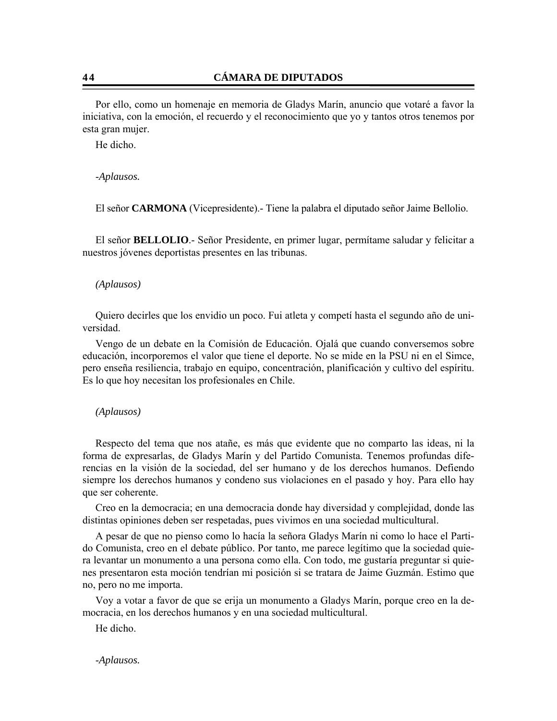Por ello, como un homenaje en memoria de Gladys Marín, anuncio que votaré a favor la iniciativa, con la emoción, el recuerdo y el reconocimiento que yo y tantos otros tenemos por esta gran mujer.

He dicho.

-*Aplausos.* 

El señor **CARMONA** (Vicepresidente).- Tiene la palabra el diputado señor Jaime Bellolio.

El señor **BELLOLIO**.- Señor Presidente, en primer lugar, permítame saludar y felicitar a nuestros jóvenes deportistas presentes en las tribunas.

#### *(Aplausos)*

Quiero decirles que los envidio un poco. Fui atleta y competí hasta el segundo año de universidad.

Vengo de un debate en la Comisión de Educación. Ojalá que cuando conversemos sobre educación, incorporemos el valor que tiene el deporte. No se mide en la PSU ni en el Simce, pero enseña resiliencia, trabajo en equipo, concentración, planificación y cultivo del espíritu. Es lo que hoy necesitan los profesionales en Chile.

#### *(Aplausos)*

Respecto del tema que nos atañe, es más que evidente que no comparto las ideas, ni la forma de expresarlas, de Gladys Marín y del Partido Comunista. Tenemos profundas diferencias en la visión de la sociedad, del ser humano y de los derechos humanos. Defiendo siempre los derechos humanos y condeno sus violaciones en el pasado y hoy. Para ello hay que ser coherente.

Creo en la democracia; en una democracia donde hay diversidad y complejidad, donde las distintas opiniones deben ser respetadas, pues vivimos en una sociedad multicultural.

A pesar de que no pienso como lo hacía la señora Gladys Marín ni como lo hace el Partido Comunista, creo en el debate público. Por tanto, me parece legítimo que la sociedad quiera levantar un monumento a una persona como ella. Con todo, me gustaría preguntar si quienes presentaron esta moción tendrían mi posición si se tratara de Jaime Guzmán. Estimo que no, pero no me importa.

Voy a votar a favor de que se erija un monumento a Gladys Marín, porque creo en la democracia, en los derechos humanos y en una sociedad multicultural.

He dicho.

-*Aplausos.*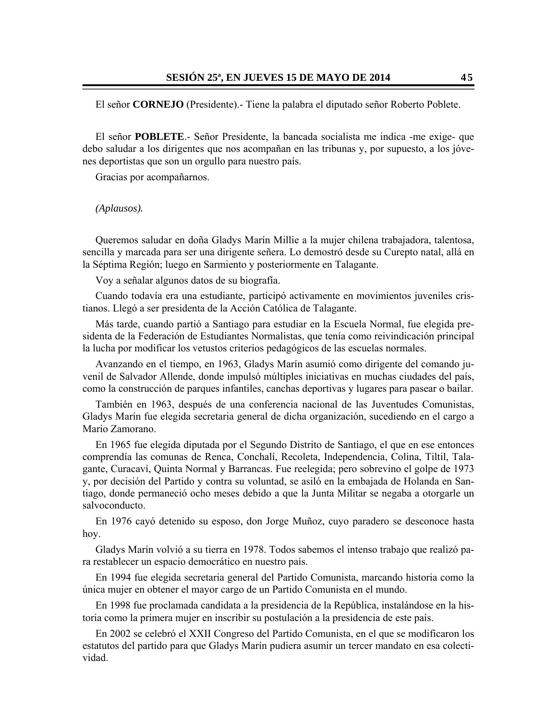El señor **CORNEJO** (Presidente).- Tiene la palabra el diputado señor Roberto Poblete.

El señor **POBLETE**.- Señor Presidente, la bancada socialista me indica -me exige- que debo saludar a los dirigentes que nos acompañan en las tribunas y, por supuesto, a los jóvenes deportistas que son un orgullo para nuestro país.

Gracias por acompañarnos.

*(Aplausos).* 

Queremos saludar en doña Gladys Marín Millie a la mujer chilena trabajadora, talentosa, sencilla y marcada para ser una dirigente señera. Lo demostró desde su Curepto natal, allá en la Séptima Región; luego en Sarmiento y posteriormente en Talagante.

Voy a señalar algunos datos de su biografía.

Cuando todavía era una estudiante, participó activamente en movimientos juveniles cristianos. Llegó a ser presidenta de la Acción Católica de Talagante.

Más tarde, cuando partió a Santiago para estudiar en la Escuela Normal, fue elegida presidenta de la Federación de Estudiantes Normalistas, que tenía como reivindicación principal la lucha por modificar los vetustos criterios pedagógicos de las escuelas normales.

Avanzando en el tiempo, en 1963, Gladys Marín asumió como dirigente del comando juvenil de Salvador Allende, donde impulsó múltiples iniciativas en muchas ciudades del país, como la construcción de parques infantiles, canchas deportivas y lugares para pasear o bailar.

También en 1963, después de una conferencia nacional de las Juventudes Comunistas, Gladys Marín fue elegida secretaria general de dicha organización, sucediendo en el cargo a Mario Zamorano.

En 1965 fue elegida diputada por el Segundo Distrito de Santiago, el que en ese entonces comprendía las comunas de Renca, Conchalí, Recoleta, Independencia, Colina, Tiltil, Talagante, Curacaví, Quinta Normal y Barrancas. Fue reelegida; pero sobrevino el golpe de 1973 y, por decisión del Partido y contra su voluntad, se asiló en la embajada de Holanda en Santiago, donde permaneció ocho meses debido a que la Junta Militar se negaba a otorgarle un salvoconducto.

En 1976 cayó detenido su esposo, don Jorge Muñoz, cuyo paradero se desconoce hasta hoy.

Gladys Marín volvió a su tierra en 1978. Todos sabemos el intenso trabajo que realizó para restablecer un espacio democrático en nuestro país.

En 1994 fue elegida secretaria general del Partido Comunista, marcando historia como la única mujer en obtener el mayor cargo de un Partido Comunista en el mundo.

En 1998 fue proclamada candidata a la presidencia de la República, instalándose en la historia como la primera mujer en inscribir su postulación a la presidencia de este país.

En 2002 se celebró el XXII Congreso del Partido Comunista, en el que se modificaron los estatutos del partido para que Gladys Marín pudiera asumir un tercer mandato en esa colectividad.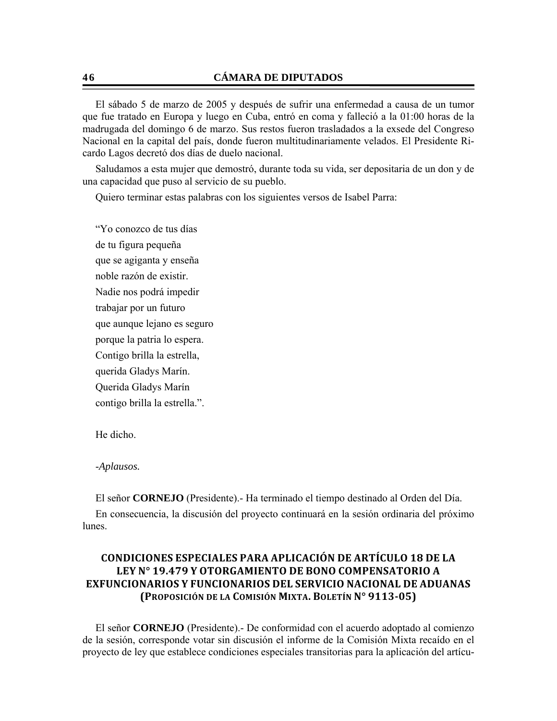El sábado 5 de marzo de 2005 y después de sufrir una enfermedad a causa de un tumor que fue tratado en Europa y luego en Cuba, entró en coma y falleció a la 01:00 horas de la madrugada del domingo 6 de marzo. Sus restos fueron trasladados a la exsede del Congreso Nacional en la capital del país, donde fueron multitudinariamente velados. El Presidente Ricardo Lagos decretó dos días de duelo nacional.

Saludamos a esta mujer que demostró, durante toda su vida, ser depositaria de un don y de una capacidad que puso al servicio de su pueblo.

Quiero terminar estas palabras con los siguientes versos de Isabel Parra:

"Yo conozco de tus días de tu figura pequeña que se agiganta y enseña noble razón de existir. Nadie nos podrá impedir trabajar por un futuro que aunque lejano es seguro porque la patria lo espera. Contigo brilla la estrella, querida Gladys Marín. Querida Gladys Marín contigo brilla la estrella.".

He dicho.

#### -*Aplausos.*

El señor **CORNEJO** (Presidente).- Ha terminado el tiempo destinado al Orden del Día. En consecuencia, la discusión del proyecto continuará en la sesión ordinaria del próximo lunes.

# **CONDICIONES ESPECIALES PARA APLICACIÓN DE ARTÍCULO 18 DE LA LEY N° 19.479 Y OTORGAMIENTO DE BONO COMPENSATORIO A EXFUNCIONARIOS Y FUNCIONARIOS DEL SERVICIO NACIONAL DE ADUANAS (PROPOSICIÓN DE LA COMISIÓN MIXTA. BOLETÍN N° 9113‐05)**

El señor **CORNEJO** (Presidente).- De conformidad con el acuerdo adoptado al comienzo de la sesión, corresponde votar sin discusión el informe de la Comisión Mixta recaído en el proyecto de ley que establece condiciones especiales transitorias para la aplicación del artícu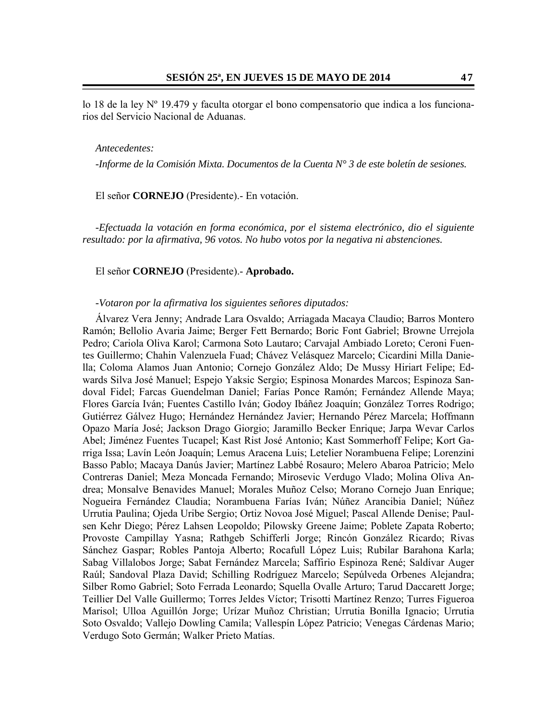lo 18 de la ley Nº 19.479 y faculta otorgar el bono compensatorio que indica a los funcionarios del Servicio Nacional de Aduanas.

#### *Antecedentes:*

*-Informe de la Comisión Mixta. Documentos de la Cuenta N° 3 de este boletín de sesiones.*

El señor **CORNEJO** (Presidente).- En votación.

*-Efectuada la votación en forma económica, por el sistema electrónico, dio el siguiente resultado: por la afirmativa, 96 votos. No hubo votos por la negativa ni abstenciones.* 

#### El señor **CORNEJO** (Presidente).- **Aprobado.**

#### *-Votaron por la afirmativa los siguientes señores diputados:*

Álvarez Vera Jenny; Andrade Lara Osvaldo; Arriagada Macaya Claudio; Barros Montero Ramón; Bellolio Avaria Jaime; Berger Fett Bernardo; Boric Font Gabriel; Browne Urrejola Pedro; Cariola Oliva Karol; Carmona Soto Lautaro; Carvajal Ambiado Loreto; Ceroni Fuentes Guillermo; Chahin Valenzuela Fuad; Chávez Velásquez Marcelo; Cicardini Milla Daniella; Coloma Alamos Juan Antonio; Cornejo González Aldo; De Mussy Hiriart Felipe; Edwards Silva José Manuel; Espejo Yaksic Sergio; Espinosa Monardes Marcos; Espinoza Sandoval Fidel; Farcas Guendelman Daniel; Farías Ponce Ramón; Fernández Allende Maya; Flores García Iván; Fuentes Castillo Iván; Godoy Ibáñez Joaquín; González Torres Rodrigo; Gutiérrez Gálvez Hugo; Hernández Hernández Javier; Hernando Pérez Marcela; Hoffmann Opazo María José; Jackson Drago Giorgio; Jaramillo Becker Enrique; Jarpa Wevar Carlos Abel; Jiménez Fuentes Tucapel; Kast Rist José Antonio; Kast Sommerhoff Felipe; Kort Garriga Issa; Lavín León Joaquín; Lemus Aracena Luis; Letelier Norambuena Felipe; Lorenzini Basso Pablo; Macaya Danús Javier; Martínez Labbé Rosauro; Melero Abaroa Patricio; Melo Contreras Daniel; Meza Moncada Fernando; Mirosevic Verdugo Vlado; Molina Oliva Andrea; Monsalve Benavides Manuel; Morales Muñoz Celso; Morano Cornejo Juan Enrique; Nogueira Fernández Claudia; Norambuena Farías Iván; Núñez Arancibia Daniel; Núñez Urrutia Paulina; Ojeda Uribe Sergio; Ortiz Novoa José Miguel; Pascal Allende Denise; Paulsen Kehr Diego; Pérez Lahsen Leopoldo; Pilowsky Greene Jaime; Poblete Zapata Roberto; Provoste Campillay Yasna; Rathgeb Schifferli Jorge; Rincón González Ricardo; Rivas Sánchez Gaspar; Robles Pantoja Alberto; Rocafull López Luis; Rubilar Barahona Karla; Sabag Villalobos Jorge; Sabat Fernández Marcela; Saffirio Espinoza René; Saldívar Auger Raúl; Sandoval Plaza David; Schilling Rodríguez Marcelo; Sepúlveda Orbenes Alejandra; Silber Romo Gabriel; Soto Ferrada Leonardo; Squella Ovalle Arturo; Tarud Daccarett Jorge; Teillier Del Valle Guillermo; Torres Jeldes Víctor; Trisotti Martínez Renzo; Turres Figueroa Marisol; Ulloa Aguillón Jorge; Urízar Muñoz Christian; Urrutia Bonilla Ignacio; Urrutia Soto Osvaldo; Vallejo Dowling Camila; Vallespín López Patricio; Venegas Cárdenas Mario; Verdugo Soto Germán; Walker Prieto Matías.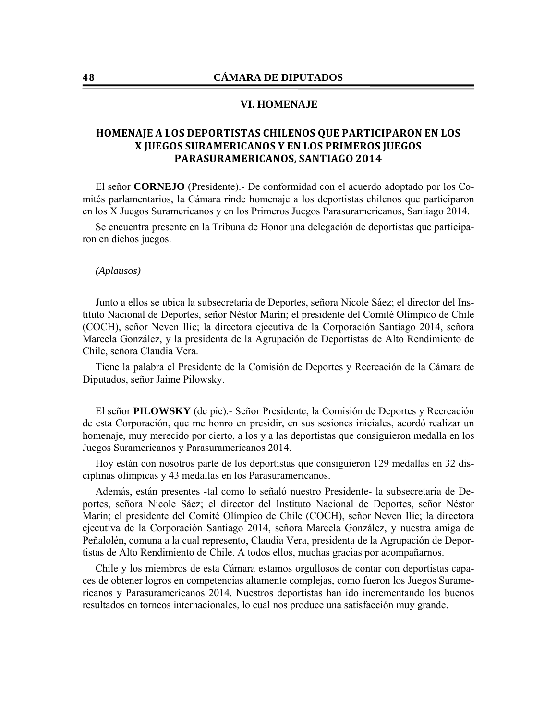#### **VI. HOMENAJE**

## **HOMENAJE A LOS DEPORTISTAS CHILENOS QUE PARTICIPARON EN LOS X JUEGOS SURAMERICANOS Y EN LOS PRIMEROS JUEGOS PARASURAMERICANOS, SANTIAGO 2014**

El señor **CORNEJO** (Presidente).- De conformidad con el acuerdo adoptado por los Comités parlamentarios, la Cámara rinde homenaje a los deportistas chilenos que participaron en los X Juegos Suramericanos y en los Primeros Juegos Parasuramericanos, Santiago 2014.

Se encuentra presente en la Tribuna de Honor una delegación de deportistas que participaron en dichos juegos.

*(Aplausos)* 

Junto a ellos se ubica la subsecretaria de Deportes, señora Nicole Sáez; el director del Instituto Nacional de Deportes, señor Néstor Marín; el presidente del Comité Olímpico de Chile (COCH), señor Neven Ilic; la directora ejecutiva de la Corporación Santiago 2014, señora Marcela González, y la presidenta de la Agrupación de Deportistas de Alto Rendimiento de Chile, señora Claudia Vera.

Tiene la palabra el Presidente de la Comisión de Deportes y Recreación de la Cámara de Diputados, señor Jaime Pilowsky.

El señor **PILOWSKY** (de pie).- Señor Presidente, la Comisión de Deportes y Recreación de esta Corporación, que me honro en presidir, en sus sesiones iniciales, acordó realizar un homenaje, muy merecido por cierto, a los y a las deportistas que consiguieron medalla en los Juegos Suramericanos y Parasuramericanos 2014.

Hoy están con nosotros parte de los deportistas que consiguieron 129 medallas en 32 disciplinas olímpicas y 43 medallas en los Parasuramericanos.

Además, están presentes -tal como lo señaló nuestro Presidente- la subsecretaria de Deportes, señora Nicole Sáez; el director del Instituto Nacional de Deportes, señor Néstor Marín; el presidente del Comité Olímpico de Chile (COCH), señor Neven Ilic; la directora ejecutiva de la Corporación Santiago 2014, señora Marcela González, y nuestra amiga de Peñalolén, comuna a la cual represento, Claudia Vera, presidenta de la Agrupación de Deportistas de Alto Rendimiento de Chile. A todos ellos, muchas gracias por acompañarnos.

Chile y los miembros de esta Cámara estamos orgullosos de contar con deportistas capaces de obtener logros en competencias altamente complejas, como fueron los Juegos Suramericanos y Parasuramericanos 2014. Nuestros deportistas han ido incrementando los buenos resultados en torneos internacionales, lo cual nos produce una satisfacción muy grande.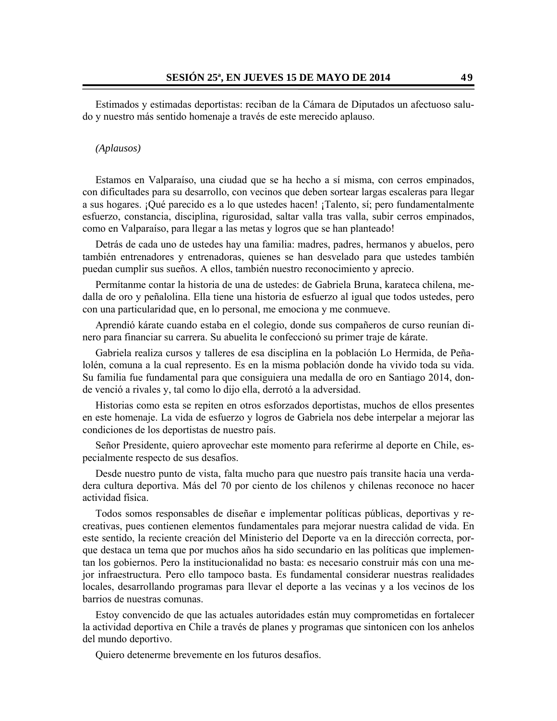Estimados y estimadas deportistas: reciban de la Cámara de Diputados un afectuoso saludo y nuestro más sentido homenaje a través de este merecido aplauso.

#### *(Aplausos)*

Estamos en Valparaíso, una ciudad que se ha hecho a sí misma, con cerros empinados, con dificultades para su desarrollo, con vecinos que deben sortear largas escaleras para llegar a sus hogares. ¡Qué parecido es a lo que ustedes hacen! ¡Talento, sí; pero fundamentalmente esfuerzo, constancia, disciplina, rigurosidad, saltar valla tras valla, subir cerros empinados, como en Valparaíso, para llegar a las metas y logros que se han planteado!

Detrás de cada uno de ustedes hay una familia: madres, padres, hermanos y abuelos, pero también entrenadores y entrenadoras, quienes se han desvelado para que ustedes también puedan cumplir sus sueños. A ellos, también nuestro reconocimiento y aprecio.

Permítanme contar la historia de una de ustedes: de Gabriela Bruna, karateca chilena, medalla de oro y peñalolina. Ella tiene una historia de esfuerzo al igual que todos ustedes, pero con una particularidad que, en lo personal, me emociona y me conmueve.

Aprendió kárate cuando estaba en el colegio, donde sus compañeros de curso reunían dinero para financiar su carrera. Su abuelita le confeccionó su primer traje de kárate.

Gabriela realiza cursos y talleres de esa disciplina en la población Lo Hermida, de Peñalolén, comuna a la cual represento. Es en la misma población donde ha vivido toda su vida. Su familia fue fundamental para que consiguiera una medalla de oro en Santiago 2014, donde venció a rivales y, tal como lo dijo ella, derrotó a la adversidad.

Historias como esta se repiten en otros esforzados deportistas, muchos de ellos presentes en este homenaje. La vida de esfuerzo y logros de Gabriela nos debe interpelar a mejorar las condiciones de los deportistas de nuestro país.

Señor Presidente, quiero aprovechar este momento para referirme al deporte en Chile, especialmente respecto de sus desafíos.

Desde nuestro punto de vista, falta mucho para que nuestro país transite hacia una verdadera cultura deportiva. Más del 70 por ciento de los chilenos y chilenas reconoce no hacer actividad física.

Todos somos responsables de diseñar e implementar políticas públicas, deportivas y recreativas, pues contienen elementos fundamentales para mejorar nuestra calidad de vida. En este sentido, la reciente creación del Ministerio del Deporte va en la dirección correcta, porque destaca un tema que por muchos años ha sido secundario en las políticas que implementan los gobiernos. Pero la institucionalidad no basta: es necesario construir más con una mejor infraestructura. Pero ello tampoco basta. Es fundamental considerar nuestras realidades locales, desarrollando programas para llevar el deporte a las vecinas y a los vecinos de los barrios de nuestras comunas.

Estoy convencido de que las actuales autoridades están muy comprometidas en fortalecer la actividad deportiva en Chile a través de planes y programas que sintonicen con los anhelos del mundo deportivo.

Quiero detenerme brevemente en los futuros desafíos.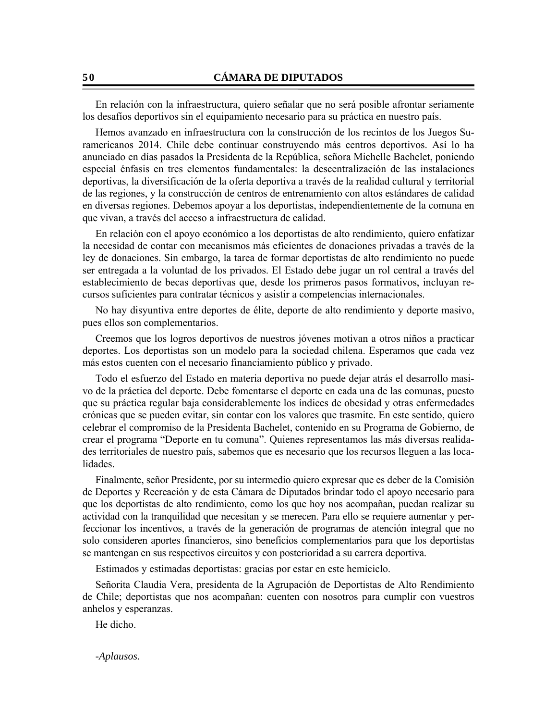En relación con la infraestructura, quiero señalar que no será posible afrontar seriamente los desafíos deportivos sin el equipamiento necesario para su práctica en nuestro país.

Hemos avanzado en infraestructura con la construcción de los recintos de los Juegos Suramericanos 2014. Chile debe continuar construyendo más centros deportivos. Así lo ha anunciado en días pasados la Presidenta de la República, señora Michelle Bachelet, poniendo especial énfasis en tres elementos fundamentales: la descentralización de las instalaciones deportivas, la diversificación de la oferta deportiva a través de la realidad cultural y territorial de las regiones, y la construcción de centros de entrenamiento con altos estándares de calidad en diversas regiones. Debemos apoyar a los deportistas, independientemente de la comuna en que vivan, a través del acceso a infraestructura de calidad.

En relación con el apoyo económico a los deportistas de alto rendimiento, quiero enfatizar la necesidad de contar con mecanismos más eficientes de donaciones privadas a través de la ley de donaciones. Sin embargo, la tarea de formar deportistas de alto rendimiento no puede ser entregada a la voluntad de los privados. El Estado debe jugar un rol central a través del establecimiento de becas deportivas que, desde los primeros pasos formativos, incluyan recursos suficientes para contratar técnicos y asistir a competencias internacionales.

No hay disyuntiva entre deportes de élite, deporte de alto rendimiento y deporte masivo, pues ellos son complementarios.

Creemos que los logros deportivos de nuestros jóvenes motivan a otros niños a practicar deportes. Los deportistas son un modelo para la sociedad chilena. Esperamos que cada vez más estos cuenten con el necesario financiamiento público y privado.

Todo el esfuerzo del Estado en materia deportiva no puede dejar atrás el desarrollo masivo de la práctica del deporte. Debe fomentarse el deporte en cada una de las comunas, puesto que su práctica regular baja considerablemente los índices de obesidad y otras enfermedades crónicas que se pueden evitar, sin contar con los valores que trasmite. En este sentido, quiero celebrar el compromiso de la Presidenta Bachelet, contenido en su Programa de Gobierno, de crear el programa "Deporte en tu comuna". Quienes representamos las más diversas realidades territoriales de nuestro país, sabemos que es necesario que los recursos lleguen a las localidades.

Finalmente, señor Presidente, por su intermedio quiero expresar que es deber de la Comisión de Deportes y Recreación y de esta Cámara de Diputados brindar todo el apoyo necesario para que los deportistas de alto rendimiento, como los que hoy nos acompañan, puedan realizar su actividad con la tranquilidad que necesitan y se merecen. Para ello se requiere aumentar y perfeccionar los incentivos, a través de la generación de programas de atención integral que no solo consideren aportes financieros, sino beneficios complementarios para que los deportistas se mantengan en sus respectivos circuitos y con posterioridad a su carrera deportiva.

Estimados y estimadas deportistas: gracias por estar en este hemiciclo.

Señorita Claudia Vera, presidenta de la Agrupación de Deportistas de Alto Rendimiento de Chile; deportistas que nos acompañan: cuenten con nosotros para cumplir con vuestros anhelos y esperanzas.

He dicho.

*-Aplausos.*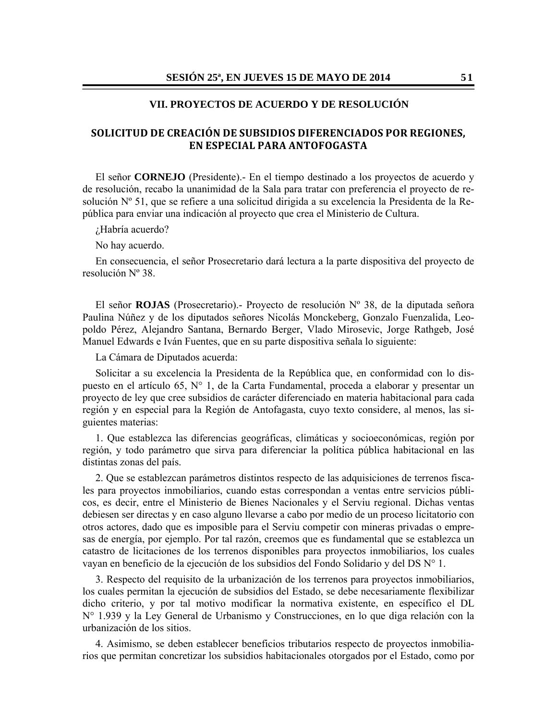#### **VII. PROYECTOS DE ACUERDO Y DE RESOLUCIÓN**

## **SOLICITUD DE CREACIÓN DE SUBSIDIOS DIFERENCIADOS POR REGIONES, EN ESPECIAL PARA ANTOFOGASTA**

El señor **CORNEJO** (Presidente).- En el tiempo destinado a los proyectos de acuerdo y de resolución, recabo la unanimidad de la Sala para tratar con preferencia el proyecto de resolución Nº 51, que se refiere a una solicitud dirigida a su excelencia la Presidenta de la República para enviar una indicación al proyecto que crea el Ministerio de Cultura.

¿Habría acuerdo?

No hay acuerdo.

En consecuencia, el señor Prosecretario dará lectura a la parte dispositiva del proyecto de resolución Nº 38.

El señor **ROJAS** (Prosecretario).- Proyecto de resolución Nº 38, de la diputada señora Paulina Núñez y de los diputados señores Nicolás Monckeberg, Gonzalo Fuenzalida, Leopoldo Pérez, Alejandro Santana, Bernardo Berger, Vlado Mirosevic, Jorge Rathgeb, José Manuel Edwards e Iván Fuentes, que en su parte dispositiva señala lo siguiente:

La Cámara de Diputados acuerda:

Solicitar a su excelencia la Presidenta de la República que, en conformidad con lo dispuesto en el artículo 65, N° 1, de la Carta Fundamental, proceda a elaborar y presentar un proyecto de ley que cree subsidios de carácter diferenciado en materia habitacional para cada región y en especial para la Región de Antofagasta, cuyo texto considere, al menos, las siguientes materias:

1. Que establezca las diferencias geográficas, climáticas y socioeconómicas, región por región, y todo parámetro que sirva para diferenciar la política pública habitacional en las distintas zonas del país.

2. Que se establezcan parámetros distintos respecto de las adquisiciones de terrenos fiscales para proyectos inmobiliarios, cuando estas correspondan a ventas entre servicios públicos, es decir, entre el Ministerio de Bienes Nacionales y el Serviu regional. Dichas ventas debiesen ser directas y en caso alguno llevarse a cabo por medio de un proceso licitatorio con otros actores, dado que es imposible para el Serviu competir con mineras privadas o empresas de energía, por ejemplo. Por tal razón, creemos que es fundamental que se establezca un catastro de licitaciones de los terrenos disponibles para proyectos inmobiliarios, los cuales vayan en beneficio de la ejecución de los subsidios del Fondo Solidario y del DS N° 1.

3. Respecto del requisito de la urbanización de los terrenos para proyectos inmobiliarios, los cuales permitan la ejecución de subsidios del Estado, se debe necesariamente flexibilizar dicho criterio, y por tal motivo modificar la normativa existente, en específico el DL N° 1.939 y la Ley General de Urbanismo y Construcciones, en lo que diga relación con la urbanización de los sitios.

4. Asimismo, se deben establecer beneficios tributarios respecto de proyectos inmobiliarios que permitan concretizar los subsidios habitacionales otorgados por el Estado, como por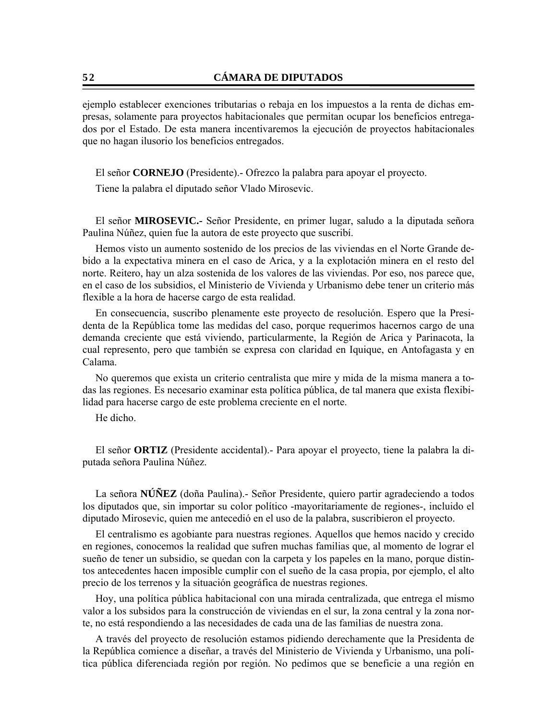ejemplo establecer exenciones tributarias o rebaja en los impuestos a la renta de dichas empresas, solamente para proyectos habitacionales que permitan ocupar los beneficios entregados por el Estado. De esta manera incentivaremos la ejecución de proyectos habitacionales que no hagan ilusorio los beneficios entregados.

El señor **CORNEJO** (Presidente).- Ofrezco la palabra para apoyar el proyecto.

Tiene la palabra el diputado señor Vlado Mirosevic.

El señor **MIROSEVIC.-** Señor Presidente, en primer lugar, saludo a la diputada señora Paulina Núñez, quien fue la autora de este proyecto que suscribí.

Hemos visto un aumento sostenido de los precios de las viviendas en el Norte Grande debido a la expectativa minera en el caso de Arica, y a la explotación minera en el resto del norte. Reitero, hay un alza sostenida de los valores de las viviendas. Por eso, nos parece que, en el caso de los subsidios, el Ministerio de Vivienda y Urbanismo debe tener un criterio más flexible a la hora de hacerse cargo de esta realidad.

En consecuencia, suscribo plenamente este proyecto de resolución. Espero que la Presidenta de la República tome las medidas del caso, porque requerimos hacernos cargo de una demanda creciente que está viviendo, particularmente, la Región de Arica y Parinacota, la cual represento, pero que también se expresa con claridad en Iquique, en Antofagasta y en Calama.

No queremos que exista un criterio centralista que mire y mida de la misma manera a todas las regiones. Es necesario examinar esta política pública, de tal manera que exista flexibilidad para hacerse cargo de este problema creciente en el norte.

He dicho.

El señor **ORTIZ** (Presidente accidental).- Para apoyar el proyecto, tiene la palabra la diputada señora Paulina Núñez.

La señora **NÚÑEZ** (doña Paulina).- Señor Presidente, quiero partir agradeciendo a todos los diputados que, sin importar su color político -mayoritariamente de regiones-, incluido el diputado Mirosevic, quien me antecedió en el uso de la palabra, suscribieron el proyecto.

El centralismo es agobiante para nuestras regiones. Aquellos que hemos nacido y crecido en regiones, conocemos la realidad que sufren muchas familias que, al momento de lograr el sueño de tener un subsidio, se quedan con la carpeta y los papeles en la mano, porque distintos antecedentes hacen imposible cumplir con el sueño de la casa propia, por ejemplo, el alto precio de los terrenos y la situación geográfica de nuestras regiones.

Hoy, una política pública habitacional con una mirada centralizada, que entrega el mismo valor a los subsidos para la construcción de viviendas en el sur, la zona central y la zona norte, no está respondiendo a las necesidades de cada una de las familias de nuestra zona.

A través del proyecto de resolución estamos pidiendo derechamente que la Presidenta de la República comience a diseñar, a través del Ministerio de Vivienda y Urbanismo, una política pública diferenciada región por región. No pedimos que se beneficie a una región en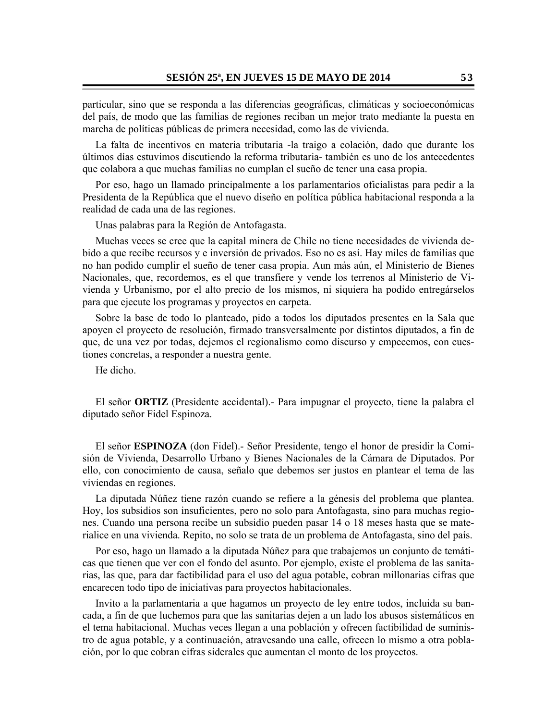particular, sino que se responda a las diferencias geográficas, climáticas y socioeconómicas del país, de modo que las familias de regiones reciban un mejor trato mediante la puesta en marcha de políticas públicas de primera necesidad, como las de vivienda.

La falta de incentivos en materia tributaria -la traigo a colación, dado que durante los últimos días estuvimos discutiendo la reforma tributaria- también es uno de los antecedentes que colabora a que muchas familias no cumplan el sueño de tener una casa propia.

Por eso, hago un llamado principalmente a los parlamentarios oficialistas para pedir a la Presidenta de la República que el nuevo diseño en política pública habitacional responda a la realidad de cada una de las regiones.

Unas palabras para la Región de Antofagasta.

Muchas veces se cree que la capital minera de Chile no tiene necesidades de vivienda debido a que recibe recursos y e inversión de privados. Eso no es así. Hay miles de familias que no han podido cumplir el sueño de tener casa propia. Aun más aún, el Ministerio de Bienes Nacionales, que, recordemos, es el que transfiere y vende los terrenos al Ministerio de Vivienda y Urbanismo, por el alto precio de los mismos, ni siquiera ha podido entregárselos para que ejecute los programas y proyectos en carpeta.

Sobre la base de todo lo planteado, pido a todos los diputados presentes en la Sala que apoyen el proyecto de resolución, firmado transversalmente por distintos diputados, a fin de que, de una vez por todas, dejemos el regionalismo como discurso y empecemos, con cuestiones concretas, a responder a nuestra gente.

He dicho.

El señor **ORTIZ** (Presidente accidental).- Para impugnar el proyecto, tiene la palabra el diputado señor Fidel Espinoza.

El señor **ESPINOZA** (don Fidel).- Señor Presidente, tengo el honor de presidir la Comisión de Vivienda, Desarrollo Urbano y Bienes Nacionales de la Cámara de Diputados. Por ello, con conocimiento de causa, señalo que debemos ser justos en plantear el tema de las viviendas en regiones.

La diputada Núñez tiene razón cuando se refiere a la génesis del problema que plantea. Hoy, los subsidios son insuficientes, pero no solo para Antofagasta, sino para muchas regiones. Cuando una persona recibe un subsidio pueden pasar 14 o 18 meses hasta que se materialice en una vivienda. Repito, no solo se trata de un problema de Antofagasta, sino del país.

Por eso, hago un llamado a la diputada Núñez para que trabajemos un conjunto de temáticas que tienen que ver con el fondo del asunto. Por ejemplo, existe el problema de las sanitarias, las que, para dar factibilidad para el uso del agua potable, cobran millonarias cifras que encarecen todo tipo de iniciativas para proyectos habitacionales.

Invito a la parlamentaria a que hagamos un proyecto de ley entre todos, incluida su bancada, a fin de que luchemos para que las sanitarias dejen a un lado los abusos sistemáticos en el tema habitacional. Muchas veces llegan a una población y ofrecen factibilidad de suministro de agua potable, y a continuación, atravesando una calle, ofrecen lo mismo a otra población, por lo que cobran cifras siderales que aumentan el monto de los proyectos.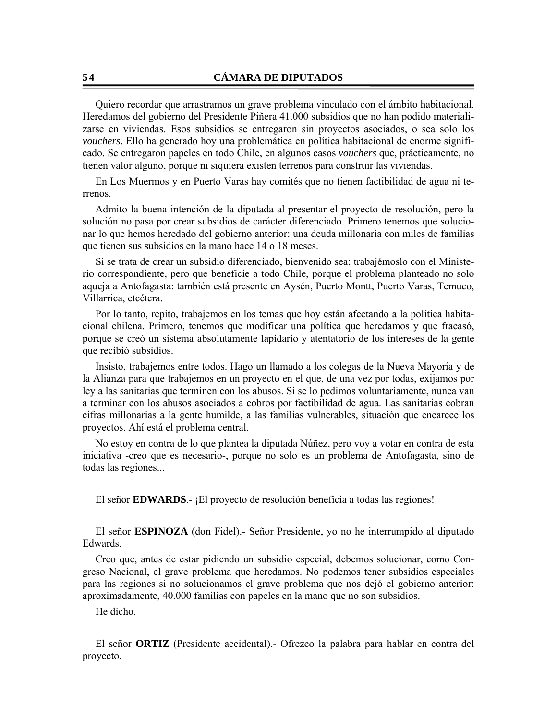Quiero recordar que arrastramos un grave problema vinculado con el ámbito habitacional. Heredamos del gobierno del Presidente Piñera 41.000 subsidios que no han podido materializarse en viviendas. Esos subsidios se entregaron sin proyectos asociados, o sea solo los *vouchers*. Ello ha generado hoy una problemática en política habitacional de enorme significado. Se entregaron papeles en todo Chile, en algunos casos *vouchers* que, prácticamente, no tienen valor alguno, porque ni siquiera existen terrenos para construir las viviendas.

En Los Muermos y en Puerto Varas hay comités que no tienen factibilidad de agua ni terrenos.

Admito la buena intención de la diputada al presentar el proyecto de resolución, pero la solución no pasa por crear subsidios de carácter diferenciado. Primero tenemos que solucionar lo que hemos heredado del gobierno anterior: una deuda millonaria con miles de familias que tienen sus subsidios en la mano hace 14 o 18 meses.

Si se trata de crear un subsidio diferenciado, bienvenido sea; trabajémoslo con el Ministerio correspondiente, pero que beneficie a todo Chile, porque el problema planteado no solo aqueja a Antofagasta: también está presente en Aysén, Puerto Montt, Puerto Varas, Temuco, Villarrica, etcétera.

Por lo tanto, repito, trabajemos en los temas que hoy están afectando a la política habitacional chilena. Primero, tenemos que modificar una política que heredamos y que fracasó, porque se creó un sistema absolutamente lapidario y atentatorio de los intereses de la gente que recibió subsidios.

Insisto, trabajemos entre todos. Hago un llamado a los colegas de la Nueva Mayoría y de la Alianza para que trabajemos en un proyecto en el que, de una vez por todas, exijamos por ley a las sanitarias que terminen con los abusos. Si se lo pedimos voluntariamente, nunca van a terminar con los abusos asociados a cobros por factibilidad de agua. Las sanitarias cobran cifras millonarias a la gente humilde, a las familias vulnerables, situación que encarece los proyectos. Ahí está el problema central.

No estoy en contra de lo que plantea la diputada Núñez, pero voy a votar en contra de esta iniciativa -creo que es necesario-, porque no solo es un problema de Antofagasta, sino de todas las regiones...

El señor **EDWARDS**.- ¡El proyecto de resolución beneficia a todas las regiones!

El señor **ESPINOZA** (don Fidel).- Señor Presidente, yo no he interrumpido al diputado Edwards.

Creo que, antes de estar pidiendo un subsidio especial, debemos solucionar, como Congreso Nacional, el grave problema que heredamos. No podemos tener subsidios especiales para las regiones si no solucionamos el grave problema que nos dejó el gobierno anterior: aproximadamente, 40.000 familias con papeles en la mano que no son subsidios.

He dicho.

El señor **ORTIZ** (Presidente accidental).- Ofrezco la palabra para hablar en contra del proyecto.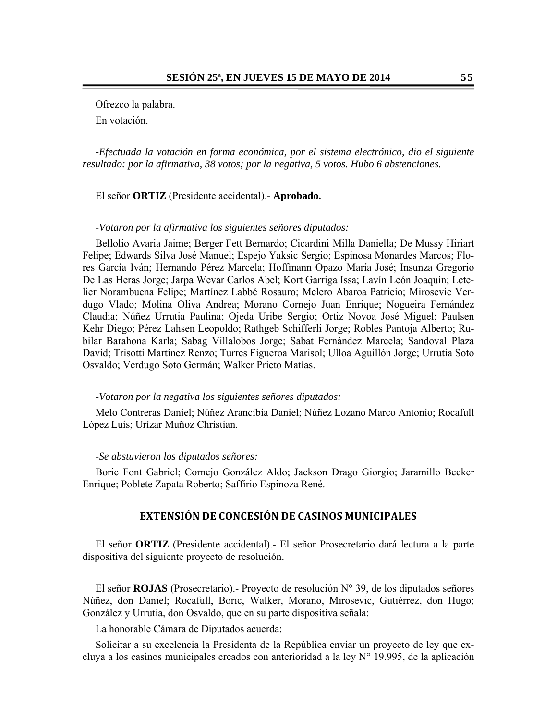Ofrezco la palabra. En votación.

*-Efectuada la votación en forma económica, por el sistema electrónico, dio el siguiente resultado: por la afirmativa, 38 votos; por la negativa, 5 votos. Hubo 6 abstenciones.* 

#### El señor **ORTIZ** (Presidente accidental).- **Aprobado.**

#### *-Votaron por la afirmativa los siguientes señores diputados:*

Bellolio Avaria Jaime; Berger Fett Bernardo; Cicardini Milla Daniella; De Mussy Hiriart Felipe; Edwards Silva José Manuel; Espejo Yaksic Sergio; Espinosa Monardes Marcos; Flores García Iván; Hernando Pérez Marcela; Hoffmann Opazo María José; Insunza Gregorio De Las Heras Jorge; Jarpa Wevar Carlos Abel; Kort Garriga Issa; Lavín León Joaquín; Letelier Norambuena Felipe; Martínez Labbé Rosauro; Melero Abaroa Patricio; Mirosevic Verdugo Vlado; Molina Oliva Andrea; Morano Cornejo Juan Enrique; Nogueira Fernández Claudia; Núñez Urrutia Paulina; Ojeda Uribe Sergio; Ortiz Novoa José Miguel; Paulsen Kehr Diego; Pérez Lahsen Leopoldo; Rathgeb Schifferli Jorge; Robles Pantoja Alberto; Rubilar Barahona Karla; Sabag Villalobos Jorge; Sabat Fernández Marcela; Sandoval Plaza David; Trisotti Martínez Renzo; Turres Figueroa Marisol; Ulloa Aguillón Jorge; Urrutia Soto Osvaldo; Verdugo Soto Germán; Walker Prieto Matías.

#### *-Votaron por la negativa los siguientes señores diputados:*

Melo Contreras Daniel; Núñez Arancibia Daniel; Núñez Lozano Marco Antonio; Rocafull López Luis; Urízar Muñoz Christian.

#### *-Se abstuvieron los diputados señores:*

Boric Font Gabriel; Cornejo González Aldo; Jackson Drago Giorgio; Jaramillo Becker Enrique; Poblete Zapata Roberto; Saffirio Espinoza René.

#### **EXTENSIÓN DE CONCESIÓN DE CASINOS MUNICIPALES**

El señor **ORTIZ** (Presidente accidental).- El señor Prosecretario dará lectura a la parte dispositiva del siguiente proyecto de resolución.

El señor **ROJAS** (Prosecretario).- Proyecto de resolución N° 39, de los diputados señores Núñez, don Daniel; Rocafull, Boric, Walker, Morano, Mirosevic, Gutiérrez, don Hugo; González y Urrutia, don Osvaldo, que en su parte dispositiva señala:

La honorable Cámara de Diputados acuerda:

Solicitar a su excelencia la Presidenta de la República enviar un proyecto de ley que excluya a los casinos municipales creados con anterioridad a la ley N° 19.995, de la aplicación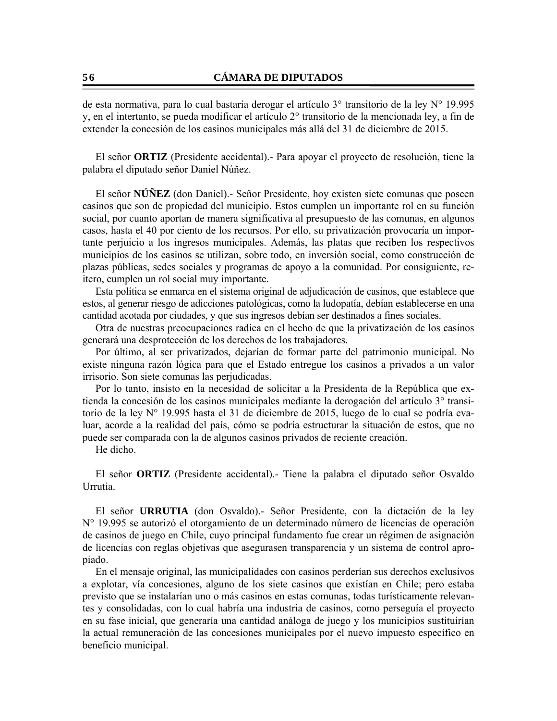de esta normativa, para lo cual bastaría derogar el artículo 3° transitorio de la ley N° 19.995 y, en el intertanto, se pueda modificar el artículo 2° transitorio de la mencionada ley, a fin de extender la concesión de los casinos municipales más allá del 31 de diciembre de 2015.

El señor **ORTIZ** (Presidente accidental).- Para apoyar el proyecto de resolución, tiene la palabra el diputado señor Daniel Núñez.

El señor **NÚÑEZ** (don Daniel).- Señor Presidente, hoy existen siete comunas que poseen casinos que son de propiedad del municipio. Estos cumplen un importante rol en su función social, por cuanto aportan de manera significativa al presupuesto de las comunas, en algunos casos, hasta el 40 por ciento de los recursos. Por ello, su privatización provocaría un importante perjuicio a los ingresos municipales. Además, las platas que reciben los respectivos municipios de los casinos se utilizan, sobre todo, en inversión social, como construcción de plazas públicas, sedes sociales y programas de apoyo a la comunidad. Por consiguiente, reitero, cumplen un rol social muy importante.

Esta política se enmarca en el sistema original de adjudicación de casinos, que establece que estos, al generar riesgo de adicciones patológicas, como la ludopatía, debían establecerse en una cantidad acotada por ciudades, y que sus ingresos debían ser destinados a fines sociales.

Otra de nuestras preocupaciones radica en el hecho de que la privatización de los casinos generará una desprotección de los derechos de los trabajadores.

Por último, al ser privatizados, dejarían de formar parte del patrimonio municipal. No existe ninguna razón lógica para que el Estado entregue los casinos a privados a un valor irrisorio. Son siete comunas las perjudicadas.

Por lo tanto, insisto en la necesidad de solicitar a la Presidenta de la República que extienda la concesión de los casinos municipales mediante la derogación del artículo 3° transitorio de la ley N° 19.995 hasta el 31 de diciembre de 2015, luego de lo cual se podría evaluar, acorde a la realidad del país, cómo se podría estructurar la situación de estos, que no puede ser comparada con la de algunos casinos privados de reciente creación.

He dicho.

El señor **ORTIZ** (Presidente accidental).- Tiene la palabra el diputado señor Osvaldo Urrutia.

El señor **URRUTIA** (don Osvaldo).- Señor Presidente, con la dictación de la ley N° 19.995 se autorizó el otorgamiento de un determinado número de licencias de operación de casinos de juego en Chile, cuyo principal fundamento fue crear un régimen de asignación de licencias con reglas objetivas que asegurasen transparencia y un sistema de control apropiado.

En el mensaje original, las municipalidades con casinos perderían sus derechos exclusivos a explotar, vía concesiones, alguno de los siete casinos que existían en Chile; pero estaba previsto que se instalarían uno o más casinos en estas comunas, todas turísticamente relevantes y consolidadas, con lo cual habría una industria de casinos, como perseguía el proyecto en su fase inicial, que generaría una cantidad análoga de juego y los municipios sustituirían la actual remuneración de las concesiones municipales por el nuevo impuesto específico en beneficio municipal.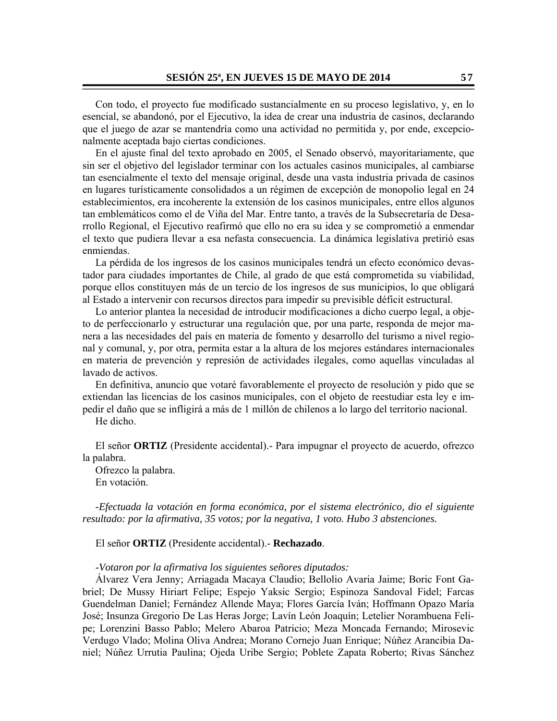Con todo, el proyecto fue modificado sustancialmente en su proceso legislativo, y, en lo esencial, se abandonó, por el Ejecutivo, la idea de crear una industria de casinos, declarando que el juego de azar se mantendría como una actividad no permitida y, por ende, excepcionalmente aceptada bajo ciertas condiciones.

En el ajuste final del texto aprobado en 2005, el Senado observó, mayoritariamente, que sin ser el objetivo del legislador terminar con los actuales casinos municipales, al cambiarse tan esencialmente el texto del mensaje original, desde una vasta industria privada de casinos en lugares turísticamente consolidados a un régimen de excepción de monopolio legal en 24 establecimientos, era incoherente la extensión de los casinos municipales, entre ellos algunos tan emblemáticos como el de Viña del Mar. Entre tanto, a través de la Subsecretaría de Desarrollo Regional, el Ejecutivo reafirmó que ello no era su idea y se comprometió a enmendar el texto que pudiera llevar a esa nefasta consecuencia. La dinámica legislativa pretirió esas enmiendas.

La pérdida de los ingresos de los casinos municipales tendrá un efecto económico devastador para ciudades importantes de Chile, al grado de que está comprometida su viabilidad, porque ellos constituyen más de un tercio de los ingresos de sus municipios, lo que obligará al Estado a intervenir con recursos directos para impedir su previsible déficit estructural.

Lo anterior plantea la necesidad de introducir modificaciones a dicho cuerpo legal, a objeto de perfeccionarlo y estructurar una regulación que, por una parte, responda de mejor manera a las necesidades del país en materia de fomento y desarrollo del turismo a nivel regional y comunal, y, por otra, permita estar a la altura de los mejores estándares internacionales en materia de prevención y represión de actividades ilegales, como aquellas vinculadas al lavado de activos.

En definitiva, anuncio que votaré favorablemente el proyecto de resolución y pido que se extiendan las licencias de los casinos municipales, con el objeto de reestudiar esta ley e impedir el daño que se infligirá a más de 1 millón de chilenos a lo largo del territorio nacional.

He dicho.

El señor **ORTIZ** (Presidente accidental).- Para impugnar el proyecto de acuerdo, ofrezco la palabra.

Ofrezco la palabra. En votación.

*-Efectuada la votación en forma económica, por el sistema electrónico, dio el siguiente resultado: por la afirmativa, 35 votos; por la negativa, 1 voto. Hubo 3 abstenciones.* 

El señor **ORTIZ** (Presidente accidental).- **Rechazado**.

*-Votaron por la afirmativa los siguientes señores diputados:* 

Álvarez Vera Jenny; Arriagada Macaya Claudio; Bellolio Avaria Jaime; Boric Font Gabriel; De Mussy Hiriart Felipe; Espejo Yaksic Sergio; Espinoza Sandoval Fidel; Farcas Guendelman Daniel; Fernández Allende Maya; Flores García Iván; Hoffmann Opazo María José; Insunza Gregorio De Las Heras Jorge; Lavín León Joaquín; Letelier Norambuena Felipe; Lorenzini Basso Pablo; Melero Abaroa Patricio; Meza Moncada Fernando; Mirosevic Verdugo Vlado; Molina Oliva Andrea; Morano Cornejo Juan Enrique; Núñez Arancibia Daniel; Núñez Urrutia Paulina; Ojeda Uribe Sergio; Poblete Zapata Roberto; Rivas Sánchez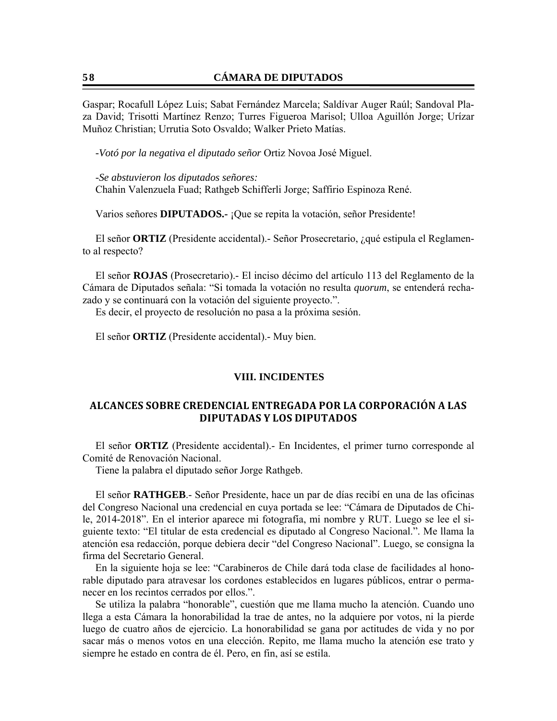Gaspar; Rocafull López Luis; Sabat Fernández Marcela; Saldívar Auger Raúl; Sandoval Plaza David; Trisotti Martínez Renzo; Turres Figueroa Marisol; Ulloa Aguillón Jorge; Urízar Muñoz Christian; Urrutia Soto Osvaldo; Walker Prieto Matías.

*-Votó por la negativa el diputado señor* Ortiz Novoa José Miguel.

*-Se abstuvieron los diputados señores:* Chahin Valenzuela Fuad; Rathgeb Schifferli Jorge; Saffirio Espinoza René.

Varios señores **DIPUTADOS.-** ¡Que se repita la votación, señor Presidente!

El señor **ORTIZ** (Presidente accidental).- Señor Prosecretario, ¿qué estipula el Reglamento al respecto?

El señor **ROJAS** (Prosecretario).- El inciso décimo del artículo 113 del Reglamento de la Cámara de Diputados señala: "Si tomada la votación no resulta *quorum*, se entenderá rechazado y se continuará con la votación del siguiente proyecto.".

Es decir, el proyecto de resolución no pasa a la próxima sesión.

El señor **ORTIZ** (Presidente accidental).- Muy bien.

#### **VIII. INCIDENTES**

## **ALCANCES SOBRE CREDENCIAL ENTREGADA POR LA CORPORACIÓN A LAS DIPUTADAS Y LOS DIPUTADOS**

El señor **ORTIZ** (Presidente accidental).- En Incidentes, el primer turno corresponde al Comité de Renovación Nacional.

Tiene la palabra el diputado señor Jorge Rathgeb.

El señor **RATHGEB**.- Señor Presidente, hace un par de días recibí en una de las oficinas del Congreso Nacional una credencial en cuya portada se lee: "Cámara de Diputados de Chile, 2014-2018". En el interior aparece mi fotografía, mi nombre y RUT. Luego se lee el siguiente texto: "El titular de esta credencial es diputado al Congreso Nacional.". Me llama la atención esa redacción, porque debiera decir "del Congreso Nacional". Luego, se consigna la firma del Secretario General.

En la siguiente hoja se lee: "Carabineros de Chile dará toda clase de facilidades al honorable diputado para atravesar los cordones establecidos en lugares públicos, entrar o permanecer en los recintos cerrados por ellos.".

Se utiliza la palabra "honorable", cuestión que me llama mucho la atención. Cuando uno llega a esta Cámara la honorabilidad la trae de antes, no la adquiere por votos, ni la pierde luego de cuatro años de ejercicio. La honorabilidad se gana por actitudes de vida y no por sacar más o menos votos en una elección. Repito, me llama mucho la atención ese trato y siempre he estado en contra de él. Pero, en fin, así se estila.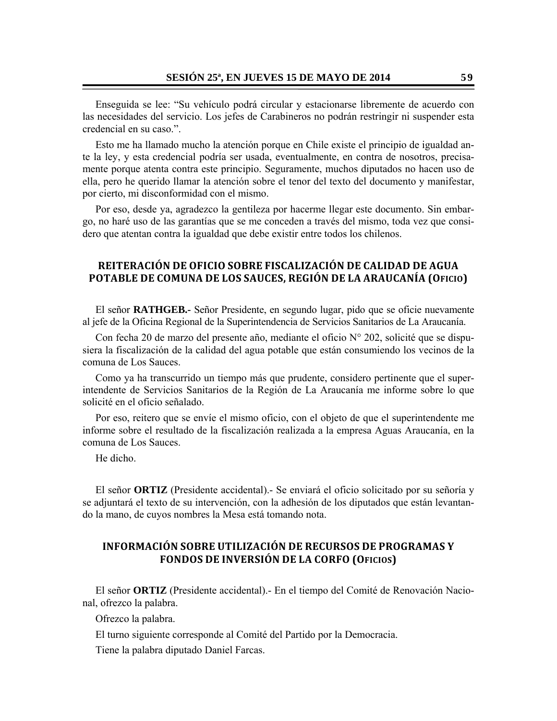Enseguida se lee: "Su vehículo podrá circular y estacionarse libremente de acuerdo con las necesidades del servicio. Los jefes de Carabineros no podrán restringir ni suspender esta credencial en su caso.".

Esto me ha llamado mucho la atención porque en Chile existe el principio de igualdad ante la ley, y esta credencial podría ser usada, eventualmente, en contra de nosotros, precisamente porque atenta contra este principio. Seguramente, muchos diputados no hacen uso de ella, pero he querido llamar la atención sobre el tenor del texto del documento y manifestar, por cierto, mi disconformidad con el mismo.

Por eso, desde ya, agradezco la gentileza por hacerme llegar este documento. Sin embargo, no haré uso de las garantías que se me conceden a través del mismo, toda vez que considero que atentan contra la igualdad que debe existir entre todos los chilenos.

## **REITERACIÓN DE OFICIO SOBRE FISCALIZACIÓN DE CALIDAD DE AGUA POTABLE DE COMUNA DE LOS SAUCES, REGIÓN DE LA ARAUCANÍA (OFICIO)**

El señor **RATHGEB.-** Señor Presidente, en segundo lugar, pido que se oficie nuevamente al jefe de la Oficina Regional de la Superintendencia de Servicios Sanitarios de La Araucanía.

Con fecha 20 de marzo del presente año, mediante el oficio N° 202, solicité que se dispusiera la fiscalización de la calidad del agua potable que están consumiendo los vecinos de la comuna de Los Sauces.

Como ya ha transcurrido un tiempo más que prudente, considero pertinente que el superintendente de Servicios Sanitarios de la Región de La Araucanía me informe sobre lo que solicité en el oficio señalado.

Por eso, reitero que se envíe el mismo oficio, con el objeto de que el superintendente me informe sobre el resultado de la fiscalización realizada a la empresa Aguas Araucanía, en la comuna de Los Sauces.

He dicho.

El señor **ORTIZ** (Presidente accidental).- Se enviará el oficio solicitado por su señoría y se adjuntará el texto de su intervención, con la adhesión de los diputados que están levantando la mano, de cuyos nombres la Mesa está tomando nota.

## **INFORMACIÓN SOBRE UTILIZACIÓN DE RECURSOS DE PROGRAMAS Y FONDOS DE INVERSIÓN DE LA CORFO (OFICIOS)**

El señor **ORTIZ** (Presidente accidental).- En el tiempo del Comité de Renovación Nacional, ofrezco la palabra.

Ofrezco la palabra.

El turno siguiente corresponde al Comité del Partido por la Democracia.

Tiene la palabra diputado Daniel Farcas.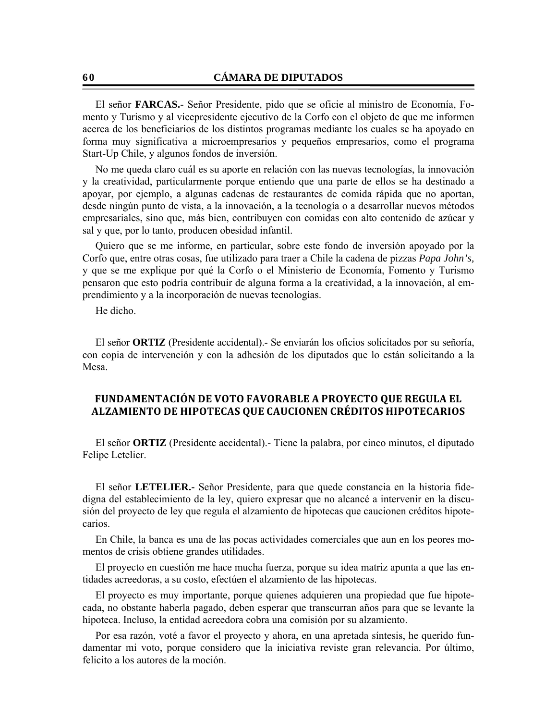El señor **FARCAS.-** Señor Presidente, pido que se oficie al ministro de Economía, Fomento y Turismo y al vicepresidente ejecutivo de la Corfo con el objeto de que me informen acerca de los beneficiarios de los distintos programas mediante los cuales se ha apoyado en forma muy significativa a microempresarios y pequeños empresarios, como el programa Start-Up Chile, y algunos fondos de inversión.

No me queda claro cuál es su aporte en relación con las nuevas tecnologías, la innovación y la creatividad, particularmente porque entiendo que una parte de ellos se ha destinado a apoyar, por ejemplo, a algunas cadenas de restaurantes de comida rápida que no aportan, desde ningún punto de vista, a la innovación, a la tecnología o a desarrollar nuevos métodos empresariales, sino que, más bien, contribuyen con comidas con alto contenido de azúcar y sal y que, por lo tanto, producen obesidad infantil.

Quiero que se me informe, en particular, sobre este fondo de inversión apoyado por la Corfo que, entre otras cosas, fue utilizado para traer a Chile la cadena de pizzas *Papa John's,* y que se me explique por qué la Corfo o el Ministerio de Economía, Fomento y Turismo pensaron que esto podría contribuir de alguna forma a la creatividad, a la innovación, al emprendimiento y a la incorporación de nuevas tecnologías.

He dicho.

El señor **ORTIZ** (Presidente accidental).- Se enviarán los oficios solicitados por su señoría, con copia de intervención y con la adhesión de los diputados que lo están solicitando a la Mesa.

### **FUNDAMENTACIÓN DE VOTO FAVORABLE A PROYECTO QUE REGULA EL ALZAMIENTO DE HIPOTECAS QUE CAUCIONEN CRÉDITOS HIPOTECARIOS**

El señor **ORTIZ** (Presidente accidental).- Tiene la palabra, por cinco minutos, el diputado Felipe Letelier.

El señor **LETELIER.-** Señor Presidente, para que quede constancia en la historia fidedigna del establecimiento de la ley, quiero expresar que no alcancé a intervenir en la discusión del proyecto de ley que regula el alzamiento de hipotecas que caucionen créditos hipotecarios.

En Chile, la banca es una de las pocas actividades comerciales que aun en los peores momentos de crisis obtiene grandes utilidades.

El proyecto en cuestión me hace mucha fuerza, porque su idea matriz apunta a que las entidades acreedoras, a su costo, efectúen el alzamiento de las hipotecas.

El proyecto es muy importante, porque quienes adquieren una propiedad que fue hipotecada, no obstante haberla pagado, deben esperar que transcurran años para que se levante la hipoteca. Incluso, la entidad acreedora cobra una comisión por su alzamiento.

Por esa razón, voté a favor el proyecto y ahora, en una apretada síntesis, he querido fundamentar mi voto, porque considero que la iniciativa reviste gran relevancia. Por último, felicito a los autores de la moción.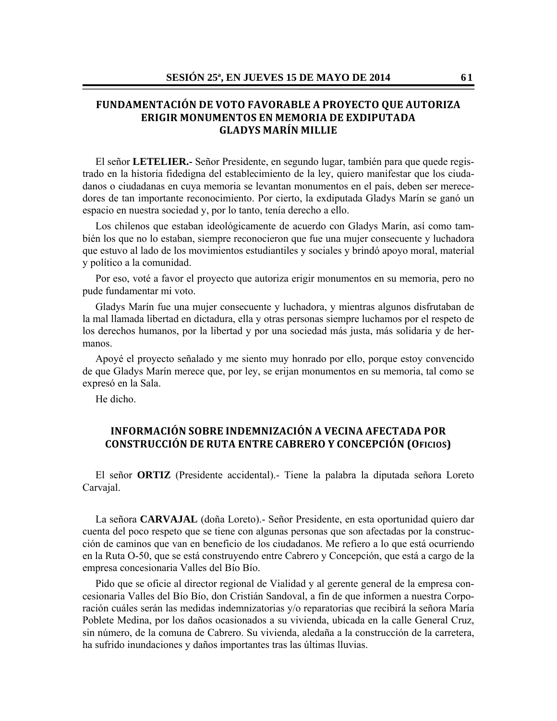## **FUNDAMENTACIÓN DE VOTO FAVORABLE A PROYECTO QUE AUTORIZA ERIGIR MONUMENTOS EN MEMORIA DE EXDIPUTADA GLADYS MARÍN MILLIE**

El señor **LETELIER.-** Señor Presidente, en segundo lugar, también para que quede registrado en la historia fidedigna del establecimiento de la ley, quiero manifestar que los ciudadanos o ciudadanas en cuya memoria se levantan monumentos en el país, deben ser merecedores de tan importante reconocimiento. Por cierto, la exdiputada Gladys Marín se ganó un espacio en nuestra sociedad y, por lo tanto, tenía derecho a ello.

Los chilenos que estaban ideológicamente de acuerdo con Gladys Marín, así como también los que no lo estaban, siempre reconocieron que fue una mujer consecuente y luchadora que estuvo al lado de los movimientos estudiantiles y sociales y brindó apoyo moral, material y político a la comunidad.

Por eso, voté a favor el proyecto que autoriza erigir monumentos en su memoria, pero no pude fundamentar mi voto.

Gladys Marín fue una mujer consecuente y luchadora, y mientras algunos disfrutaban de la mal llamada libertad en dictadura, ella y otras personas siempre luchamos por el respeto de los derechos humanos, por la libertad y por una sociedad más justa, más solidaria y de hermanos.

Apoyé el proyecto señalado y me siento muy honrado por ello, porque estoy convencido de que Gladys Marín merece que, por ley, se erijan monumentos en su memoria, tal como se expresó en la Sala.

He dicho.

# **INFORMACIÓN SOBRE INDEMNIZACIÓN A VECINA AFECTADA POR CONSTRUCCIÓN DE RUTA ENTRE CABRERO Y CONCEPCIÓN (OFICIOS)**

El señor **ORTIZ** (Presidente accidental).- Tiene la palabra la diputada señora Loreto Carvajal.

La señora **CARVAJAL** (doña Loreto).- Señor Presidente, en esta oportunidad quiero dar cuenta del poco respeto que se tiene con algunas personas que son afectadas por la construcción de caminos que van en beneficio de los ciudadanos. Me refiero a lo que está ocurriendo en la Ruta O-50, que se está construyendo entre Cabrero y Concepción, que está a cargo de la empresa concesionaria Valles del Bío Bío.

Pido que se oficie al director regional de Vialidad y al gerente general de la empresa concesionaria Valles del Bío Bío, don Cristián Sandoval, a fin de que informen a nuestra Corporación cuáles serán las medidas indemnizatorias y/o reparatorias que recibirá la señora María Poblete Medina, por los daños ocasionados a su vivienda, ubicada en la calle General Cruz, sin número, de la comuna de Cabrero. Su vivienda, aledaña a la construcción de la carretera, ha sufrido inundaciones y daños importantes tras las últimas lluvias.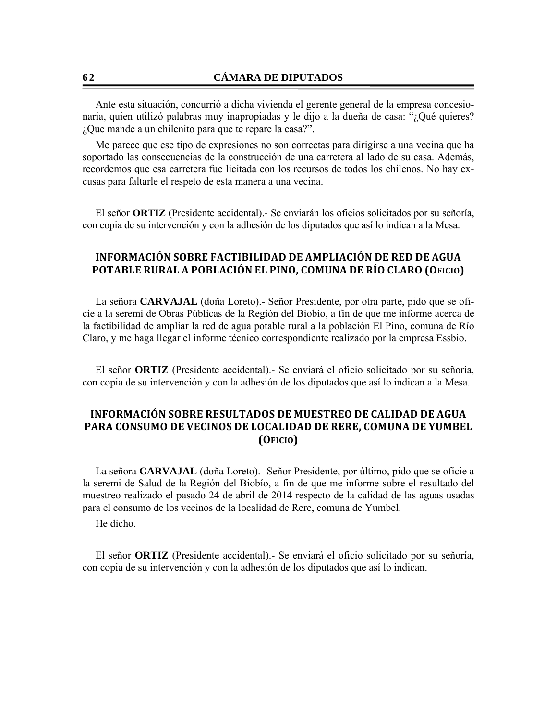Ante esta situación, concurrió a dicha vivienda el gerente general de la empresa concesionaria, quien utilizó palabras muy inapropiadas y le dijo a la dueña de casa: "¿Qué quieres? ¿Que mande a un chilenito para que te repare la casa?".

Me parece que ese tipo de expresiones no son correctas para dirigirse a una vecina que ha soportado las consecuencias de la construcción de una carretera al lado de su casa. Además, recordemos que esa carretera fue licitada con los recursos de todos los chilenos. No hay excusas para faltarle el respeto de esta manera a una vecina.

El señor **ORTIZ** (Presidente accidental).- Se enviarán los oficios solicitados por su señoría, con copia de su intervención y con la adhesión de los diputados que así lo indican a la Mesa.

# **INFORMACIÓN SOBRE FACTIBILIDAD DE AMPLIACIÓN DE RED DE AGUA POTABLE RURAL A POBLACIÓN EL PINO, COMUNA DE RÍO CLARO (OFICIO)**

La señora **CARVAJAL** (doña Loreto).- Señor Presidente, por otra parte, pido que se oficie a la seremi de Obras Públicas de la Región del Biobío, a fin de que me informe acerca de la factibilidad de ampliar la red de agua potable rural a la población El Pino, comuna de Río Claro, y me haga llegar el informe técnico correspondiente realizado por la empresa Essbio.

El señor **ORTIZ** (Presidente accidental).- Se enviará el oficio solicitado por su señoría, con copia de su intervención y con la adhesión de los diputados que así lo indican a la Mesa.

### **INFORMACIÓN SOBRE RESULTADOS DE MUESTREO DE CALIDAD DE AGUA PARA CONSUMO DE VECINOS DE LOCALIDAD DE RERE, COMUNA DE YUMBEL (OFICIO)**

La señora **CARVAJAL** (doña Loreto).- Señor Presidente, por último, pido que se oficie a la seremi de Salud de la Región del Biobío, a fin de que me informe sobre el resultado del muestreo realizado el pasado 24 de abril de 2014 respecto de la calidad de las aguas usadas para el consumo de los vecinos de la localidad de Rere, comuna de Yumbel.

He dicho.

El señor **ORTIZ** (Presidente accidental).- Se enviará el oficio solicitado por su señoría, con copia de su intervención y con la adhesión de los diputados que así lo indican.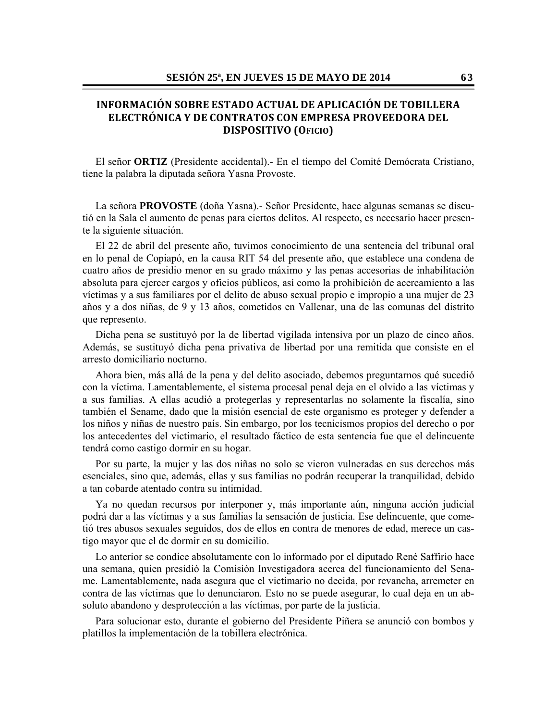## **INFORMACIÓN SOBRE ESTADO ACTUAL DE APLICACIÓN DE TOBILLERA ELECTRÓNICA Y DE CONTRATOS CON EMPRESA PROVEEDORA DEL DISPOSITIVO (OFICIO)**

El señor **ORTIZ** (Presidente accidental).- En el tiempo del Comité Demócrata Cristiano, tiene la palabra la diputada señora Yasna Provoste.

La señora **PROVOSTE** (doña Yasna).- Señor Presidente, hace algunas semanas se discutió en la Sala el aumento de penas para ciertos delitos. Al respecto, es necesario hacer presente la siguiente situación.

El 22 de abril del presente año, tuvimos conocimiento de una sentencia del tribunal oral en lo penal de Copiapó, en la causa RIT 54 del presente año, que establece una condena de cuatro años de presidio menor en su grado máximo y las penas accesorias de inhabilitación absoluta para ejercer cargos y oficios públicos, así como la prohibición de acercamiento a las víctimas y a sus familiares por el delito de abuso sexual propio e impropio a una mujer de 23 años y a dos niñas, de 9 y 13 años, cometidos en Vallenar, una de las comunas del distrito que represento.

Dicha pena se sustituyó por la de libertad vigilada intensiva por un plazo de cinco años. Además, se sustituyó dicha pena privativa de libertad por una remitida que consiste en el arresto domiciliario nocturno.

Ahora bien, más allá de la pena y del delito asociado, debemos preguntarnos qué sucedió con la víctima. Lamentablemente, el sistema procesal penal deja en el olvido a las víctimas y a sus familias. A ellas acudió a protegerlas y representarlas no solamente la fiscalía, sino también el Sename, dado que la misión esencial de este organismo es proteger y defender a los niños y niñas de nuestro país. Sin embargo, por los tecnicismos propios del derecho o por los antecedentes del victimario, el resultado fáctico de esta sentencia fue que el delincuente tendrá como castigo dormir en su hogar.

Por su parte, la mujer y las dos niñas no solo se vieron vulneradas en sus derechos más esenciales, sino que, además, ellas y sus familias no podrán recuperar la tranquilidad, debido a tan cobarde atentado contra su intimidad.

Ya no quedan recursos por interponer y, más importante aún, ninguna acción judicial podrá dar a las víctimas y a sus familias la sensación de justicia. Ese delincuente, que cometió tres abusos sexuales seguidos, dos de ellos en contra de menores de edad, merece un castigo mayor que el de dormir en su domicilio.

Lo anterior se condice absolutamente con lo informado por el diputado René Saffirio hace una semana, quien presidió la Comisión Investigadora acerca del funcionamiento del Sename. Lamentablemente, nada asegura que el victimario no decida, por revancha, arremeter en contra de las víctimas que lo denunciaron. Esto no se puede asegurar, lo cual deja en un absoluto abandono y desprotección a las víctimas, por parte de la justicia.

Para solucionar esto, durante el gobierno del Presidente Piñera se anunció con bombos y platillos la implementación de la tobillera electrónica.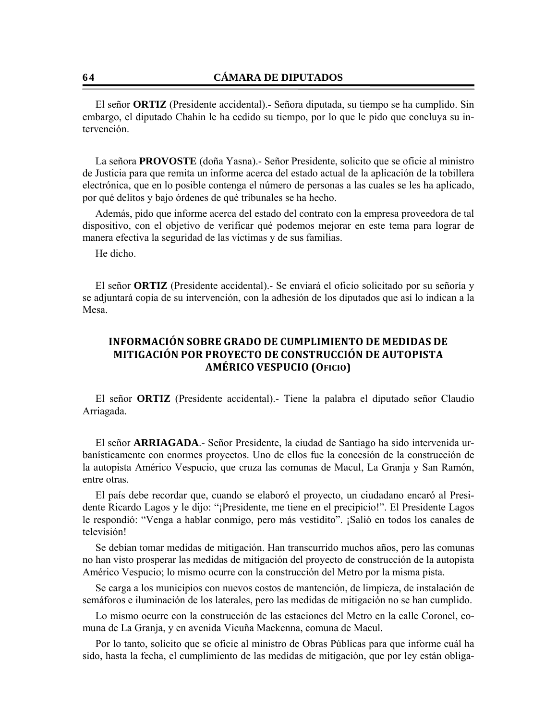El señor **ORTIZ** (Presidente accidental).- Señora diputada, su tiempo se ha cumplido. Sin embargo, el diputado Chahin le ha cedido su tiempo, por lo que le pido que concluya su intervención.

La señora **PROVOSTE** (doña Yasna).- Señor Presidente, solicito que se oficie al ministro de Justicia para que remita un informe acerca del estado actual de la aplicación de la tobillera electrónica, que en lo posible contenga el número de personas a las cuales se les ha aplicado, por qué delitos y bajo órdenes de qué tribunales se ha hecho.

Además, pido que informe acerca del estado del contrato con la empresa proveedora de tal dispositivo, con el objetivo de verificar qué podemos mejorar en este tema para lograr de manera efectiva la seguridad de las víctimas y de sus familias.

He dicho.

El señor **ORTIZ** (Presidente accidental).- Se enviará el oficio solicitado por su señoría y se adjuntará copia de su intervención, con la adhesión de los diputados que así lo indican a la Mesa.

## **INFORMACIÓN SOBRE GRADO DE CUMPLIMIENTO DE MEDIDAS DE MITIGACIÓN POR PROYECTO DE CONSTRUCCIÓN DE AUTOPISTA AMÉRICO VESPUCIO (OFICIO)**

El señor **ORTIZ** (Presidente accidental).- Tiene la palabra el diputado señor Claudio Arriagada.

El señor **ARRIAGADA**.- Señor Presidente, la ciudad de Santiago ha sido intervenida urbanísticamente con enormes proyectos. Uno de ellos fue la concesión de la construcción de la autopista Américo Vespucio, que cruza las comunas de Macul, La Granja y San Ramón, entre otras.

El país debe recordar que, cuando se elaboró el proyecto, un ciudadano encaró al Presidente Ricardo Lagos y le dijo: "¡Presidente, me tiene en el precipicio!". El Presidente Lagos le respondió: "Venga a hablar conmigo, pero más vestidito". ¡Salió en todos los canales de televisión!

Se debían tomar medidas de mitigación. Han transcurrido muchos años, pero las comunas no han visto prosperar las medidas de mitigación del proyecto de construcción de la autopista Américo Vespucio; lo mismo ocurre con la construcción del Metro por la misma pista.

Se carga a los municipios con nuevos costos de mantención, de limpieza, de instalación de semáforos e iluminación de los laterales, pero las medidas de mitigación no se han cumplido.

Lo mismo ocurre con la construcción de las estaciones del Metro en la calle Coronel, comuna de La Granja, y en avenida Vicuña Mackenna, comuna de Macul.

Por lo tanto, solicito que se oficie al ministro de Obras Públicas para que informe cuál ha sido, hasta la fecha, el cumplimiento de las medidas de mitigación, que por ley están obliga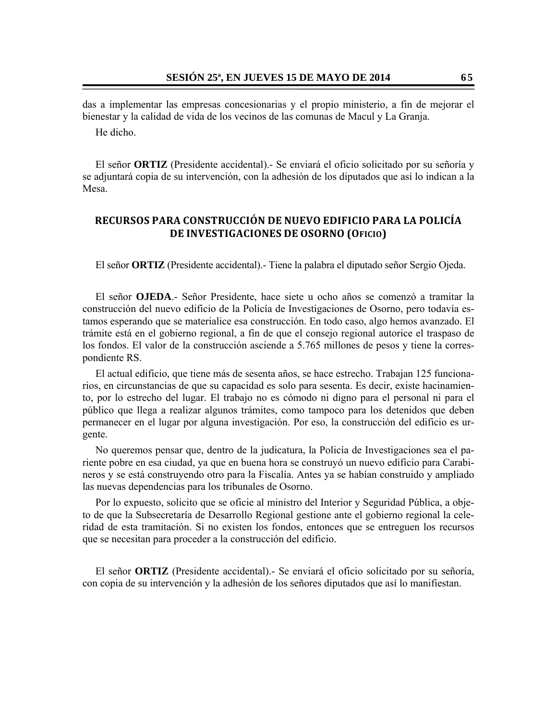das a implementar las empresas concesionarias y el propio ministerio, a fin de mejorar el bienestar y la calidad de vida de los vecinos de las comunas de Macul y La Granja.

He dicho.

El señor **ORTIZ** (Presidente accidental).- Se enviará el oficio solicitado por su señoría y se adjuntará copia de su intervención, con la adhesión de los diputados que así lo indican a la Mesa.

## **RECURSOS PARA CONSTRUCCIÓN DE NUEVO EDIFICIO PARA LA POLICÍA DE INVESTIGACIONES DE OSORNO (OFICIO)**

El señor **ORTIZ** (Presidente accidental).- Tiene la palabra el diputado señor Sergio Ojeda.

El señor **OJEDA**.- Señor Presidente, hace siete u ocho años se comenzó a tramitar la construcción del nuevo edificio de la Policía de Investigaciones de Osorno, pero todavía estamos esperando que se materialice esa construcción. En todo caso, algo hemos avanzado. El trámite está en el gobierno regional, a fin de que el consejo regional autorice el traspaso de los fondos. El valor de la construcción asciende a 5.765 millones de pesos y tiene la correspondiente RS.

El actual edificio, que tiene más de sesenta años, se hace estrecho. Trabajan 125 funcionarios, en circunstancias de que su capacidad es solo para sesenta. Es decir, existe hacinamiento, por lo estrecho del lugar. El trabajo no es cómodo ni digno para el personal ni para el público que llega a realizar algunos trámites, como tampoco para los detenidos que deben permanecer en el lugar por alguna investigación. Por eso, la construcción del edificio es urgente.

No queremos pensar que, dentro de la judicatura, la Policía de Investigaciones sea el pariente pobre en esa ciudad, ya que en buena hora se construyó un nuevo edificio para Carabineros y se está construyendo otro para la Fiscalía. Antes ya se habían construido y ampliado las nuevas dependencias para los tribunales de Osorno.

Por lo expuesto, solicito que se oficie al ministro del Interior y Seguridad Pública, a objeto de que la Subsecretaría de Desarrollo Regional gestione ante el gobierno regional la celeridad de esta tramitación. Si no existen los fondos, entonces que se entreguen los recursos que se necesitan para proceder a la construcción del edificio.

El señor **ORTIZ** (Presidente accidental).- Se enviará el oficio solicitado por su señoría, con copia de su intervención y la adhesión de los señores diputados que así lo manifiestan.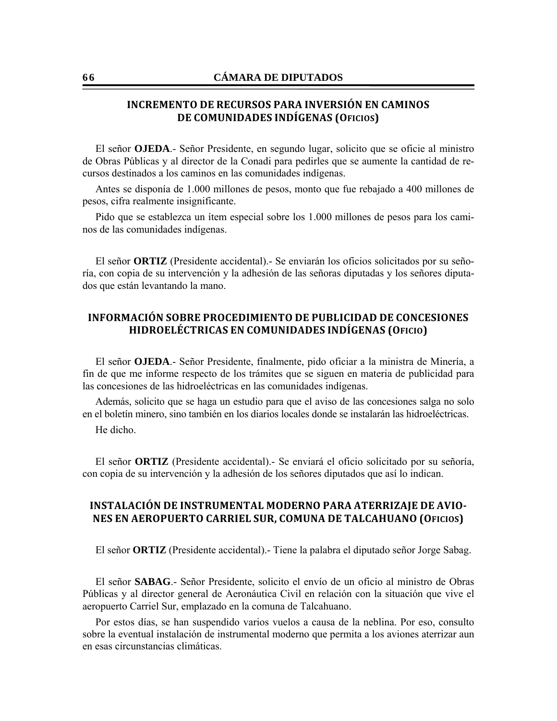# **INCREMENTO DE RECURSOS PARA INVERSIÓN EN CAMINOS DE COMUNIDADES INDÍGENAS (OFICIOS)**

El señor **OJEDA**.- Señor Presidente, en segundo lugar, solicito que se oficie al ministro de Obras Públicas y al director de la Conadi para pedirles que se aumente la cantidad de recursos destinados a los caminos en las comunidades indígenas.

Antes se disponía de 1.000 millones de pesos, monto que fue rebajado a 400 millones de pesos, cifra realmente insignificante.

Pido que se establezca un ítem especial sobre los 1.000 millones de pesos para los caminos de las comunidades indígenas.

El señor **ORTIZ** (Presidente accidental).- Se enviarán los oficios solicitados por su señoría, con copia de su intervención y la adhesión de las señoras diputadas y los señores diputados que están levantando la mano.

## **INFORMACIÓN SOBRE PROCEDIMIENTO DE PUBLICIDAD DE CONCESIONES HIDROELÉCTRICAS EN COMUNIDADES INDÍGENAS (OFICIO)**

El señor **OJEDA**.- Señor Presidente, finalmente, pido oficiar a la ministra de Minería, a fin de que me informe respecto de los trámites que se siguen en materia de publicidad para las concesiones de las hidroeléctricas en las comunidades indígenas.

Además, solicito que se haga un estudio para que el aviso de las concesiones salga no solo en el boletín minero, sino también en los diarios locales donde se instalarán las hidroeléctricas.

He dicho.

El señor **ORTIZ** (Presidente accidental).- Se enviará el oficio solicitado por su señoría, con copia de su intervención y la adhesión de los señores diputados que así lo indican.

## **INSTALACIÓN DE INSTRUMENTAL MODERNO PARA ATERRIZAJE DE AVIO‐ NES EN AEROPUERTO CARRIEL SUR, COMUNA DE TALCAHUANO (OFICIOS)**

El señor **ORTIZ** (Presidente accidental).- Tiene la palabra el diputado señor Jorge Sabag.

El señor **SABAG**.- Señor Presidente, solicito el envío de un oficio al ministro de Obras Públicas y al director general de Aeronáutica Civil en relación con la situación que vive el aeropuerto Carriel Sur, emplazado en la comuna de Talcahuano.

Por estos días, se han suspendido varios vuelos a causa de la neblina. Por eso, consulto sobre la eventual instalación de instrumental moderno que permita a los aviones aterrizar aun en esas circunstancias climáticas.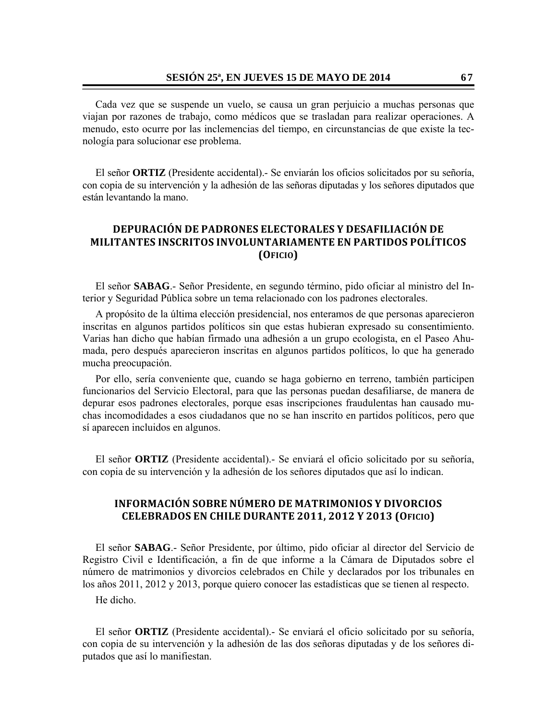Cada vez que se suspende un vuelo, se causa un gran perjuicio a muchas personas que viajan por razones de trabajo, como médicos que se trasladan para realizar operaciones. A menudo, esto ocurre por las inclemencias del tiempo, en circunstancias de que existe la tecnología para solucionar ese problema.

El señor **ORTIZ** (Presidente accidental).- Se enviarán los oficios solicitados por su señoría, con copia de su intervención y la adhesión de las señoras diputadas y los señores diputados que están levantando la mano.

# **DEPURACIÓN DE PADRONES ELECTORALES Y DESAFILIACIÓN DE MILITANTES INSCRITOS INVOLUNTARIAMENTE EN PARTIDOS POLÍTICOS (OFICIO)**

El señor **SABAG**.- Señor Presidente, en segundo término, pido oficiar al ministro del Interior y Seguridad Pública sobre un tema relacionado con los padrones electorales.

A propósito de la última elección presidencial, nos enteramos de que personas aparecieron inscritas en algunos partidos políticos sin que estas hubieran expresado su consentimiento. Varias han dicho que habían firmado una adhesión a un grupo ecologista, en el Paseo Ahumada, pero después aparecieron inscritas en algunos partidos políticos, lo que ha generado mucha preocupación.

Por ello, sería conveniente que, cuando se haga gobierno en terreno, también participen funcionarios del Servicio Electoral, para que las personas puedan desafiliarse, de manera de depurar esos padrones electorales, porque esas inscripciones fraudulentas han causado muchas incomodidades a esos ciudadanos que no se han inscrito en partidos políticos, pero que sí aparecen incluidos en algunos.

El señor **ORTIZ** (Presidente accidental).- Se enviará el oficio solicitado por su señoría, con copia de su intervención y la adhesión de los señores diputados que así lo indican.

## **INFORMACIÓN SOBRE NÚMERO DE MATRIMONIOS Y DIVORCIOS CELEBRADOS EN CHILE DURANTE 2011, 2012 Y 2013 (OFICIO)**

El señor **SABAG**.- Señor Presidente, por último, pido oficiar al director del Servicio de Registro Civil e Identificación, a fin de que informe a la Cámara de Diputados sobre el número de matrimonios y divorcios celebrados en Chile y declarados por los tribunales en los años 2011, 2012 y 2013, porque quiero conocer las estadísticas que se tienen al respecto.

He dicho.

El señor **ORTIZ** (Presidente accidental).- Se enviará el oficio solicitado por su señoría, con copia de su intervención y la adhesión de las dos señoras diputadas y de los señores diputados que así lo manifiestan.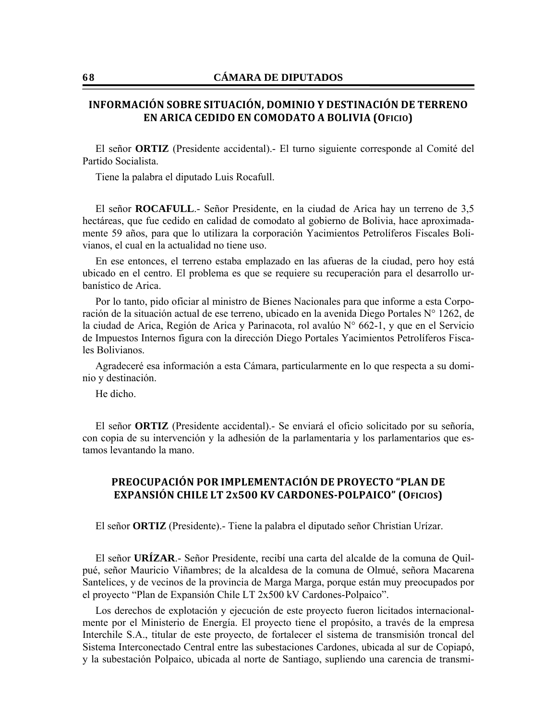# **INFORMACIÓN SOBRE SITUACIÓN, DOMINIO Y DESTINACIÓN DE TERRENO EN ARICA CEDIDO EN COMODATO A BOLIVIA (OFICIO)**

El señor **ORTIZ** (Presidente accidental).- El turno siguiente corresponde al Comité del Partido Socialista.

Tiene la palabra el diputado Luis Rocafull.

El señor **ROCAFULL**.- Señor Presidente, en la ciudad de Arica hay un terreno de 3,5 hectáreas, que fue cedido en calidad de comodato al gobierno de Bolivia, hace aproximadamente 59 años, para que lo utilizara la corporación Yacimientos Petrolíferos Fiscales Bolivianos, el cual en la actualidad no tiene uso.

En ese entonces, el terreno estaba emplazado en las afueras de la ciudad, pero hoy está ubicado en el centro. El problema es que se requiere su recuperación para el desarrollo urbanístico de Arica.

Por lo tanto, pido oficiar al ministro de Bienes Nacionales para que informe a esta Corporación de la situación actual de ese terreno, ubicado en la avenida Diego Portales N° 1262, de la ciudad de Arica, Región de Arica y Parinacota, rol avalúo N° 662-1, y que en el Servicio de Impuestos Internos figura con la dirección Diego Portales Yacimientos Petrolíferos Fiscales Bolivianos.

Agradeceré esa información a esta Cámara, particularmente en lo que respecta a su dominio y destinación.

He dicho.

El señor **ORTIZ** (Presidente accidental).- Se enviará el oficio solicitado por su señoría, con copia de su intervención y la adhesión de la parlamentaria y los parlamentarios que estamos levantando la mano.

### **PREOCUPACIÓN POR IMPLEMENTACIÓN DE PROYECTO "PLAN DE EXPANSIÓN CHILE LT 2X500 KV CARDONES‐POLPAICO" (OFICIOS)**

El señor **ORTIZ** (Presidente).- Tiene la palabra el diputado señor Christian Urízar.

El señor **URÍZAR**.- Señor Presidente, recibí una carta del alcalde de la comuna de Quilpué, señor Mauricio Viñambres; de la alcaldesa de la comuna de Olmué, señora Macarena Santelices, y de vecinos de la provincia de Marga Marga, porque están muy preocupados por el proyecto "Plan de Expansión Chile LT 2x500 kV Cardones-Polpaico".

Los derechos de explotación y ejecución de este proyecto fueron licitados internacionalmente por el Ministerio de Energía. El proyecto tiene el propósito, a través de la empresa Interchile S.A., titular de este proyecto, de fortalecer el sistema de transmisión troncal del Sistema Interconectado Central entre las subestaciones Cardones, ubicada al sur de Copiapó, y la subestación Polpaico, ubicada al norte de Santiago, supliendo una carencia de transmi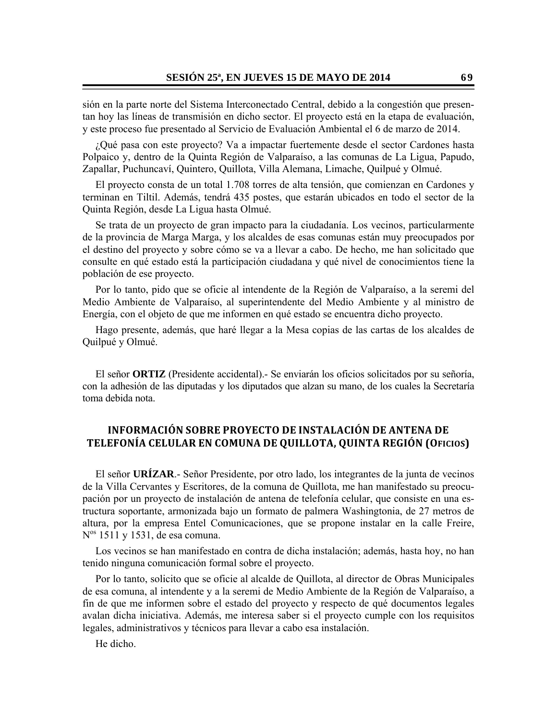sión en la parte norte del Sistema Interconectado Central, debido a la congestión que presentan hoy las líneas de transmisión en dicho sector. El proyecto está en la etapa de evaluación, y este proceso fue presentado al Servicio de Evaluación Ambiental el 6 de marzo de 2014.

¿Qué pasa con este proyecto? Va a impactar fuertemente desde el sector Cardones hasta Polpaico y, dentro de la Quinta Región de Valparaíso, a las comunas de La Ligua, Papudo, Zapallar, Puchuncaví, Quintero, Quillota, Villa Alemana, Limache, Quilpué y Olmué.

El proyecto consta de un total 1.708 torres de alta tensión, que comienzan en Cardones y terminan en Tiltil. Además, tendrá 435 postes, que estarán ubicados en todo el sector de la Quinta Región, desde La Ligua hasta Olmué.

Se trata de un proyecto de gran impacto para la ciudadanía. Los vecinos, particularmente de la provincia de Marga Marga, y los alcaldes de esas comunas están muy preocupados por el destino del proyecto y sobre cómo se va a llevar a cabo. De hecho, me han solicitado que consulte en qué estado está la participación ciudadana y qué nivel de conocimientos tiene la población de ese proyecto.

Por lo tanto, pido que se oficie al intendente de la Región de Valparaíso, a la seremi del Medio Ambiente de Valparaíso, al superintendente del Medio Ambiente y al ministro de Energía, con el objeto de que me informen en qué estado se encuentra dicho proyecto.

Hago presente, además, que haré llegar a la Mesa copias de las cartas de los alcaldes de Quilpué y Olmué.

El señor **ORTIZ** (Presidente accidental).- Se enviarán los oficios solicitados por su señoría, con la adhesión de las diputadas y los diputados que alzan su mano, de los cuales la Secretaría toma debida nota.

## **INFORMACIÓN SOBRE PROYECTO DE INSTALACIÓN DE ANTENA DE TELEFONÍA CELULAR EN COMUNA DE QUILLOTA, QUINTA REGIÓN (OFICIOS)**

El señor **URÍZAR**.- Señor Presidente, por otro lado, los integrantes de la junta de vecinos de la Villa Cervantes y Escritores, de la comuna de Quillota, me han manifestado su preocupación por un proyecto de instalación de antena de telefonía celular, que consiste en una estructura soportante, armonizada bajo un formato de palmera Washingtonia, de 27 metros de altura, por la empresa Entel Comunicaciones, que se propone instalar en la calle Freire, Nos 1511 y 1531, de esa comuna.

Los vecinos se han manifestado en contra de dicha instalación; además, hasta hoy, no han tenido ninguna comunicación formal sobre el proyecto.

Por lo tanto, solicito que se oficie al alcalde de Quillota, al director de Obras Municipales de esa comuna, al intendente y a la seremi de Medio Ambiente de la Región de Valparaíso, a fin de que me informen sobre el estado del proyecto y respecto de qué documentos legales avalan dicha iniciativa. Además, me interesa saber si el proyecto cumple con los requisitos legales, administrativos y técnicos para llevar a cabo esa instalación.

He dicho.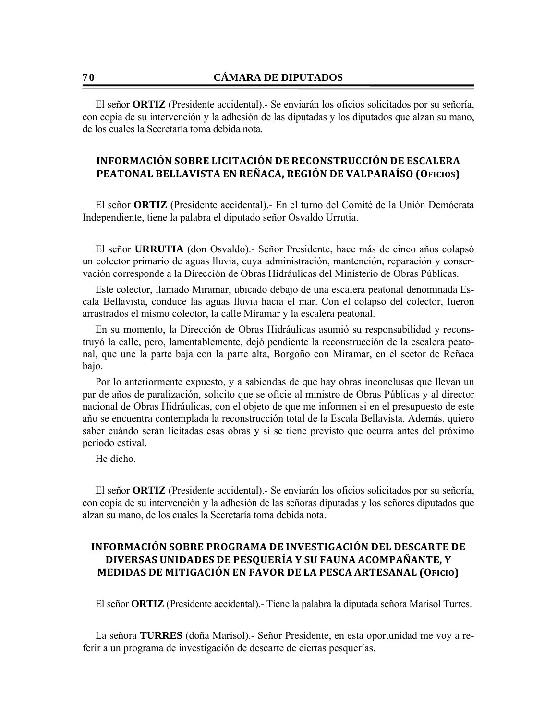El señor **ORTIZ** (Presidente accidental).- Se enviarán los oficios solicitados por su señoría, con copia de su intervención y la adhesión de las diputadas y los diputados que alzan su mano, de los cuales la Secretaría toma debida nota.

# **INFORMACIÓN SOBRE LICITACIÓN DE RECONSTRUCCIÓN DE ESCALERA PEATONAL BELLAVISTA EN REÑACA, REGIÓN DE VALPARAÍSO (OFICIOS)**

El señor **ORTIZ** (Presidente accidental).- En el turno del Comité de la Unión Demócrata Independiente, tiene la palabra el diputado señor Osvaldo Urrutia.

El señor **URRUTIA** (don Osvaldo).- Señor Presidente, hace más de cinco años colapsó un colector primario de aguas lluvia, cuya administración, mantención, reparación y conservación corresponde a la Dirección de Obras Hidráulicas del Ministerio de Obras Públicas.

Este colector, llamado Miramar, ubicado debajo de una escalera peatonal denominada Escala Bellavista, conduce las aguas lluvia hacia el mar. Con el colapso del colector, fueron arrastrados el mismo colector, la calle Miramar y la escalera peatonal.

En su momento, la Dirección de Obras Hidráulicas asumió su responsabilidad y reconstruyó la calle, pero, lamentablemente, dejó pendiente la reconstrucción de la escalera peatonal, que une la parte baja con la parte alta, Borgoño con Miramar, en el sector de Reñaca bajo.

Por lo anteriormente expuesto, y a sabiendas de que hay obras inconclusas que llevan un par de años de paralización, solicito que se oficie al ministro de Obras Públicas y al director nacional de Obras Hidráulicas, con el objeto de que me informen si en el presupuesto de este año se encuentra contemplada la reconstrucción total de la Escala Bellavista. Además, quiero saber cuándo serán licitadas esas obras y si se tiene previsto que ocurra antes del próximo período estival.

He dicho.

El señor **ORTIZ** (Presidente accidental).- Se enviarán los oficios solicitados por su señoría, con copia de su intervención y la adhesión de las señoras diputadas y los señores diputados que alzan su mano, de los cuales la Secretaría toma debida nota.

## **INFORMACIÓN SOBRE PROGRAMA DE INVESTIGACIÓN DEL DESCARTE DE DIVERSAS UNIDADES DE PESQUERÍA Y SU FAUNA ACOMPAÑANTE, Y MEDIDAS DE MITIGACIÓN EN FAVOR DE LA PESCA ARTESANAL (OFICIO)**

El señor **ORTIZ** (Presidente accidental).- Tiene la palabra la diputada señora Marisol Turres.

La señora **TURRES** (doña Marisol).- Señor Presidente, en esta oportunidad me voy a referir a un programa de investigación de descarte de ciertas pesquerías.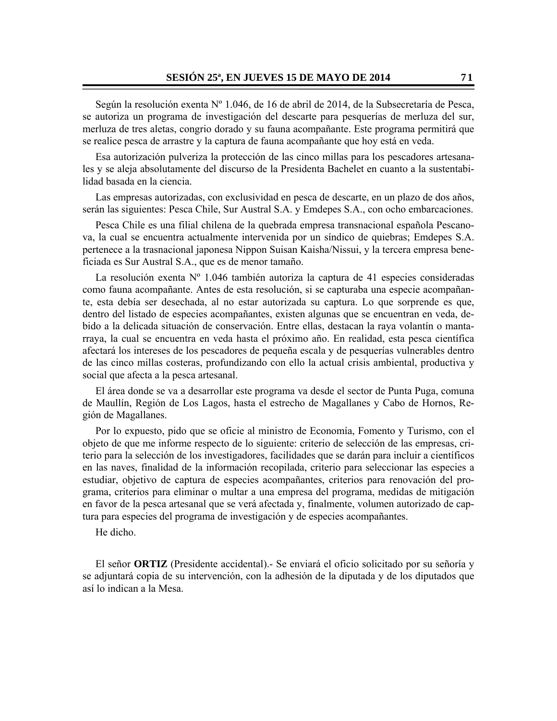Según la resolución exenta Nº 1.046, de 16 de abril de 2014, de la Subsecretaría de Pesca, se autoriza un programa de investigación del descarte para pesquerías de merluza del sur, merluza de tres aletas, congrio dorado y su fauna acompañante. Este programa permitirá que se realice pesca de arrastre y la captura de fauna acompañante que hoy está en veda.

Esa autorización pulveriza la protección de las cinco millas para los pescadores artesanales y se aleja absolutamente del discurso de la Presidenta Bachelet en cuanto a la sustentabilidad basada en la ciencia.

Las empresas autorizadas, con exclusividad en pesca de descarte, en un plazo de dos años, serán las siguientes: Pesca Chile, Sur Austral S.A. y Emdepes S.A., con ocho embarcaciones.

Pesca Chile es una filial chilena de la quebrada empresa transnacional española Pescanova, la cual se encuentra actualmente intervenida por un síndico de quiebras; Emdepes S.A. pertenece a la trasnacional japonesa Nippon Suisan Kaisha/Nissui, y la tercera empresa beneficiada es Sur Austral S.A., que es de menor tamaño.

La resolución exenta Nº 1.046 también autoriza la captura de 41 especies consideradas como fauna acompañante. Antes de esta resolución, si se capturaba una especie acompañante, esta debía ser desechada, al no estar autorizada su captura. Lo que sorprende es que, dentro del listado de especies acompañantes, existen algunas que se encuentran en veda, debido a la delicada situación de conservación. Entre ellas, destacan la raya volantín o mantarraya, la cual se encuentra en veda hasta el próximo año. En realidad, esta pesca científica afectará los intereses de los pescadores de pequeña escala y de pesquerías vulnerables dentro de las cinco millas costeras, profundizando con ello la actual crisis ambiental, productiva y social que afecta a la pesca artesanal.

El área donde se va a desarrollar este programa va desde el sector de Punta Puga, comuna de Maullín, Región de Los Lagos, hasta el estrecho de Magallanes y Cabo de Hornos, Región de Magallanes.

Por lo expuesto, pido que se oficie al ministro de Economía, Fomento y Turismo, con el objeto de que me informe respecto de lo siguiente: criterio de selección de las empresas, criterio para la selección de los investigadores, facilidades que se darán para incluir a científicos en las naves, finalidad de la información recopilada, criterio para seleccionar las especies a estudiar, objetivo de captura de especies acompañantes, criterios para renovación del programa, criterios para eliminar o multar a una empresa del programa, medidas de mitigación en favor de la pesca artesanal que se verá afectada y, finalmente, volumen autorizado de captura para especies del programa de investigación y de especies acompañantes.

He dicho.

El señor **ORTIZ** (Presidente accidental).- Se enviará el oficio solicitado por su señoría y se adjuntará copia de su intervención, con la adhesión de la diputada y de los diputados que así lo indican a la Mesa.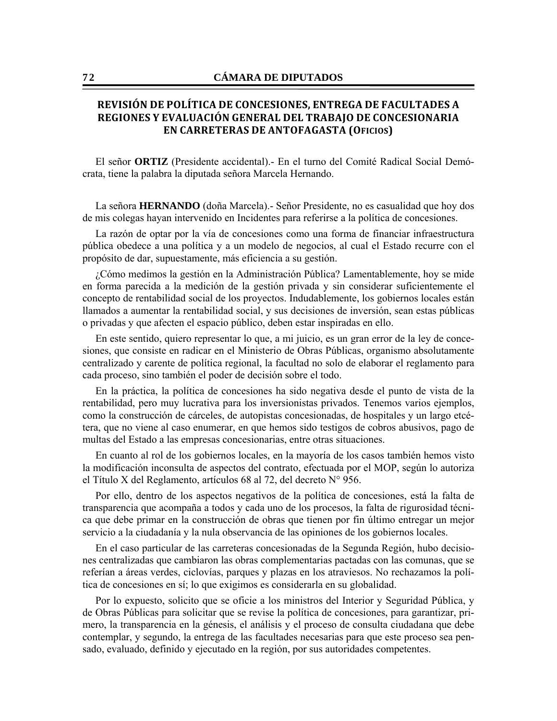# **REVISIÓN DE POLÍTICA DE CONCESIONES, ENTREGA DE FACULTADES A REGIONES Y EVALUACIÓN GENERAL DEL TRABAJO DE CONCESIONARIA EN CARRETERAS DE ANTOFAGASTA (OFICIOS)**

El señor **ORTIZ** (Presidente accidental).- En el turno del Comité Radical Social Demócrata, tiene la palabra la diputada señora Marcela Hernando.

La señora **HERNANDO** (doña Marcela).- Señor Presidente, no es casualidad que hoy dos de mis colegas hayan intervenido en Incidentes para referirse a la política de concesiones.

La razón de optar por la vía de concesiones como una forma de financiar infraestructura pública obedece a una política y a un modelo de negocios, al cual el Estado recurre con el propósito de dar, supuestamente, más eficiencia a su gestión.

¿Cómo medimos la gestión en la Administración Pública? Lamentablemente, hoy se mide en forma parecida a la medición de la gestión privada y sin considerar suficientemente el concepto de rentabilidad social de los proyectos. Indudablemente, los gobiernos locales están llamados a aumentar la rentabilidad social, y sus decisiones de inversión, sean estas públicas o privadas y que afecten el espacio público, deben estar inspiradas en ello.

En este sentido, quiero representar lo que, a mi juicio, es un gran error de la ley de concesiones, que consiste en radicar en el Ministerio de Obras Públicas, organismo absolutamente centralizado y carente de política regional, la facultad no solo de elaborar el reglamento para cada proceso, sino también el poder de decisión sobre el todo.

En la práctica, la política de concesiones ha sido negativa desde el punto de vista de la rentabilidad, pero muy lucrativa para los inversionistas privados. Tenemos varios ejemplos, como la construcción de cárceles, de autopistas concesionadas, de hospitales y un largo etcétera, que no viene al caso enumerar, en que hemos sido testigos de cobros abusivos, pago de multas del Estado a las empresas concesionarias, entre otras situaciones.

En cuanto al rol de los gobiernos locales, en la mayoría de los casos también hemos visto la modificación inconsulta de aspectos del contrato, efectuada por el MOP, según lo autoriza el Título X del Reglamento, artículos 68 al 72, del decreto N° 956.

Por ello, dentro de los aspectos negativos de la política de concesiones, está la falta de transparencia que acompaña a todos y cada uno de los procesos, la falta de rigurosidad técnica que debe primar en la construcción de obras que tienen por fin último entregar un mejor servicio a la ciudadanía y la nula observancia de las opiniones de los gobiernos locales.

En el caso particular de las carreteras concesionadas de la Segunda Región, hubo decisiones centralizadas que cambiaron las obras complementarias pactadas con las comunas, que se referían a áreas verdes, ciclovías, parques y plazas en los atraviesos. No rechazamos la política de concesiones en sí; lo que exigimos es considerarla en su globalidad.

Por lo expuesto, solicito que se oficie a los ministros del Interior y Seguridad Pública, y de Obras Públicas para solicitar que se revise la política de concesiones, para garantizar, primero, la transparencia en la génesis, el análisis y el proceso de consulta ciudadana que debe contemplar, y segundo, la entrega de las facultades necesarias para que este proceso sea pensado, evaluado, definido y ejecutado en la región, por sus autoridades competentes.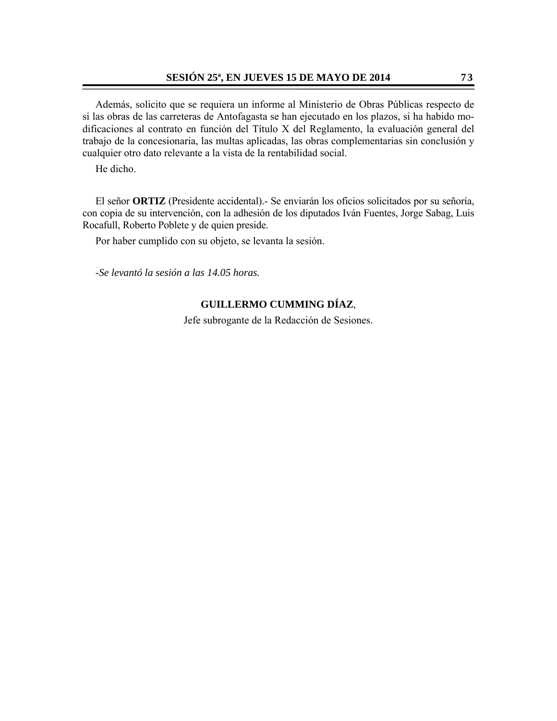Además, solicito que se requiera un informe al Ministerio de Obras Públicas respecto de si las obras de las carreteras de Antofagasta se han ejecutado en los plazos, si ha habido modificaciones al contrato en función del Título X del Reglamento, la evaluación general del trabajo de la concesionaria, las multas aplicadas, las obras complementarias sin conclusión y cualquier otro dato relevante a la vista de la rentabilidad social.

He dicho.

El señor **ORTIZ** (Presidente accidental).- Se enviarán los oficios solicitados por su señoría, con copia de su intervención, con la adhesión de los diputados Iván Fuentes, Jorge Sabag, Luis Rocafull, Roberto Poblete y de quien preside.

Por haber cumplido con su objeto, se levanta la sesión.

*-Se levantó la sesión a las 14.05 horas.* 

# **GUILLERMO CUMMING DÍAZ**,

Jefe subrogante de la Redacción de Sesiones.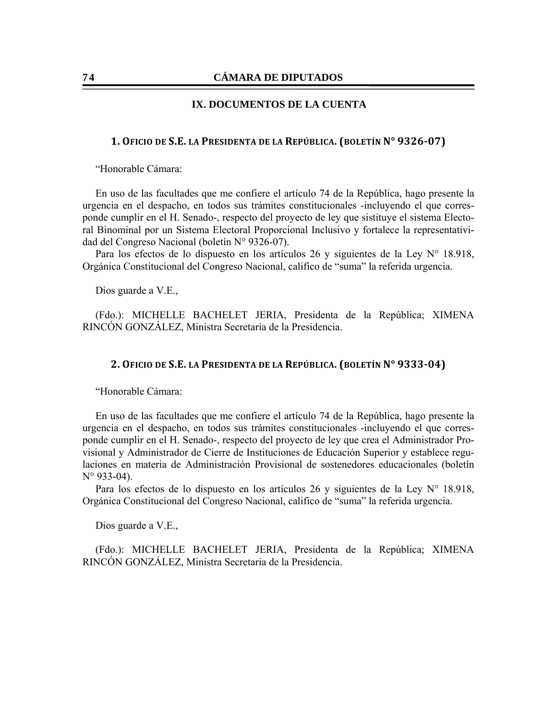### **IX. DOCUMENTOS DE LA CUENTA**

## **1. OFICIO DE S.E. LA PRESIDENTA DE LA REPÚBLICA. (BOLETÍN N° 9326‐07)**

"Honorable Cámara:

 En uso de las facultades que me confiere el artículo 74 de la República, hago presente la urgencia en el despacho, en todos sus trámites constitucionales -incluyendo el que corresponde cumplir en el H. Senado-, respecto del proyecto de ley que sistituye el sistema Electoral Binominal por un Sistema Electoral Proporcional Inclusivo y fortalece la representatividad del Congreso Nacional (boletín N° 9326-07).

 Para los efectos de lo dispuesto en los artículos 26 y siguientes de la Ley N° 18.918, Orgánica Constitucional del Congreso Nacional, califico de "suma" la referida urgencia.

Dios guarde a V.E.,

 (Fdo.): MICHELLE BACHELET JERIA, Presidenta de la República; XIMENA RINCÓN GONZÁLEZ, Ministra Secretaria de la Presidencia.

### **2. OFICIO DE S.E. LA PRESIDENTA DE LA REPÚBLICA. (BOLETÍN N° 9333‐04)**

"Honorable Cámara:

 En uso de las facultades que me confiere el artículo 74 de la República, hago presente la urgencia en el despacho, en todos sus trámites constitucionales -incluyendo el que corresponde cumplir en el H. Senado-, respecto del proyecto de ley que crea el Administrador Provisional y Administrador de Cierre de Instituciones de Educación Superior y establece regulaciones en materia de Administración Provisional de sostenedores educacionales (boletín N° 933-04).

 Para los efectos de lo dispuesto en los artículos 26 y siguientes de la Ley N° 18.918, Orgánica Constitucional del Congreso Nacional, califico de "suma" la referida urgencia.

Dios guarde a V.E.,

 (Fdo.): MICHELLE BACHELET JERIA, Presidenta de la República; XIMENA RINCÓN GONZÁLEZ, Ministra Secretaria de la Presidencia.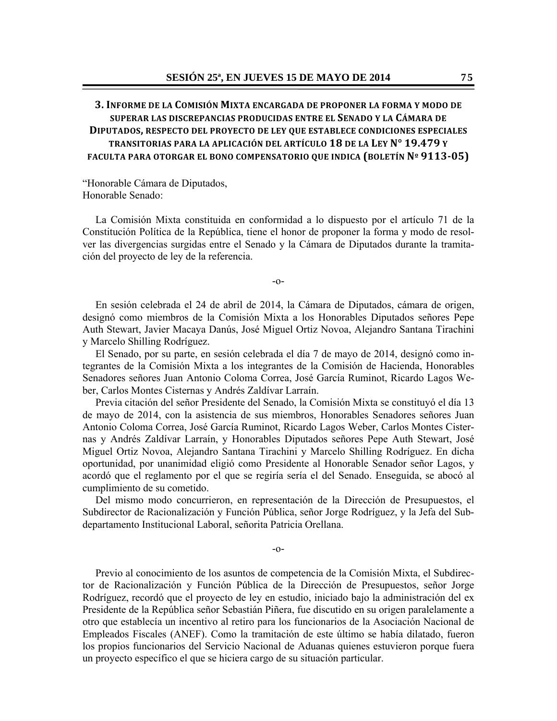# **3. INFORME DE LA COMISIÓN MIXTA ENCARGADA DE PROPONER LA FORMA Y MODO DE SUPERAR LAS DISCREPANCIAS PRODUCIDAS ENTRE EL SENADO Y LA CÁMARA DE DIPUTADOS, RESPECTO DEL PROYECTO DE LEY QUE ESTABLECE CONDICIONES ESPECIALES TRANSITORIAS PARA LA APLICACIÓN DEL ARTÍCULO 18 DE LA LEY N° 19.479 Y FACULTA PARA OTORGAR EL BONO COMPENSATORIO QUE INDICA (BOLETÍN Nº 9113‐05)**

"Honorable Cámara de Diputados, Honorable Senado:

 La Comisión Mixta constituida en conformidad a lo dispuesto por el artículo 71 de la Constitución Política de la República, tiene el honor de proponer la forma y modo de resolver las divergencias surgidas entre el Senado y la Cámara de Diputados durante la tramitación del proyecto de ley de la referencia.

-o-

 En sesión celebrada el 24 de abril de 2014, la Cámara de Diputados, cámara de origen, designó como miembros de la Comisión Mixta a los Honorables Diputados señores Pepe Auth Stewart, Javier Macaya Danús, José Miguel Ortiz Novoa, Alejandro Santana Tirachini y Marcelo Shilling Rodríguez.

 El Senado, por su parte, en sesión celebrada el día 7 de mayo de 2014, designó como integrantes de la Comisión Mixta a los integrantes de la Comisión de Hacienda, Honorables Senadores señores Juan Antonio Coloma Correa, José García Ruminot, Ricardo Lagos Weber, Carlos Montes Cisternas y Andrés Zaldívar Larraín.

 Previa citación del señor Presidente del Senado, la Comisión Mixta se constituyó el día 13 de mayo de 2014, con la asistencia de sus miembros, Honorables Senadores señores Juan Antonio Coloma Correa, José García Ruminot, Ricardo Lagos Weber, Carlos Montes Cisternas y Andrés Zaldívar Larraín, y Honorables Diputados señores Pepe Auth Stewart, José Miguel Ortiz Novoa, Alejandro Santana Tirachini y Marcelo Shilling Rodríguez. En dicha oportunidad, por unanimidad eligió como Presidente al Honorable Senador señor Lagos, y acordó que el reglamento por el que se regiría sería el del Senado. Enseguida, se abocó al cumplimiento de su cometido.

 Del mismo modo concurrieron, en representación de la Dirección de Presupuestos, el Subdirector de Racionalización y Función Pública, señor Jorge Rodríguez, y la Jefa del Subdepartamento Institucional Laboral, señorita Patricia Orellana.

 $-0-$ 

 Previo al conocimiento de los asuntos de competencia de la Comisión Mixta, el Subdirector de Racionalización y Función Pública de la Dirección de Presupuestos, señor Jorge Rodríguez, recordó que el proyecto de ley en estudio, iniciado bajo la administración del ex Presidente de la República señor Sebastián Piñera, fue discutido en su origen paralelamente a otro que establecía un incentivo al retiro para los funcionarios de la Asociación Nacional de Empleados Fiscales (ANEF). Como la tramitación de este último se había dilatado, fueron los propios funcionarios del Servicio Nacional de Aduanas quienes estuvieron porque fuera un proyecto específico el que se hiciera cargo de su situación particular.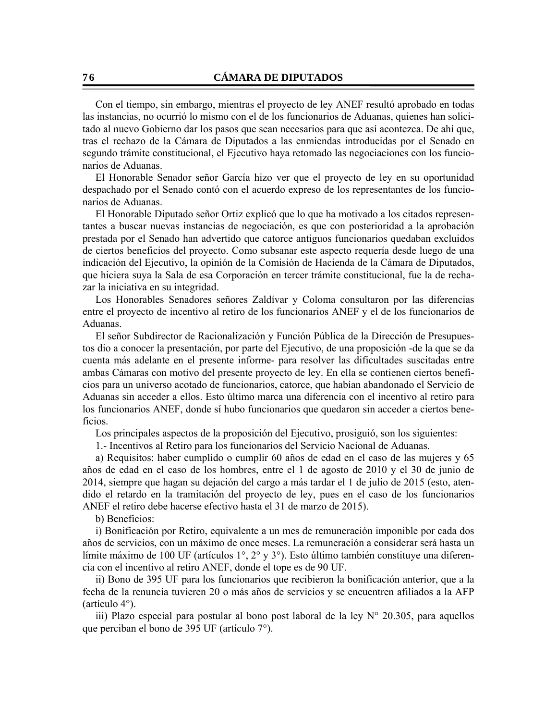Con el tiempo, sin embargo, mientras el proyecto de ley ANEF resultó aprobado en todas las instancias, no ocurrió lo mismo con el de los funcionarios de Aduanas, quienes han solicitado al nuevo Gobierno dar los pasos que sean necesarios para que así acontezca. De ahí que, tras el rechazo de la Cámara de Diputados a las enmiendas introducidas por el Senado en segundo trámite constitucional, el Ejecutivo haya retomado las negociaciones con los funcionarios de Aduanas.

 El Honorable Senador señor García hizo ver que el proyecto de ley en su oportunidad despachado por el Senado contó con el acuerdo expreso de los representantes de los funcionarios de Aduanas.

 El Honorable Diputado señor Ortiz explicó que lo que ha motivado a los citados representantes a buscar nuevas instancias de negociación, es que con posterioridad a la aprobación prestada por el Senado han advertido que catorce antiguos funcionarios quedaban excluidos de ciertos beneficios del proyecto. Como subsanar este aspecto requería desde luego de una indicación del Ejecutivo, la opinión de la Comisión de Hacienda de la Cámara de Diputados, que hiciera suya la Sala de esa Corporación en tercer trámite constitucional, fue la de rechazar la iniciativa en su integridad.

 Los Honorables Senadores señores Zaldívar y Coloma consultaron por las diferencias entre el proyecto de incentivo al retiro de los funcionarios ANEF y el de los funcionarios de Aduanas.

 El señor Subdirector de Racionalización y Función Pública de la Dirección de Presupuestos dio a conocer la presentación, por parte del Ejecutivo, de una proposición -de la que se da cuenta más adelante en el presente informe- para resolver las dificultades suscitadas entre ambas Cámaras con motivo del presente proyecto de ley. En ella se contienen ciertos beneficios para un universo acotado de funcionarios, catorce, que habían abandonado el Servicio de Aduanas sin acceder a ellos. Esto último marca una diferencia con el incentivo al retiro para los funcionarios ANEF, donde sí hubo funcionarios que quedaron sin acceder a ciertos beneficios.

Los principales aspectos de la proposición del Ejecutivo, prosiguió, son los siguientes:

1.- Incentivos al Retiro para los funcionarios del Servicio Nacional de Aduanas.

a) Requisitos: haber cumplido o cumplir 60 años de edad en el caso de las mujeres y 65 años de edad en el caso de los hombres, entre el 1 de agosto de 2010 y el 30 de junio de 2014, siempre que hagan su dejación del cargo a más tardar el 1 de julio de 2015 (esto, atendido el retardo en la tramitación del proyecto de ley, pues en el caso de los funcionarios ANEF el retiro debe hacerse efectivo hasta el 31 de marzo de 2015).

b) Beneficios:

i) Bonificación por Retiro, equivalente a un mes de remuneración imponible por cada dos años de servicios, con un máximo de once meses. La remuneración a considerar será hasta un límite máximo de 100 UF (artículos 1°, 2° y 3°). Esto último también constituye una diferencia con el incentivo al retiro ANEF, donde el tope es de 90 UF.

ii) Bono de 395 UF para los funcionarios que recibieron la bonificación anterior, que a la fecha de la renuncia tuvieren 20 o más años de servicios y se encuentren afiliados a la AFP (artículo 4°).

iii) Plazo especial para postular al bono post laboral de la ley N° 20.305, para aquellos que perciban el bono de 395 UF (artículo 7°).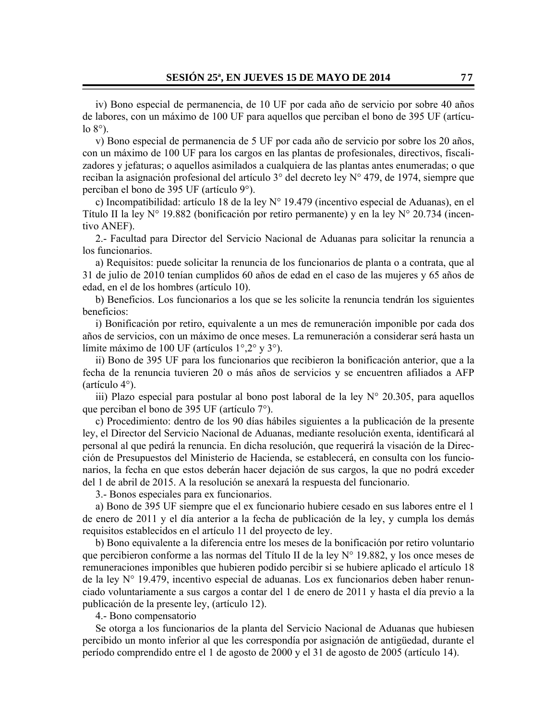iv) Bono especial de permanencia, de 10 UF por cada año de servicio por sobre 40 años de labores, con un máximo de 100 UF para aquellos que perciban el bono de 395 UF (artícu- $\log 8^\circ$ ).

v) Bono especial de permanencia de 5 UF por cada año de servicio por sobre los 20 años, con un máximo de 100 UF para los cargos en las plantas de profesionales, directivos, fiscalizadores y jefaturas; o aquellos asimilados a cualquiera de las plantas antes enumeradas; o que reciban la asignación profesional del artículo 3° del decreto ley N° 479, de 1974, siempre que perciban el bono de 395 UF (artículo 9°).

c) Incompatibilidad: artículo 18 de la ley N° 19.479 (incentivo especial de Aduanas), en el Título II la ley  $N^{\circ}$  19.882 (bonificación por retiro permanente) y en la ley  $N^{\circ}$  20.734 (incentivo ANEF).

2.- Facultad para Director del Servicio Nacional de Aduanas para solicitar la renuncia a los funcionarios.

a) Requisitos: puede solicitar la renuncia de los funcionarios de planta o a contrata, que al 31 de julio de 2010 tenían cumplidos 60 años de edad en el caso de las mujeres y 65 años de edad, en el de los hombres (artículo 10).

b) Beneficios. Los funcionarios a los que se les solicite la renuncia tendrán los siguientes beneficios:

i) Bonificación por retiro, equivalente a un mes de remuneración imponible por cada dos años de servicios, con un máximo de once meses. La remuneración a considerar será hasta un límite máximo de 100 UF (artículos 1°,2° y 3°).

ii) Bono de 395 UF para los funcionarios que recibieron la bonificación anterior, que a la fecha de la renuncia tuvieren 20 o más años de servicios y se encuentren afiliados a AFP (artículo 4°).

iii) Plazo especial para postular al bono post laboral de la ley  $N^{\circ}$  20.305, para aquellos que perciban el bono de 395 UF (artículo 7°).

c) Procedimiento: dentro de los 90 días hábiles siguientes a la publicación de la presente ley, el Director del Servicio Nacional de Aduanas, mediante resolución exenta, identificará al personal al que pedirá la renuncia. En dicha resolución, que requerirá la visación de la Dirección de Presupuestos del Ministerio de Hacienda, se establecerá, en consulta con los funcionarios, la fecha en que estos deberán hacer dejación de sus cargos, la que no podrá exceder del 1 de abril de 2015. A la resolución se anexará la respuesta del funcionario.

3.- Bonos especiales para ex funcionarios.

a) Bono de 395 UF siempre que el ex funcionario hubiere cesado en sus labores entre el 1 de enero de 2011 y el día anterior a la fecha de publicación de la ley, y cumpla los demás requisitos establecidos en el artículo 11 del proyecto de ley.

b) Bono equivalente a la diferencia entre los meses de la bonificación por retiro voluntario que percibieron conforme a las normas del Título II de la ley N° 19.882, y los once meses de remuneraciones imponibles que hubieren podido percibir si se hubiere aplicado el artículo 18 de la ley N° 19.479, incentivo especial de aduanas. Los ex funcionarios deben haber renunciado voluntariamente a sus cargos a contar del 1 de enero de 2011 y hasta el día previo a la publicación de la presente ley, (artículo 12).

4.- Bono compensatorio

Se otorga a los funcionarios de la planta del Servicio Nacional de Aduanas que hubiesen percibido un monto inferior al que les correspondía por asignación de antigüedad, durante el período comprendido entre el 1 de agosto de 2000 y el 31 de agosto de 2005 (artículo 14).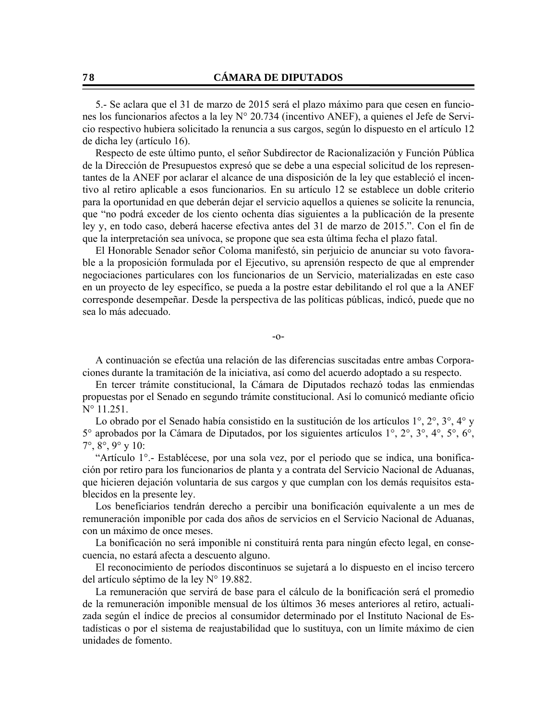5.- Se aclara que el 31 de marzo de 2015 será el plazo máximo para que cesen en funciones los funcionarios afectos a la ley N° 20.734 (incentivo ANEF), a quienes el Jefe de Servicio respectivo hubiera solicitado la renuncia a sus cargos, según lo dispuesto en el artículo 12 de dicha ley (artículo 16).

Respecto de este último punto, el señor Subdirector de Racionalización y Función Pública de la Dirección de Presupuestos expresó que se debe a una especial solicitud de los representantes de la ANEF por aclarar el alcance de una disposición de la ley que estableció el incentivo al retiro aplicable a esos funcionarios. En su artículo 12 se establece un doble criterio para la oportunidad en que deberán dejar el servicio aquellos a quienes se solicite la renuncia, que "no podrá exceder de los ciento ochenta días siguientes a la publicación de la presente ley y, en todo caso, deberá hacerse efectiva antes del 31 de marzo de 2015.". Con el fin de que la interpretación sea unívoca, se propone que sea esta última fecha el plazo fatal.

 El Honorable Senador señor Coloma manifestó, sin perjuicio de anunciar su voto favorable a la proposición formulada por el Ejecutivo, su aprensión respecto de que al emprender negociaciones particulares con los funcionarios de un Servicio, materializadas en este caso en un proyecto de ley específico, se pueda a la postre estar debilitando el rol que a la ANEF corresponde desempeñar. Desde la perspectiva de las políticas públicas, indicó, puede que no sea lo más adecuado.

-o-

A continuación se efectúa una relación de las diferencias suscitadas entre ambas Corporaciones durante la tramitación de la iniciativa, así como del acuerdo adoptado a su respecto.

En tercer trámite constitucional, la Cámara de Diputados rechazó todas las enmiendas propuestas por el Senado en segundo trámite constitucional. Así lo comunicó mediante oficio N° 11.251.

Lo obrado por el Senado había consistido en la sustitución de los artículos 1°, 2°, 3°, 4° y 5° aprobados por la Cámara de Diputados, por los siguientes artículos 1°, 2°, 3°, 4°, 5°, 6°, 7°, 8°, 9° y 10:

"Artículo 1°.- Establécese, por una sola vez, por el periodo que se indica, una bonificación por retiro para los funcionarios de planta y a contrata del Servicio Nacional de Aduanas, que hicieren dejación voluntaria de sus cargos y que cumplan con los demás requisitos establecidos en la presente ley.

Los beneficiarios tendrán derecho a percibir una bonificación equivalente a un mes de remuneración imponible por cada dos años de servicios en el Servicio Nacional de Aduanas, con un máximo de once meses.

La bonificación no será imponible ni constituirá renta para ningún efecto legal, en consecuencia, no estará afecta a descuento alguno.

El reconocimiento de períodos discontinuos se sujetará a lo dispuesto en el inciso tercero del artículo séptimo de la ley N° 19.882.

La remuneración que servirá de base para el cálculo de la bonificación será el promedio de la remuneración imponible mensual de los últimos 36 meses anteriores al retiro, actualizada según el índice de precios al consumidor determinado por el Instituto Nacional de Estadísticas o por el sistema de reajustabilidad que lo sustituya, con un límite máximo de cien unidades de fomento.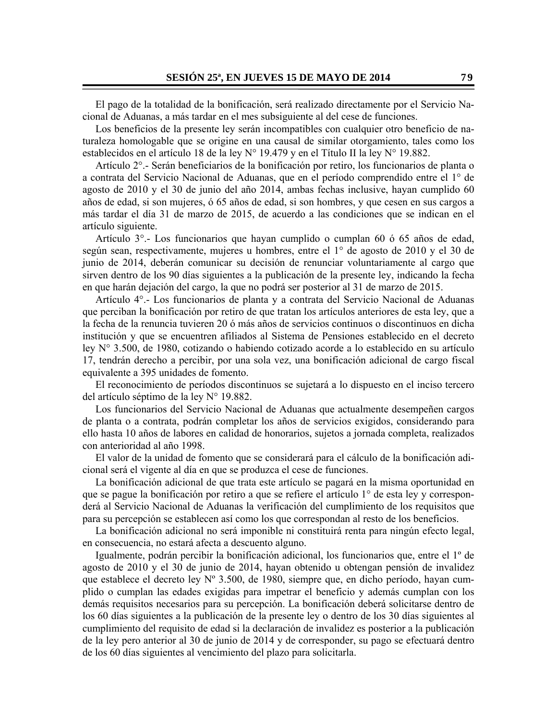El pago de la totalidad de la bonificación, será realizado directamente por el Servicio Nacional de Aduanas, a más tardar en el mes subsiguiente al del cese de funciones.

Los beneficios de la presente ley serán incompatibles con cualquier otro beneficio de naturaleza homologable que se origine en una causal de similar otorgamiento, tales como los establecidos en el artículo 18 de la ley N° 19.479 y en el Título II la ley N° 19.882.

Artículo 2°.- Serán beneficiarios de la bonificación por retiro, los funcionarios de planta o a contrata del Servicio Nacional de Aduanas, que en el período comprendido entre el 1° de agosto de 2010 y el 30 de junio del año 2014, ambas fechas inclusive, hayan cumplido 60 años de edad, si son mujeres, ó 65 años de edad, si son hombres, y que cesen en sus cargos a más tardar el día 31 de marzo de 2015, de acuerdo a las condiciones que se indican en el artículo siguiente.

Artículo 3°.- Los funcionarios que hayan cumplido o cumplan 60 ó 65 años de edad, según sean, respectivamente, mujeres u hombres, entre el 1° de agosto de 2010 y el 30 de junio de 2014, deberán comunicar su decisión de renunciar voluntariamente al cargo que sirven dentro de los 90 días siguientes a la publicación de la presente ley, indicando la fecha en que harán dejación del cargo, la que no podrá ser posterior al 31 de marzo de 2015.

Artículo 4°.- Los funcionarios de planta y a contrata del Servicio Nacional de Aduanas que perciban la bonificación por retiro de que tratan los artículos anteriores de esta ley, que a la fecha de la renuncia tuvieren 20 ó más años de servicios continuos o discontinuos en dicha institución y que se encuentren afiliados al Sistema de Pensiones establecido en el decreto ley N° 3.500, de 1980, cotizando o habiendo cotizado acorde a lo establecido en su artículo 17, tendrán derecho a percibir, por una sola vez, una bonificación adicional de cargo fiscal equivalente a 395 unidades de fomento.

El reconocimiento de períodos discontinuos se sujetará a lo dispuesto en el inciso tercero del artículo séptimo de la ley N° 19.882.

Los funcionarios del Servicio Nacional de Aduanas que actualmente desempeñen cargos de planta o a contrata, podrán completar los años de servicios exigidos, considerando para ello hasta 10 años de labores en calidad de honorarios, sujetos a jornada completa, realizados con anterioridad al año 1998.

El valor de la unidad de fomento que se considerará para el cálculo de la bonificación adicional será el vigente al día en que se produzca el cese de funciones.

La bonificación adicional de que trata este artículo se pagará en la misma oportunidad en que se pague la bonificación por retiro a que se refiere el artículo 1° de esta ley y corresponderá al Servicio Nacional de Aduanas la verificación del cumplimiento de los requisitos que para su percepción se establecen así como los que correspondan al resto de los beneficios.

La bonificación adicional no será imponible ni constituirá renta para ningún efecto legal, en consecuencia, no estará afecta a descuento alguno.

Igualmente, podrán percibir la bonificación adicional, los funcionarios que, entre el 1º de agosto de 2010 y el 30 de junio de 2014, hayan obtenido u obtengan pensión de invalidez que establece el decreto ley Nº 3.500, de 1980, siempre que, en dicho período, hayan cumplido o cumplan las edades exigidas para impetrar el beneficio y además cumplan con los demás requisitos necesarios para su percepción. La bonificación deberá solicitarse dentro de los 60 días siguientes a la publicación de la presente ley o dentro de los 30 días siguientes al cumplimiento del requisito de edad si la declaración de invalidez es posterior a la publicación de la ley pero anterior al 30 de junio de 2014 y de corresponder, su pago se efectuará dentro de los 60 días siguientes al vencimiento del plazo para solicitarla.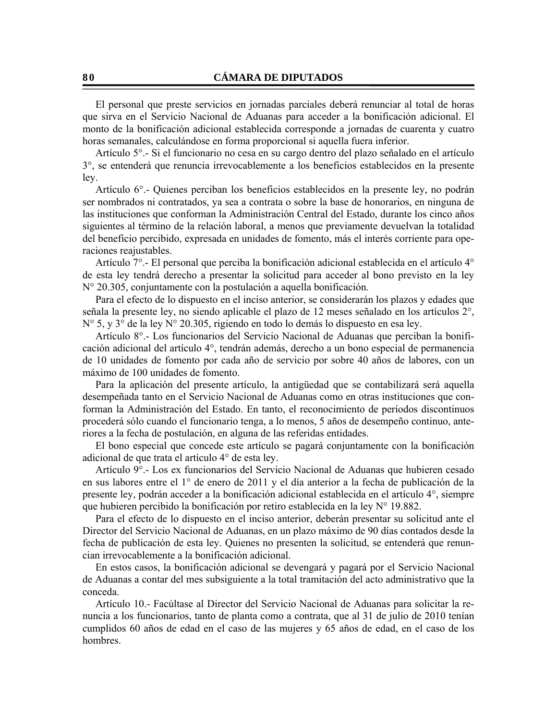El personal que preste servicios en jornadas parciales deberá renunciar al total de horas que sirva en el Servicio Nacional de Aduanas para acceder a la bonificación adicional. El monto de la bonificación adicional establecida corresponde a jornadas de cuarenta y cuatro horas semanales, calculándose en forma proporcional si aquella fuera inferior.

Artículo 5°.- Si el funcionario no cesa en su cargo dentro del plazo señalado en el artículo 3°, se entenderá que renuncia irrevocablemente a los beneficios establecidos en la presente ley.

Artículo 6°.- Quienes perciban los beneficios establecidos en la presente ley, no podrán ser nombrados ni contratados, ya sea a contrata o sobre la base de honorarios, en ninguna de las instituciones que conforman la Administración Central del Estado, durante los cinco años siguientes al término de la relación laboral, a menos que previamente devuelvan la totalidad del beneficio percibido, expresada en unidades de fomento, más el interés corriente para operaciones reajustables.

Artículo 7°.- El personal que perciba la bonificación adicional establecida en el artículo 4° de esta ley tendrá derecho a presentar la solicitud para acceder al bono previsto en la ley N° 20.305, conjuntamente con la postulación a aquella bonificación.

Para el efecto de lo dispuesto en el inciso anterior, se considerarán los plazos y edades que señala la presente ley, no siendo aplicable el plazo de 12 meses señalado en los artículos 2°, N° 5, y 3° de la ley N° 20.305, rigiendo en todo lo demás lo dispuesto en esa ley.

Artículo 8°.- Los funcionarios del Servicio Nacional de Aduanas que perciban la bonificación adicional del artículo 4°, tendrán además, derecho a un bono especial de permanencia de 10 unidades de fomento por cada año de servicio por sobre 40 años de labores, con un máximo de 100 unidades de fomento.

Para la aplicación del presente artículo, la antigüedad que se contabilizará será aquella desempeñada tanto en el Servicio Nacional de Aduanas como en otras instituciones que conforman la Administración del Estado. En tanto, el reconocimiento de períodos discontinuos procederá sólo cuando el funcionario tenga, a lo menos, 5 años de desempeño continuo, anteriores a la fecha de postulación, en alguna de las referidas entidades.

El bono especial que concede este artículo se pagará conjuntamente con la bonificación adicional de que trata el artículo 4° de esta ley.

Artículo 9°.- Los ex funcionarios del Servicio Nacional de Aduanas que hubieren cesado en sus labores entre el 1° de enero de 2011 y el día anterior a la fecha de publicación de la presente ley, podrán acceder a la bonificación adicional establecida en el artículo 4°, siempre que hubieren percibido la bonificación por retiro establecida en la ley N° 19.882.

Para el efecto de lo dispuesto en el inciso anterior, deberán presentar su solicitud ante el Director del Servicio Nacional de Aduanas, en un plazo máximo de 90 días contados desde la fecha de publicación de esta ley. Quienes no presenten la solicitud, se entenderá que renuncian irrevocablemente a la bonificación adicional.

En estos casos, la bonificación adicional se devengará y pagará por el Servicio Nacional de Aduanas a contar del mes subsiguiente a la total tramitación del acto administrativo que la conceda.

Artículo 10.- Facúltase al Director del Servicio Nacional de Aduanas para solicitar la renuncia a los funcionarios, tanto de planta como a contrata, que al 31 de julio de 2010 tenían cumplidos 60 años de edad en el caso de las mujeres y 65 años de edad, en el caso de los hombres.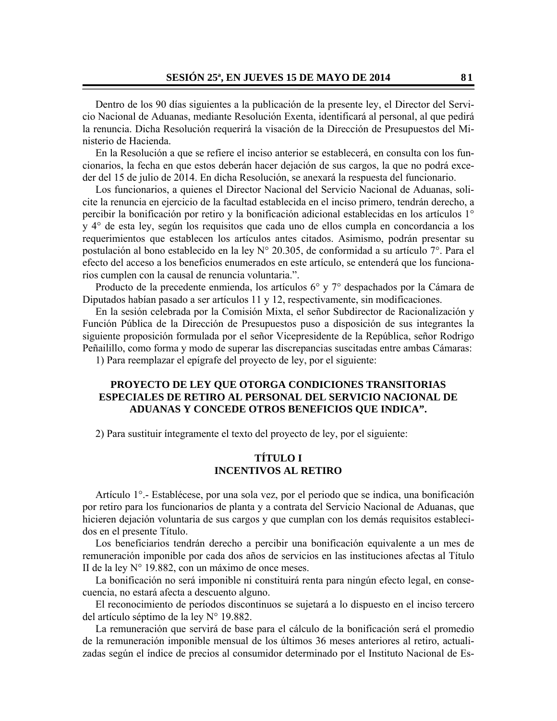Dentro de los 90 días siguientes a la publicación de la presente ley, el Director del Servicio Nacional de Aduanas, mediante Resolución Exenta, identificará al personal, al que pedirá la renuncia. Dicha Resolución requerirá la visación de la Dirección de Presupuestos del Ministerio de Hacienda.

En la Resolución a que se refiere el inciso anterior se establecerá, en consulta con los funcionarios, la fecha en que estos deberán hacer dejación de sus cargos, la que no podrá exceder del 15 de julio de 2014. En dicha Resolución, se anexará la respuesta del funcionario.

Los funcionarios, a quienes el Director Nacional del Servicio Nacional de Aduanas, solicite la renuncia en ejercicio de la facultad establecida en el inciso primero, tendrán derecho, a percibir la bonificación por retiro y la bonificación adicional establecidas en los artículos 1° y 4° de esta ley, según los requisitos que cada uno de ellos cumpla en concordancia a los requerimientos que establecen los artículos antes citados. Asimismo, podrán presentar su postulación al bono establecido en la ley N° 20.305, de conformidad a su artículo 7°. Para el efecto del acceso a los beneficios enumerados en este artículo, se entenderá que los funcionarios cumplen con la causal de renuncia voluntaria.".

Producto de la precedente enmienda, los artículos 6° y 7° despachados por la Cámara de Diputados habían pasado a ser artículos 11 y 12, respectivamente, sin modificaciones.

 En la sesión celebrada por la Comisión Mixta, el señor Subdirector de Racionalización y Función Pública de la Dirección de Presupuestos puso a disposición de sus integrantes la siguiente proposición formulada por el señor Vicepresidente de la República, señor Rodrigo Peñailillo, como forma y modo de superar las discrepancias suscitadas entre ambas Cámaras:

1) Para reemplazar el epígrafe del proyecto de ley, por el siguiente:

## **PROYECTO DE LEY QUE OTORGA CONDICIONES TRANSITORIAS ESPECIALES DE RETIRO AL PERSONAL DEL SERVICIO NACIONAL DE ADUANAS Y CONCEDE OTROS BENEFICIOS QUE INDICA".**

2) Para sustituir íntegramente el texto del proyecto de ley, por el siguiente:

# **TÍTULO I INCENTIVOS AL RETIRO**

Artículo 1°.- Establécese, por una sola vez, por el periodo que se indica, una bonificación por retiro para los funcionarios de planta y a contrata del Servicio Nacional de Aduanas, que hicieren dejación voluntaria de sus cargos y que cumplan con los demás requisitos establecidos en el presente Título.

Los beneficiarios tendrán derecho a percibir una bonificación equivalente a un mes de remuneración imponible por cada dos años de servicios en las instituciones afectas al Título II de la ley N° 19.882, con un máximo de once meses.

La bonificación no será imponible ni constituirá renta para ningún efecto legal, en consecuencia, no estará afecta a descuento alguno.

El reconocimiento de períodos discontinuos se sujetará a lo dispuesto en el inciso tercero del artículo séptimo de la ley N° 19.882.

La remuneración que servirá de base para el cálculo de la bonificación será el promedio de la remuneración imponible mensual de los últimos 36 meses anteriores al retiro, actualizadas según el índice de precios al consumidor determinado por el Instituto Nacional de Es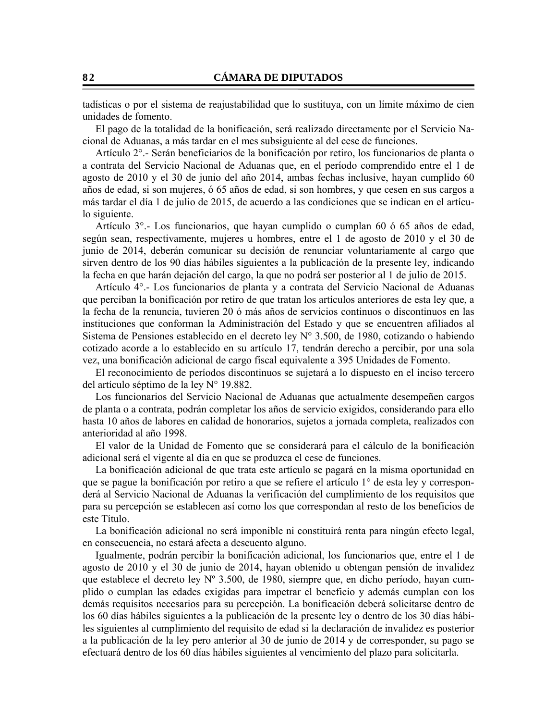tadísticas o por el sistema de reajustabilidad que lo sustituya, con un límite máximo de cien unidades de fomento.

El pago de la totalidad de la bonificación, será realizado directamente por el Servicio Nacional de Aduanas, a más tardar en el mes subsiguiente al del cese de funciones.

Artículo 2°.- Serán beneficiarios de la bonificación por retiro, los funcionarios de planta o a contrata del Servicio Nacional de Aduanas que, en el período comprendido entre el 1 de agosto de 2010 y el 30 de junio del año 2014, ambas fechas inclusive, hayan cumplido 60 años de edad, si son mujeres, ó 65 años de edad, si son hombres, y que cesen en sus cargos a más tardar el día 1 de julio de 2015, de acuerdo a las condiciones que se indican en el artículo siguiente.

Artículo 3°.- Los funcionarios, que hayan cumplido o cumplan 60 ó 65 años de edad, según sean, respectivamente, mujeres u hombres, entre el 1 de agosto de 2010 y el 30 de junio de 2014, deberán comunicar su decisión de renunciar voluntariamente al cargo que sirven dentro de los 90 días hábiles siguientes a la publicación de la presente ley, indicando la fecha en que harán dejación del cargo, la que no podrá ser posterior al 1 de julio de 2015.

Artículo 4°.- Los funcionarios de planta y a contrata del Servicio Nacional de Aduanas que perciban la bonificación por retiro de que tratan los artículos anteriores de esta ley que, a la fecha de la renuncia, tuvieren 20 ó más años de servicios continuos o discontinuos en las instituciones que conforman la Administración del Estado y que se encuentren afiliados al Sistema de Pensiones establecido en el decreto ley N° 3.500, de 1980, cotizando o habiendo cotizado acorde a lo establecido en su artículo 17, tendrán derecho a percibir, por una sola vez, una bonificación adicional de cargo fiscal equivalente a 395 Unidades de Fomento.

El reconocimiento de períodos discontinuos se sujetará a lo dispuesto en el inciso tercero del artículo séptimo de la ley N° 19.882.

Los funcionarios del Servicio Nacional de Aduanas que actualmente desempeñen cargos de planta o a contrata, podrán completar los años de servicio exigidos, considerando para ello hasta 10 años de labores en calidad de honorarios, sujetos a jornada completa, realizados con anterioridad al año 1998.

El valor de la Unidad de Fomento que se considerará para el cálculo de la bonificación adicional será el vigente al día en que se produzca el cese de funciones.

La bonificación adicional de que trata este artículo se pagará en la misma oportunidad en que se pague la bonificación por retiro a que se refiere el artículo 1° de esta ley y corresponderá al Servicio Nacional de Aduanas la verificación del cumplimiento de los requisitos que para su percepción se establecen así como los que correspondan al resto de los beneficios de este Título.

La bonificación adicional no será imponible ni constituirá renta para ningún efecto legal, en consecuencia, no estará afecta a descuento alguno.

Igualmente, podrán percibir la bonificación adicional, los funcionarios que, entre el 1 de agosto de 2010 y el 30 de junio de 2014, hayan obtenido u obtengan pensión de invalidez que establece el decreto ley Nº 3.500, de 1980, siempre que, en dicho período, hayan cumplido o cumplan las edades exigidas para impetrar el beneficio y además cumplan con los demás requisitos necesarios para su percepción. La bonificación deberá solicitarse dentro de los 60 días hábiles siguientes a la publicación de la presente ley o dentro de los 30 días hábiles siguientes al cumplimiento del requisito de edad si la declaración de invalidez es posterior a la publicación de la ley pero anterior al 30 de junio de 2014 y de corresponder, su pago se efectuará dentro de los 60 días hábiles siguientes al vencimiento del plazo para solicitarla.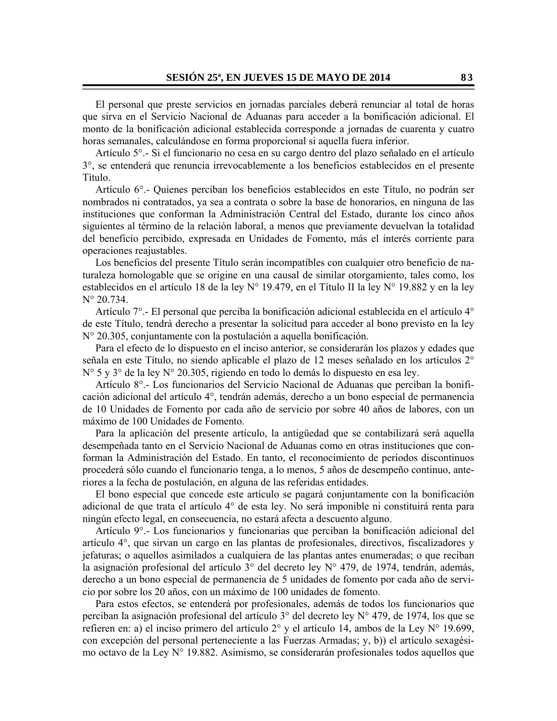El personal que preste servicios en jornadas parciales deberá renunciar al total de horas que sirva en el Servicio Nacional de Aduanas para acceder a la bonificación adicional. El monto de la bonificación adicional establecida corresponde a jornadas de cuarenta y cuatro horas semanales, calculándose en forma proporcional si aquella fuera inferior.

Artículo 5°.- Si el funcionario no cesa en su cargo dentro del plazo señalado en el artículo 3°, se entenderá que renuncia irrevocablemente a los beneficios establecidos en el presente Título.

Artículo 6°.- Quienes perciban los beneficios establecidos en este Título, no podrán ser nombrados ni contratados, ya sea a contrata o sobre la base de honorarios, en ninguna de las instituciones que conforman la Administración Central del Estado, durante los cinco años siguientes al término de la relación laboral, a menos que previamente devuelvan la totalidad del beneficio percibido, expresada en Unidades de Fomento, más el interés corriente para operaciones reajustables.

Los beneficios del presente Título serán incompatibles con cualquier otro beneficio de naturaleza homologable que se origine en una causal de similar otorgamiento, tales como, los establecidos en el artículo 18 de la ley N° 19.479, en el Título II la ley N° 19.882 y en la ley N° 20.734.

Artículo 7°.- El personal que perciba la bonificación adicional establecida en el artículo 4° de este Título, tendrá derecho a presentar la solicitud para acceder al bono previsto en la ley N° 20.305, conjuntamente con la postulación a aquella bonificación.

Para el efecto de lo dispuesto en el inciso anterior, se considerarán los plazos y edades que señala en este Título, no siendo aplicable el plazo de 12 meses señalado en los artículos 2° N° 5 y 3° de la ley N° 20.305, rigiendo en todo lo demás lo dispuesto en esa ley.

Artículo 8°.- Los funcionarios del Servicio Nacional de Aduanas que perciban la bonificación adicional del artículo 4°, tendrán además, derecho a un bono especial de permanencia de 10 Unidades de Fomento por cada año de servicio por sobre 40 años de labores, con un máximo de 100 Unidades de Fomento.

Para la aplicación del presente artículo, la antigüedad que se contabilizará será aquella desempeñada tanto en el Servicio Nacional de Aduanas como en otras instituciones que conforman la Administración del Estado. En tanto, el reconocimiento de períodos discontinuos procederá sólo cuando el funcionario tenga, a lo menos, 5 años de desempeño continuo, anteriores a la fecha de postulación, en alguna de las referidas entidades.

El bono especial que concede este artículo se pagará conjuntamente con la bonificación adicional de que trata el artículo 4° de esta ley. No será imponible ni constituirá renta para ningún efecto legal, en consecuencia, no estará afecta a descuento alguno.

Artículo 9°.- Los funcionarios y funcionarias que perciban la bonificación adicional del artículo 4°, que sirvan un cargo en las plantas de profesionales, directivos, fiscalizadores y jefaturas; o aquellos asimilados a cualquiera de las plantas antes enumeradas; o que reciban la asignación profesional del artículo 3° del decreto ley N° 479, de 1974, tendrán, además, derecho a un bono especial de permanencia de 5 unidades de fomento por cada año de servicio por sobre los 20 años, con un máximo de 100 unidades de fomento.

Para estos efectos, se entenderá por profesionales, además de todos los funcionarios que perciban la asignación profesional del artículo 3° del decreto ley N° 479, de 1974, los que se refieren en: a) el inciso primero del artículo 2° y el artículo 14, ambos de la Ley N° 19.699, con excepción del personal perteneciente a las Fuerzas Armadas; y, b)) el artículo sexagésimo octavo de la Ley N° 19.882. Asimismo, se considerarán profesionales todos aquellos que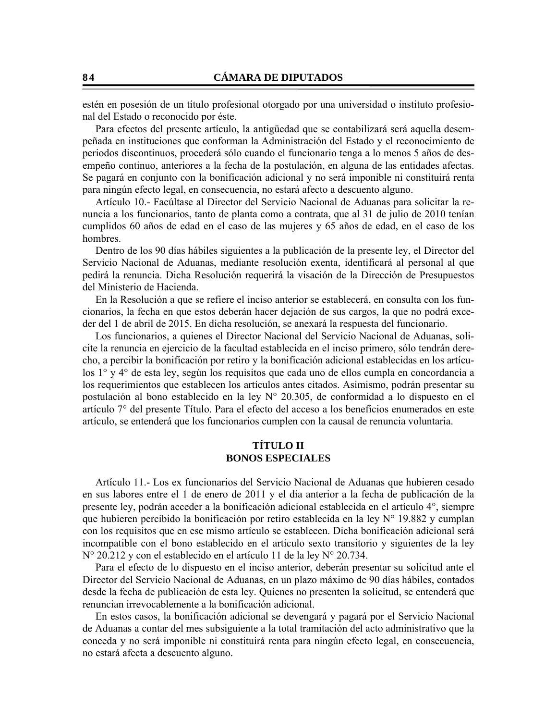estén en posesión de un título profesional otorgado por una universidad o instituto profesional del Estado o reconocido por éste.

Para efectos del presente artículo, la antigüedad que se contabilizará será aquella desempeñada en instituciones que conforman la Administración del Estado y el reconocimiento de periodos discontinuos, procederá sólo cuando el funcionario tenga a lo menos 5 años de desempeño continuo, anteriores a la fecha de la postulación, en alguna de las entidades afectas. Se pagará en conjunto con la bonificación adicional y no será imponible ni constituirá renta para ningún efecto legal, en consecuencia, no estará afecto a descuento alguno.

Artículo 10.- Facúltase al Director del Servicio Nacional de Aduanas para solicitar la renuncia a los funcionarios, tanto de planta como a contrata, que al 31 de julio de 2010 tenían cumplidos 60 años de edad en el caso de las mujeres y 65 años de edad, en el caso de los hombres.

Dentro de los 90 días hábiles siguientes a la publicación de la presente ley, el Director del Servicio Nacional de Aduanas, mediante resolución exenta, identificará al personal al que pedirá la renuncia. Dicha Resolución requerirá la visación de la Dirección de Presupuestos del Ministerio de Hacienda.

En la Resolución a que se refiere el inciso anterior se establecerá, en consulta con los funcionarios, la fecha en que estos deberán hacer dejación de sus cargos, la que no podrá exceder del 1 de abril de 2015. En dicha resolución, se anexará la respuesta del funcionario.

Los funcionarios, a quienes el Director Nacional del Servicio Nacional de Aduanas, solicite la renuncia en ejercicio de la facultad establecida en el inciso primero, sólo tendrán derecho, a percibir la bonificación por retiro y la bonificación adicional establecidas en los artículos 1° y 4° de esta ley, según los requisitos que cada uno de ellos cumpla en concordancia a los requerimientos que establecen los artículos antes citados. Asimismo, podrán presentar su postulación al bono establecido en la ley N° 20.305, de conformidad a lo dispuesto en el artículo 7° del presente Título. Para el efecto del acceso a los beneficios enumerados en este artículo, se entenderá que los funcionarios cumplen con la causal de renuncia voluntaria.

# **TÍTULO II BONOS ESPECIALES**

Artículo 11.- Los ex funcionarios del Servicio Nacional de Aduanas que hubieren cesado en sus labores entre el 1 de enero de 2011 y el día anterior a la fecha de publicación de la presente ley, podrán acceder a la bonificación adicional establecida en el artículo 4°, siempre que hubieren percibido la bonificación por retiro establecida en la ley N° 19.882 y cumplan con los requisitos que en ese mismo artículo se establecen. Dicha bonificación adicional será incompatible con el bono establecido en el artículo sexto transitorio y siguientes de la ley N° 20.212 y con el establecido en el artículo 11 de la ley N° 20.734.

Para el efecto de lo dispuesto en el inciso anterior, deberán presentar su solicitud ante el Director del Servicio Nacional de Aduanas, en un plazo máximo de 90 días hábiles, contados desde la fecha de publicación de esta ley. Quienes no presenten la solicitud, se entenderá que renuncian irrevocablemente a la bonificación adicional.

En estos casos, la bonificación adicional se devengará y pagará por el Servicio Nacional de Aduanas a contar del mes subsiguiente a la total tramitación del acto administrativo que la conceda y no será imponible ni constituirá renta para ningún efecto legal, en consecuencia, no estará afecta a descuento alguno.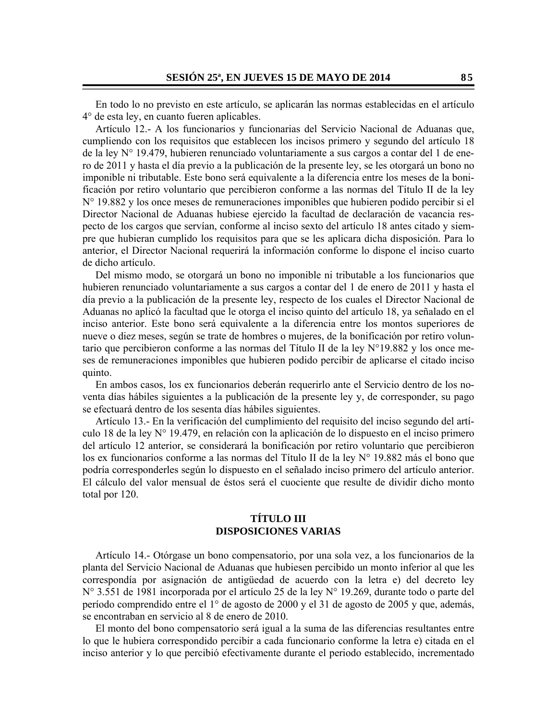En todo lo no previsto en este artículo, se aplicarán las normas establecidas en el artículo 4° de esta ley, en cuanto fueren aplicables.

Artículo 12.- A los funcionarios y funcionarias del Servicio Nacional de Aduanas que, cumpliendo con los requisitos que establecen los incisos primero y segundo del artículo 18 de la ley N° 19.479, hubieren renunciado voluntariamente a sus cargos a contar del 1 de enero de 2011 y hasta el día previo a la publicación de la presente ley, se les otorgará un bono no imponible ni tributable. Este bono será equivalente a la diferencia entre los meses de la bonificación por retiro voluntario que percibieron conforme a las normas del Título II de la ley N° 19.882 y los once meses de remuneraciones imponibles que hubieren podido percibir si el Director Nacional de Aduanas hubiese ejercido la facultad de declaración de vacancia respecto de los cargos que servían, conforme al inciso sexto del artículo 18 antes citado y siempre que hubieran cumplido los requisitos para que se les aplicara dicha disposición. Para lo anterior, el Director Nacional requerirá la información conforme lo dispone el inciso cuarto de dicho artículo.

Del mismo modo, se otorgará un bono no imponible ni tributable a los funcionarios que hubieren renunciado voluntariamente a sus cargos a contar del 1 de enero de 2011 y hasta el día previo a la publicación de la presente ley, respecto de los cuales el Director Nacional de Aduanas no aplicó la facultad que le otorga el inciso quinto del artículo 18, ya señalado en el inciso anterior. Este bono será equivalente a la diferencia entre los montos superiores de nueve o diez meses, según se trate de hombres o mujeres, de la bonificación por retiro voluntario que percibieron conforme a las normas del Título II de la ley N°19.882 y los once meses de remuneraciones imponibles que hubieren podido percibir de aplicarse el citado inciso quinto.

En ambos casos, los ex funcionarios deberán requerirlo ante el Servicio dentro de los noventa días hábiles siguientes a la publicación de la presente ley y, de corresponder, su pago se efectuará dentro de los sesenta días hábiles siguientes.

Artículo 13.- En la verificación del cumplimiento del requisito del inciso segundo del artículo 18 de la ley N° 19.479, en relación con la aplicación de lo dispuesto en el inciso primero del artículo 12 anterior, se considerará la bonificación por retiro voluntario que percibieron los ex funcionarios conforme a las normas del Título II de la ley N° 19.882 más el bono que podría corresponderles según lo dispuesto en el señalado inciso primero del artículo anterior. El cálculo del valor mensual de éstos será el cuociente que resulte de dividir dicho monto total por 120.

## **TÍTULO III DISPOSICIONES VARIAS**

Artículo 14.- Otórgase un bono compensatorio, por una sola vez, a los funcionarios de la planta del Servicio Nacional de Aduanas que hubiesen percibido un monto inferior al que les correspondía por asignación de antigüedad de acuerdo con la letra e) del decreto ley N° 3.551 de 1981 incorporada por el artículo 25 de la ley N° 19.269, durante todo o parte del período comprendido entre el 1° de agosto de 2000 y el 31 de agosto de 2005 y que, además, se encontraban en servicio al 8 de enero de 2010.

El monto del bono compensatorio será igual a la suma de las diferencias resultantes entre lo que le hubiera correspondido percibir a cada funcionario conforme la letra e) citada en el inciso anterior y lo que percibió efectivamente durante el periodo establecido, incrementado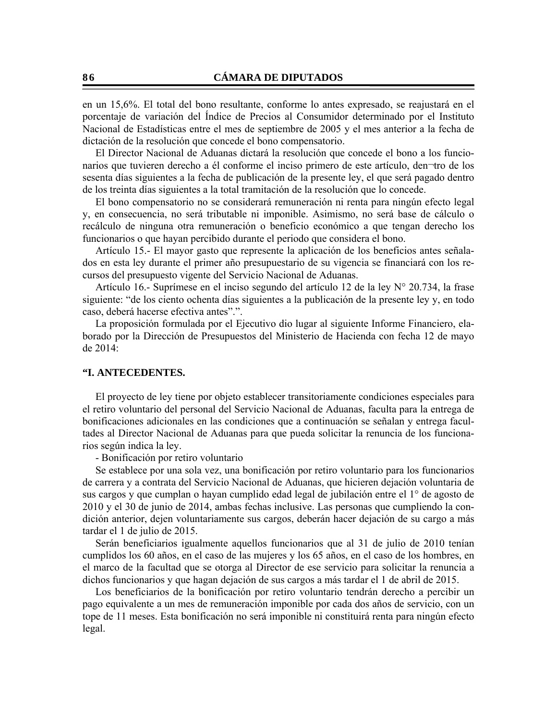en un 15,6%. El total del bono resultante, conforme lo antes expresado, se reajustará en el porcentaje de variación del Índice de Precios al Consumidor determinado por el Instituto Nacional de Estadísticas entre el mes de septiembre de 2005 y el mes anterior a la fecha de dictación de la resolución que concede el bono compensatorio.

El Director Nacional de Aduanas dictará la resolución que concede el bono a los funcionarios que tuvieren derecho a él conforme el inciso primero de este artículo, den¬tro de los sesenta días siguientes a la fecha de publicación de la presente ley, el que será pagado dentro de los treinta días siguientes a la total tramitación de la resolución que lo concede.

El bono compensatorio no se considerará remuneración ni renta para ningún efecto legal y, en consecuencia, no será tributable ni imponible. Asimismo, no será base de cálculo o recálculo de ninguna otra remuneración o beneficio económico a que tengan derecho los funcionarios o que hayan percibido durante el periodo que considera el bono.

Artículo 15.- El mayor gasto que represente la aplicación de los beneficios antes señalados en esta ley durante el primer año presupuestario de su vigencia se financiará con los recursos del presupuesto vigente del Servicio Nacional de Aduanas.

Artículo 16.- Suprímese en el inciso segundo del artículo 12 de la ley N° 20.734, la frase siguiente: "de los ciento ochenta días siguientes a la publicación de la presente ley y, en todo caso, deberá hacerse efectiva antes".".

 La proposición formulada por el Ejecutivo dio lugar al siguiente Informe Financiero, elaborado por la Dirección de Presupuestos del Ministerio de Hacienda con fecha 12 de mayo de 2014:

#### **"I. ANTECEDENTES.**

El proyecto de ley tiene por objeto establecer transitoriamente condiciones especiales para el retiro voluntario del personal del Servicio Nacional de Aduanas, faculta para la entrega de bonificaciones adicionales en las condiciones que a continuación se señalan y entrega facultades al Director Nacional de Aduanas para que pueda solicitar la renuncia de los funcionarios según indica la ley.

- Bonificación por retiro voluntario

Se establece por una sola vez, una bonificación por retiro voluntario para los funcionarios de carrera y a contrata del Servicio Nacional de Aduanas, que hicieren dejación voluntaria de sus cargos y que cumplan o hayan cumplido edad legal de jubilación entre el 1° de agosto de 2010 y el 30 de junio de 2014, ambas fechas inclusive. Las personas que cumpliendo la condición anterior, dejen voluntariamente sus cargos, deberán hacer dejación de su cargo a más tardar el 1 de julio de 2015.

Serán beneficiarios igualmente aquellos funcionarios que al 31 de julio de 2010 tenían cumplidos los 60 años, en el caso de las mujeres y los 65 años, en el caso de los hombres, en el marco de la facultad que se otorga al Director de ese servicio para solicitar la renuncia a dichos funcionarios y que hagan dejación de sus cargos a más tardar el 1 de abril de 2015.

Los beneficiarios de la bonificación por retiro voluntario tendrán derecho a percibir un pago equivalente a un mes de remuneración imponible por cada dos años de servicio, con un tope de 11 meses. Esta bonificación no será imponible ni constituirá renta para ningún efecto legal.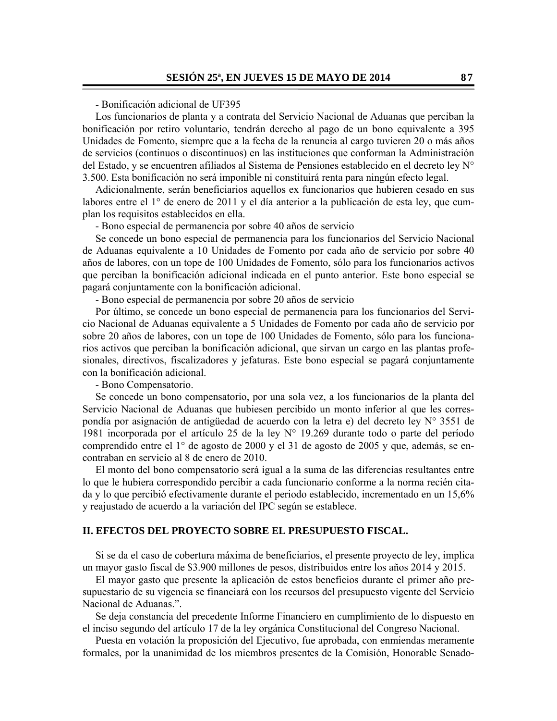- Bonificación adicional de UF395

Los funcionarios de planta y a contrata del Servicio Nacional de Aduanas que perciban la bonificación por retiro voluntario, tendrán derecho al pago de un bono equivalente a 395 Unidades de Fomento, siempre que a la fecha de la renuncia al cargo tuvieren 20 o más años de servicios (continuos o discontinuos) en las instituciones que conforman la Administración del Estado, y se encuentren afiliados al Sistema de Pensiones establecido en el decreto ley N° 3.500. Esta bonificación no será imponible ni constituirá renta para ningún efecto legal.

Adicionalmente, serán beneficiarios aquellos ex funcionarios que hubieren cesado en sus labores entre el 1° de enero de 2011 y el día anterior a la publicación de esta ley, que cumplan los requisitos establecidos en ella.

- Bono especial de permanencia por sobre 40 años de servicio

Se concede un bono especial de permanencia para los funcionarios del Servicio Nacional de Aduanas equivalente a 10 Unidades de Fomento por cada año de servicio por sobre 40 años de labores, con un tope de 100 Unidades de Fomento, sólo para los funcionarios activos que perciban la bonificación adicional indicada en el punto anterior. Este bono especial se pagará conjuntamente con la bonificación adicional.

- Bono especial de permanencia por sobre 20 años de servicio

Por último, se concede un bono especial de permanencia para los funcionarios del Servicio Nacional de Aduanas equivalente a 5 Unidades de Fomento por cada año de servicio por sobre 20 años de labores, con un tope de 100 Unidades de Fomento, sólo para los funcionarios activos que perciban la bonificación adicional, que sirvan un cargo en las plantas profesionales, directivos, fiscalizadores y jefaturas. Este bono especial se pagará conjuntamente con la bonificación adicional.

- Bono Compensatorio.

Se concede un bono compensatorio, por una sola vez, a los funcionarios de la planta del Servicio Nacional de Aduanas que hubiesen percibido un monto inferior al que les correspondía por asignación de antigüedad de acuerdo con la letra e) del decreto ley N° 3551 de 1981 incorporada por el artículo 25 de la ley N° 19.269 durante todo o parte del período comprendido entre el 1° de agosto de 2000 y el 31 de agosto de 2005 y que, además, se encontraban en servicio al 8 de enero de 2010.

El monto del bono compensatorio será igual a la suma de las diferencias resultantes entre lo que le hubiera correspondido percibir a cada funcionario conforme a la norma recién citada y lo que percibió efectivamente durante el periodo establecido, incrementado en un 15,6% y reajustado de acuerdo a la variación del IPC según se establece.

### **II. EFECTOS DEL PROYECTO SOBRE EL PRESUPUESTO FISCAL.**

Si se da el caso de cobertura máxima de beneficiarios, el presente proyecto de ley, implica un mayor gasto fiscal de \$3.900 millones de pesos, distribuidos entre los años 2014 y 2015.

El mayor gasto que presente la aplicación de estos beneficios durante el primer año presupuestario de su vigencia se financiará con los recursos del presupuesto vigente del Servicio Nacional de Aduanas.".

Se deja constancia del precedente Informe Financiero en cumplimiento de lo dispuesto en el inciso segundo del artículo 17 de la ley orgánica Constitucional del Congreso Nacional.

 Puesta en votación la proposición del Ejecutivo, fue aprobada, con enmiendas meramente formales, por la unanimidad de los miembros presentes de la Comisión, Honorable Senado-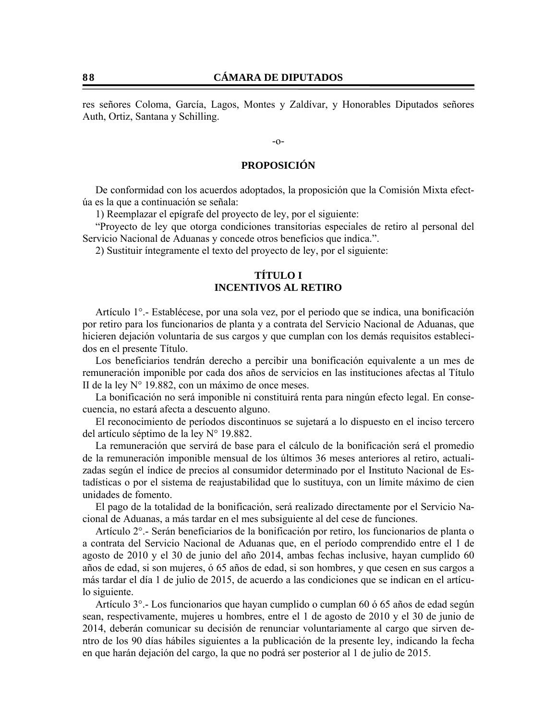res señores Coloma, García, Lagos, Montes y Zaldívar, y Honorables Diputados señores Auth, Ortiz, Santana y Schilling.

#### -o-

### **PROPOSICIÓN**

De conformidad con los acuerdos adoptados, la proposición que la Comisión Mixta efectúa es la que a continuación se señala:

1) Reemplazar el epígrafe del proyecto de ley, por el siguiente:

"Proyecto de ley que otorga condiciones transitorias especiales de retiro al personal del Servicio Nacional de Aduanas y concede otros beneficios que indica.".

2) Sustituir íntegramente el texto del proyecto de ley, por el siguiente:

# **TÍTULO I INCENTIVOS AL RETIRO**

Artículo 1°.- Establécese, por una sola vez, por el periodo que se indica, una bonificación por retiro para los funcionarios de planta y a contrata del Servicio Nacional de Aduanas, que hicieren dejación voluntaria de sus cargos y que cumplan con los demás requisitos establecidos en el presente Título.

Los beneficiarios tendrán derecho a percibir una bonificación equivalente a un mes de remuneración imponible por cada dos años de servicios en las instituciones afectas al Título II de la ley N° 19.882, con un máximo de once meses.

La bonificación no será imponible ni constituirá renta para ningún efecto legal. En consecuencia, no estará afecta a descuento alguno.

El reconocimiento de períodos discontinuos se sujetará a lo dispuesto en el inciso tercero del artículo séptimo de la ley N° 19.882.

La remuneración que servirá de base para el cálculo de la bonificación será el promedio de la remuneración imponible mensual de los últimos 36 meses anteriores al retiro, actualizadas según el índice de precios al consumidor determinado por el Instituto Nacional de Estadísticas o por el sistema de reajustabilidad que lo sustituya, con un límite máximo de cien unidades de fomento.

El pago de la totalidad de la bonificación, será realizado directamente por el Servicio Nacional de Aduanas, a más tardar en el mes subsiguiente al del cese de funciones.

Artículo 2°.- Serán beneficiarios de la bonificación por retiro, los funcionarios de planta o a contrata del Servicio Nacional de Aduanas que, en el período comprendido entre el 1 de agosto de 2010 y el 30 de junio del año 2014, ambas fechas inclusive, hayan cumplido 60 años de edad, si son mujeres, ó 65 años de edad, si son hombres, y que cesen en sus cargos a más tardar el día 1 de julio de 2015, de acuerdo a las condiciones que se indican en el artículo siguiente.

Artículo 3°.- Los funcionarios que hayan cumplido o cumplan 60 ó 65 años de edad según sean, respectivamente, mujeres u hombres, entre el 1 de agosto de 2010 y el 30 de junio de 2014, deberán comunicar su decisión de renunciar voluntariamente al cargo que sirven dentro de los 90 días hábiles siguientes a la publicación de la presente ley, indicando la fecha en que harán dejación del cargo, la que no podrá ser posterior al 1 de julio de 2015.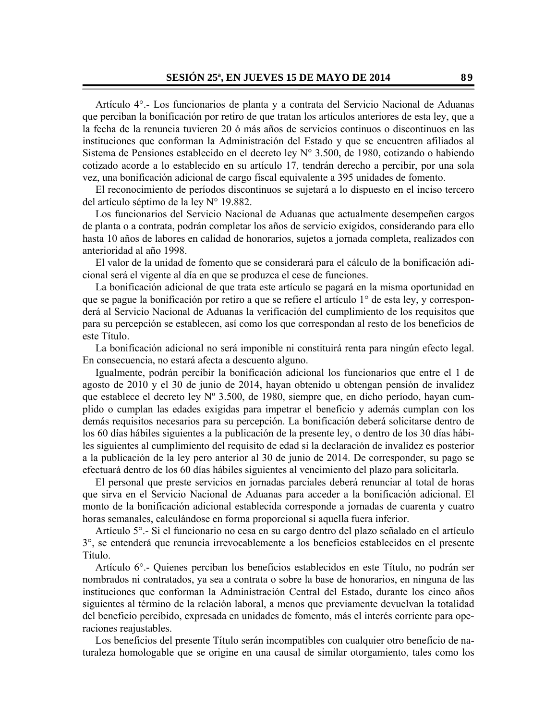Artículo 4°.- Los funcionarios de planta y a contrata del Servicio Nacional de Aduanas que perciban la bonificación por retiro de que tratan los artículos anteriores de esta ley, que a la fecha de la renuncia tuvieren 20 ó más años de servicios continuos o discontinuos en las instituciones que conforman la Administración del Estado y que se encuentren afiliados al Sistema de Pensiones establecido en el decreto ley N° 3.500, de 1980, cotizando o habiendo cotizado acorde a lo establecido en su artículo 17, tendrán derecho a percibir, por una sola vez, una bonificación adicional de cargo fiscal equivalente a 395 unidades de fomento.

El reconocimiento de períodos discontinuos se sujetará a lo dispuesto en el inciso tercero del artículo séptimo de la ley N° 19.882.

Los funcionarios del Servicio Nacional de Aduanas que actualmente desempeñen cargos de planta o a contrata, podrán completar los años de servicio exigidos, considerando para ello hasta 10 años de labores en calidad de honorarios, sujetos a jornada completa, realizados con anterioridad al año 1998.

El valor de la unidad de fomento que se considerará para el cálculo de la bonificación adicional será el vigente al día en que se produzca el cese de funciones.

La bonificación adicional de que trata este artículo se pagará en la misma oportunidad en que se pague la bonificación por retiro a que se refiere el artículo 1° de esta ley, y corresponderá al Servicio Nacional de Aduanas la verificación del cumplimiento de los requisitos que para su percepción se establecen, así como los que correspondan al resto de los beneficios de este Título.

La bonificación adicional no será imponible ni constituirá renta para ningún efecto legal. En consecuencia, no estará afecta a descuento alguno.

Igualmente, podrán percibir la bonificación adicional los funcionarios que entre el 1 de agosto de 2010 y el 30 de junio de 2014, hayan obtenido u obtengan pensión de invalidez que establece el decreto ley  $N^{\circ}$  3.500, de 1980, siempre que, en dicho período, hayan cumplido o cumplan las edades exigidas para impetrar el beneficio y además cumplan con los demás requisitos necesarios para su percepción. La bonificación deberá solicitarse dentro de los 60 días hábiles siguientes a la publicación de la presente ley, o dentro de los 30 días hábiles siguientes al cumplimiento del requisito de edad si la declaración de invalidez es posterior a la publicación de la ley pero anterior al 30 de junio de 2014. De corresponder, su pago se efectuará dentro de los 60 días hábiles siguientes al vencimiento del plazo para solicitarla.

El personal que preste servicios en jornadas parciales deberá renunciar al total de horas que sirva en el Servicio Nacional de Aduanas para acceder a la bonificación adicional. El monto de la bonificación adicional establecida corresponde a jornadas de cuarenta y cuatro horas semanales, calculándose en forma proporcional si aquella fuera inferior.

Artículo 5°.- Si el funcionario no cesa en su cargo dentro del plazo señalado en el artículo 3°, se entenderá que renuncia irrevocablemente a los beneficios establecidos en el presente Título.

Artículo 6°.- Quienes perciban los beneficios establecidos en este Título, no podrán ser nombrados ni contratados, ya sea a contrata o sobre la base de honorarios, en ninguna de las instituciones que conforman la Administración Central del Estado, durante los cinco años siguientes al término de la relación laboral, a menos que previamente devuelvan la totalidad del beneficio percibido, expresada en unidades de fomento, más el interés corriente para operaciones reajustables.

Los beneficios del presente Título serán incompatibles con cualquier otro beneficio de naturaleza homologable que se origine en una causal de similar otorgamiento, tales como los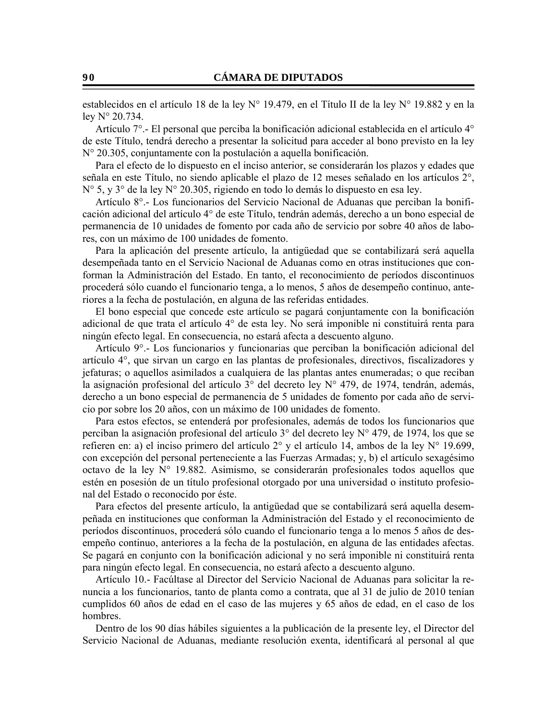establecidos en el artículo 18 de la ley N° 19.479, en el Título II de la ley N° 19.882 y en la ley N° 20.734.

Artículo 7°.- El personal que perciba la bonificación adicional establecida en el artículo 4° de este Título, tendrá derecho a presentar la solicitud para acceder al bono previsto en la ley N° 20.305, conjuntamente con la postulación a aquella bonificación.

Para el efecto de lo dispuesto en el inciso anterior, se considerarán los plazos y edades que señala en este Título, no siendo aplicable el plazo de 12 meses señalado en los artículos 2°, N° 5, y 3° de la ley N° 20.305, rigiendo en todo lo demás lo dispuesto en esa ley.

Artículo 8°.- Los funcionarios del Servicio Nacional de Aduanas que perciban la bonificación adicional del artículo 4° de este Título, tendrán además, derecho a un bono especial de permanencia de 10 unidades de fomento por cada año de servicio por sobre 40 años de labores, con un máximo de 100 unidades de fomento.

Para la aplicación del presente artículo, la antigüedad que se contabilizará será aquella desempeñada tanto en el Servicio Nacional de Aduanas como en otras instituciones que conforman la Administración del Estado. En tanto, el reconocimiento de períodos discontinuos procederá sólo cuando el funcionario tenga, a lo menos, 5 años de desempeño continuo, anteriores a la fecha de postulación, en alguna de las referidas entidades.

El bono especial que concede este artículo se pagará conjuntamente con la bonificación adicional de que trata el artículo 4° de esta ley. No será imponible ni constituirá renta para ningún efecto legal. En consecuencia, no estará afecta a descuento alguno.

Artículo 9°.- Los funcionarios y funcionarias que perciban la bonificación adicional del artículo 4°, que sirvan un cargo en las plantas de profesionales, directivos, fiscalizadores y jefaturas; o aquellos asimilados a cualquiera de las plantas antes enumeradas; o que reciban la asignación profesional del artículo 3° del decreto ley N° 479, de 1974, tendrán, además, derecho a un bono especial de permanencia de 5 unidades de fomento por cada año de servicio por sobre los 20 años, con un máximo de 100 unidades de fomento.

Para estos efectos, se entenderá por profesionales, además de todos los funcionarios que perciban la asignación profesional del artículo 3° del decreto ley N° 479, de 1974, los que se refieren en: a) el inciso primero del artículo 2° y el artículo 14, ambos de la ley N° 19.699, con excepción del personal perteneciente a las Fuerzas Armadas; y, b) el artículo sexagésimo octavo de la ley N° 19.882. Asimismo, se considerarán profesionales todos aquellos que estén en posesión de un título profesional otorgado por una universidad o instituto profesional del Estado o reconocido por éste.

Para efectos del presente artículo, la antigüedad que se contabilizará será aquella desempeñada en instituciones que conforman la Administración del Estado y el reconocimiento de períodos discontinuos, procederá sólo cuando el funcionario tenga a lo menos 5 años de desempeño continuo, anteriores a la fecha de la postulación, en alguna de las entidades afectas. Se pagará en conjunto con la bonificación adicional y no será imponible ni constituirá renta para ningún efecto legal. En consecuencia, no estará afecto a descuento alguno.

Artículo 10.- Facúltase al Director del Servicio Nacional de Aduanas para solicitar la renuncia a los funcionarios, tanto de planta como a contrata, que al 31 de julio de 2010 tenían cumplidos 60 años de edad en el caso de las mujeres y 65 años de edad, en el caso de los hombres.

Dentro de los 90 días hábiles siguientes a la publicación de la presente ley, el Director del Servicio Nacional de Aduanas, mediante resolución exenta, identificará al personal al que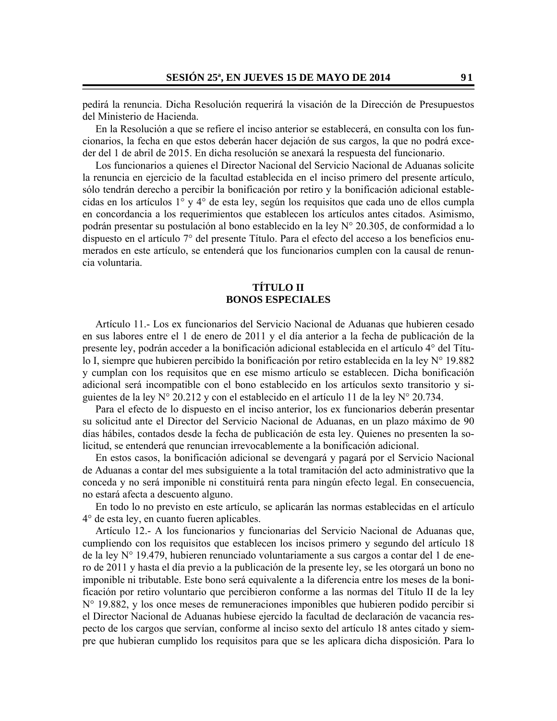pedirá la renuncia. Dicha Resolución requerirá la visación de la Dirección de Presupuestos del Ministerio de Hacienda.

En la Resolución a que se refiere el inciso anterior se establecerá, en consulta con los funcionarios, la fecha en que estos deberán hacer dejación de sus cargos, la que no podrá exceder del 1 de abril de 2015. En dicha resolución se anexará la respuesta del funcionario.

Los funcionarios a quienes el Director Nacional del Servicio Nacional de Aduanas solicite la renuncia en ejercicio de la facultad establecida en el inciso primero del presente artículo, sólo tendrán derecho a percibir la bonificación por retiro y la bonificación adicional establecidas en los artículos 1° y 4° de esta ley, según los requisitos que cada uno de ellos cumpla en concordancia a los requerimientos que establecen los artículos antes citados. Asimismo, podrán presentar su postulación al bono establecido en la ley N° 20.305, de conformidad a lo dispuesto en el artículo 7° del presente Título. Para el efecto del acceso a los beneficios enumerados en este artículo, se entenderá que los funcionarios cumplen con la causal de renuncia voluntaria.

# **TÍTULO II BONOS ESPECIALES**

Artículo 11.- Los ex funcionarios del Servicio Nacional de Aduanas que hubieren cesado en sus labores entre el 1 de enero de 2011 y el día anterior a la fecha de publicación de la presente ley, podrán acceder a la bonificación adicional establecida en el artículo 4° del Título I, siempre que hubieren percibido la bonificación por retiro establecida en la ley N° 19.882 y cumplan con los requisitos que en ese mismo artículo se establecen. Dicha bonificación adicional será incompatible con el bono establecido en los artículos sexto transitorio y siguientes de la ley  $N^{\circ}$  20.212 y con el establecido en el artículo 11 de la ley  $N^{\circ}$  20.734.

Para el efecto de lo dispuesto en el inciso anterior, los ex funcionarios deberán presentar su solicitud ante el Director del Servicio Nacional de Aduanas, en un plazo máximo de 90 días hábiles, contados desde la fecha de publicación de esta ley. Quienes no presenten la solicitud, se entenderá que renuncian irrevocablemente a la bonificación adicional.

En estos casos, la bonificación adicional se devengará y pagará por el Servicio Nacional de Aduanas a contar del mes subsiguiente a la total tramitación del acto administrativo que la conceda y no será imponible ni constituirá renta para ningún efecto legal. En consecuencia, no estará afecta a descuento alguno.

En todo lo no previsto en este artículo, se aplicarán las normas establecidas en el artículo 4° de esta ley, en cuanto fueren aplicables.

Artículo 12.- A los funcionarios y funcionarias del Servicio Nacional de Aduanas que, cumpliendo con los requisitos que establecen los incisos primero y segundo del artículo 18 de la ley N° 19.479, hubieren renunciado voluntariamente a sus cargos a contar del 1 de enero de 2011 y hasta el día previo a la publicación de la presente ley, se les otorgará un bono no imponible ni tributable. Este bono será equivalente a la diferencia entre los meses de la bonificación por retiro voluntario que percibieron conforme a las normas del Título II de la ley N° 19.882, y los once meses de remuneraciones imponibles que hubieren podido percibir si el Director Nacional de Aduanas hubiese ejercido la facultad de declaración de vacancia respecto de los cargos que servían, conforme al inciso sexto del artículo 18 antes citado y siempre que hubieran cumplido los requisitos para que se les aplicara dicha disposición. Para lo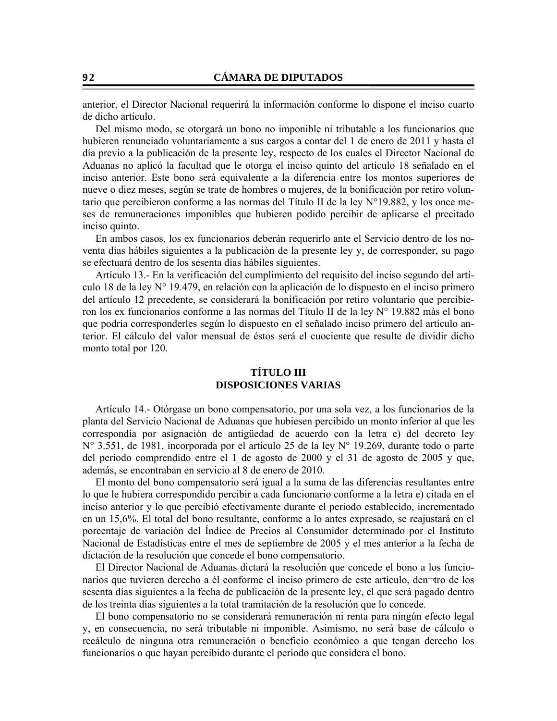anterior, el Director Nacional requerirá la información conforme lo dispone el inciso cuarto de dicho artículo.

Del mismo modo, se otorgará un bono no imponible ni tributable a los funcionarios que hubieren renunciado voluntariamente a sus cargos a contar del 1 de enero de 2011 y hasta el día previo a la publicación de la presente ley, respecto de los cuales el Director Nacional de Aduanas no aplicó la facultad que le otorga el inciso quinto del artículo 18 señalado en el inciso anterior. Este bono será equivalente a la diferencia entre los montos superiores de nueve o diez meses, según se trate de hombres o mujeres, de la bonificación por retiro voluntario que percibieron conforme a las normas del Título II de la ley N°19.882, y los once meses de remuneraciones imponibles que hubieren podido percibir de aplicarse el precitado inciso quinto.

En ambos casos, los ex funcionarios deberán requerirlo ante el Servicio dentro de los noventa días hábiles siguientes a la publicación de la presente ley y, de corresponder, su pago se efectuará dentro de los sesenta días hábiles siguientes.

Artículo 13.- En la verificación del cumplimiento del requisito del inciso segundo del artículo 18 de la ley N° 19.479, en relación con la aplicación de lo dispuesto en el inciso primero del artículo 12 precedente, se considerará la bonificación por retiro voluntario que percibieron los ex funcionarios conforme a las normas del Título II de la ley N° 19.882 más el bono que podría corresponderles según lo dispuesto en el señalado inciso primero del artículo anterior. El cálculo del valor mensual de éstos será el cuociente que resulte de dividir dicho monto total por 120.

## **TÍTULO III DISPOSICIONES VARIAS**

Artículo 14.- Otórgase un bono compensatorio, por una sola vez, a los funcionarios de la planta del Servicio Nacional de Aduanas que hubiesen percibido un monto inferior al que les correspondía por asignación de antigüedad de acuerdo con la letra e) del decreto ley N° 3.551, de 1981, incorporada por el artículo 25 de la ley N° 19.269, durante todo o parte del período comprendido entre el 1 de agosto de 2000 y el 31 de agosto de 2005 y que, además, se encontraban en servicio al 8 de enero de 2010.

El monto del bono compensatorio será igual a la suma de las diferencias resultantes entre lo que le hubiera correspondido percibir a cada funcionario conforme a la letra e) citada en el inciso anterior y lo que percibió efectivamente durante el periodo establecido, incrementado en un 15,6%. El total del bono resultante, conforme a lo antes expresado, se reajustará en el porcentaje de variación del Índice de Precios al Consumidor determinado por el Instituto Nacional de Estadísticas entre el mes de septiembre de 2005 y el mes anterior a la fecha de dictación de la resolución que concede el bono compensatorio.

El Director Nacional de Aduanas dictará la resolución que concede el bono a los funcionarios que tuvieren derecho a él conforme el inciso primero de este artículo, den¬tro de los sesenta días siguientes a la fecha de publicación de la presente ley, el que será pagado dentro de los treinta días siguientes a la total tramitación de la resolución que lo concede.

El bono compensatorio no se considerará remuneración ni renta para ningún efecto legal y, en consecuencia, no será tributable ni imponible. Asimismo, no será base de cálculo o recálculo de ninguna otra remuneración o beneficio económico a que tengan derecho los funcionarios o que hayan percibido durante el periodo que considera el bono.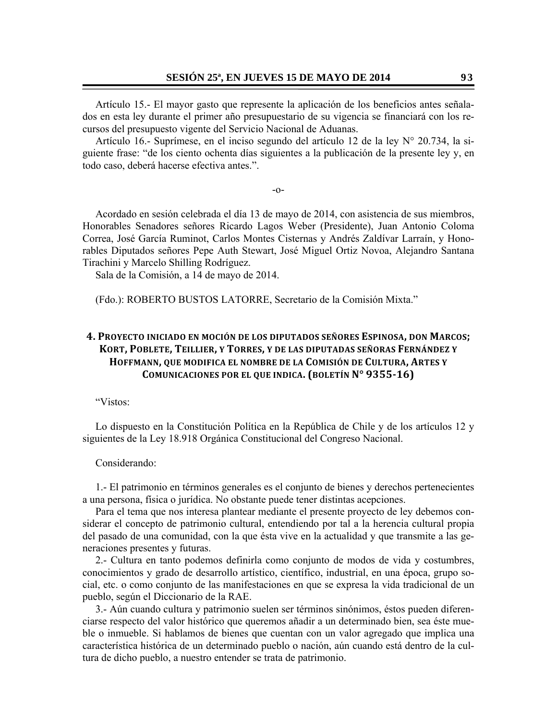Artículo 15.- El mayor gasto que represente la aplicación de los beneficios antes señalados en esta ley durante el primer año presupuestario de su vigencia se financiará con los recursos del presupuesto vigente del Servicio Nacional de Aduanas.

Artículo 16.- Suprímese, en el inciso segundo del artículo 12 de la ley N° 20.734, la siguiente frase: "de los ciento ochenta días siguientes a la publicación de la presente ley y, en todo caso, deberá hacerse efectiva antes.".

-o-

 Acordado en sesión celebrada el día 13 de mayo de 2014, con asistencia de sus miembros, Honorables Senadores señores Ricardo Lagos Weber (Presidente), Juan Antonio Coloma Correa, José García Ruminot, Carlos Montes Cisternas y Andrés Zaldívar Larraín, y Honorables Diputados señores Pepe Auth Stewart, José Miguel Ortiz Novoa, Alejandro Santana Tirachini y Marcelo Shilling Rodríguez.

Sala de la Comisión, a 14 de mayo de 2014.

(Fdo.): ROBERTO BUSTOS LATORRE, Secretario de la Comisión Mixta."

# **4. PROYECTO INICIADO EN MOCIÓN DE LOS DIPUTADOS SEÑORES ESPINOSA, DON MARCOS; KORT, POBLETE, TEILLIER, Y TORRES, Y DE LAS DIPUTADAS SEÑORAS FERNÁNDEZ Y HOFFMANN, QUE MODIFICA EL NOMBRE DE LA COMISIÓN DE CULTURA, ARTES Y COMUNICACIONES POR EL QUE INDICA. (BOLETÍN N° 9355‐16)**

"Vistos:

Lo dispuesto en la Constitución Política en la República de Chile y de los artículos 12 y siguientes de la Ley 18.918 Orgánica Constitucional del Congreso Nacional.

Considerando:

1.- El patrimonio en términos generales es el conjunto de bienes y derechos pertenecientes a una persona, física o jurídica. No obstante puede tener distintas acepciones.

Para el tema que nos interesa plantear mediante el presente proyecto de ley debemos considerar el concepto de patrimonio cultural, entendiendo por tal a la herencia cultural propia del pasado de una comunidad, con la que ésta vive en la actualidad y que transmite a las generaciones presentes y futuras.

2.- Cultura en tanto podemos definirla como conjunto de modos de vida y costumbres, conocimientos y grado de desarrollo artístico, científico, industrial, en una época, grupo social, etc. o como conjunto de las manifestaciones en que se expresa la vida tradicional de un pueblo, según el Diccionario de la RAE.

3.- Aún cuando cultura y patrimonio suelen ser términos sinónimos, éstos pueden diferenciarse respecto del valor histórico que queremos añadir a un determinado bien, sea éste mueble o inmueble. Si hablamos de bienes que cuentan con un valor agregado que implica una característica histórica de un determinado pueblo o nación, aún cuando está dentro de la cultura de dicho pueblo, a nuestro entender se trata de patrimonio.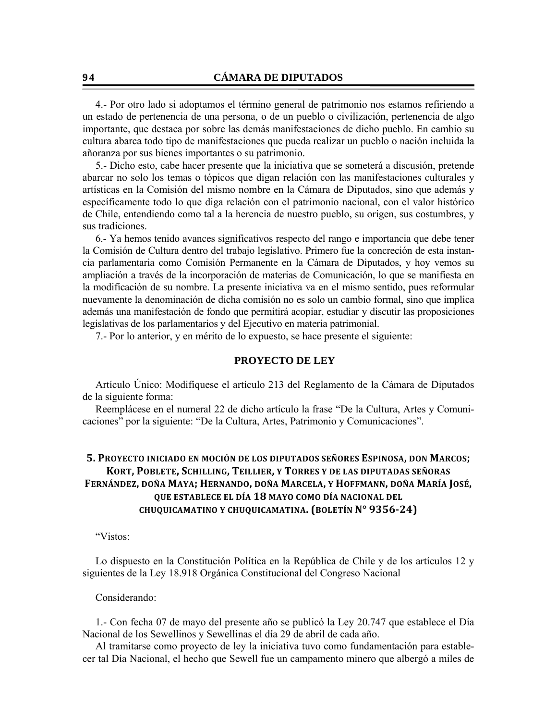4.- Por otro lado si adoptamos el término general de patrimonio nos estamos refiriendo a un estado de pertenencia de una persona, o de un pueblo o civilización, pertenencia de algo importante, que destaca por sobre las demás manifestaciones de dicho pueblo. En cambio su cultura abarca todo tipo de manifestaciones que pueda realizar un pueblo o nación incluida la añoranza por sus bienes importantes o su patrimonio.

5.- Dicho esto, cabe hacer presente que la iniciativa que se someterá a discusión, pretende abarcar no solo los temas o tópicos que digan relación con las manifestaciones culturales y artísticas en la Comisión del mismo nombre en la Cámara de Diputados, sino que además y específicamente todo lo que diga relación con el patrimonio nacional, con el valor histórico de Chile, entendiendo como tal a la herencia de nuestro pueblo, su origen, sus costumbres, y sus tradiciones.

6.- Ya hemos tenido avances significativos respecto del rango e importancia que debe tener la Comisión de Cultura dentro del trabajo legislativo. Primero fue la concreción de esta instancia parlamentaria como Comisión Permanente en la Cámara de Diputados, y hoy vemos su ampliación a través de la incorporación de materias de Comunicación, lo que se manifiesta en la modificación de su nombre. La presente iniciativa va en el mismo sentido, pues reformular nuevamente la denominación de dicha comisión no es solo un cambio formal, sino que implica además una manifestación de fondo que permitirá acopiar, estudiar y discutir las proposiciones legislativas de los parlamentarios y del Ejecutivo en materia patrimonial.

7.- Por lo anterior, y en mérito de lo expuesto, se hace presente el siguiente:

## **PROYECTO DE LEY**

Artículo Único: Modifíquese el artículo 213 del Reglamento de la Cámara de Diputados de la siguiente forma:

Reemplácese en el numeral 22 de dicho artículo la frase "De la Cultura, Artes y Comunicaciones" por la siguiente: "De la Cultura, Artes, Patrimonio y Comunicaciones".

# **5. PROYECTO INICIADO EN MOCIÓN DE LOS DIPUTADOS SEÑORES ESPINOSA, DON MARCOS; KORT, POBLETE, SCHILLING, TEILLIER, Y TORRES Y DE LAS DIPUTADAS SEÑORAS FERNÁNDEZ, DOÑA MAYA; HERNANDO, DOÑA MARCELA, Y HOFFMANN, DOÑA MARÍA JOSÉ, QUE ESTABLECE EL DÍA 18 MAYO COMO DÍA NACIONAL DEL CHUQUICAMATINO Y CHUQUICAMATINA. (BOLETÍN N° 9356‐24)**

"Vistos:

Lo dispuesto en la Constitución Política en la República de Chile y de los artículos 12 y siguientes de la Ley 18.918 Orgánica Constitucional del Congreso Nacional

### Considerando:

1.- Con fecha 07 de mayo del presente año se publicó la Ley 20.747 que establece el Día Nacional de los Sewellinos y Sewellinas el día 29 de abril de cada año.

Al tramitarse como proyecto de ley la iniciativa tuvo como fundamentación para establecer tal Día Nacional, el hecho que Sewell fue un campamento minero que albergó a miles de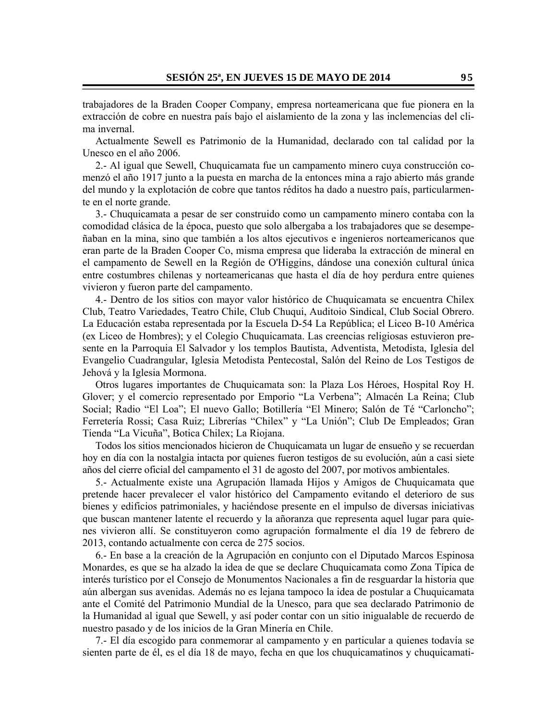trabajadores de la Braden Cooper Company, empresa norteamericana que fue pionera en la extracción de cobre en nuestra país bajo el aislamiento de la zona y las inclemencias del clima invernal.

Actualmente Sewell es Patrimonio de la Humanidad, declarado con tal calidad por la Unesco en el año 2006.

2.- Al igual que Sewell, Chuquicamata fue un campamento minero cuya construcción comenzó el año 1917 junto a la puesta en marcha de la entonces mina a rajo abierto más grande del mundo y la explotación de cobre que tantos réditos ha dado a nuestro país, particularmente en el norte grande.

3.- Chuquicamata a pesar de ser construido como un campamento minero contaba con la comodidad clásica de la época, puesto que solo albergaba a los trabajadores que se desempeñaban en la mina, sino que también a los altos ejecutivos e ingenieros norteamericanos que eran parte de la Braden Cooper Co, misma empresa que lideraba la extracción de mineral en el campamento de Sewell en la Región de O'Higgins, dándose una conexión cultural única entre costumbres chilenas y norteamericanas que hasta el día de hoy perdura entre quienes vivieron y fueron parte del campamento.

4.- Dentro de los sitios con mayor valor histórico de Chuquicamata se encuentra Chilex Club, Teatro Variedades, Teatro Chile, Club Chuqui, Auditoio Sindical, Club Social Obrero. La Educación estaba representada por la Escuela D-54 La República; el Liceo B-10 América (ex Liceo de Hombres); y el Colegio Chuquicamata. Las creencias religiosas estuvieron presente en la Parroquia El Salvador y los templos Bautista, Adventista, Metodista, Iglesia del Evangelio Cuadrangular, Iglesia Metodista Pentecostal, Salón del Reino de Los Testigos de Jehová y la Iglesia Mormona.

Otros lugares importantes de Chuquicamata son: la Plaza Los Héroes, Hospital Roy H. Glover; y el comercio representado por Emporio "La Verbena"; Almacén La Reina; Club Social; Radio "El Loa"; El nuevo Gallo; Botillería "El Minero; Salón de Té "Carloncho"; Ferretería Rossi; Casa Ruiz; Librerías "Chilex" y "La Unión"; Club De Empleados; Gran Tienda "La Vicuña", Botica Chilex; La Riojana.

Todos los sitios mencionados hicieron de Chuquicamata un lugar de ensueño y se recuerdan hoy en día con la nostalgia intacta por quienes fueron testigos de su evolución, aún a casi siete años del cierre oficial del campamento el 31 de agosto del 2007, por motivos ambientales.

5.- Actualmente existe una Agrupación llamada Hijos y Amigos de Chuquicamata que pretende hacer prevalecer el valor histórico del Campamento evitando el deterioro de sus bienes y edificios patrimoniales, y haciéndose presente en el impulso de diversas iniciativas que buscan mantener latente el recuerdo y la añoranza que representa aquel lugar para quienes vivieron allí. Se constituyeron como agrupación formalmente el día 19 de febrero de 2013, contando actualmente con cerca de 275 socios.

6.- En base a la creación de la Agrupación en conjunto con el Diputado Marcos Espinosa Monardes, es que se ha alzado la idea de que se declare Chuquicamata como Zona Típica de interés turístico por el Consejo de Monumentos Nacionales a fin de resguardar la historia que aún albergan sus avenidas. Además no es lejana tampoco la idea de postular a Chuquicamata ante el Comité del Patrimonio Mundial de la Unesco, para que sea declarado Patrimonio de la Humanidad al igual que Sewell, y así poder contar con un sitio inigualable de recuerdo de nuestro pasado y de los inicios de la Gran Minería en Chile.

7.- El día escogido para conmemorar al campamento y en particular a quienes todavía se sienten parte de él, es el día 18 de mayo, fecha en que los chuquicamatinos y chuquicamati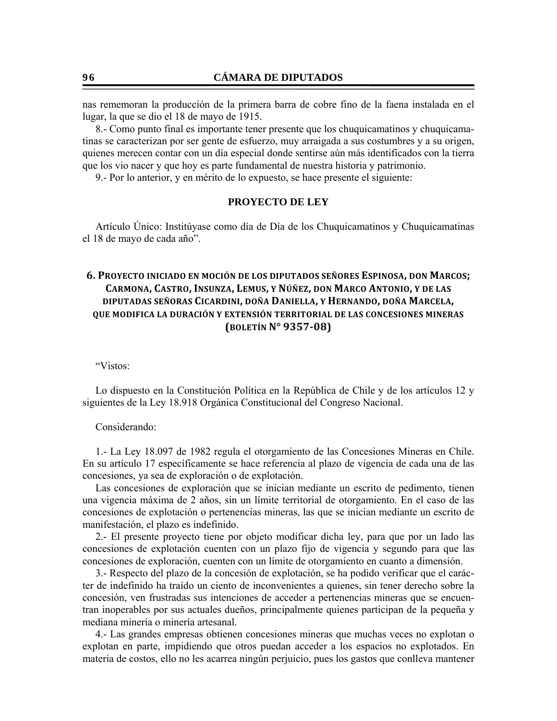nas rememoran la producción de la primera barra de cobre fino de la faena instalada en el lugar, la que se dio el 18 de mayo de 1915.

8.- Como punto final es importante tener presente que los chuquicamatinos y chuquicamatinas se caracterizan por ser gente de esfuerzo, muy arraigada a sus costumbres y a su origen, quienes merecen contar con un día especial donde sentirse aún más identificados con la tierra que los vio nacer y que hoy es parte fundamental de nuestra historia y patrimonio.

9.- Por lo anterior, y en mérito de lo expuesto, se hace presente el siguiente:

### **PROYECTO DE LEY**

Artículo Único: Institúyase como día de Día de los Chuquicamatinos y Chuquicamatinas el 18 de mayo de cada año".

# **6. PROYECTO INICIADO EN MOCIÓN DE LOS DIPUTADOS SEÑORES ESPINOSA, DON MARCOS; CARMONA, CASTRO, INSUNZA, LEMUS, Y NÚÑEZ, DON MARCO ANTONIO, Y DE LAS DIPUTADAS SEÑORAS CICARDINI, DOÑA DANIELLA, Y HERNANDO, DOÑA MARCELA, QUE MODIFICA LA DURACIÓN Y EXTENSIÓN TERRITORIAL DE LAS CONCESIONES MINERAS (BOLETÍN N° 9357‐08)**

"Vistos:

Lo dispuesto en la Constitución Política en la República de Chile y de los artículos 12 y siguientes de la Ley 18.918 Orgánica Constitucional del Congreso Nacional.

Considerando:

1.- La Ley 18.097 de 1982 regula el otorgamiento de las Concesiones Mineras en Chile. En su artículo 17 específicamente se hace referencia al plazo de vigencia de cada una de las concesiones, ya sea de exploración o de explotación.

Las concesiones de exploración que se inician mediante un escrito de pedimento, tienen una vigencia máxima de 2 años, sin un límite territorial de otorgamiento. En el caso de las concesiones de explotación o pertenencias mineras, las que se inician mediante un escrito de manifestación, el plazo es indefinido.

2.- El presente proyecto tiene por objeto modificar dicha ley, para que por un lado las concesiones de explotación cuenten con un plazo fijo de vigencia y segundo para que las concesiones de exploración, cuenten con un límite de otorgamiento en cuanto a dimensión.

3.- Respecto del plazo de la concesión de explotación, se ha podido verificar que el carácter de indefinido ha traído un ciento de inconvenientes a quienes, sin tener derecho sobre la concesión, ven frustradas sus intenciones de acceder a pertenencias mineras que se encuentran inoperables por sus actuales dueños, principalmente quienes participan de la pequeña y mediana minería o minería artesanal.

4.- Las grandes empresas obtienen concesiones mineras que muchas veces no explotan o explotan en parte, impidiendo que otros puedan acceder a los espacios no explotados. En materia de costos, ello no les acarrea ningún perjuicio, pues los gastos que conlleva mantener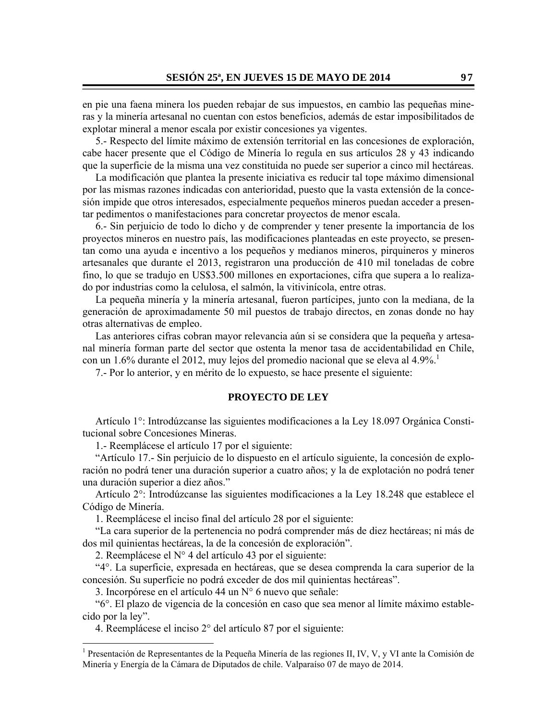en pie una faena minera los pueden rebajar de sus impuestos, en cambio las pequeñas mineras y la minería artesanal no cuentan con estos beneficios, además de estar imposibilitados de explotar mineral a menor escala por existir concesiones ya vigentes.

5.- Respecto del límite máximo de extensión territorial en las concesiones de exploración, cabe hacer presente que el Código de Minería lo regula en sus artículos 28 y 43 indicando que la superficie de la misma una vez constituida no puede ser superior a cinco mil hectáreas.

La modificación que plantea la presente iniciativa es reducir tal tope máximo dimensional por las mismas razones indicadas con anterioridad, puesto que la vasta extensión de la concesión impide que otros interesados, especialmente pequeños mineros puedan acceder a presentar pedimentos o manifestaciones para concretar proyectos de menor escala.

6.- Sin perjuicio de todo lo dicho y de comprender y tener presente la importancia de los proyectos mineros en nuestro país, las modificaciones planteadas en este proyecto, se presentan como una ayuda e incentivo a los pequeños y medianos mineros, pirquineros y mineros artesanales que durante el 2013, registraron una producción de 410 mil toneladas de cobre fino, lo que se tradujo en US\$3.500 millones en exportaciones, cifra que supera a lo realizado por industrias como la celulosa, el salmón, la vitivinícola, entre otras.

La pequeña minería y la minería artesanal, fueron partícipes, junto con la mediana, de la generación de aproximadamente 50 mil puestos de trabajo directos, en zonas donde no hay otras alternativas de empleo.

Las anteriores cifras cobran mayor relevancia aún si se considera que la pequeña y artesanal minería forman parte del sector que ostenta la menor tasa de accidentabilidad en Chile, con un 1.6% durante el 2012, muy lejos del promedio nacional que se eleva al 4.9%.<sup>1</sup>

7.- Por lo anterior, y en mérito de lo expuesto, se hace presente el siguiente:

### **PROYECTO DE LEY**

Artículo 1°: Introdúzcanse las siguientes modificaciones a la Ley 18.097 Orgánica Constitucional sobre Concesiones Mineras.

1.- Reemplácese el artículo 17 por el siguiente:

"Artículo 17.- Sin perjuicio de lo dispuesto en el artículo siguiente, la concesión de exploración no podrá tener una duración superior a cuatro años; y la de explotación no podrá tener una duración superior a diez años."

Artículo 2°: Introdúzcanse las siguientes modificaciones a la Ley 18.248 que establece el Código de Minería.

1. Reemplácese el inciso final del artículo 28 por el siguiente:

"La cara superior de la pertenencia no podrá comprender más de diez hectáreas; ni más de dos mil quinientas hectáreas, la de la concesión de exploración".

2. Reemplácese el N° 4 del artículo 43 por el siguiente:

"4°. La superficie, expresada en hectáreas, que se desea comprenda la cara superior de la concesión. Su superficie no podrá exceder de dos mil quinientas hectáreas".

3. Incorpórese en el artículo 44 un N° 6 nuevo que señale:

"6°. El plazo de vigencia de la concesión en caso que sea menor al límite máximo establecido por la ley".

4. Reemplácese el inciso 2° del artículo 87 por el siguiente:

 $\overline{a}$ 

<sup>&</sup>lt;sup>1</sup> Presentación de Representantes de la Pequeña Minería de las regiones II, IV, V, y VI ante la Comisión de Minería y Energía de la Cámara de Diputados de chile. Valparaíso 07 de mayo de 2014.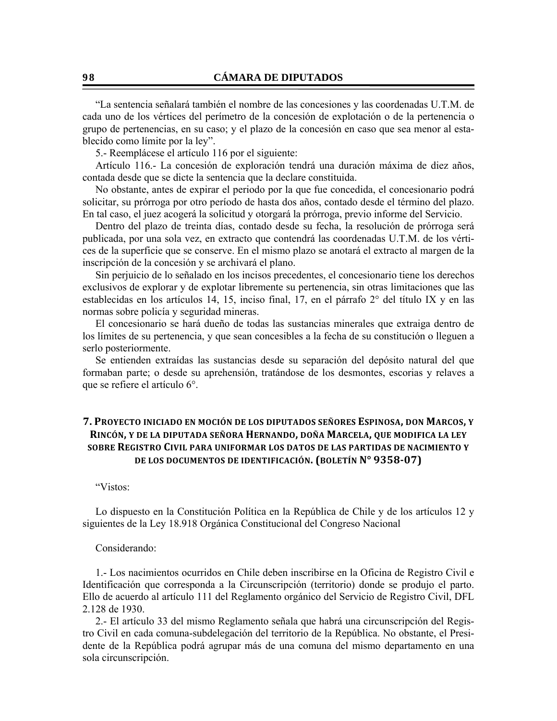"La sentencia señalará también el nombre de las concesiones y las coordenadas U.T.M. de cada uno de los vértices del perímetro de la concesión de explotación o de la pertenencia o grupo de pertenencias, en su caso; y el plazo de la concesión en caso que sea menor al establecido como límite por la ley".

5.- Reemplácese el artículo 116 por el siguiente:

Artículo 116.- La concesión de exploración tendrá una duración máxima de diez años, contada desde que se dicte la sentencia que la declare constituida.

No obstante, antes de expirar el periodo por la que fue concedida, el concesionario podrá solicitar, su prórroga por otro período de hasta dos años, contado desde el término del plazo. En tal caso, el juez acogerá la solicitud y otorgará la prórroga, previo informe del Servicio.

Dentro del plazo de treinta días, contado desde su fecha, la resolución de prórroga será publicada, por una sola vez, en extracto que contendrá las coordenadas U.T.M. de los vértices de la superficie que se conserve. En el mismo plazo se anotará el extracto al margen de la inscripción de la concesión y se archivará el plano.

Sin perjuicio de lo señalado en los incisos precedentes, el concesionario tiene los derechos exclusivos de explorar y de explotar libremente su pertenencia, sin otras limitaciones que las establecidas en los artículos 14, 15, inciso final, 17, en el párrafo 2° del título IX y en las normas sobre policía y seguridad mineras.

El concesionario se hará dueño de todas las sustancias minerales que extraiga dentro de los límites de su pertenencia, y que sean concesibles a la fecha de su constitución o lleguen a serlo posteriormente.

Se entienden extraídas las sustancias desde su separación del depósito natural del que formaban parte; o desde su aprehensión, tratándose de los desmontes, escorias y relaves a que se refiere el artículo 6°.

# **7. PROYECTO INICIADO EN MOCIÓN DE LOS DIPUTADOS SEÑORES ESPINOSA, DON MARCOS, Y RINCÓN, Y DE LA DIPUTADA SEÑORA HERNANDO, DOÑA MARCELA, QUE MODIFICA LA LEY SOBRE REGISTRO CIVIL PARA UNIFORMAR LOS DATOS DE LAS PARTIDAS DE NACIMIENTO Y DE LOS DOCUMENTOS DE IDENTIFICACIÓN. (BOLETÍN N° 9358‐07)**

### "Vistos:

Lo dispuesto en la Constitución Política en la República de Chile y de los artículos 12 y siguientes de la Ley 18.918 Orgánica Constitucional del Congreso Nacional

### Considerando:

1.- Los nacimientos ocurridos en Chile deben inscribirse en la Oficina de Registro Civil e Identificación que corresponda a la Circunscripción (territorio) donde se produjo el parto. Ello de acuerdo al artículo 111 del Reglamento orgánico del Servicio de Registro Civil, DFL 2.128 de 1930.

2.- El artículo 33 del mismo Reglamento señala que habrá una circunscripción del Registro Civil en cada comuna-subdelegación del territorio de la República. No obstante, el Presidente de la República podrá agrupar más de una comuna del mismo departamento en una sola circunscripción.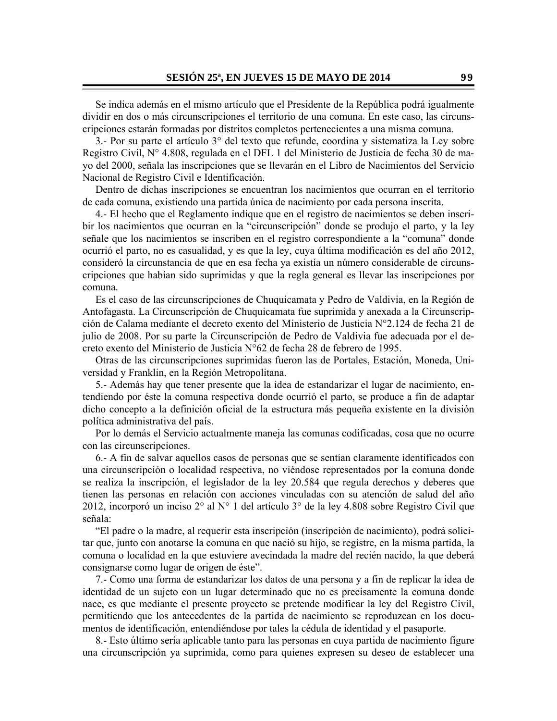Se indica además en el mismo artículo que el Presidente de la República podrá igualmente dividir en dos o más circunscripciones el territorio de una comuna. En este caso, las circunscripciones estarán formadas por distritos completos pertenecientes a una misma comuna.

3.- Por su parte el artículo 3° del texto que refunde, coordina y sistematiza la Ley sobre Registro Civil, N° 4.808, regulada en el DFL 1 del Ministerio de Justicia de fecha 30 de mayo del 2000, señala las inscripciones que se llevarán en el Libro de Nacimientos del Servicio Nacional de Registro Civil e Identificación.

Dentro de dichas inscripciones se encuentran los nacimientos que ocurran en el territorio de cada comuna, existiendo una partida única de nacimiento por cada persona inscrita.

4.- El hecho que el Reglamento indique que en el registro de nacimientos se deben inscribir los nacimientos que ocurran en la "circunscripción" donde se produjo el parto, y la ley señale que los nacimientos se inscriben en el registro correspondiente a la "comuna" donde ocurrió el parto, no es casualidad, y es que la ley, cuya última modificación es del año 2012, consideró la circunstancia de que en esa fecha ya existía un número considerable de circunscripciones que habían sido suprimidas y que la regla general es llevar las inscripciones por comuna.

Es el caso de las circunscripciones de Chuquicamata y Pedro de Valdivia, en la Región de Antofagasta. La Circunscripción de Chuquicamata fue suprimida y anexada a la Circunscripción de Calama mediante el decreto exento del Ministerio de Justicia N°2.124 de fecha 21 de julio de 2008. Por su parte la Circunscripción de Pedro de Valdivia fue adecuada por el decreto exento del Ministerio de Justicia N°62 de fecha 28 de febrero de 1995.

Otras de las circunscripciones suprimidas fueron las de Portales, Estación, Moneda, Universidad y Franklin, en la Región Metropolitana.

5.- Además hay que tener presente que la idea de estandarizar el lugar de nacimiento, entendiendo por éste la comuna respectiva donde ocurrió el parto, se produce a fin de adaptar dicho concepto a la definición oficial de la estructura más pequeña existente en la división política administrativa del país.

Por lo demás el Servicio actualmente maneja las comunas codificadas, cosa que no ocurre con las circunscripciones.

6.- A fin de salvar aquellos casos de personas que se sentían claramente identificados con una circunscripción o localidad respectiva, no viéndose representados por la comuna donde se realiza la inscripción, el legislador de la ley 20.584 que regula derechos y deberes que tienen las personas en relación con acciones vinculadas con su atención de salud del año 2012, incorporó un inciso 2° al N° 1 del artículo 3° de la ley 4.808 sobre Registro Civil que señala:

"El padre o la madre, al requerir esta inscripción (inscripción de nacimiento), podrá solicitar que, junto con anotarse la comuna en que nació su hijo, se registre, en la misma partida, la comuna o localidad en la que estuviere avecindada la madre del recién nacido, la que deberá consignarse como lugar de origen de éste".

7.- Como una forma de estandarizar los datos de una persona y a fin de replicar la idea de identidad de un sujeto con un lugar determinado que no es precisamente la comuna donde nace, es que mediante el presente proyecto se pretende modificar la ley del Registro Civil, permitiendo que los antecedentes de la partida de nacimiento se reproduzcan en los documentos de identificación, entendiéndose por tales la cédula de identidad y el pasaporte.

8.- Esto último sería aplicable tanto para las personas en cuya partida de nacimiento figure una circunscripción ya suprimida, como para quienes expresen su deseo de establecer una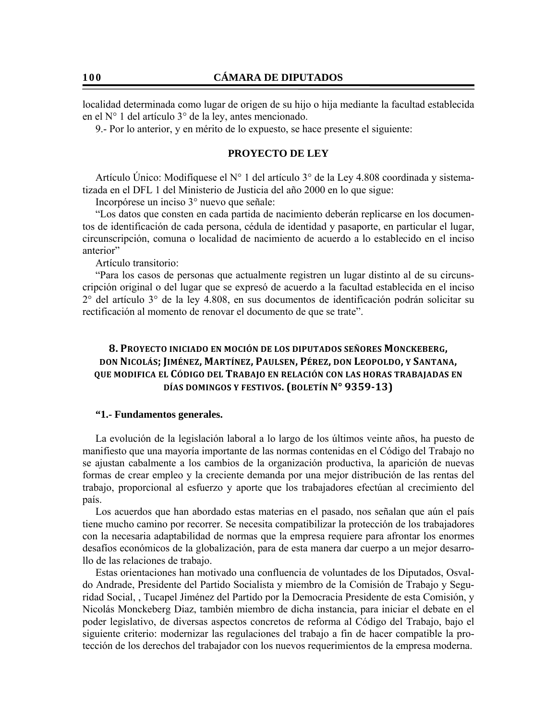localidad determinada como lugar de origen de su hijo o hija mediante la facultad establecida en el N° 1 del artículo 3° de la ley, antes mencionado.

9.- Por lo anterior, y en mérito de lo expuesto, se hace presente el siguiente:

## **PROYECTO DE LEY**

Artículo Único: Modifíquese el N° 1 del artículo 3° de la Ley 4.808 coordinada y sistematizada en el DFL 1 del Ministerio de Justicia del año 2000 en lo que sigue:

Incorpórese un inciso 3° nuevo que señale:

"Los datos que consten en cada partida de nacimiento deberán replicarse en los documentos de identificación de cada persona, cédula de identidad y pasaporte, en particular el lugar, circunscripción, comuna o localidad de nacimiento de acuerdo a lo establecido en el inciso anterior"

Artículo transitorio:

"Para los casos de personas que actualmente registren un lugar distinto al de su circunscripción original o del lugar que se expresó de acuerdo a la facultad establecida en el inciso 2° del artículo 3° de la ley 4.808, en sus documentos de identificación podrán solicitar su rectificación al momento de renovar el documento de que se trate".

# **8. PROYECTO INICIADO EN MOCIÓN DE LOS DIPUTADOS SEÑORES MONCKEBERG, DON NICOLÁS; JIMÉNEZ, MARTÍNEZ, PAULSEN, PÉREZ, DON LEOPOLDO, Y SANTANA, QUE MODIFICA EL CÓDIGO DEL TRABAJO EN RELACIÓN CON LAS HORAS TRABAJADAS EN DÍAS DOMINGOS Y FESTIVOS. (BOLETÍN N° 9359‐13)**

#### **"1.- Fundamentos generales.**

La evolución de la legislación laboral a lo largo de los últimos veinte años, ha puesto de manifiesto que una mayoría importante de las normas contenidas en el Código del Trabajo no se ajustan cabalmente a los cambios de la organización productiva, la aparición de nuevas formas de crear empleo y la creciente demanda por una mejor distribución de las rentas del trabajo, proporcional al esfuerzo y aporte que los trabajadores efectúan al crecimiento del país.

Los acuerdos que han abordado estas materias en el pasado, nos señalan que aún el país tiene mucho camino por recorrer. Se necesita compatibilizar la protección de los trabajadores con la necesaria adaptabilidad de normas que la empresa requiere para afrontar los enormes desafíos económicos de la globalización, para de esta manera dar cuerpo a un mejor desarrollo de las relaciones de trabajo.

Estas orientaciones han motivado una confluencia de voluntades de los Diputados, Osvaldo Andrade, Presidente del Partido Socialista y miembro de la Comisión de Trabajo y Seguridad Social, , Tucapel Jiménez del Partido por la Democracia Presidente de esta Comisión, y Nicolás Monckeberg Diaz, también miembro de dicha instancia, para iniciar el debate en el poder legislativo, de diversas aspectos concretos de reforma al Código del Trabajo, bajo el siguiente criterio: modernizar las regulaciones del trabajo a fin de hacer compatible la protección de los derechos del trabajador con los nuevos requerimientos de la empresa moderna.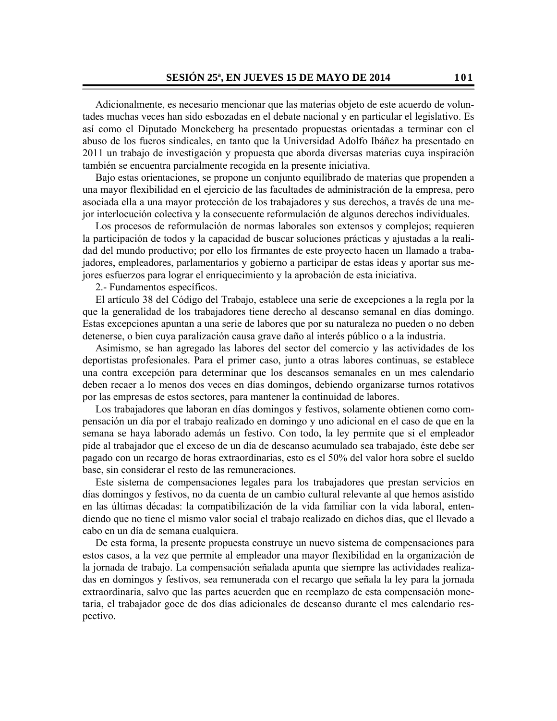Adicionalmente, es necesario mencionar que las materias objeto de este acuerdo de voluntades muchas veces han sido esbozadas en el debate nacional y en particular el legislativo. Es así como el Diputado Monckeberg ha presentado propuestas orientadas a terminar con el abuso de los fueros sindicales, en tanto que la Universidad Adolfo Ibáñez ha presentado en 2011 un trabajo de investigación y propuesta que aborda diversas materias cuya inspiración también se encuentra parcialmente recogida en la presente iniciativa.

 Bajo estas orientaciones, se propone un conjunto equilibrado de materias que propenden a una mayor flexibilidad en el ejercicio de las facultades de administración de la empresa, pero asociada ella a una mayor protección de los trabajadores y sus derechos, a través de una mejor interlocución colectiva y la consecuente reformulación de algunos derechos individuales.

 Los procesos de reformulación de normas laborales son extensos y complejos; requieren la participación de todos y la capacidad de buscar soluciones prácticas y ajustadas a la realidad del mundo productivo; por ello los firmantes de este proyecto hacen un llamado a trabajadores, empleadores, parlamentarios y gobierno a participar de estas ideas y aportar sus mejores esfuerzos para lograr el enriquecimiento y la aprobación de esta iniciativa.

2.- Fundamentos específicos.

El artículo 38 del Código del Trabajo, establece una serie de excepciones a la regla por la que la generalidad de los trabajadores tiene derecho al descanso semanal en días domingo. Estas excepciones apuntan a una serie de labores que por su naturaleza no pueden o no deben detenerse, o bien cuya paralización causa grave daño al interés público o a la industria.

 Asimismo, se han agregado las labores del sector del comercio y las actividades de los deportistas profesionales. Para el primer caso, junto a otras labores continuas, se establece una contra excepción para determinar que los descansos semanales en un mes calendario deben recaer a lo menos dos veces en días domingos, debiendo organizarse turnos rotativos por las empresas de estos sectores, para mantener la continuidad de labores.

 Los trabajadores que laboran en días domingos y festivos, solamente obtienen como compensación un día por el trabajo realizado en domingo y uno adicional en el caso de que en la semana se haya laborado además un festivo. Con todo, la ley permite que si el empleador pide al trabajador que el exceso de un día de descanso acumulado sea trabajado, éste debe ser pagado con un recargo de horas extraordinarias, esto es el 50% del valor hora sobre el sueldo base, sin considerar el resto de las remuneraciones.

 Este sistema de compensaciones legales para los trabajadores que prestan servicios en días domingos y festivos, no da cuenta de un cambio cultural relevante al que hemos asistido en las últimas décadas: la compatibilización de la vida familiar con la vida laboral, entendiendo que no tiene el mismo valor social el trabajo realizado en dichos días, que el llevado a cabo en un día de semana cualquiera.

 De esta forma, la presente propuesta construye un nuevo sistema de compensaciones para estos casos, a la vez que permite al empleador una mayor flexibilidad en la organización de la jornada de trabajo. La compensación señalada apunta que siempre las actividades realizadas en domingos y festivos, sea remunerada con el recargo que señala la ley para la jornada extraordinaria, salvo que las partes acuerden que en reemplazo de esta compensación monetaria, el trabajador goce de dos días adicionales de descanso durante el mes calendario respectivo.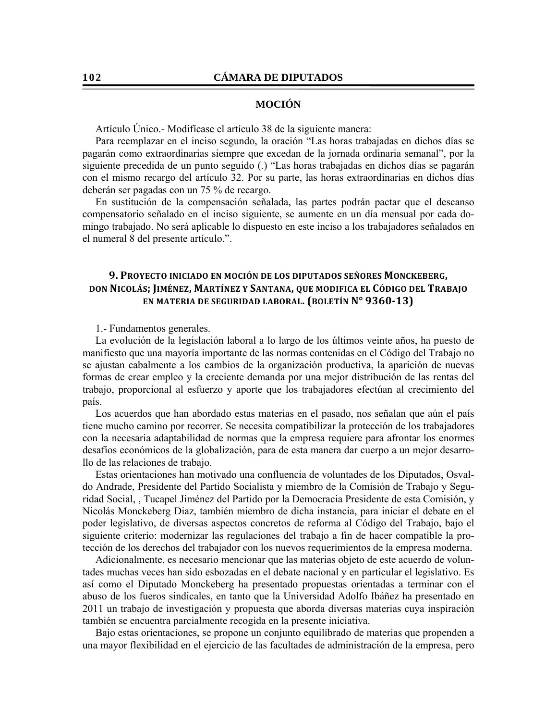## **MOCIÓN**

Artículo Único.- Modifícase el artículo 38 de la siguiente manera:

Para reemplazar en el inciso segundo, la oración "Las horas trabajadas en dichos días se pagarán como extraordinarias siempre que excedan de la jornada ordinaria semanal", por la siguiente precedida de un punto seguido (.) "Las horas trabajadas en dichos días se pagarán con el mismo recargo del artículo 32. Por su parte, las horas extraordinarias en dichos días deberán ser pagadas con un 75 % de recargo.

En sustitución de la compensación señalada, las partes podrán pactar que el descanso compensatorio señalado en el inciso siguiente, se aumente en un día mensual por cada domingo trabajado. No será aplicable lo dispuesto en este inciso a los trabajadores señalados en el numeral 8 del presente artículo.".

# **9. PROYECTO INICIADO EN MOCIÓN DE LOS DIPUTADOS SEÑORES MONCKEBERG, DON NICOLÁS; JIMÉNEZ, MARTÍNEZ Y SANTANA, QUE MODIFICA EL CÓDIGO DEL TRABAJO EN MATERIA DE SEGURIDAD LABORAL. (BOLETÍN N° 9360‐13)**

1.- Fundamentos generales.

La evolución de la legislación laboral a lo largo de los últimos veinte años, ha puesto de manifiesto que una mayoría importante de las normas contenidas en el Código del Trabajo no se ajustan cabalmente a los cambios de la organización productiva, la aparición de nuevas formas de crear empleo y la creciente demanda por una mejor distribución de las rentas del trabajo, proporcional al esfuerzo y aporte que los trabajadores efectúan al crecimiento del país.

Los acuerdos que han abordado estas materias en el pasado, nos señalan que aún el país tiene mucho camino por recorrer. Se necesita compatibilizar la protección de los trabajadores con la necesaria adaptabilidad de normas que la empresa requiere para afrontar los enormes desafíos económicos de la globalización, para de esta manera dar cuerpo a un mejor desarrollo de las relaciones de trabajo.

Estas orientaciones han motivado una confluencia de voluntades de los Diputados, Osvaldo Andrade, Presidente del Partido Socialista y miembro de la Comisión de Trabajo y Seguridad Social, , Tucapel Jiménez del Partido por la Democracia Presidente de esta Comisión, y Nicolás Monckeberg Diaz, también miembro de dicha instancia, para iniciar el debate en el poder legislativo, de diversas aspectos concretos de reforma al Código del Trabajo, bajo el siguiente criterio: modernizar las regulaciones del trabajo a fin de hacer compatible la protección de los derechos del trabajador con los nuevos requerimientos de la empresa moderna.

 Adicionalmente, es necesario mencionar que las materias objeto de este acuerdo de voluntades muchas veces han sido esbozadas en el debate nacional y en particular el legislativo. Es así como el Diputado Monckeberg ha presentado propuestas orientadas a terminar con el abuso de los fueros sindicales, en tanto que la Universidad Adolfo Ibáñez ha presentado en 2011 un trabajo de investigación y propuesta que aborda diversas materias cuya inspiración también se encuentra parcialmente recogida en la presente iniciativa.

 Bajo estas orientaciones, se propone un conjunto equilibrado de materias que propenden a una mayor flexibilidad en el ejercicio de las facultades de administración de la empresa, pero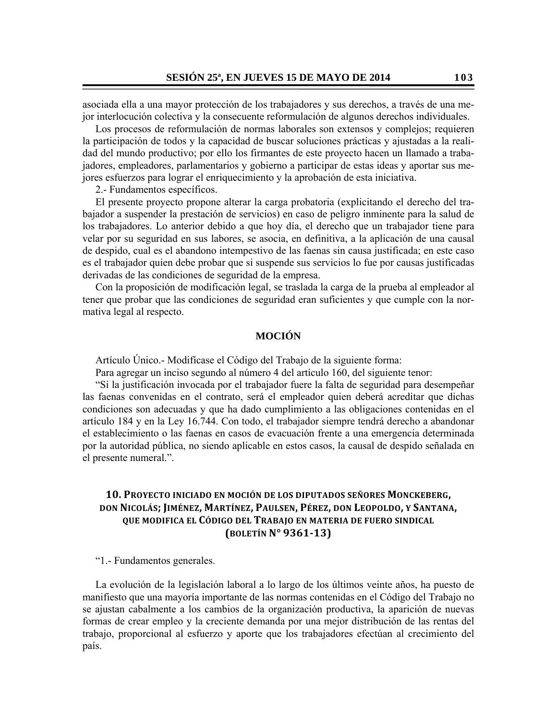asociada ella a una mayor protección de los trabajadores y sus derechos, a través de una mejor interlocución colectiva y la consecuente reformulación de algunos derechos individuales.

 Los procesos de reformulación de normas laborales son extensos y complejos; requieren la participación de todos y la capacidad de buscar soluciones prácticas y ajustadas a la realidad del mundo productivo; por ello los firmantes de este proyecto hacen un llamado a trabajadores, empleadores, parlamentarios y gobierno a participar de estas ideas y aportar sus mejores esfuerzos para lograr el enriquecimiento y la aprobación de esta iniciativa.

2.- Fundamentos específicos.

El presente proyecto propone alterar la carga probatoria (explicitando el derecho del trabajador a suspender la prestación de servicios) en caso de peligro inminente para la salud de los trabajadores. Lo anterior debido a que hoy día, el derecho que un trabajador tiene para velar por su seguridad en sus labores, se asocia, en definitiva, a la aplicación de una causal de despido, cual es el abandono intempestivo de las faenas sin causa justificada; en este caso es el trabajador quien debe probar que si suspende sus servicios lo fue por causas justificadas derivadas de las condiciones de seguridad de la empresa.

Con la proposición de modificación legal, se traslada la carga de la prueba al empleador al tener que probar que las condiciones de seguridad eran suficientes y que cumple con la normativa legal al respecto.

# **MOCIÓN**

Artículo Único.- Modifícase el Código del Trabajo de la siguiente forma:

Para agregar un inciso segundo al número 4 del artículo 160, del siguiente tenor:

"Si la justificación invocada por el trabajador fuere la falta de seguridad para desempeñar las faenas convenidas en el contrato, será el empleador quien deberá acreditar que dichas condiciones son adecuadas y que ha dado cumplimiento a las obligaciones contenidas en el artículo 184 y en la Ley 16.744. Con todo, el trabajador siempre tendrá derecho a abandonar el establecimiento o las faenas en casos de evacuación frente a una emergencia determinada por la autoridad pública, no siendo aplicable en estos casos, la causal de despido señalada en el presente numeral.".

# **10. PROYECTO INICIADO EN MOCIÓN DE LOS DIPUTADOS SEÑORES MONCKEBERG, DON NICOLÁS; JIMÉNEZ, MARTÍNEZ, PAULSEN, PÉREZ, DON LEOPOLDO, Y SANTANA, QUE MODIFICA EL CÓDIGO DEL TRABAJO EN MATERIA DE FUERO SINDICAL (BOLETÍN N° 9361‐13)**

"1.- Fundamentos generales.

La evolución de la legislación laboral a lo largo de los últimos veinte años, ha puesto de manifiesto que una mayoría importante de las normas contenidas en el Código del Trabajo no se ajustan cabalmente a los cambios de la organización productiva, la aparición de nuevas formas de crear empleo y la creciente demanda por una mejor distribución de las rentas del trabajo, proporcional al esfuerzo y aporte que los trabajadores efectúan al crecimiento del país.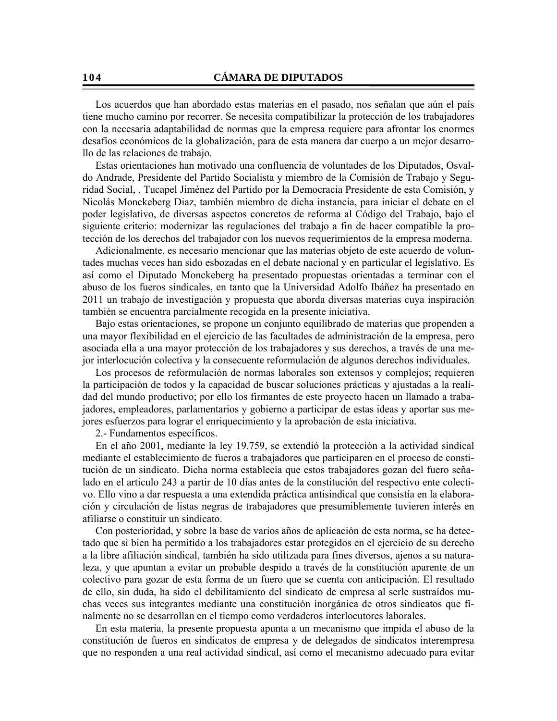Los acuerdos que han abordado estas materias en el pasado, nos señalan que aún el país tiene mucho camino por recorrer. Se necesita compatibilizar la protección de los trabajadores con la necesaria adaptabilidad de normas que la empresa requiere para afrontar los enormes desafíos económicos de la globalización, para de esta manera dar cuerpo a un mejor desarrollo de las relaciones de trabajo.

Estas orientaciones han motivado una confluencia de voluntades de los Diputados, Osvaldo Andrade, Presidente del Partido Socialista y miembro de la Comisión de Trabajo y Seguridad Social, , Tucapel Jiménez del Partido por la Democracia Presidente de esta Comisión, y Nicolás Monckeberg Diaz, también miembro de dicha instancia, para iniciar el debate en el poder legislativo, de diversas aspectos concretos de reforma al Código del Trabajo, bajo el siguiente criterio: modernizar las regulaciones del trabajo a fin de hacer compatible la protección de los derechos del trabajador con los nuevos requerimientos de la empresa moderna.

Adicionalmente, es necesario mencionar que las materias objeto de este acuerdo de voluntades muchas veces han sido esbozadas en el debate nacional y en particular el legislativo. Es así como el Diputado Monckeberg ha presentado propuestas orientadas a terminar con el abuso de los fueros sindicales, en tanto que la Universidad Adolfo Ibáñez ha presentado en 2011 un trabajo de investigación y propuesta que aborda diversas materias cuya inspiración también se encuentra parcialmente recogida en la presente iniciativa.

Bajo estas orientaciones, se propone un conjunto equilibrado de materias que propenden a una mayor flexibilidad en el ejercicio de las facultades de administración de la empresa, pero asociada ella a una mayor protección de los trabajadores y sus derechos, a través de una mejor interlocución colectiva y la consecuente reformulación de algunos derechos individuales.

Los procesos de reformulación de normas laborales son extensos y complejos; requieren la participación de todos y la capacidad de buscar soluciones prácticas y ajustadas a la realidad del mundo productivo; por ello los firmantes de este proyecto hacen un llamado a trabajadores, empleadores, parlamentarios y gobierno a participar de estas ideas y aportar sus mejores esfuerzos para lograr el enriquecimiento y la aprobación de esta iniciativa.

2.- Fundamentos específicos.

En el año 2001, mediante la ley 19.759, se extendió la protección a la actividad sindical mediante el establecimiento de fueros a trabajadores que participaren en el proceso de constitución de un sindicato. Dicha norma establecía que estos trabajadores gozan del fuero señalado en el artículo 243 a partir de 10 días antes de la constitución del respectivo ente colectivo. Ello vino a dar respuesta a una extendida práctica antisindical que consistía en la elaboración y circulación de listas negras de trabajadores que presumiblemente tuvieren interés en afiliarse o constituir un sindicato.

Con posterioridad, y sobre la base de varios años de aplicación de esta norma, se ha detectado que si bien ha permitido a los trabajadores estar protegidos en el ejercicio de su derecho a la libre afiliación sindical, también ha sido utilizada para fines diversos, ajenos a su naturaleza, y que apuntan a evitar un probable despido a través de la constitución aparente de un colectivo para gozar de esta forma de un fuero que se cuenta con anticipación. El resultado de ello, sin duda, ha sido el debilitamiento del sindicato de empresa al serle sustraídos muchas veces sus integrantes mediante una constitución inorgánica de otros sindicatos que finalmente no se desarrollan en el tiempo como verdaderos interlocutores laborales.

En esta materia, la presente propuesta apunta a un mecanismo que impida el abuso de la constitución de fueros en sindicatos de empresa y de delegados de sindicatos interempresa que no responden a una real actividad sindical, así como el mecanismo adecuado para evitar